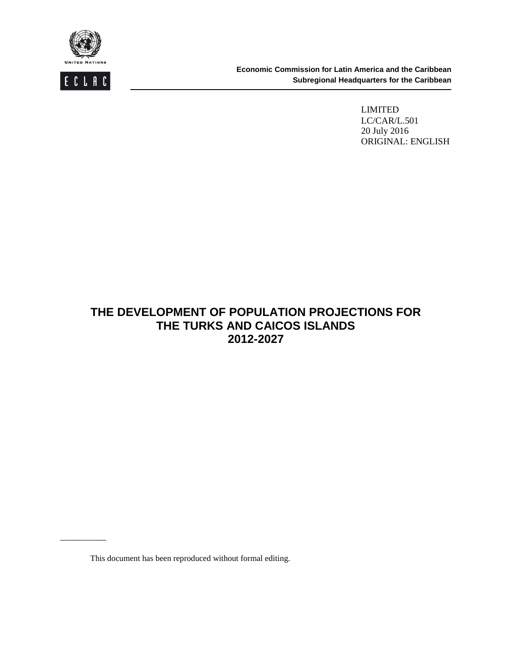



\_\_\_\_\_\_\_\_\_\_

 **Economic Commission for Latin America and the Caribbean Subregional Headquarters for the Caribbean** 

> LIMITED LC/CAR/L.501 20 July 2016 ORIGINAL: ENGLISH

# **THE DEVELOPMENT OF POPULATION PROJECTIONS FOR THE TURKS AND CAICOS ISLANDS 2012-2027**

This document has been reproduced without formal editing.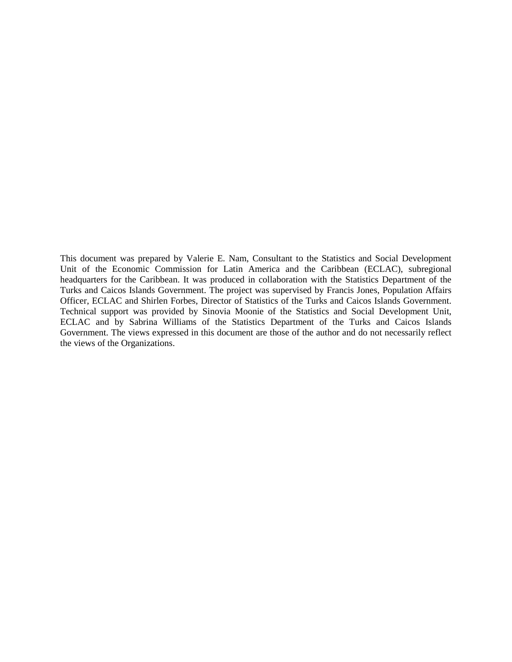This document was prepared by Valerie E. Nam, Consultant to the Statistics and Social Development Unit of the Economic Commission for Latin America and the Caribbean (ECLAC), subregional headquarters for the Caribbean. It was produced in collaboration with the Statistics Department of the Turks and Caicos Islands Government. The project was supervised by Francis Jones, Population Affairs Officer, ECLAC and Shirlen Forbes, Director of Statistics of the Turks and Caicos Islands Government. Technical support was provided by Sinovia Moonie of the Statistics and Social Development Unit, ECLAC and by Sabrina Williams of the Statistics Department of the Turks and Caicos Islands Government. The views expressed in this document are those of the author and do not necessarily reflect the views of the Organizations.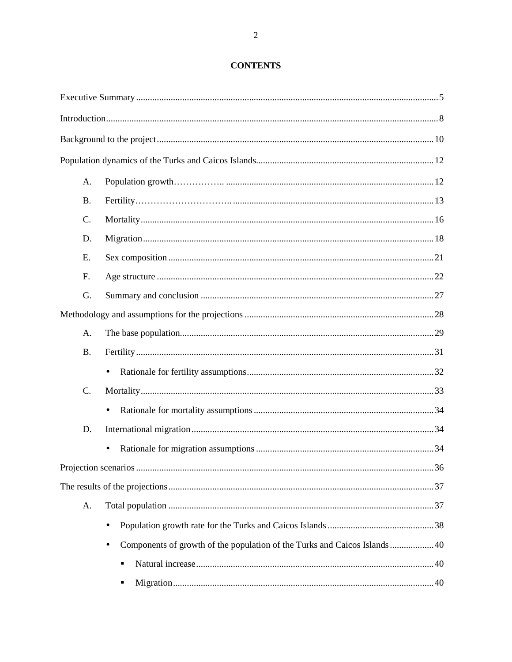## **CONTENTS**

| A.        |           |  |
|-----------|-----------|--|
| <b>B.</b> |           |  |
| C.        |           |  |
| D.        |           |  |
| E.        |           |  |
| F.        |           |  |
| G.        |           |  |
|           |           |  |
| A.        |           |  |
| <b>B.</b> |           |  |
|           | $\bullet$ |  |
| C.        |           |  |
|           | $\bullet$ |  |
| D.        |           |  |
|           |           |  |
|           |           |  |
|           |           |  |
| A.        |           |  |
|           | $\bullet$ |  |
|           | $\bullet$ |  |
|           | ٠         |  |
|           | п         |  |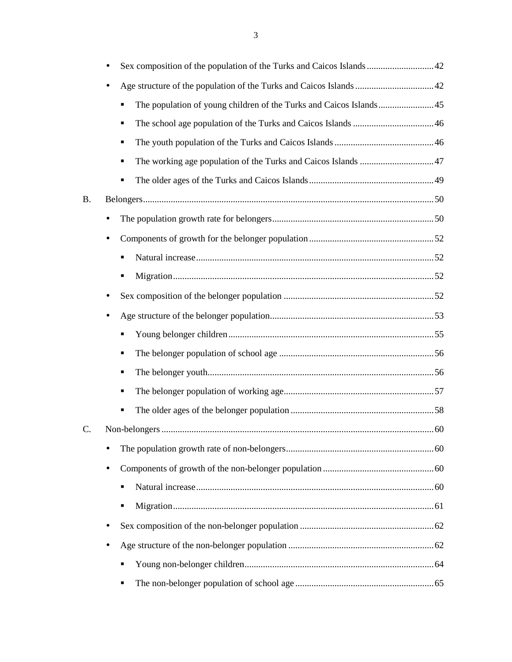|    | Sex composition of the population of the Turks and Caicos Islands 42    |
|----|-------------------------------------------------------------------------|
|    |                                                                         |
|    | The population of young children of the Turks and Caicos Islands45<br>٠ |
|    | ٠                                                                       |
|    | ٠                                                                       |
|    | ٠                                                                       |
|    | ٠                                                                       |
| B. |                                                                         |
|    | $\bullet$                                                               |
|    |                                                                         |
|    | ٠                                                                       |
|    | ٠                                                                       |
|    |                                                                         |
|    |                                                                         |
|    | ٠                                                                       |
|    | ٠                                                                       |
|    | ٠                                                                       |
|    | ٠                                                                       |
|    | ٠                                                                       |
| C. |                                                                         |
|    |                                                                         |
|    | ٠                                                                       |
|    | ٠                                                                       |
|    | ٠                                                                       |
|    |                                                                         |
|    |                                                                         |
|    | ٠                                                                       |
|    | ٠                                                                       |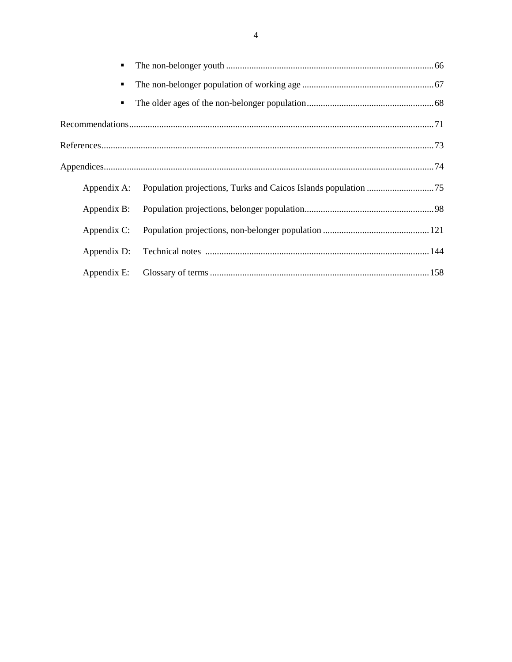| $\blacksquare$ |  |
|----------------|--|
| ٠              |  |
| $\blacksquare$ |  |
|                |  |
|                |  |
|                |  |
| Appendix A:    |  |
| Appendix B:    |  |
| Appendix C:    |  |
| Appendix D:    |  |
| Appendix E:    |  |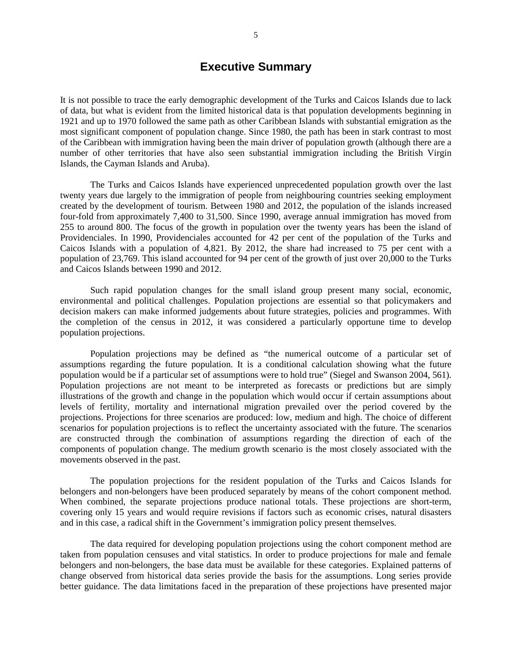# **Executive Summary**

It is not possible to trace the early demographic development of the Turks and Caicos Islands due to lack of data, but what is evident from the limited historical data is that population developments beginning in 1921 and up to 1970 followed the same path as other Caribbean Islands with substantial emigration as the most significant component of population change. Since 1980, the path has been in stark contrast to most of the Caribbean with immigration having been the main driver of population growth (although there are a number of other territories that have also seen substantial immigration including the British Virgin Islands, the Cayman Islands and Aruba).

 The Turks and Caicos Islands have experienced unprecedented population growth over the last twenty years due largely to the immigration of people from neighbouring countries seeking employment created by the development of tourism. Between 1980 and 2012, the population of the islands increased four-fold from approximately 7,400 to 31,500. Since 1990, average annual immigration has moved from 255 to around 800. The focus of the growth in population over the twenty years has been the island of Providenciales. In 1990, Providenciales accounted for 42 per cent of the population of the Turks and Caicos Islands with a population of 4,821. By 2012, the share had increased to 75 per cent with a population of 23,769. This island accounted for 94 per cent of the growth of just over 20,000 to the Turks and Caicos Islands between 1990 and 2012.

Such rapid population changes for the small island group present many social, economic, environmental and political challenges. Population projections are essential so that policymakers and decision makers can make informed judgements about future strategies, policies and programmes. With the completion of the census in 2012, it was considered a particularly opportune time to develop population projections.

 Population projections may be defined as "the numerical outcome of a particular set of assumptions regarding the future population. It is a conditional calculation showing what the future population would be if a particular set of assumptions were to hold true" (Siegel and Swanson 2004, 561). Population projections are not meant to be interpreted as forecasts or predictions but are simply illustrations of the growth and change in the population which would occur if certain assumptions about levels of fertility, mortality and international migration prevailed over the period covered by the projections. Projections for three scenarios are produced: low, medium and high. The choice of different scenarios for population projections is to reflect the uncertainty associated with the future. The scenarios are constructed through the combination of assumptions regarding the direction of each of the components of population change. The medium growth scenario is the most closely associated with the movements observed in the past.

The population projections for the resident population of the Turks and Caicos Islands for belongers and non-belongers have been produced separately by means of the cohort component method. When combined, the separate projections produce national totals. These projections are short-term, covering only 15 years and would require revisions if factors such as economic crises, natural disasters and in this case, a radical shift in the Government's immigration policy present themselves.

 The data required for developing population projections using the cohort component method are taken from population censuses and vital statistics. In order to produce projections for male and female belongers and non-belongers, the base data must be available for these categories. Explained patterns of change observed from historical data series provide the basis for the assumptions. Long series provide better guidance. The data limitations faced in the preparation of these projections have presented major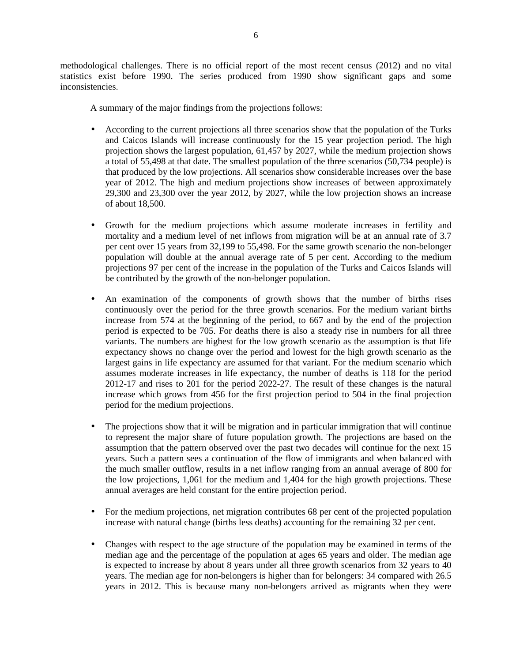methodological challenges. There is no official report of the most recent census (2012) and no vital statistics exist before 1990. The series produced from 1990 show significant gaps and some inconsistencies.

A summary of the major findings from the projections follows:

- According to the current projections all three scenarios show that the population of the Turks and Caicos Islands will increase continuously for the 15 year projection period. The high projection shows the largest population, 61,457 by 2027, while the medium projection shows a total of 55,498 at that date. The smallest population of the three scenarios (50,734 people) is that produced by the low projections. All scenarios show considerable increases over the base year of 2012. The high and medium projections show increases of between approximately 29,300 and 23,300 over the year 2012, by 2027, while the low projection shows an increase of about 18,500.
- Growth for the medium projections which assume moderate increases in fertility and mortality and a medium level of net inflows from migration will be at an annual rate of 3.7 per cent over 15 years from 32,199 to 55,498. For the same growth scenario the non-belonger population will double at the annual average rate of 5 per cent. According to the medium projections 97 per cent of the increase in the population of the Turks and Caicos Islands will be contributed by the growth of the non-belonger population.
- An examination of the components of growth shows that the number of births rises continuously over the period for the three growth scenarios. For the medium variant births increase from 574 at the beginning of the period, to 667 and by the end of the projection period is expected to be 705. For deaths there is also a steady rise in numbers for all three variants. The numbers are highest for the low growth scenario as the assumption is that life expectancy shows no change over the period and lowest for the high growth scenario as the largest gains in life expectancy are assumed for that variant. For the medium scenario which assumes moderate increases in life expectancy, the number of deaths is 118 for the period 2012-17 and rises to 201 for the period 2022-27. The result of these changes is the natural increase which grows from 456 for the first projection period to 504 in the final projection period for the medium projections.
- The projections show that it will be migration and in particular immigration that will continue to represent the major share of future population growth. The projections are based on the assumption that the pattern observed over the past two decades will continue for the next 15 years. Such a pattern sees a continuation of the flow of immigrants and when balanced with the much smaller outflow, results in a net inflow ranging from an annual average of 800 for the low projections, 1,061 for the medium and 1,404 for the high growth projections. These annual averages are held constant for the entire projection period.
- For the medium projections, net migration contributes 68 per cent of the projected population increase with natural change (births less deaths) accounting for the remaining 32 per cent.
- Changes with respect to the age structure of the population may be examined in terms of the median age and the percentage of the population at ages 65 years and older. The median age is expected to increase by about 8 years under all three growth scenarios from 32 years to 40 years. The median age for non-belongers is higher than for belongers: 34 compared with 26.5 years in 2012. This is because many non-belongers arrived as migrants when they were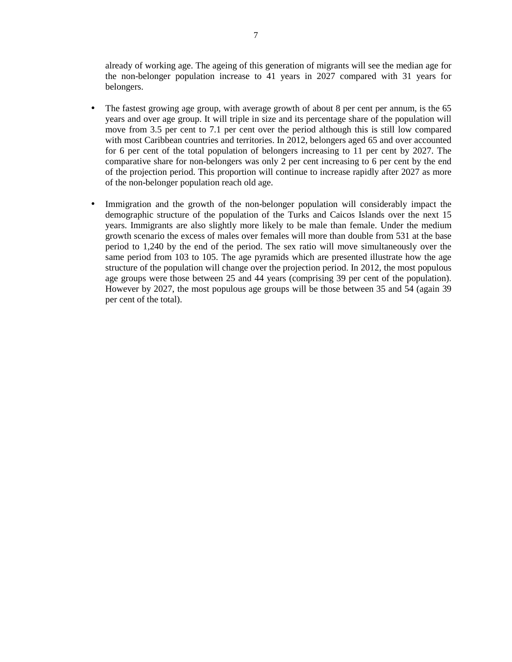already of working age. The ageing of this generation of migrants will see the median age for the non-belonger population increase to 41 years in 2027 compared with 31 years for belongers.

- The fastest growing age group, with average growth of about 8 per cent per annum, is the 65 years and over age group. It will triple in size and its percentage share of the population will move from 3.5 per cent to 7.1 per cent over the period although this is still low compared with most Caribbean countries and territories. In 2012, belongers aged 65 and over accounted for 6 per cent of the total population of belongers increasing to 11 per cent by 2027. The comparative share for non-belongers was only 2 per cent increasing to 6 per cent by the end of the projection period. This proportion will continue to increase rapidly after 2027 as more of the non-belonger population reach old age.
- Immigration and the growth of the non-belonger population will considerably impact the demographic structure of the population of the Turks and Caicos Islands over the next 15 years. Immigrants are also slightly more likely to be male than female. Under the medium growth scenario the excess of males over females will more than double from 531 at the base period to 1,240 by the end of the period. The sex ratio will move simultaneously over the same period from 103 to 105. The age pyramids which are presented illustrate how the age structure of the population will change over the projection period. In 2012, the most populous age groups were those between 25 and 44 years (comprising 39 per cent of the population). However by 2027, the most populous age groups will be those between 35 and 54 (again 39 per cent of the total).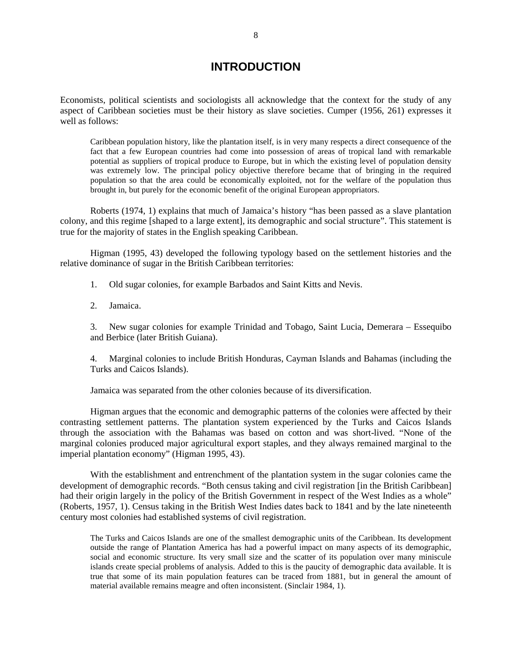# **INTRODUCTION**

Economists, political scientists and sociologists all acknowledge that the context for the study of any aspect of Caribbean societies must be their history as slave societies. Cumper (1956, 261) expresses it well as follows:

Caribbean population history, like the plantation itself, is in very many respects a direct consequence of the fact that a few European countries had come into possession of areas of tropical land with remarkable potential as suppliers of tropical produce to Europe, but in which the existing level of population density was extremely low. The principal policy objective therefore became that of bringing in the required population so that the area could be economically exploited, not for the welfare of the population thus brought in, but purely for the economic benefit of the original European appropriators.

 Roberts (1974, 1) explains that much of Jamaica's history "has been passed as a slave plantation colony, and this regime [shaped to a large extent], its demographic and social structure". This statement is true for the majority of states in the English speaking Caribbean.

 Higman (1995, 43) developed the following typology based on the settlement histories and the relative dominance of sugar in the British Caribbean territories:

1. Old sugar colonies, for example Barbados and Saint Kitts and Nevis.

2. Jamaica.

3. New sugar colonies for example Trinidad and Tobago, Saint Lucia, Demerara – Essequibo and Berbice (later British Guiana).

4. Marginal colonies to include British Honduras, Cayman Islands and Bahamas (including the Turks and Caicos Islands).

Jamaica was separated from the other colonies because of its diversification.

 Higman argues that the economic and demographic patterns of the colonies were affected by their contrasting settlement patterns. The plantation system experienced by the Turks and Caicos Islands through the association with the Bahamas was based on cotton and was short-lived. "None of the marginal colonies produced major agricultural export staples, and they always remained marginal to the imperial plantation economy" (Higman 1995, 43).

 With the establishment and entrenchment of the plantation system in the sugar colonies came the development of demographic records. "Both census taking and civil registration [in the British Caribbean] had their origin largely in the policy of the British Government in respect of the West Indies as a whole" (Roberts, 1957, 1). Census taking in the British West Indies dates back to 1841 and by the late nineteenth century most colonies had established systems of civil registration.

The Turks and Caicos Islands are one of the smallest demographic units of the Caribbean. Its development outside the range of Plantation America has had a powerful impact on many aspects of its demographic, social and economic structure. Its very small size and the scatter of its population over many miniscule islands create special problems of analysis. Added to this is the paucity of demographic data available. It is true that some of its main population features can be traced from 1881, but in general the amount of material available remains meagre and often inconsistent. (Sinclair 1984, 1).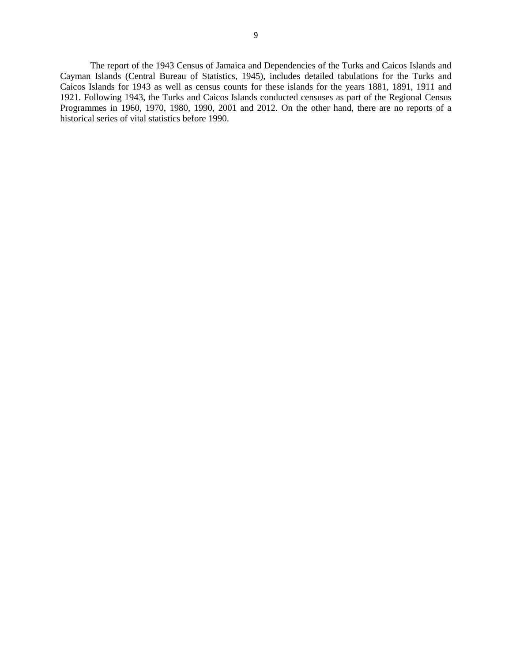9

 The report of the 1943 Census of Jamaica and Dependencies of the Turks and Caicos Islands and Cayman Islands (Central Bureau of Statistics, 1945), includes detailed tabulations for the Turks and Caicos Islands for 1943 as well as census counts for these islands for the years 1881, 1891, 1911 and 1921. Following 1943, the Turks and Caicos Islands conducted censuses as part of the Regional Census Programmes in 1960, 1970, 1980, 1990, 2001 and 2012. On the other hand, there are no reports of a historical series of vital statistics before 1990.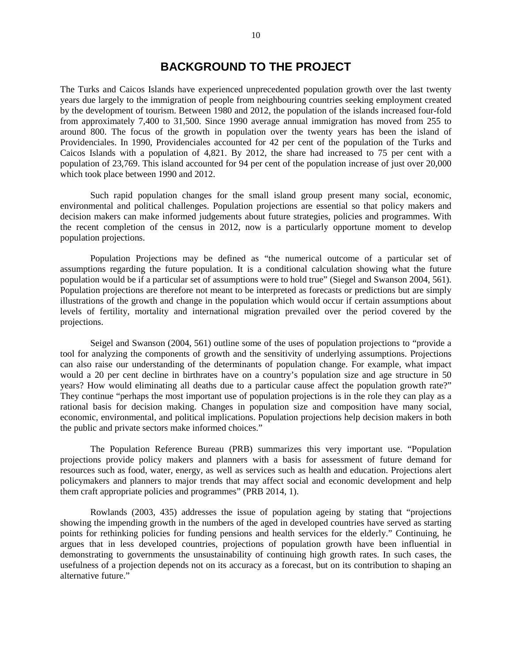## **BACKGROUND TO THE PROJECT**

The Turks and Caicos Islands have experienced unprecedented population growth over the last twenty years due largely to the immigration of people from neighbouring countries seeking employment created by the development of tourism. Between 1980 and 2012, the population of the islands increased four-fold from approximately 7,400 to 31,500. Since 1990 average annual immigration has moved from 255 to around 800. The focus of the growth in population over the twenty years has been the island of Providenciales. In 1990, Providenciales accounted for 42 per cent of the population of the Turks and Caicos Islands with a population of 4,821. By 2012, the share had increased to 75 per cent with a population of 23,769. This island accounted for 94 per cent of the population increase of just over 20,000 which took place between 1990 and 2012.

Such rapid population changes for the small island group present many social, economic, environmental and political challenges. Population projections are essential so that policy makers and decision makers can make informed judgements about future strategies, policies and programmes. With the recent completion of the census in 2012, now is a particularly opportune moment to develop population projections.

Population Projections may be defined as "the numerical outcome of a particular set of assumptions regarding the future population. It is a conditional calculation showing what the future population would be if a particular set of assumptions were to hold true" (Siegel and Swanson 2004, 561). Population projections are therefore not meant to be interpreted as forecasts or predictions but are simply illustrations of the growth and change in the population which would occur if certain assumptions about levels of fertility, mortality and international migration prevailed over the period covered by the projections.

Seigel and Swanson (2004, 561) outline some of the uses of population projections to "provide a tool for analyzing the components of growth and the sensitivity of underlying assumptions. Projections can also raise our understanding of the determinants of population change. For example, what impact would a 20 per cent decline in birthrates have on a country's population size and age structure in 50 years? How would eliminating all deaths due to a particular cause affect the population growth rate?" They continue "perhaps the most important use of population projections is in the role they can play as a rational basis for decision making. Changes in population size and composition have many social, economic, environmental, and political implications. Population projections help decision makers in both the public and private sectors make informed choices."

The Population Reference Bureau (PRB) summarizes this very important use. "Population projections provide policy makers and planners with a basis for assessment of future demand for resources such as food, water, energy, as well as services such as health and education. Projections alert policymakers and planners to major trends that may affect social and economic development and help them craft appropriate policies and programmes" (PRB 2014, 1).

Rowlands (2003, 435) addresses the issue of population ageing by stating that "projections showing the impending growth in the numbers of the aged in developed countries have served as starting points for rethinking policies for funding pensions and health services for the elderly." Continuing, he argues that in less developed countries, projections of population growth have been influential in demonstrating to governments the unsustainability of continuing high growth rates. In such cases, the usefulness of a projection depends not on its accuracy as a forecast, but on its contribution to shaping an alternative future."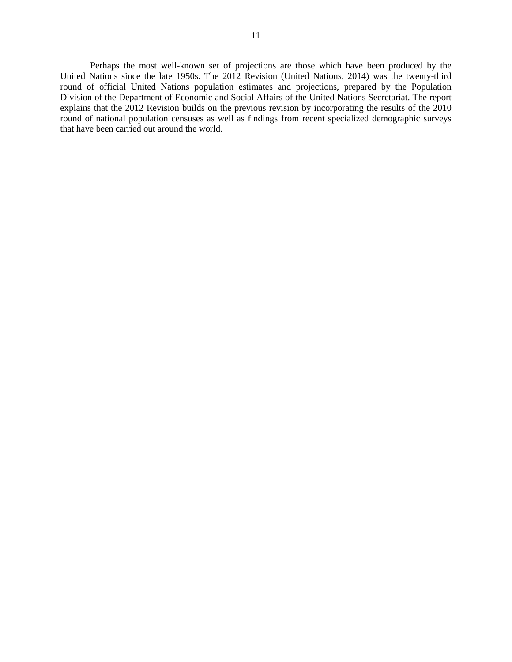Perhaps the most well-known set of projections are those which have been produced by the United Nations since the late 1950s. The 2012 Revision (United Nations, 2014) was the twenty-third round of official United Nations population estimates and projections, prepared by the Population Division of the Department of Economic and Social Affairs of the United Nations Secretariat. The report explains that the 2012 Revision builds on the previous revision by incorporating the results of the 2010 round of national population censuses as well as findings from recent specialized demographic surveys that have been carried out around the world.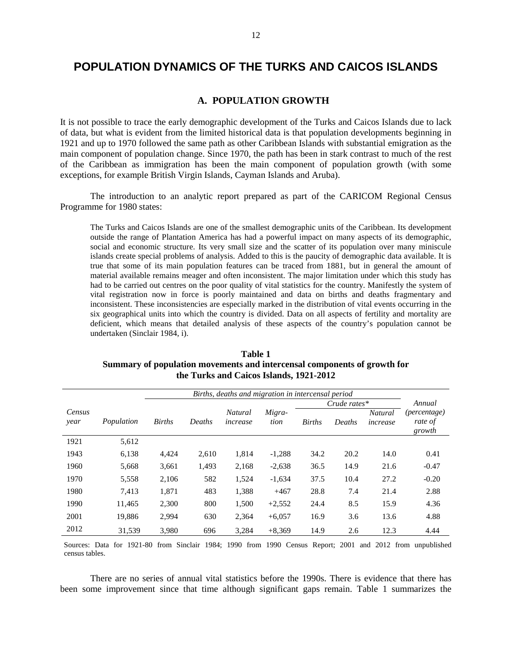# **POPULATION DYNAMICS OF THE TURKS AND CAICOS ISLANDS**

#### **A. POPULATION GROWTH**

It is not possible to trace the early demographic development of the Turks and Caicos Islands due to lack of data, but what is evident from the limited historical data is that population developments beginning in 1921 and up to 1970 followed the same path as other Caribbean Islands with substantial emigration as the main component of population change. Since 1970, the path has been in stark contrast to much of the rest of the Caribbean as immigration has been the main component of population growth (with some exceptions, for example British Virgin Islands, Cayman Islands and Aruba).

The introduction to an analytic report prepared as part of the CARICOM Regional Census Programme for 1980 states:

The Turks and Caicos Islands are one of the smallest demographic units of the Caribbean. Its development outside the range of Plantation America has had a powerful impact on many aspects of its demographic, social and economic structure. Its very small size and the scatter of its population over many miniscule islands create special problems of analysis. Added to this is the paucity of demographic data available. It is true that some of its main population features can be traced from 1881, but in general the amount of material available remains meager and often inconsistent. The major limitation under which this study has had to be carried out centres on the poor quality of vital statistics for the country. Manifestly the system of vital registration now in force is poorly maintained and data on births and deaths fragmentary and inconsistent. These inconsistencies are especially marked in the distribution of vital events occurring in the six geographical units into which the country is divided. Data on all aspects of fertility and mortality are deficient, which means that detailed analysis of these aspects of the country's population cannot be undertaken (Sinclair 1984, i).

| Births, deaths and migration in intercensal period |            |               |        |                            |                |               |        |                            |                                   |
|----------------------------------------------------|------------|---------------|--------|----------------------------|----------------|---------------|--------|----------------------------|-----------------------------------|
| Crude rates $*$                                    |            |               |        |                            |                |               | Annual |                            |                                   |
| Census<br>year                                     | Population | <b>Births</b> | Deaths | <b>Natural</b><br>increase | Migra-<br>tion | <b>Births</b> | Deaths | <b>Natural</b><br>increase | (percentage)<br>rate of<br>growth |
| 1921                                               | 5,612      |               |        |                            |                |               |        |                            |                                   |
| 1943                                               | 6,138      | 4,424         | 2,610  | 1,814                      | $-1,288$       | 34.2          | 20.2   | 14.0                       | 0.41                              |
| 1960                                               | 5,668      | 3,661         | 1.493  | 2,168                      | $-2,638$       | 36.5          | 14.9   | 21.6                       | $-0.47$                           |
| 1970                                               | 5,558      | 2,106         | 582    | 1,524                      | $-1,634$       | 37.5          | 10.4   | 27.2                       | $-0.20$                           |
| 1980                                               | 7,413      | 1,871         | 483    | 1,388                      | $+467$         | 28.8          | 7.4    | 21.4                       | 2.88                              |
| 1990                                               | 11,465     | 2,300         | 800    | 1,500                      | $+2,552$       | 24.4          | 8.5    | 15.9                       | 4.36                              |
| 2001                                               | 19,886     | 2,994         | 630    | 2,364                      | $+6,057$       | 16.9          | 3.6    | 13.6                       | 4.88                              |
| 2012                                               | 31,539     | 3,980         | 696    | 3,284                      | $+8,369$       | 14.9          | 2.6    | 12.3                       | 4.44                              |

**Table 1 Summary of population movements and intercensal components of growth for the Turks and Caicos Islands, 1921-2012** 

Sources: Data for 1921-80 from Sinclair 1984; 1990 from 1990 Census Report; 2001 and 2012 from unpublished census tables.

 There are no series of annual vital statistics before the 1990s. There is evidence that there has been some improvement since that time although significant gaps remain. Table 1 summarizes the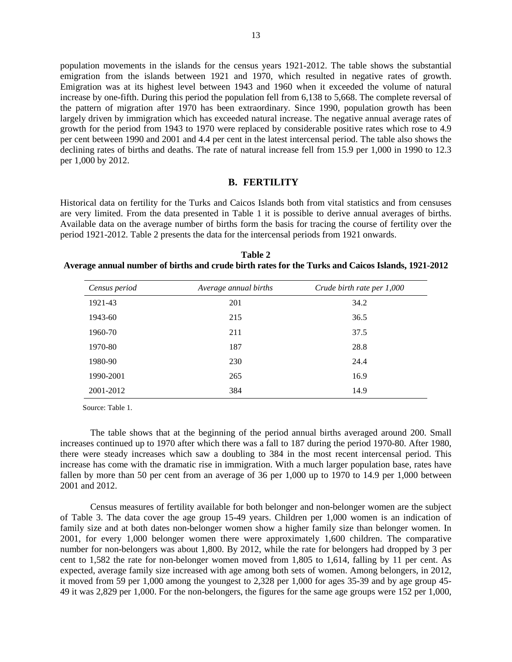population movements in the islands for the census years 1921-2012. The table shows the substantial emigration from the islands between 1921 and 1970, which resulted in negative rates of growth. Emigration was at its highest level between 1943 and 1960 when it exceeded the volume of natural increase by one-fifth. During this period the population fell from 6,138 to 5,668. The complete reversal of the pattern of migration after 1970 has been extraordinary. Since 1990, population growth has been largely driven by immigration which has exceeded natural increase. The negative annual average rates of growth for the period from 1943 to 1970 were replaced by considerable positive rates which rose to 4.9 per cent between 1990 and 2001 and 4.4 per cent in the latest intercensal period. The table also shows the declining rates of births and deaths. The rate of natural increase fell from 15.9 per 1,000 in 1990 to 12.3 per 1,000 by 2012.

#### **B. FERTILITY**

Historical data on fertility for the Turks and Caicos Islands both from vital statistics and from censuses are very limited. From the data presented in Table 1 it is possible to derive annual averages of births. Available data on the average number of births form the basis for tracing the course of fertility over the period 1921-2012. Table 2 presents the data for the intercensal periods from 1921 onwards.

**Table 2 Average annual number of births and crude birth rates for the Turks and Caicos Islands, 1921-2012** 

| Census period | Average annual births | Crude birth rate per 1,000 |
|---------------|-----------------------|----------------------------|
| 1921-43       | 201                   | 34.2                       |
| 1943-60       | 215                   | 36.5                       |
| 1960-70       | 211                   | 37.5                       |
| 1970-80       | 187                   | 28.8                       |
| 1980-90       | 230                   | 24.4                       |
| 1990-2001     | 265                   | 16.9                       |
| 2001-2012     | 384                   | 14.9                       |

Source: Table 1.

The table shows that at the beginning of the period annual births averaged around 200. Small increases continued up to 1970 after which there was a fall to 187 during the period 1970-80. After 1980, there were steady increases which saw a doubling to 384 in the most recent intercensal period. This increase has come with the dramatic rise in immigration. With a much larger population base, rates have fallen by more than 50 per cent from an average of 36 per 1,000 up to 1970 to 14.9 per 1,000 between 2001 and 2012.

Census measures of fertility available for both belonger and non-belonger women are the subject of Table 3. The data cover the age group 15-49 years. Children per 1,000 women is an indication of family size and at both dates non-belonger women show a higher family size than belonger women. In 2001, for every 1,000 belonger women there were approximately 1,600 children. The comparative number for non-belongers was about 1,800. By 2012, while the rate for belongers had dropped by 3 per cent to 1,582 the rate for non-belonger women moved from 1,805 to 1,614, falling by 11 per cent. As expected, average family size increased with age among both sets of women. Among belongers, in 2012, it moved from 59 per 1,000 among the youngest to 2,328 per 1,000 for ages 35-39 and by age group 45- 49 it was 2,829 per 1,000. For the non-belongers, the figures for the same age groups were 152 per 1,000,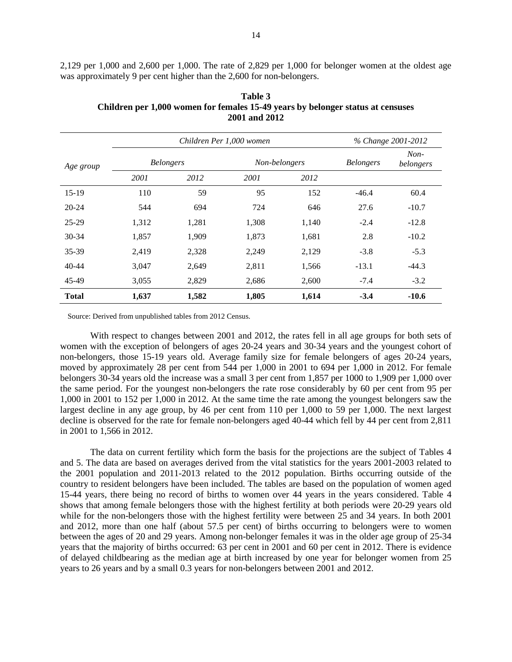2,129 per 1,000 and 2,600 per 1,000. The rate of 2,829 per 1,000 for belonger women at the oldest age was approximately 9 per cent higher than the 2,600 for non-belongers.

|              |                  |       | Children Per 1,000 women |       | % Change 2001-2012 |                     |  |
|--------------|------------------|-------|--------------------------|-------|--------------------|---------------------|--|
| Age group    | <b>Belongers</b> |       | Non-belongers            |       | <b>Belongers</b>   | $Non-$<br>belongers |  |
|              | 2001             | 2012  | 2001                     | 2012  |                    |                     |  |
| $15-19$      | 110              | 59    | 95                       | 152   | $-46.4$            | 60.4                |  |
| 20-24        | 544              | 694   | 724                      | 646   | 27.6               | $-10.7$             |  |
| $25-29$      | 1,312            | 1,281 | 1,308                    | 1,140 | $-2.4$             | $-12.8$             |  |
| 30-34        | 1,857            | 1,909 | 1,873                    | 1,681 | 2.8                | $-10.2$             |  |
| 35-39        | 2,419            | 2,328 | 2,249                    | 2,129 | $-3.8$             | $-5.3$              |  |
| $40 - 44$    | 3,047            | 2,649 | 2,811                    | 1,566 | $-13.1$            | $-44.3$             |  |
| 45-49        | 3,055            | 2,829 | 2,686                    | 2,600 | $-7.4$             | $-3.2$              |  |
| <b>Total</b> | 1,637            | 1,582 | 1,805                    | 1,614 | $-3.4$             | $-10.6$             |  |

**Table 3 Children per 1,000 women for females 15-49 years by belonger status at censuses 2001 and 2012** 

Source: Derived from unpublished tables from 2012 Census.

With respect to changes between 2001 and 2012, the rates fell in all age groups for both sets of women with the exception of belongers of ages 20-24 years and 30-34 years and the youngest cohort of non-belongers, those 15-19 years old. Average family size for female belongers of ages 20-24 years, moved by approximately 28 per cent from 544 per 1,000 in 2001 to 694 per 1,000 in 2012. For female belongers 30-34 years old the increase was a small 3 per cent from 1,857 per 1000 to 1,909 per 1,000 over the same period. For the youngest non-belongers the rate rose considerably by 60 per cent from 95 per 1,000 in 2001 to 152 per 1,000 in 2012. At the same time the rate among the youngest belongers saw the largest decline in any age group, by 46 per cent from 110 per 1,000 to 59 per 1,000. The next largest decline is observed for the rate for female non-belongers aged 40-44 which fell by 44 per cent from 2,811 in 2001 to 1,566 in 2012.

The data on current fertility which form the basis for the projections are the subject of Tables 4 and 5. The data are based on averages derived from the vital statistics for the years 2001-2003 related to the 2001 population and 2011-2013 related to the 2012 population. Births occurring outside of the country to resident belongers have been included. The tables are based on the population of women aged 15-44 years, there being no record of births to women over 44 years in the years considered. Table 4 shows that among female belongers those with the highest fertility at both periods were 20-29 years old while for the non-belongers those with the highest fertility were between 25 and 34 years. In both 2001 and 2012, more than one half (about 57.5 per cent) of births occurring to belongers were to women between the ages of 20 and 29 years. Among non-belonger females it was in the older age group of 25-34 years that the majority of births occurred: 63 per cent in 2001 and 60 per cent in 2012. There is evidence of delayed childbearing as the median age at birth increased by one year for belonger women from 25 years to 26 years and by a small 0.3 years for non-belongers between 2001 and 2012.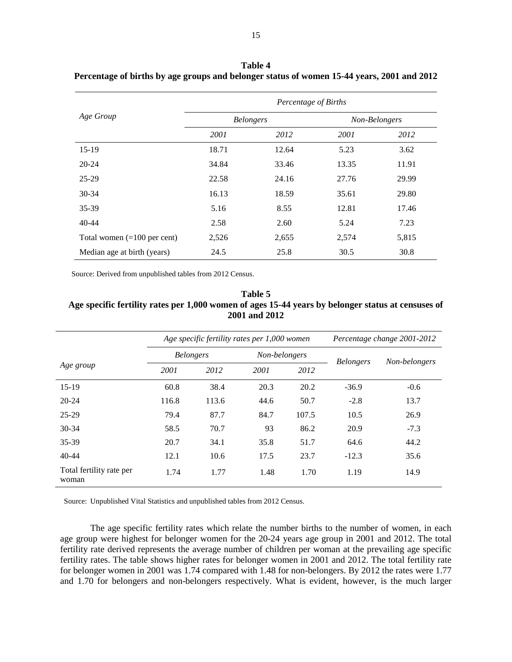|                               | Percentage of Births |                  |       |               |  |
|-------------------------------|----------------------|------------------|-------|---------------|--|
| Age Group                     |                      | <b>Belongers</b> |       | Non-Belongers |  |
|                               | 2001                 | 2012             | 2001  | 2012          |  |
| $15-19$                       | 18.71                | 12.64            | 5.23  | 3.62          |  |
| $20 - 24$                     | 34.84                | 33.46            | 13.35 | 11.91         |  |
| 25-29                         | 22.58                | 24.16            | 27.76 | 29.99         |  |
| $30 - 34$                     | 16.13                | 18.59            | 35.61 | 29.80         |  |
| 35-39                         | 5.16                 | 8.55             | 12.81 | 17.46         |  |
| $40 - 44$                     | 2.58                 | 2.60             | 5.24  | 7.23          |  |
| Total women $(=100$ per cent) | 2,526                | 2,655            | 2,574 | 5,815         |  |
| Median age at birth (years)   | 24.5                 | 25.8             | 30.5  | 30.8          |  |

**Table 4 Percentage of births by age groups and belonger status of women 15-44 years, 2001 and 2012** 

Source: Derived from unpublished tables from 2012 Census.

### **Table 5 Age specific fertility rates per 1,000 women of ages 15-44 years by belonger status at censuses of 2001 and 2012**

|                                   | Age specific fertility rates per 1,000 women |       |               | Percentage change 2001-2012 |                  |               |
|-----------------------------------|----------------------------------------------|-------|---------------|-----------------------------|------------------|---------------|
|                                   | <b>Belongers</b>                             |       | Non-belongers |                             | <b>Belongers</b> | Non-belongers |
| Age group                         | 2001                                         | 2012  | 2001          | 2012                        |                  |               |
| 15-19                             | 60.8                                         | 38.4  | 20.3          | 20.2                        | $-36.9$          | $-0.6$        |
| $20 - 24$                         | 116.8                                        | 113.6 | 44.6          | 50.7                        | $-2.8$           | 13.7          |
| 25-29                             | 79.4                                         | 87.7  | 84.7          | 107.5                       | 10.5             | 26.9          |
| 30-34                             | 58.5                                         | 70.7  | 93            | 86.2                        | 20.9             | $-7.3$        |
| 35-39                             | 20.7                                         | 34.1  | 35.8          | 51.7                        | 64.6             | 44.2          |
| $40 - 44$                         | 12.1                                         | 10.6  | 17.5          | 23.7                        | $-12.3$          | 35.6          |
| Total fertility rate per<br>woman | 1.74                                         | 1.77  | 1.48          | 1.70                        | 1.19             | 14.9          |

Source: Unpublished Vital Statistics and unpublished tables from 2012 Census.

The age specific fertility rates which relate the number births to the number of women, in each age group were highest for belonger women for the 20-24 years age group in 2001 and 2012. The total fertility rate derived represents the average number of children per woman at the prevailing age specific fertility rates. The table shows higher rates for belonger women in 2001 and 2012. The total fertility rate for belonger women in 2001 was 1.74 compared with 1.48 for non-belongers. By 2012 the rates were 1.77 and 1.70 for belongers and non-belongers respectively. What is evident, however, is the much larger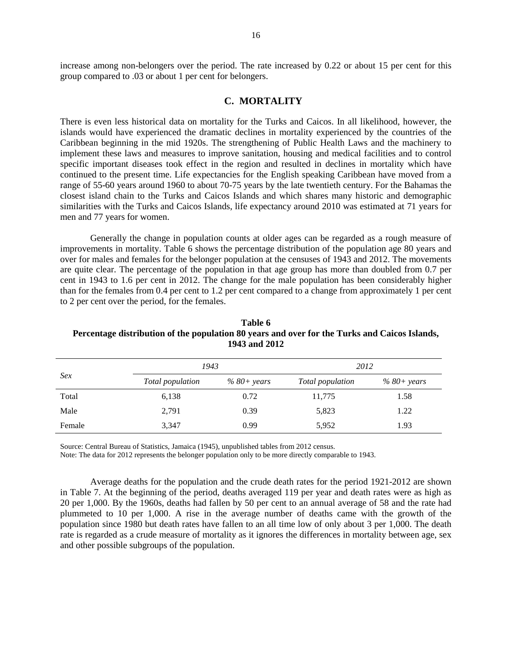increase among non-belongers over the period. The rate increased by 0.22 or about 15 per cent for this group compared to .03 or about 1 per cent for belongers.

### **C. MORTALITY**

There is even less historical data on mortality for the Turks and Caicos. In all likelihood, however, the islands would have experienced the dramatic declines in mortality experienced by the countries of the Caribbean beginning in the mid 1920s. The strengthening of Public Health Laws and the machinery to implement these laws and measures to improve sanitation, housing and medical facilities and to control specific important diseases took effect in the region and resulted in declines in mortality which have continued to the present time. Life expectancies for the English speaking Caribbean have moved from a range of 55-60 years around 1960 to about 70-75 years by the late twentieth century. For the Bahamas the closest island chain to the Turks and Caicos Islands and which shares many historic and demographic similarities with the Turks and Caicos Islands, life expectancy around 2010 was estimated at 71 years for men and 77 years for women.

Generally the change in population counts at older ages can be regarded as a rough measure of improvements in mortality. Table 6 shows the percentage distribution of the population age 80 years and over for males and females for the belonger population at the censuses of 1943 and 2012. The movements are quite clear. The percentage of the population in that age group has more than doubled from 0.7 per cent in 1943 to 1.6 per cent in 2012. The change for the male population has been considerably higher than for the females from 0.4 per cent to 1.2 per cent compared to a change from approximately 1 per cent to 2 per cent over the period, for the females.

|        | 1943             |              | 2012             |                |
|--------|------------------|--------------|------------------|----------------|
| Sex    | Total population | $%80+ years$ | Total population | $% 80 + years$ |
| Total  | 6,138            | 0.72         | 11,775           | 1.58           |
| Male   | 2,791            | 0.39         | 5,823            | 1.22           |
| Female | 3,347            | 0.99         | 5,952            | 1.93           |

**Table 6 Percentage distribution of the population 80 years and over for the Turks and Caicos Islands, 1943 and 2012** 

Source: Central Bureau of Statistics, Jamaica (1945), unpublished tables from 2012 census.

Note: The data for 2012 represents the belonger population only to be more directly comparable to 1943.

Average deaths for the population and the crude death rates for the period 1921-2012 are shown in Table 7. At the beginning of the period, deaths averaged 119 per year and death rates were as high as 20 per 1,000. By the 1960s, deaths had fallen by 50 per cent to an annual average of 58 and the rate had plummeted to 10 per 1,000. A rise in the average number of deaths came with the growth of the population since 1980 but death rates have fallen to an all time low of only about 3 per 1,000. The death rate is regarded as a crude measure of mortality as it ignores the differences in mortality between age, sex and other possible subgroups of the population.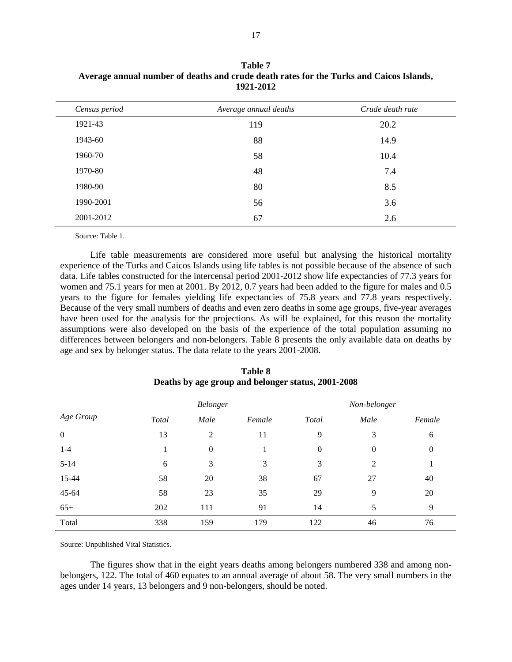| Census period | Average annual deaths | Crude death rate |
|---------------|-----------------------|------------------|
| 1921-43       | 119                   | 20.2             |
| 1943-60       | 88                    | 14.9             |
| 1960-70       | 58                    | 10.4             |
| 1970-80       | 48                    | 7.4              |
| 1980-90       | 80                    | 8.5              |
| 1990-2001     | 56                    | 3.6              |
| 2001-2012     | 67                    | 2.6              |

**Table 7 Average annual number of deaths and crude death rates for the Turks and Caicos Islands, 1921-2012** 

Source: Table 1.

Life table measurements are considered more useful but analysing the historical mortality experience of the Turks and Caicos Islands using life tables is not possible because of the absence of such data. Life tables constructed for the intercensal period 2001-2012 show life expectancies of 77.3 years for women and 75.1 years for men at 2001. By 2012, 0.7 years had been added to the figure for males and 0.5 years to the figure for females yielding life expectancies of 75.8 years and 77.8 years respectively. Because of the very small numbers of deaths and even zero deaths in some age groups, five-year averages have been used for the analysis for the projections. As will be explained, for this reason the mortality assumptions were also developed on the basis of the experience of the total population assuming no differences between belongers and non-belongers. Table 8 presents the only available data on deaths by age and sex by belonger status. The data relate to the years 2001-2008.

|                | Belonger |              |        |              | Non-belonger   |                |
|----------------|----------|--------------|--------|--------------|----------------|----------------|
| Age Group      | Total    | Male         | Female | <b>Total</b> | Male           | Female         |
| $\overline{0}$ | 13       | 2            | 11     | 9            | 3              | 6              |
| $1 - 4$        |          | $\mathbf{0}$ |        | $\mathbf{0}$ | $\mathbf{0}$   | $\overline{0}$ |
| $5 - 14$       | 6        | 3            | 3      | 3            | $\overline{2}$ |                |
| 15-44          | 58       | 20           | 38     | 67           | 27             | 40             |
| 45-64          | 58       | 23           | 35     | 29           | 9              | 20             |
| $65+$          | 202      | 111          | 91     | 14           | 5              | 9              |
| Total          | 338      | 159          | 179    | 122          | 46             | 76             |

**Table 8 Deaths by age group and belonger status, 2001-2008** 

Source: Unpublished Vital Statistics.

The figures show that in the eight years deaths among belongers numbered 338 and among nonbelongers, 122. The total of 460 equates to an annual average of about 58. The very small numbers in the ages under 14 years, 13 belongers and 9 non-belongers, should be noted.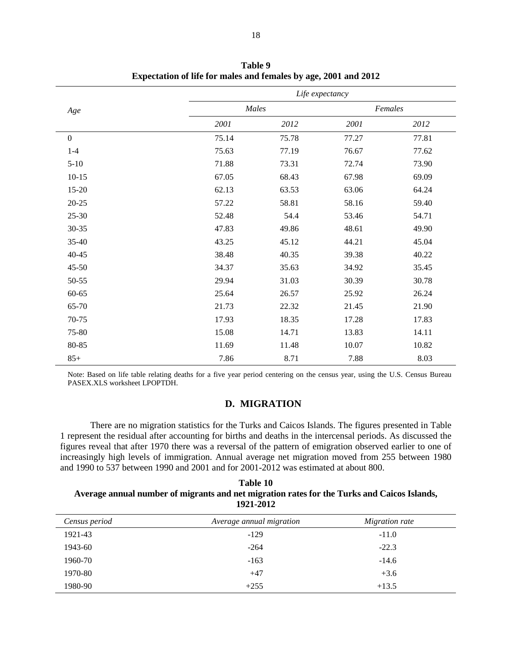|                  |       |       | Life expectancy |       |  |
|------------------|-------|-------|-----------------|-------|--|
| Age              | Males |       | Females         |       |  |
|                  | 2001  | 2012  | 2001            | 2012  |  |
| $\boldsymbol{0}$ | 75.14 | 75.78 | 77.27           | 77.81 |  |
| $1-4$            | 75.63 | 77.19 | 76.67           | 77.62 |  |
| $5-10$           | 71.88 | 73.31 | 72.74           | 73.90 |  |
| $10-15$          | 67.05 | 68.43 | 67.98           | 69.09 |  |
| 15-20            | 62.13 | 63.53 | 63.06           | 64.24 |  |
| $20 - 25$        | 57.22 | 58.81 | 58.16           | 59.40 |  |
| 25-30            | 52.48 | 54.4  | 53.46           | 54.71 |  |
| 30-35            | 47.83 | 49.86 | 48.61           | 49.90 |  |
| 35-40            | 43.25 | 45.12 | 44.21           | 45.04 |  |
| $40 - 45$        | 38.48 | 40.35 | 39.38           | 40.22 |  |
| 45-50            | 34.37 | 35.63 | 34.92           | 35.45 |  |
| 50-55            | 29.94 | 31.03 | 30.39           | 30.78 |  |
| 60-65            | 25.64 | 26.57 | 25.92           | 26.24 |  |
| 65-70            | 21.73 | 22.32 | 21.45           | 21.90 |  |
| 70-75            | 17.93 | 18.35 | 17.28           | 17.83 |  |
| 75-80            | 15.08 | 14.71 | 13.83           | 14.11 |  |
| 80-85            | 11.69 | 11.48 | 10.07           | 10.82 |  |
| $85+$            | 7.86  | 8.71  | 7.88            | 8.03  |  |

**Table 9 Expectation of life for males and females by age, 2001 and 2012** 

Note: Based on life table relating deaths for a five year period centering on the census year, using the U.S. Census Bureau PASEX.XLS worksheet LPOPTDH.

### **D. MIGRATION**

There are no migration statistics for the Turks and Caicos Islands. The figures presented in Table 1 represent the residual after accounting for births and deaths in the intercensal periods. As discussed the figures reveal that after 1970 there was a reversal of the pattern of emigration observed earlier to one of increasingly high levels of immigration. Annual average net migration moved from 255 between 1980 and 1990 to 537 between 1990 and 2001 and for 2001-2012 was estimated at about 800.

**Table 10 Average annual number of migrants and net migration rates for the Turks and Caicos Islands, 1921-2012** 

| Census period | Average annual migration | Migration rate |  |
|---------------|--------------------------|----------------|--|
| 1921-43       | $-129$                   | $-11.0$        |  |
| 1943-60       | $-264$                   | $-22.3$        |  |
| 1960-70       | $-163$                   | $-14.6$        |  |
| 1970-80       | $+47$                    | $+3.6$         |  |
| 1980-90       | $+255$                   | $+13.5$        |  |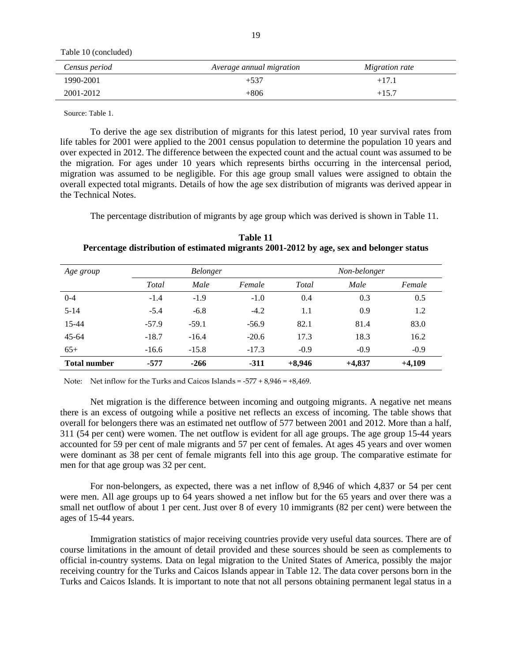Table 10 (concluded)

| Census period | Average annual migration | Migration rate |
|---------------|--------------------------|----------------|
| 1990-2001     | $+537$                   | $+17.1$        |
| 2001-2012     | $+806$                   | $+15.7$        |

Source: Table 1.

To derive the age sex distribution of migrants for this latest period, 10 year survival rates from life tables for 2001 were applied to the 2001 census population to determine the population 10 years and over expected in 2012. The difference between the expected count and the actual count was assumed to be the migration. For ages under 10 years which represents births occurring in the intercensal period, migration was assumed to be negligible. For this age group small values were assigned to obtain the overall expected total migrants. Details of how the age sex distribution of migrants was derived appear in the Technical Notes.

The percentage distribution of migrants by age group which was derived is shown in Table 11.

**Table 11 Percentage distribution of estimated migrants 2001-2012 by age, sex and belonger status** 

| Age group           | <b>Belonger</b> |         |         | Non-belonger |          |          |  |
|---------------------|-----------------|---------|---------|--------------|----------|----------|--|
|                     | Total           | Male    | Female  | Total        | Male     | Female   |  |
| $0 - 4$             | $-1.4$          | $-1.9$  | $-1.0$  | 0.4          | 0.3      | 0.5      |  |
| $5 - 14$            | $-5.4$          | $-6.8$  | $-4.2$  | 1.1          | 0.9      | 1.2      |  |
| 15-44               | $-57.9$         | $-59.1$ | $-56.9$ | 82.1         | 81.4     | 83.0     |  |
| $45 - 64$           | $-18.7$         | $-16.4$ | $-20.6$ | 17.3         | 18.3     | 16.2     |  |
| $65+$               | $-16.6$         | $-15.8$ | $-17.3$ | $-0.9$       | $-0.9$   | $-0.9$   |  |
| <b>Total number</b> | $-577$          | $-266$  | $-311$  | $+8,946$     | $+4,837$ | $+4,109$ |  |

Note: Net inflow for the Turks and Caicos Islands = -577 + 8,946 = +8,469.

Net migration is the difference between incoming and outgoing migrants. A negative net means there is an excess of outgoing while a positive net reflects an excess of incoming. The table shows that overall for belongers there was an estimated net outflow of 577 between 2001 and 2012. More than a half, 311 (54 per cent) were women. The net outflow is evident for all age groups. The age group 15-44 years accounted for 59 per cent of male migrants and 57 per cent of females. At ages 45 years and over women were dominant as 38 per cent of female migrants fell into this age group. The comparative estimate for men for that age group was 32 per cent.

For non-belongers, as expected, there was a net inflow of 8,946 of which 4,837 or 54 per cent were men. All age groups up to 64 years showed a net inflow but for the 65 years and over there was a small net outflow of about 1 per cent. Just over 8 of every 10 immigrants (82 per cent) were between the ages of 15-44 years.

Immigration statistics of major receiving countries provide very useful data sources. There are of course limitations in the amount of detail provided and these sources should be seen as complements to official in-country systems. Data on legal migration to the United States of America, possibly the major receiving country for the Turks and Caicos Islands appear in Table 12. The data cover persons born in the Turks and Caicos Islands. It is important to note that not all persons obtaining permanent legal status in a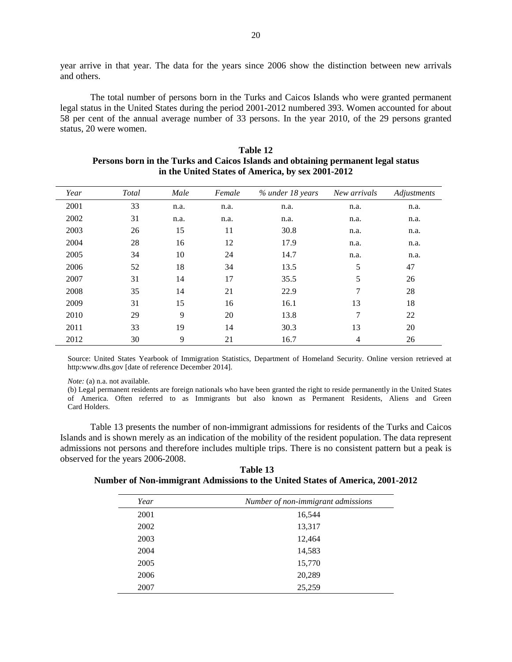year arrive in that year. The data for the years since 2006 show the distinction between new arrivals and others.

The total number of persons born in the Turks and Caicos Islands who were granted permanent legal status in the United States during the period 2001-2012 numbered 393. Women accounted for about 58 per cent of the annual average number of 33 persons. In the year 2010, of the 29 persons granted status, 20 were women.

| Year | Total | Male | Female | % under 18 years | New arrivals   | Adjustments |
|------|-------|------|--------|------------------|----------------|-------------|
| 2001 | 33    | n.a. | n.a.   | n.a.             | n.a.           | n.a.        |
| 2002 | 31    | n.a. | n.a.   | n.a.             | n.a.           | n.a.        |
| 2003 | 26    | 15   | 11     | 30.8             | n.a.           | n.a.        |
| 2004 | 28    | 16   | 12     | 17.9             | n.a.           | n.a.        |
| 2005 | 34    | 10   | 24     | 14.7             | n.a.           | n.a.        |
| 2006 | 52    | 18   | 34     | 13.5             | 5              | 47          |
| 2007 | 31    | 14   | 17     | 35.5             | 5              | 26          |
| 2008 | 35    | 14   | 21     | 22.9             | 7              | 28          |
| 2009 | 31    | 15   | 16     | 16.1             | 13             | 18          |
| 2010 | 29    | 9    | 20     | 13.8             | $\overline{7}$ | 22          |
| 2011 | 33    | 19   | 14     | 30.3             | 13             | 20          |
| 2012 | 30    | 9    | 21     | 16.7             | 4              | 26          |

**Table 12 Persons born in the Turks and Caicos Islands and obtaining permanent legal status in the United States of America, by sex 2001-2012** 

Source: United States Yearbook of Immigration Statistics, Department of Homeland Security. Online version retrieved at http:www.dhs.gov [date of reference December 2014].

*Note:* (a) n.a. not available.

(b) Legal permanent residents are foreign nationals who have been granted the right to reside permanently in the United States of America. Often referred to as Immigrants but also known as Permanent Residents, Aliens and Green Card Holders.

Table 13 presents the number of non-immigrant admissions for residents of the Turks and Caicos Islands and is shown merely as an indication of the mobility of the resident population. The data represent admissions not persons and therefore includes multiple trips. There is no consistent pattern but a peak is observed for the years 2006-2008.

 **Table 13 Number of Non-immigrant Admissions to the United States of America, 2001-2012** 

| Year | Number of non-immigrant admissions |
|------|------------------------------------|
| 2001 | 16,544                             |
| 2002 | 13,317                             |
| 2003 | 12,464                             |
| 2004 | 14,583                             |
| 2005 | 15,770                             |
| 2006 | 20,289                             |
| 2007 | 25,259                             |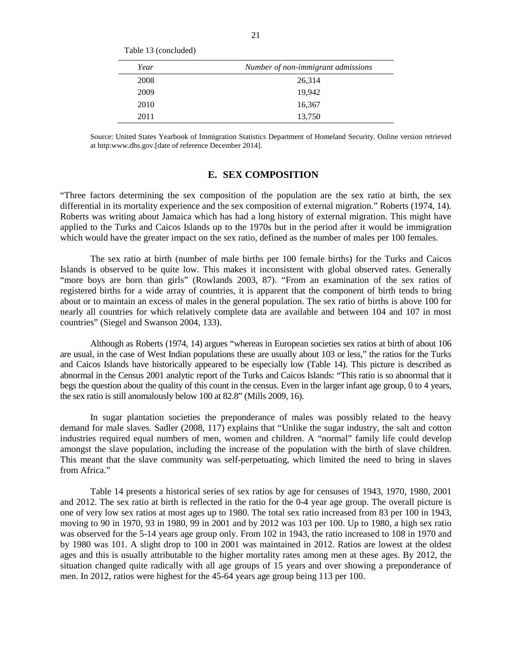| Year | Number of non-immigrant admissions |
|------|------------------------------------|
| 2008 | 26,314                             |
| 2009 | 19,942                             |
| 2010 | 16,367                             |
| 2011 | 13,750                             |

Table 13 (concluded)

Source: United States Yearbook of Immigration Statistics Department of Homeland Security. Online version retrieved at http:www.dhs.gov.[date of reference December 2014].

### **E. SEX COMPOSITION**

"Three factors determining the sex composition of the population are the sex ratio at birth, the sex differential in its mortality experience and the sex composition of external migration." Roberts (1974, 14). Roberts was writing about Jamaica which has had a long history of external migration. This might have applied to the Turks and Caicos Islands up to the 1970s but in the period after it would be immigration which would have the greater impact on the sex ratio, defined as the number of males per 100 females.

The sex ratio at birth (number of male births per 100 female births) for the Turks and Caicos Islands is observed to be quite low. This makes it inconsistent with global observed rates. Generally "more boys are born than girls" (Rowlands 2003, 87). "From an examination of the sex ratios of registered births for a wide array of countries, it is apparent that the component of birth tends to bring about or to maintain an excess of males in the general population. The sex ratio of births is above 100 for nearly all countries for which relatively complete data are available and between 104 and 107 in most countries" (Siegel and Swanson 2004, 133).

Although as Roberts (1974, 14) argues "whereas in European societies sex ratios at birth of about 106 are usual, in the case of West Indian populations these are usually about 103 or less," the ratios for the Turks and Caicos Islands have historically appeared to be especially low (Table 14). This picture is described as abnormal in the Census 2001 analytic report of the Turks and Caicos Islands: "This ratio is so abnormal that it begs the question about the quality of this count in the census. Even in the larger infant age group, 0 to 4 years, the sex ratio is still anomalously below 100 at 82.8" (Mills 2009, 16).

In sugar plantation societies the preponderance of males was possibly related to the heavy demand for male slaves. Sadler (2008, 117) explains that "Unlike the sugar industry, the salt and cotton industries required equal numbers of men, women and children. A "normal" family life could develop amongst the slave population, including the increase of the population with the birth of slave children. This meant that the slave community was self-perpetuating, which limited the need to bring in slaves from Africa."

Table 14 presents a historical series of sex ratios by age for censuses of 1943, 1970, 1980, 2001 and 2012. The sex ratio at birth is reflected in the ratio for the 0-4 year age group. The overall picture is one of very low sex ratios at most ages up to 1980. The total sex ratio increased from 83 per 100 in 1943, moving to 90 in 1970, 93 in 1980, 99 in 2001 and by 2012 was 103 per 100. Up to 1980, a high sex ratio was observed for the 5-14 years age group only. From 102 in 1943, the ratio increased to 108 in 1970 and by 1980 was 101. A slight drop to 100 in 2001 was maintained in 2012. Ratios are lowest at the oldest ages and this is usually attributable to the higher mortality rates among men at these ages. By 2012, the situation changed quite radically with all age groups of 15 years and over showing a preponderance of men. In 2012, ratios were highest for the 45-64 years age group being 113 per 100.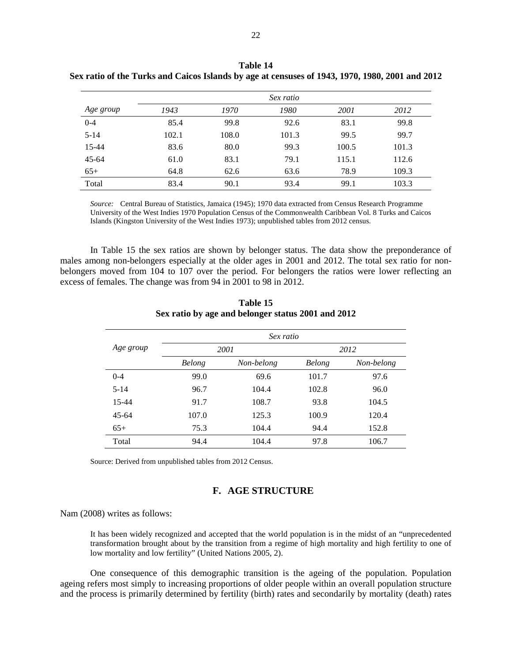|           |       | Sex ratio |       |       |       |  |
|-----------|-------|-----------|-------|-------|-------|--|
| Age group | 1943  | 1970      | 1980  | 2001  | 2012  |  |
| $0 - 4$   | 85.4  | 99.8      | 92.6  | 83.1  | 99.8  |  |
| $5 - 14$  | 102.1 | 108.0     | 101.3 | 99.5  | 99.7  |  |
| 15-44     | 83.6  | 80.0      | 99.3  | 100.5 | 101.3 |  |
| $45 - 64$ | 61.0  | 83.1      | 79.1  | 115.1 | 112.6 |  |
| $65+$     | 64.8  | 62.6      | 63.6  | 78.9  | 109.3 |  |
| Total     | 83.4  | 90.1      | 93.4  | 99.1  | 103.3 |  |

**Table 14 Sex ratio of the Turks and Caicos Islands by age at censuses of 1943, 1970, 1980, 2001 and 2012** 

*Source:* Central Bureau of Statistics, Jamaica (1945); 1970 data extracted from Census Research Programme University of the West Indies 1970 Population Census of the Commonwealth Caribbean Vol. 8 Turks and Caicos Islands (Kingston University of the West Indies 1973); unpublished tables from 2012 census.

In Table 15 the sex ratios are shown by belonger status. The data show the preponderance of males among non-belongers especially at the older ages in 2001 and 2012. The total sex ratio for nonbelongers moved from 104 to 107 over the period. For belongers the ratios were lower reflecting an excess of females. The change was from 94 in 2001 to 98 in 2012.

|           |               | Sex ratio  |        |            |  |
|-----------|---------------|------------|--------|------------|--|
| Age group |               | 2001       | 2012   |            |  |
|           | <b>Belong</b> | Non-belong | Belong | Non-belong |  |
| $0 - 4$   | 99.0          | 69.6       | 101.7  | 97.6       |  |
| $5 - 14$  | 96.7          | 104.4      | 102.8  | 96.0       |  |
| $15 - 44$ | 91.7          | 108.7      | 93.8   | 104.5      |  |
| $45 - 64$ | 107.0         | 125.3      | 100.9  | 120.4      |  |
| $65+$     | 75.3          | 104.4      | 94.4   | 152.8      |  |
| Total     | 94.4          | 104.4      | 97.8   | 106.7      |  |

**Table 15 Sex ratio by age and belonger status 2001 and 2012** 

Source: Derived from unpublished tables from 2012 Census.

### **F. AGE STRUCTURE**

Nam (2008) writes as follows:

It has been widely recognized and accepted that the world population is in the midst of an "unprecedented transformation brought about by the transition from a regime of high mortality and high fertility to one of low mortality and low fertility" (United Nations 2005, 2).

One consequence of this demographic transition is the ageing of the population. Population ageing refers most simply to increasing proportions of older people within an overall population structure and the process is primarily determined by fertility (birth) rates and secondarily by mortality (death) rates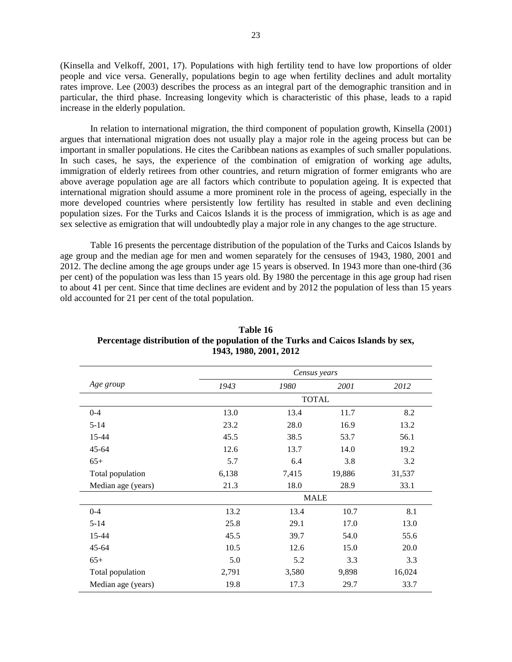(Kinsella and Velkoff, 2001, 17). Populations with high fertility tend to have low proportions of older people and vice versa. Generally, populations begin to age when fertility declines and adult mortality rates improve. Lee (2003) describes the process as an integral part of the demographic transition and in particular, the third phase. Increasing longevity which is characteristic of this phase, leads to a rapid increase in the elderly population.

In relation to international migration, the third component of population growth, Kinsella (2001) argues that international migration does not usually play a major role in the ageing process but can be important in smaller populations. He cites the Caribbean nations as examples of such smaller populations. In such cases, he says, the experience of the combination of emigration of working age adults, immigration of elderly retirees from other countries, and return migration of former emigrants who are above average population age are all factors which contribute to population ageing. It is expected that international migration should assume a more prominent role in the process of ageing, especially in the more developed countries where persistently low fertility has resulted in stable and even declining population sizes. For the Turks and Caicos Islands it is the process of immigration, which is as age and sex selective as emigration that will undoubtedly play a major role in any changes to the age structure.

Table 16 presents the percentage distribution of the population of the Turks and Caicos Islands by age group and the median age for men and women separately for the censuses of 1943, 1980, 2001 and 2012. The decline among the age groups under age 15 years is observed. In 1943 more than one-third (36 per cent) of the population was less than 15 years old. By 1980 the percentage in this age group had risen to about 41 per cent. Since that time declines are evident and by 2012 the population of less than 15 years old accounted for 21 per cent of the total population.

|                    |       | Census years |        |        |
|--------------------|-------|--------------|--------|--------|
| Age group          | 1943  | 1980         | 2001   | 2012   |
|                    |       | <b>TOTAL</b> |        |        |
| $0 - 4$            | 13.0  | 13.4         | 11.7   | 8.2    |
| $5 - 14$           | 23.2  | 28.0         | 16.9   | 13.2   |
| 15-44              | 45.5  | 38.5         | 53.7   | 56.1   |
| $45 - 64$          | 12.6  | 13.7         | 14.0   | 19.2   |
| $65+$              | 5.7   | 6.4          | 3.8    | 3.2    |
| Total population   | 6,138 | 7,415        | 19,886 | 31,537 |
| Median age (years) | 21.3  | 18.0         | 28.9   | 33.1   |
|                    |       | <b>MALE</b>  |        |        |
| $0 - 4$            | 13.2  | 13.4         | 10.7   | 8.1    |
| $5 - 14$           | 25.8  | 29.1         | 17.0   | 13.0   |
| 15-44              | 45.5  | 39.7         | 54.0   | 55.6   |
| $45 - 64$          | 10.5  | 12.6         | 15.0   | 20.0   |
| $65+$              | 5.0   | 5.2          | 3.3    | 3.3    |
| Total population   | 2,791 | 3,580        | 9,898  | 16,024 |
| Median age (years) | 19.8  | 17.3         | 29.7   | 33.7   |

### **Table 16 Percentage distribution of the population of the Turks and Caicos Islands by sex, 1943, 1980, 2001, 2012**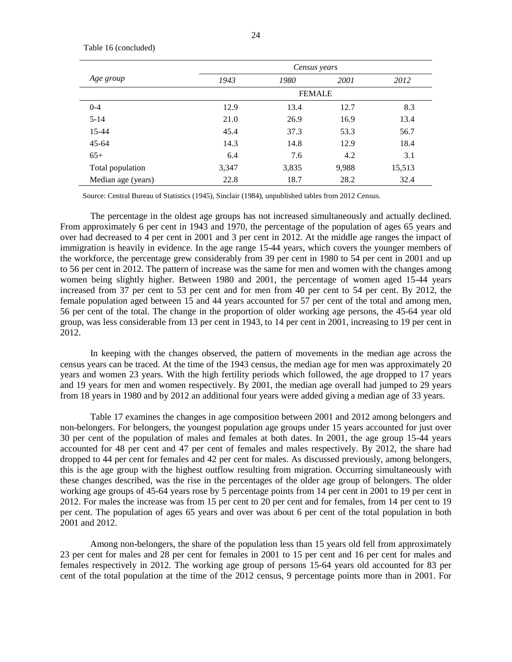|                    | Census years |               |       |        |  |  |
|--------------------|--------------|---------------|-------|--------|--|--|
| Age group          | 1943         | 1980          | 2001  | 2012   |  |  |
|                    |              | <b>FEMALE</b> |       |        |  |  |
| $0 - 4$            | 12.9         | 13.4          | 12.7  | 8.3    |  |  |
| $5 - 14$           | 21.0         | 26.9          | 16.9  | 13.4   |  |  |
| 15-44              | 45.4         | 37.3          | 53.3  | 56.7   |  |  |
| $45 - 64$          | 14.3         | 14.8          | 12.9  | 18.4   |  |  |
| $65+$              | 6.4          | 7.6           | 4.2   | 3.1    |  |  |
| Total population   | 3,347        | 3,835         | 9,988 | 15,513 |  |  |
| Median age (years) | 22.8         | 18.7          | 28.2  | 32.4   |  |  |

Table 16 (concluded)

Source: Central Bureau of Statistics (1945), Sinclair (1984), unpublished tables from 2012 Census.

The percentage in the oldest age groups has not increased simultaneously and actually declined. From approximately 6 per cent in 1943 and 1970, the percentage of the population of ages 65 years and over had decreased to 4 per cent in 2001 and 3 per cent in 2012. At the middle age ranges the impact of immigration is heavily in evidence. In the age range 15-44 years, which covers the younger members of the workforce, the percentage grew considerably from 39 per cent in 1980 to 54 per cent in 2001 and up to 56 per cent in 2012. The pattern of increase was the same for men and women with the changes among women being slightly higher. Between 1980 and 2001, the percentage of women aged 15-44 years increased from 37 per cent to 53 per cent and for men from 40 per cent to 54 per cent. By 2012, the female population aged between 15 and 44 years accounted for 57 per cent of the total and among men, 56 per cent of the total. The change in the proportion of older working age persons, the 45-64 year old group, was less considerable from 13 per cent in 1943, to 14 per cent in 2001, increasing to 19 per cent in 2012.

In keeping with the changes observed, the pattern of movements in the median age across the census years can be traced. At the time of the 1943 census, the median age for men was approximately 20 years and women 23 years. With the high fertility periods which followed, the age dropped to 17 years and 19 years for men and women respectively. By 2001, the median age overall had jumped to 29 years from 18 years in 1980 and by 2012 an additional four years were added giving a median age of 33 years.

Table 17 examines the changes in age composition between 2001 and 2012 among belongers and non-belongers. For belongers, the youngest population age groups under 15 years accounted for just over 30 per cent of the population of males and females at both dates. In 2001, the age group 15-44 years accounted for 48 per cent and 47 per cent of females and males respectively. By 2012, the share had dropped to 44 per cent for females and 42 per cent for males. As discussed previously, among belongers, this is the age group with the highest outflow resulting from migration. Occurring simultaneously with these changes described, was the rise in the percentages of the older age group of belongers. The older working age groups of 45-64 years rose by 5 percentage points from 14 per cent in 2001 to 19 per cent in 2012. For males the increase was from 15 per cent to 20 per cent and for females, from 14 per cent to 19 per cent. The population of ages 65 years and over was about 6 per cent of the total population in both 2001 and 2012.

Among non-belongers, the share of the population less than 15 years old fell from approximately 23 per cent for males and 28 per cent for females in 2001 to 15 per cent and 16 per cent for males and females respectively in 2012. The working age group of persons 15-64 years old accounted for 83 per cent of the total population at the time of the 2012 census, 9 percentage points more than in 2001. For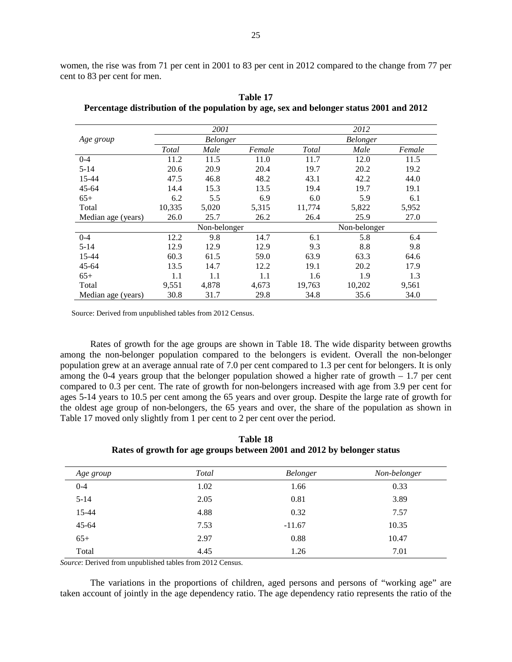women, the rise was from 71 per cent in 2001 to 83 per cent in 2012 compared to the change from 77 per cent to 83 per cent for men.

|                    |              | 2001         |        | 2012         |          |        |
|--------------------|--------------|--------------|--------|--------------|----------|--------|
| Age group          |              | Belonger     |        |              | Belonger |        |
|                    | <b>Total</b> | Male         | Female | <b>Total</b> | Male     | Female |
| $0 - 4$            | 11.2         | 11.5         | 11.0   | 11.7         | 12.0     | 11.5   |
| $5 - 14$           | 20.6         | 20.9         | 20.4   | 19.7         | 20.2     | 19.2   |
| 15-44              | 47.5         | 46.8         | 48.2   | 43.1         | 42.2     | 44.0   |
| $45 - 64$          | 14.4         | 15.3         | 13.5   | 19.4         | 19.7     | 19.1   |
| $65+$              | 6.2          | 5.5          | 6.9    | 6.0          | 5.9      | 6.1    |
| Total              | 10,335       | 5,020        | 5,315  | 11,774       | 5,822    | 5,952  |
| Median age (years) | 26.0         | 25.7         | 26.2   | 26.4         | 25.9     | 27.0   |
|                    |              | Non-belonger |        | Non-belonger |          |        |
| $0 - 4$            | 12.2         | 9.8          | 14.7   | 6.1          | 5.8      | 6.4    |
| $5 - 14$           | 12.9         | 12.9         | 12.9   | 9.3          | 8.8      | 9.8    |
| 15-44              | 60.3         | 61.5         | 59.0   | 63.9         | 63.3     | 64.6   |
| $45 - 64$          | 13.5         | 14.7         | 12.2   | 19.1         | 20.2     | 17.9   |
| $65+$              | 1.1          | 1.1          | 1.1    | 1.6          | 1.9      | 1.3    |
| Total              | 9,551        | 4,878        | 4,673  | 19,763       | 10,202   | 9,561  |
| Median age (years) | 30.8         | 31.7         | 29.8   | 34.8         | 35.6     | 34.0   |

**Table 17 Percentage distribution of the population by age, sex and belonger status 2001 and 2012** 

Source: Derived from unpublished tables from 2012 Census.

Rates of growth for the age groups are shown in Table 18. The wide disparity between growths among the non-belonger population compared to the belongers is evident. Overall the non-belonger population grew at an average annual rate of 7.0 per cent compared to 1.3 per cent for belongers. It is only among the 0-4 years group that the belonger population showed a higher rate of growth – 1.7 per cent compared to 0.3 per cent. The rate of growth for non-belongers increased with age from 3.9 per cent for ages 5-14 years to 10.5 per cent among the 65 years and over group. Despite the large rate of growth for the oldest age group of non-belongers, the 65 years and over, the share of the population as shown in Table 17 moved only slightly from 1 per cent to 2 per cent over the period.

| . .       | .     |                 | . .          |
|-----------|-------|-----------------|--------------|
| Age group | Total | <b>Belonger</b> | Non-belonger |
| $0 - 4$   | 1.02  | 1.66            | 0.33         |
| $5 - 14$  | 2.05  | 0.81            | 3.89         |

15-44 4.88 0.32 7.57 45-64 7.53 -11.67 10.35 65+ 2.97 0.88 10.47 Total 1.26 1.26 7.01

**Table 18 Rates of growth for age groups between 2001 and 2012 by belonger status** 

*Source*: Derived from unpublished tables from 2012 Census.

The variations in the proportions of children, aged persons and persons of "working age" are taken account of jointly in the age dependency ratio. The age dependency ratio represents the ratio of the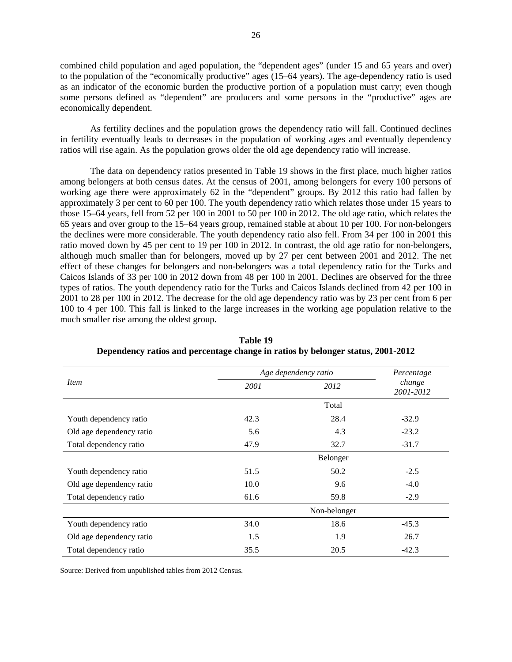combined child population and aged population, the "dependent ages" (under 15 and 65 years and over) to the population of the "economically productive" ages (15–64 years). The age-dependency ratio is used as an indicator of the economic burden the productive portion of a population must carry; even though some persons defined as "dependent" are producers and some persons in the "productive" ages are economically dependent.

As fertility declines and the population grows the dependency ratio will fall. Continued declines in fertility eventually leads to decreases in the population of working ages and eventually dependency ratios will rise again. As the population grows older the old age dependency ratio will increase.

The data on dependency ratios presented in Table 19 shows in the first place, much higher ratios among belongers at both census dates. At the census of 2001, among belongers for every 100 persons of working age there were approximately 62 in the "dependent" groups. By 2012 this ratio had fallen by approximately 3 per cent to 60 per 100. The youth dependency ratio which relates those under 15 years to those 15–64 years, fell from 52 per 100 in 2001 to 50 per 100 in 2012. The old age ratio, which relates the 65 years and over group to the 15–64 years group, remained stable at about 10 per 100. For non-belongers the declines were more considerable. The youth dependency ratio also fell. From 34 per 100 in 2001 this ratio moved down by 45 per cent to 19 per 100 in 2012. In contrast, the old age ratio for non-belongers, although much smaller than for belongers, moved up by 27 per cent between 2001 and 2012. The net effect of these changes for belongers and non-belongers was a total dependency ratio for the Turks and Caicos Islands of 33 per 100 in 2012 down from 48 per 100 in 2001. Declines are observed for the three types of ratios. The youth dependency ratio for the Turks and Caicos Islands declined from 42 per 100 in 2001 to 28 per 100 in 2012. The decrease for the old age dependency ratio was by 23 per cent from 6 per 100 to 4 per 100. This fall is linked to the large increases in the working age population relative to the much smaller rise among the oldest group.

|                          |      | Age dependency ratio | Percentage          |
|--------------------------|------|----------------------|---------------------|
| <i>Item</i>              | 2001 | 2012                 | change<br>2001-2012 |
|                          |      | Total                |                     |
| Youth dependency ratio   | 42.3 | 28.4                 | $-32.9$             |
| Old age dependency ratio | 5.6  | 4.3                  | $-23.2$             |
| Total dependency ratio   | 47.9 | 32.7                 | $-31.7$             |
|                          |      | Belonger             |                     |
| Youth dependency ratio   | 51.5 | 50.2                 | $-2.5$              |
| Old age dependency ratio | 10.0 | 9.6                  | $-4.0$              |
| Total dependency ratio   | 61.6 | 59.8                 | $-2.9$              |
|                          |      | Non-belonger         |                     |
| Youth dependency ratio   | 34.0 | 18.6                 | $-45.3$             |
| Old age dependency ratio | 1.5  | 1.9                  | 26.7                |
| Total dependency ratio   | 35.5 | 20.5                 | $-42.3$             |

**Table 19 Dependency ratios and percentage change in ratios by belonger status, 2001-2012** 

Source: Derived from unpublished tables from 2012 Census.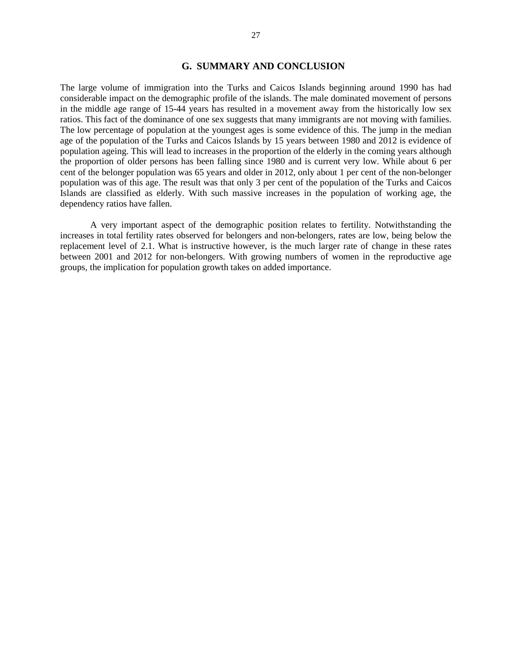### **G. SUMMARY AND CONCLUSION**

The large volume of immigration into the Turks and Caicos Islands beginning around 1990 has had considerable impact on the demographic profile of the islands. The male dominated movement of persons in the middle age range of 15-44 years has resulted in a movement away from the historically low sex ratios. This fact of the dominance of one sex suggests that many immigrants are not moving with families. The low percentage of population at the youngest ages is some evidence of this. The jump in the median age of the population of the Turks and Caicos Islands by 15 years between 1980 and 2012 is evidence of population ageing. This will lead to increases in the proportion of the elderly in the coming years although the proportion of older persons has been falling since 1980 and is current very low. While about 6 per cent of the belonger population was 65 years and older in 2012, only about 1 per cent of the non-belonger population was of this age. The result was that only 3 per cent of the population of the Turks and Caicos Islands are classified as elderly. With such massive increases in the population of working age, the dependency ratios have fallen.

A very important aspect of the demographic position relates to fertility. Notwithstanding the increases in total fertility rates observed for belongers and non-belongers, rates are low, being below the replacement level of 2.1. What is instructive however, is the much larger rate of change in these rates between 2001 and 2012 for non-belongers. With growing numbers of women in the reproductive age groups, the implication for population growth takes on added importance.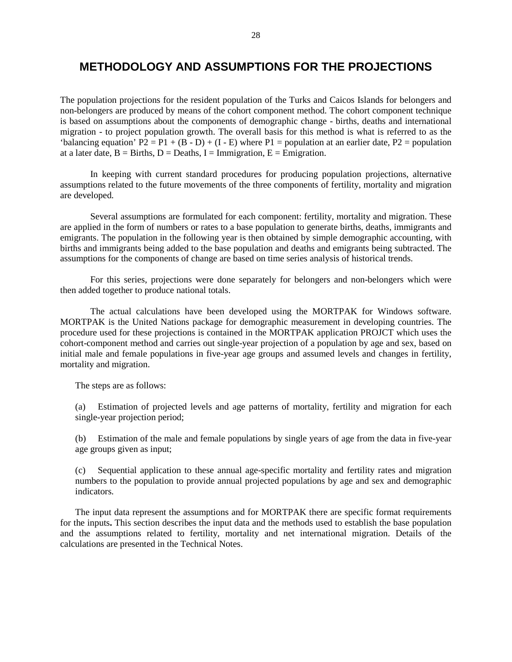# **METHODOLOGY AND ASSUMPTIONS FOR THE PROJECTIONS**

The population projections for the resident population of the Turks and Caicos Islands for belongers and non-belongers are produced by means of the cohort component method. The cohort component technique is based on assumptions about the components of demographic change - births, deaths and international migration - to project population growth. The overall basis for this method is what is referred to as the 'balancing equation'  $P2 = P1 + (B - D) + (I - E)$  where  $P1 =$  population at an earlier date,  $P2 =$  population at a later date,  $B = B$ irths,  $D = Deaths$ ,  $I = Immigration$ ,  $E = Emigration$ .

In keeping with current standard procedures for producing population projections, alternative assumptions related to the future movements of the three components of fertility, mortality and migration are developed.

Several assumptions are formulated for each component: fertility, mortality and migration. These are applied in the form of numbers or rates to a base population to generate births, deaths, immigrants and emigrants. The population in the following year is then obtained by simple demographic accounting, with births and immigrants being added to the base population and deaths and emigrants being subtracted. The assumptions for the components of change are based on time series analysis of historical trends.

For this series, projections were done separately for belongers and non-belongers which were then added together to produce national totals.

The actual calculations have been developed using the MORTPAK for Windows software. MORTPAK is the United Nations package for demographic measurement in developing countries. The procedure used for these projections is contained in the MORTPAK application PROJCT which uses the cohort-component method and carries out single-year projection of a population by age and sex, based on initial male and female populations in five-year age groups and assumed levels and changes in fertility, mortality and migration.

The steps are as follows:

(a) Estimation of projected levels and age patterns of mortality, fertility and migration for each single-year projection period;

(b) Estimation of the male and female populations by single years of age from the data in five-year age groups given as input;

(c) Sequential application to these annual age-specific mortality and fertility rates and migration numbers to the population to provide annual projected populations by age and sex and demographic indicators.

The input data represent the assumptions and for MORTPAK there are specific format requirements for the inputs**.** This section describes the input data and the methods used to establish the base population and the assumptions related to fertility, mortality and net international migration. Details of the calculations are presented in the Technical Notes.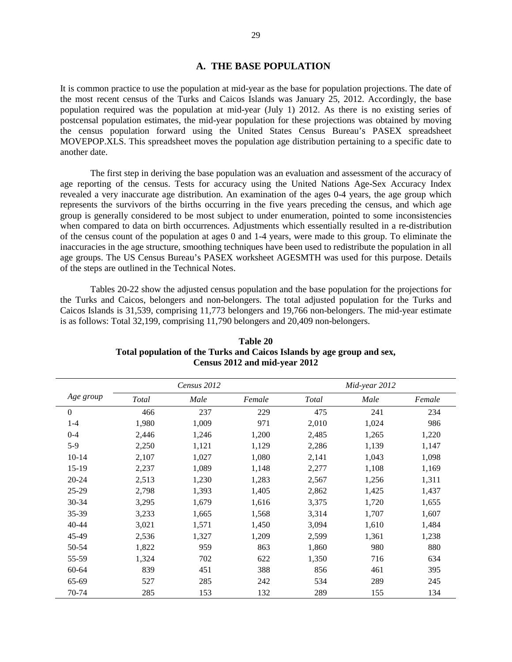### **A. THE BASE POPULATION**

It is common practice to use the population at mid-year as the base for population projections. The date of the most recent census of the Turks and Caicos Islands was January 25, 2012. Accordingly, the base population required was the population at mid-year (July 1) 2012. As there is no existing series of postcensal population estimates, the mid-year population for these projections was obtained by moving the census population forward using the United States Census Bureau's PASEX spreadsheet MOVEPOP.XLS. This spreadsheet moves the population age distribution pertaining to a specific date to another date.

The first step in deriving the base population was an evaluation and assessment of the accuracy of age reporting of the census. Tests for accuracy using the United Nations Age-Sex Accuracy Index revealed a very inaccurate age distribution. An examination of the ages 0-4 years, the age group which represents the survivors of the births occurring in the five years preceding the census, and which age group is generally considered to be most subject to under enumeration, pointed to some inconsistencies when compared to data on birth occurrences. Adjustments which essentially resulted in a re-distribution of the census count of the population at ages 0 and 1-4 years, were made to this group. To eliminate the inaccuracies in the age structure, smoothing techniques have been used to redistribute the population in all age groups. The US Census Bureau's PASEX worksheet AGESMTH was used for this purpose. Details of the steps are outlined in the Technical Notes.

Tables 20-22 show the adjusted census population and the base population for the projections for the Turks and Caicos, belongers and non-belongers. The total adjusted population for the Turks and Caicos Islands is 31,539, comprising 11,773 belongers and 19,766 non-belongers. The mid-year estimate is as follows: Total 32,199, comprising 11,790 belongers and 20,409 non-belongers.

| Age group |       |       | Census 2012 |       |       | Mid-year 2012 |  |  |  |  |
|-----------|-------|-------|-------------|-------|-------|---------------|--|--|--|--|
|           | Total | Male  | Female      | Total | Male  | Female        |  |  |  |  |
| $\theta$  | 466   | 237   | 229         | 475   | 241   | 234           |  |  |  |  |
| $1-4$     | 1,980 | 1,009 | 971         | 2,010 | 1,024 | 986           |  |  |  |  |
| $0 - 4$   | 2,446 | 1,246 | 1,200       | 2,485 | 1,265 | 1,220         |  |  |  |  |
| $5-9$     | 2,250 | 1,121 | 1,129       | 2,286 | 1,139 | 1,147         |  |  |  |  |
| $10 - 14$ | 2,107 | 1,027 | 1,080       | 2,141 | 1,043 | 1,098         |  |  |  |  |
| $15-19$   | 2,237 | 1,089 | 1,148       | 2,277 | 1,108 | 1,169         |  |  |  |  |
| $20 - 24$ | 2,513 | 1,230 | 1,283       | 2,567 | 1,256 | 1,311         |  |  |  |  |
| 25-29     | 2,798 | 1,393 | 1,405       | 2,862 | 1,425 | 1,437         |  |  |  |  |
| $30 - 34$ | 3,295 | 1,679 | 1,616       | 3,375 | 1,720 | 1,655         |  |  |  |  |
| 35-39     | 3,233 | 1,665 | 1,568       | 3,314 | 1,707 | 1,607         |  |  |  |  |
| 40-44     | 3,021 | 1,571 | 1,450       | 3,094 | 1,610 | 1,484         |  |  |  |  |
| 45-49     | 2,536 | 1,327 | 1,209       | 2,599 | 1,361 | 1,238         |  |  |  |  |
| 50-54     | 1,822 | 959   | 863         | 1,860 | 980   | 880           |  |  |  |  |
| 55-59     | 1,324 | 702   | 622         | 1,350 | 716   | 634           |  |  |  |  |
| $60 - 64$ | 839   | 451   | 388         | 856   | 461   | 395           |  |  |  |  |
| 65-69     | 527   | 285   | 242         | 534   | 289   | 245           |  |  |  |  |
| 70-74     | 285   | 153   | 132         | 289   | 155   | 134           |  |  |  |  |

**Table 20 Total population of the Turks and Caicos Islands by age group and sex, Census 2012 and mid-year 2012**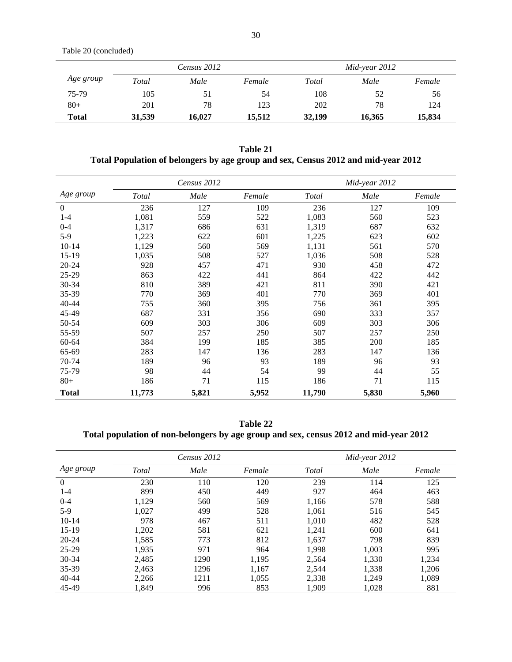Table 20 (concluded)

|              | Census 2012 |        |        | $Mid\text{-}year 2012$ |        |        |
|--------------|-------------|--------|--------|------------------------|--------|--------|
| Age group    | Total       | Male   | Female | Total                  | Male   | Female |
| 75-79        | 105         | 51     | 54     | 108                    | 52     | 56     |
| $80+$        | 201         | 78     | 123    | 202                    | 78     | 124    |
| <b>Total</b> | 31,539      | 16,027 | 15,512 | 32,199                 | 16.365 | 15,834 |

**Table 21 Total Population of belongers by age group and sex, Census 2012 and mid-year 2012** 

|              | Census 2012 |       |        | Mid-year 2012 |       |        |
|--------------|-------------|-------|--------|---------------|-------|--------|
| Age group    | Total       | Male  | Female | Total         | Male  | Female |
| $\Omega$     | 236         | 127   | 109    | 236           | 127   | 109    |
| $1 - 4$      | 1,081       | 559   | 522    | 1,083         | 560   | 523    |
| $0 - 4$      | 1,317       | 686   | 631    | 1,319         | 687   | 632    |
| $5-9$        | 1,223       | 622   | 601    | 1,225         | 623   | 602    |
| $10 - 14$    | 1,129       | 560   | 569    | 1,131         | 561   | 570    |
| 15-19        | 1,035       | 508   | 527    | 1,036         | 508   | 528    |
| $20 - 24$    | 928         | 457   | 471    | 930           | 458   | 472    |
| 25-29        | 863         | 422   | 441    | 864           | 422   | 442    |
| 30-34        | 810         | 389   | 421    | 811           | 390   | 421    |
| 35-39        | 770         | 369   | 401    | 770           | 369   | 401    |
| 40-44        | 755         | 360   | 395    | 756           | 361   | 395    |
| 45-49        | 687         | 331   | 356    | 690           | 333   | 357    |
| 50-54        | 609         | 303   | 306    | 609           | 303   | 306    |
| 55-59        | 507         | 257   | 250    | 507           | 257   | 250    |
| 60-64        | 384         | 199   | 185    | 385           | 200   | 185    |
| 65-69        | 283         | 147   | 136    | 283           | 147   | 136    |
| 70-74        | 189         | 96    | 93     | 189           | 96    | 93     |
| 75-79        | 98          | 44    | 54     | 99            | 44    | 55     |
| $80+$        | 186         | 71    | 115    | 186           | 71    | 115    |
| <b>Total</b> | 11,773      | 5,821 | 5,952  | 11,790        | 5,830 | 5,960  |

**Table 22 Total population of non-belongers by age group and sex, census 2012 and mid-year 2012** 

|              | Census 2012 |      |        | $Mid$ -year 2012 |       |        |
|--------------|-------------|------|--------|------------------|-------|--------|
| Age group    | Total       | Male | Female | Total            | Male  | Female |
| $\mathbf{0}$ | 230         | 110  | 120    | 239              | 114   | 125    |
| $1 - 4$      | 899         | 450  | 449    | 927              | 464   | 463    |
| $0 - 4$      | 1,129       | 560  | 569    | 1,166            | 578   | 588    |
| $5-9$        | 1.027       | 499  | 528    | 1.061            | 516   | 545    |
| $10-14$      | 978         | 467  | 511    | 1,010            | 482   | 528    |
| $15-19$      | 1,202       | 581  | 621    | 1,241            | 600   | 641    |
| $20 - 24$    | 1,585       | 773  | 812    | 1.637            | 798   | 839    |
| $25-29$      | 1,935       | 971  | 964    | 1.998            | 1,003 | 995    |
| 30-34        | 2,485       | 1290 | 1,195  | 2,564            | 1,330 | 1,234  |
| 35-39        | 2,463       | 1296 | 1,167  | 2,544            | 1,338 | 1,206  |
| $40 - 44$    | 2,266       | 1211 | 1,055  | 2,338            | 1,249 | 1,089  |
| 45-49        | 1.849       | 996  | 853    | 1,909            | 1,028 | 881    |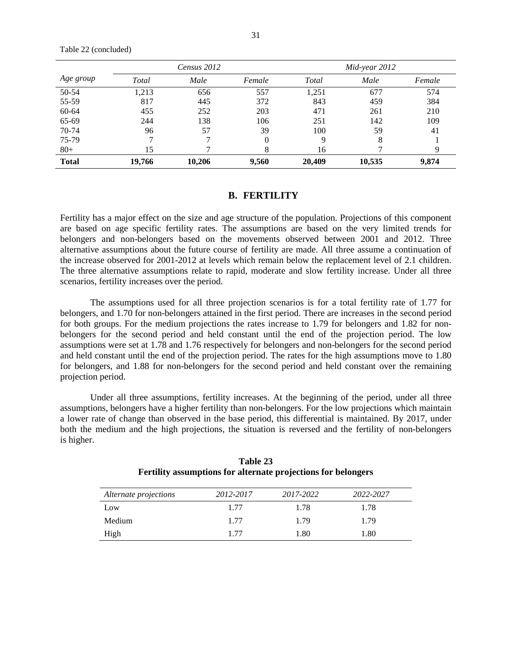|  | Table 22 (concluded) |
|--|----------------------|
|--|----------------------|

|              |        | Census 2012 |        |        | $Mid$ -year 2012 |        |
|--------------|--------|-------------|--------|--------|------------------|--------|
| Age group    | Total  | Male        | Female | Total  | Male             | Female |
| 50-54        | 1.213  | 656         | 557    | 1,251  | 677              | 574    |
| 55-59        | 817    | 445         | 372    | 843    | 459              | 384    |
| 60-64        | 455    | 252         | 203    | 471    | 261              | 210    |
| 65-69        | 244    | 138         | 106    | 251    | 142              | 109    |
| 70-74        | 96     | 57          | 39     | 100    | 59               | 41     |
| 75-79        |        |             | 0      | 9      | 8                |        |
| $80 +$       | 15     |             |        | 16     |                  |        |
| <b>Total</b> | 19,766 | 10,206      | 9,560  | 20,409 | 10,535           | 9,874  |

### **B. FERTILITY**

Fertility has a major effect on the size and age structure of the population. Projections of this component are based on age specific fertility rates. The assumptions are based on the very limited trends for belongers and non-belongers based on the movements observed between 2001 and 2012. Three alternative assumptions about the future course of fertility are made. All three assume a continuation of the increase observed for 2001-2012 at levels which remain below the replacement level of 2.1 children. The three alternative assumptions relate to rapid, moderate and slow fertility increase. Under all three scenarios, fertility increases over the period.

The assumptions used for all three projection scenarios is for a total fertility rate of 1.77 for belongers, and 1.70 for non-belongers attained in the first period. There are increases in the second period for both groups. For the medium projections the rates increase to 1.79 for belongers and 1.82 for nonbelongers for the second period and held constant until the end of the projection period. The low assumptions were set at 1.78 and 1.76 respectively for belongers and non-belongers for the second period and held constant until the end of the projection period. The rates for the high assumptions move to 1.80 for belongers, and 1.88 for non-belongers for the second period and held constant over the remaining projection period.

Under all three assumptions, fertility increases. At the beginning of the period, under all three assumptions, belongers have a higher fertility than non-belongers. For the low projections which maintain a lower rate of change than observed in the base period, this differential is maintained. By 2017, under both the medium and the high projections, the situation is reversed and the fertility of non-belongers is higher.

| Alternate projections | 2012-2017 | 2017-2022 | 2022-2027 |
|-----------------------|-----------|-----------|-----------|
| Low                   | 1.77      | 1.78      | 1.78      |
| Medium                | 1.77      | 1.79      | 1.79      |
| High                  | 1.77      | 1.80      | 1.80      |

**Table 23 Fertility assumptions for alternate projections for belongers**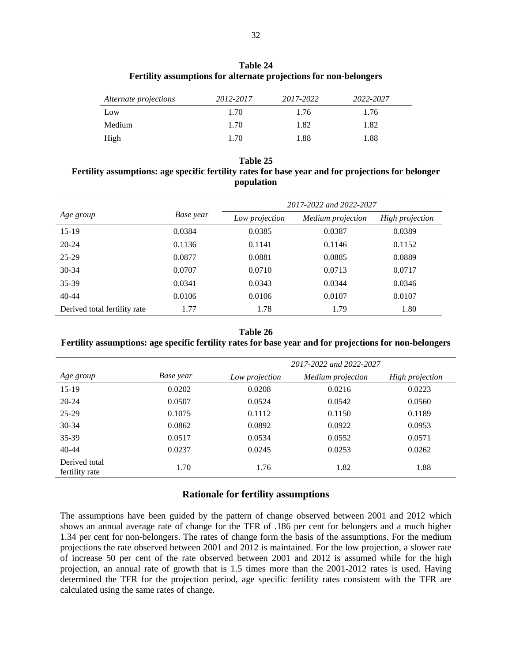| Table 24                                                          |  |  |  |  |
|-------------------------------------------------------------------|--|--|--|--|
| Fertility assumptions for alternate projections for non-belongers |  |  |  |  |

| Alternate projections | 2012-2017 | 2017-2022 | 2022-2027 |
|-----------------------|-----------|-----------|-----------|
| Low                   | 1.70      | 1.76      | 1.76      |
| Medium                | 1.70      | 1.82      | 1.82      |
| High                  | 1.70      | 1.88      | 1.88      |

#### **Table 25**

## **Fertility assumptions: age specific fertility rates for base year and for projections for belonger population**

|                              |           | 2017-2022 and 2022-2027 |                   |                 |  |  |
|------------------------------|-----------|-------------------------|-------------------|-----------------|--|--|
| Age group                    | Base year | Low projection          | Medium projection | High projection |  |  |
| $15-19$                      | 0.0384    | 0.0385                  | 0.0387            | 0.0389          |  |  |
| $20 - 24$                    | 0.1136    | 0.1141                  | 0.1146            | 0.1152          |  |  |
| 25-29                        | 0.0877    | 0.0881                  | 0.0885            | 0.0889          |  |  |
| $30 - 34$                    | 0.0707    | 0.0710                  | 0.0713            | 0.0717          |  |  |
| 35-39                        | 0.0341    | 0.0343                  | 0.0344            | 0.0346          |  |  |
| $40 - 44$                    | 0.0106    | 0.0106                  | 0.0107            | 0.0107          |  |  |
| Derived total fertility rate | 1.77      | 1.78                    | 1.79              | 1.80            |  |  |

#### **Table 26**

### **Fertility assumptions: age specific fertility rates for base year and for projections for non-belongers**

|                                 |           | 2017-2022 and 2022-2027 |                   |                 |  |  |
|---------------------------------|-----------|-------------------------|-------------------|-----------------|--|--|
| Age group                       | Base year | Low projection          | Medium projection | High projection |  |  |
| $15-19$                         | 0.0202    | 0.0208                  | 0.0216            | 0.0223          |  |  |
| $20 - 24$                       | 0.0507    | 0.0524                  | 0.0542            | 0.0560          |  |  |
| 25-29                           | 0.1075    | 0.1112                  | 0.1150            | 0.1189          |  |  |
| 30-34                           | 0.0862    | 0.0892                  | 0.0922            | 0.0953          |  |  |
| 35-39                           | 0.0517    | 0.0534                  | 0.0552            | 0.0571          |  |  |
| $40 - 44$                       | 0.0237    | 0.0245                  | 0.0253            | 0.0262          |  |  |
| Derived total<br>fertility rate | 1.70      | 1.76                    | 1.82              | 1.88            |  |  |

### **Rationale for fertility assumptions**

The assumptions have been guided by the pattern of change observed between 2001 and 2012 which shows an annual average rate of change for the TFR of .186 per cent for belongers and a much higher 1.34 per cent for non-belongers. The rates of change form the basis of the assumptions. For the medium projections the rate observed between 2001 and 2012 is maintained. For the low projection, a slower rate of increase 50 per cent of the rate observed between 2001 and 2012 is assumed while for the high projection, an annual rate of growth that is 1.5 times more than the 2001-2012 rates is used. Having determined the TFR for the projection period, age specific fertility rates consistent with the TFR are calculated using the same rates of change.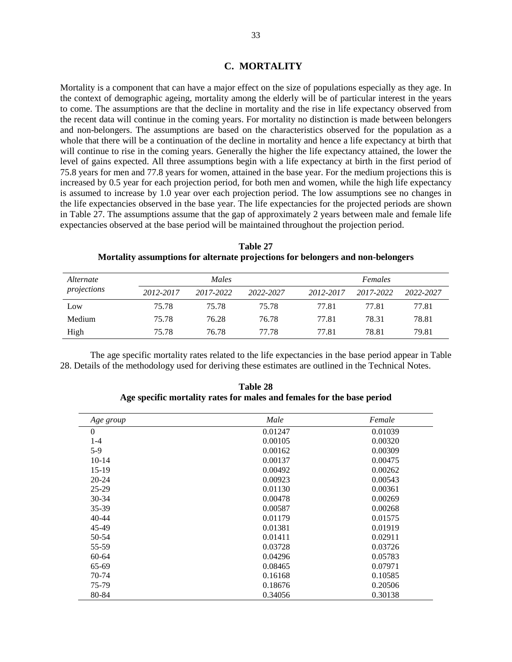### **C. MORTALITY**

Mortality is a component that can have a major effect on the size of populations especially as they age. In the context of demographic ageing, mortality among the elderly will be of particular interest in the years to come. The assumptions are that the decline in mortality and the rise in life expectancy observed from the recent data will continue in the coming years. For mortality no distinction is made between belongers and non-belongers. The assumptions are based on the characteristics observed for the population as a whole that there will be a continuation of the decline in mortality and hence a life expectancy at birth that will continue to rise in the coming years. Generally the higher the life expectancy attained, the lower the level of gains expected. All three assumptions begin with a life expectancy at birth in the first period of 75.8 years for men and 77.8 years for women, attained in the base year. For the medium projections this is increased by 0.5 year for each projection period, for both men and women, while the high life expectancy is assumed to increase by 1.0 year over each projection period. The low assumptions see no changes in the life expectancies observed in the base year. The life expectancies for the projected periods are shown in Table 27. The assumptions assume that the gap of approximately 2 years between male and female life expectancies observed at the base period will be maintained throughout the projection period.

| <i>Alternate</i> |           | <i>Males</i> |           | Females   |           |           |  |
|------------------|-----------|--------------|-----------|-----------|-----------|-----------|--|
| projections      | 2012-2017 | 2017-2022    | 2022-2027 | 2012-2017 | 2017-2022 | 2022-2027 |  |
| Low              | 75.78     | 75.78        | 75.78     | 77.81     | 77.81     | 77.81     |  |
| Medium           | 75.78     | 76.28        | 76.78     | 77.81     | 78.31     | 78.81     |  |
| High             | 75.78     | 76.78        | 77.78     | 77.81     | 78.81     | 79.81     |  |

**Table 27 Mortality assumptions for alternate projections for belongers and non-belongers** 

The age specific mortality rates related to the life expectancies in the base period appear in Table 28. Details of the methodology used for deriving these estimates are outlined in the Technical Notes.

| Age group | Male    | Female  |
|-----------|---------|---------|
| $\theta$  | 0.01247 | 0.01039 |
| $1-4$     | 0.00105 | 0.00320 |
| $5-9$     | 0.00162 | 0.00309 |
| $10-14$   | 0.00137 | 0.00475 |
| $15-19$   | 0.00492 | 0.00262 |
| $20 - 24$ | 0.00923 | 0.00543 |
| $25-29$   | 0.01130 | 0.00361 |
| 30-34     | 0.00478 | 0.00269 |
| 35-39     | 0.00587 | 0.00268 |
| $40 - 44$ | 0.01179 | 0.01575 |
| 45-49     | 0.01381 | 0.01919 |
| 50-54     | 0.01411 | 0.02911 |
| 55-59     | 0.03728 | 0.03726 |
| 60-64     | 0.04296 | 0.05783 |
| 65-69     | 0.08465 | 0.07971 |
| $70-74$   | 0.16168 | 0.10585 |
| 75-79     | 0.18676 | 0.20506 |
| 80-84     | 0.34056 | 0.30138 |

**Table 28 Age specific mortality rates for males and females for the base period**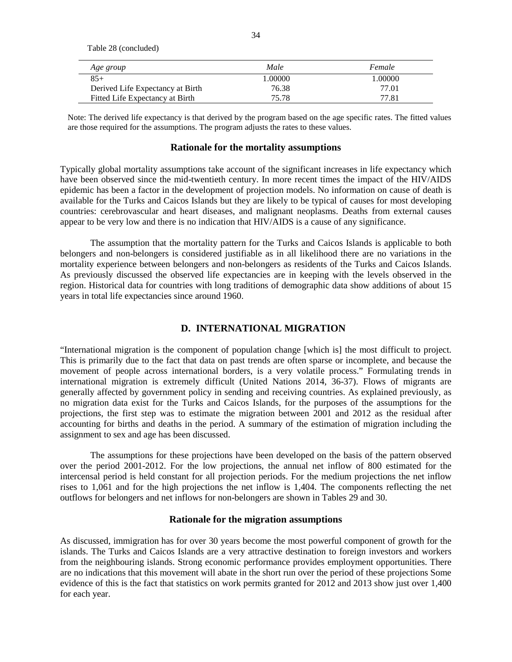Table 28 (concluded)

| Age group                        | Male    | Female |
|----------------------------------|---------|--------|
| $85+$                            | 1.00000 | 00000  |
| Derived Life Expectancy at Birth | 76.38   | 77.01  |
| Fitted Life Expectancy at Birth  | 75.78   | 77.81  |

Note: The derived life expectancy is that derived by the program based on the age specific rates. The fitted values are those required for the assumptions. The program adjusts the rates to these values.

#### **Rationale for the mortality assumptions**

Typically global mortality assumptions take account of the significant increases in life expectancy which have been observed since the mid-twentieth century. In more recent times the impact of the HIV/AIDS epidemic has been a factor in the development of projection models. No information on cause of death is available for the Turks and Caicos Islands but they are likely to be typical of causes for most developing countries: cerebrovascular and heart diseases, and malignant neoplasms. Deaths from external causes appear to be very low and there is no indication that HIV/AIDS is a cause of any significance.

The assumption that the mortality pattern for the Turks and Caicos Islands is applicable to both belongers and non-belongers is considered justifiable as in all likelihood there are no variations in the mortality experience between belongers and non-belongers as residents of the Turks and Caicos Islands. As previously discussed the observed life expectancies are in keeping with the levels observed in the region. Historical data for countries with long traditions of demographic data show additions of about 15 years in total life expectancies since around 1960.

### **D. INTERNATIONAL MIGRATION**

"International migration is the component of population change [which is] the most difficult to project. This is primarily due to the fact that data on past trends are often sparse or incomplete, and because the movement of people across international borders, is a very volatile process." Formulating trends in international migration is extremely difficult (United Nations 2014, 36-37). Flows of migrants are generally affected by government policy in sending and receiving countries. As explained previously, as no migration data exist for the Turks and Caicos Islands, for the purposes of the assumptions for the projections, the first step was to estimate the migration between 2001 and 2012 as the residual after accounting for births and deaths in the period. A summary of the estimation of migration including the assignment to sex and age has been discussed.

The assumptions for these projections have been developed on the basis of the pattern observed over the period 2001-2012. For the low projections, the annual net inflow of 800 estimated for the intercensal period is held constant for all projection periods. For the medium projections the net inflow rises to 1,061 and for the high projections the net inflow is 1,404. The components reflecting the net outflows for belongers and net inflows for non-belongers are shown in Tables 29 and 30.

### **Rationale for the migration assumptions**

As discussed, immigration has for over 30 years become the most powerful component of growth for the islands. The Turks and Caicos Islands are a very attractive destination to foreign investors and workers from the neighbouring islands. Strong economic performance provides employment opportunities. There are no indications that this movement will abate in the short run over the period of these projections Some evidence of this is the fact that statistics on work permits granted for 2012 and 2013 show just over 1,400 for each year.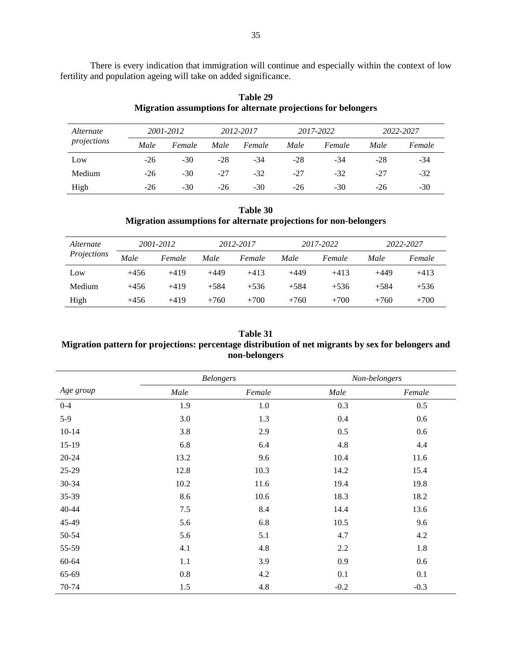There is every indication that immigration will continue and especially within the context of low fertility and population ageing will take on added significance.

| Alternate<br>projections |       | 2001-2012 |       | 2012-2017 |       | 2017-2022 |       | 2022-2027 |  |
|--------------------------|-------|-----------|-------|-----------|-------|-----------|-------|-----------|--|
|                          | Male  | Female    | Male  | Female    | Male  | Female    | Male  | Female    |  |
| Low                      | $-26$ | $-30$     | $-28$ | $-34$     | -28   | -34       | $-28$ | -34       |  |
| Medium                   | $-26$ | $-30$     | -27   | $-32$     | -27   | $-32$     | $-27$ | $-32$     |  |
| High                     | $-26$ | $-30$     | $-26$ | $-30$     | $-26$ | $-30$     | $-26$ | $-30$     |  |

**Table 29 Migration assumptions for alternate projections for belongers** 

### **Table 30 Migration assumptions for alternate projections for non-belongers**

| Alternate<br>Projections | 2001-2012 |        | 2012-2017 |        | 2017-2022 |        | 2022-2027 |        |
|--------------------------|-----------|--------|-----------|--------|-----------|--------|-----------|--------|
|                          | Male      | Female | Male      | Female | Male      | Female | Male      | Female |
| Low                      | $+456$    | $+419$ | $+449$    | $+413$ | $+449$    | $+413$ | $+449$    | $+413$ |
| Medium                   | $+456$    | $+419$ | $+584$    | $+536$ | $+584$    | $+536$ | $+584$    | $+536$ |
| High                     | $+456$    | $+419$ | $+760$    | $+700$ | $+760$    | $+700$ | $+760$    | $+700$ |

## **Table 31 Migration pattern for projections: percentage distribution of net migrants by sex for belongers and non-belongers**

|           |      | <b>Belongers</b> | Non-belongers |        |  |
|-----------|------|------------------|---------------|--------|--|
| Age group | Male | Female           | Male          | Female |  |
| $0 - 4$   | 1.9  | 1.0              | 0.3           | 0.5    |  |
| $5-9$     | 3.0  | 1.3              | 0.4           | 0.6    |  |
| $10 - 14$ | 3.8  | 2.9              | 0.5           | 0.6    |  |
| $15-19$   | 6.8  | 6.4              | 4.8           | 4.4    |  |
| $20 - 24$ | 13.2 | 9.6              | 10.4          | 11.6   |  |
| 25-29     | 12.8 | 10.3             | 14.2          | 15.4   |  |
| 30-34     | 10.2 | 11.6             | 19.4          | 19.8   |  |
| 35-39     | 8.6  | 10.6             | 18.3          | 18.2   |  |
| $40 - 44$ | 7.5  | 8.4              | 14.4          | 13.6   |  |
| 45-49     | 5.6  | 6.8              | 10.5          | 9.6    |  |
| 50-54     | 5.6  | 5.1              | 4.7           | 4.2    |  |
| 55-59     | 4.1  | 4.8              | 2.2           | 1.8    |  |
| 60-64     | 1.1  | 3.9              | 0.9           | 0.6    |  |
| 65-69     | 0.8  | 4.2              | 0.1           | 0.1    |  |
| 70-74     | 1.5  | 4.8              | $-0.2$        | $-0.3$ |  |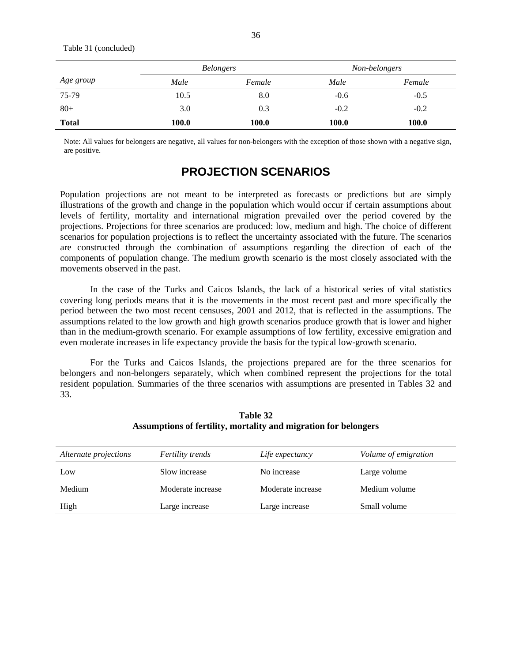Table 31 (concluded)

|              | <b>Belongers</b> |        | Non-belongers |        |  |
|--------------|------------------|--------|---------------|--------|--|
| Age group    | Male             | Female | Male          | Female |  |
| 75-79        | 10.5             | 8.0    | $-0.6$        | $-0.5$ |  |
| $80+$        | 3.0              | 0.3    | $-0.2$        | $-0.2$ |  |
| <b>Total</b> | 100.0            | 100.0  | 100.0         | 100.0  |  |

Note: All values for belongers are negative, all values for non-belongers with the exception of those shown with a negative sign, are positive.

# **PROJECTION SCENARIOS**

Population projections are not meant to be interpreted as forecasts or predictions but are simply illustrations of the growth and change in the population which would occur if certain assumptions about levels of fertility, mortality and international migration prevailed over the period covered by the projections. Projections for three scenarios are produced: low, medium and high. The choice of different scenarios for population projections is to reflect the uncertainty associated with the future. The scenarios are constructed through the combination of assumptions regarding the direction of each of the components of population change. The medium growth scenario is the most closely associated with the movements observed in the past.

 In the case of the Turks and Caicos Islands, the lack of a historical series of vital statistics covering long periods means that it is the movements in the most recent past and more specifically the period between the two most recent censuses, 2001 and 2012, that is reflected in the assumptions. The assumptions related to the low growth and high growth scenarios produce growth that is lower and higher than in the medium-growth scenario. For example assumptions of low fertility, excessive emigration and even moderate increases in life expectancy provide the basis for the typical low-growth scenario.

For the Turks and Caicos Islands, the projections prepared are for the three scenarios for belongers and non-belongers separately, which when combined represent the projections for the total resident population. Summaries of the three scenarios with assumptions are presented in Tables 32 and 33.

| Alternate projections | <i>Fertility trends</i> | Life expectancy   | Volume of emigration |
|-----------------------|-------------------------|-------------------|----------------------|
| Low                   | Slow increase           | No increase       | Large volume         |
| Medium                | Moderate increase       | Moderate increase | Medium volume        |
| High                  | Large increase          | Large increase    | Small volume         |

**Table 32 Assumptions of fertility, mortality and migration for belongers**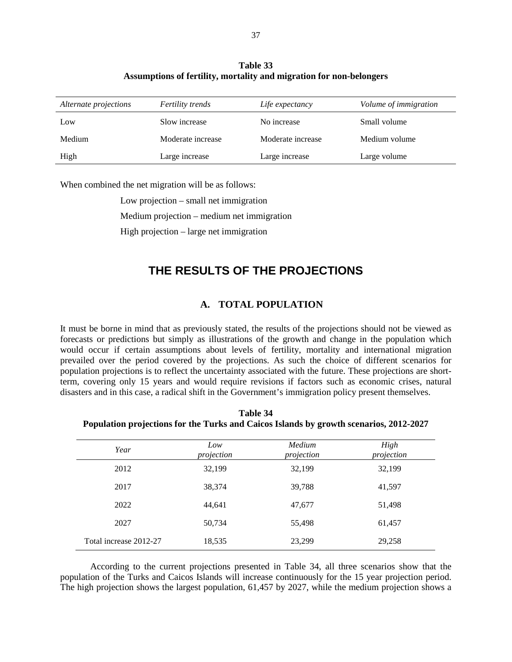| <b>Table 33</b>                                                     |  |  |  |
|---------------------------------------------------------------------|--|--|--|
| Assumptions of fertility, mortality and migration for non-belongers |  |  |  |

| Alternate projections | <b>Fertility trends</b> | Life expectancy   | Volume of immigration |
|-----------------------|-------------------------|-------------------|-----------------------|
| Low                   | Slow increase           | No increase       | Small volume          |
| Medium                | Moderate increase       | Moderate increase | Medium volume         |
| High                  | Large increase          | Large increase    | Large volume          |

When combined the net migration will be as follows:

 Low projection – small net immigration Medium projection – medium net immigration High projection – large net immigration

# **THE RESULTS OF THE PROJECTIONS**

# **A. TOTAL POPULATION**

It must be borne in mind that as previously stated, the results of the projections should not be viewed as forecasts or predictions but simply as illustrations of the growth and change in the population which would occur if certain assumptions about levels of fertility, mortality and international migration prevailed over the period covered by the projections. As such the choice of different scenarios for population projections is to reflect the uncertainty associated with the future. These projections are shortterm, covering only 15 years and would require revisions if factors such as economic crises, natural disasters and in this case, a radical shift in the Government's immigration policy present themselves.

**Table 34 Population projections for the Turks and Caicos Islands by growth scenarios, 2012-2027** 

| Year                   | Low<br>projection | Medium<br>projection | High<br>projection |
|------------------------|-------------------|----------------------|--------------------|
| 2012                   | 32,199            | 32,199               | 32,199             |
| 2017                   | 38,374            | 39,788               | 41,597             |
| 2022                   | 44,641            | 47,677               | 51,498             |
| 2027                   | 50,734            | 55,498               | 61,457             |
| Total increase 2012-27 | 18,535            | 23,299               | 29,258             |

 According to the current projections presented in Table 34, all three scenarios show that the population of the Turks and Caicos Islands will increase continuously for the 15 year projection period. The high projection shows the largest population, 61,457 by 2027, while the medium projection shows a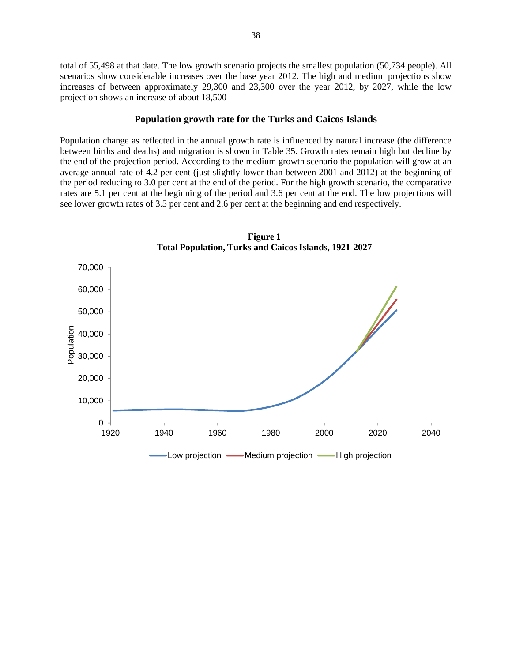total of 55,498 at that date. The low growth scenario projects the smallest population (50,734 people). All scenarios show considerable increases over the base year 2012. The high and medium projections show increases of between approximately 29,300 and 23,300 over the year 2012, by 2027, while the low projection shows an increase of about 18,500

#### **Population growth rate for the Turks and Caicos Islands**

Population change as reflected in the annual growth rate is influenced by natural increase (the difference between births and deaths) and migration is shown in Table 35. Growth rates remain high but decline by the end of the projection period. According to the medium growth scenario the population will grow at an average annual rate of 4.2 per cent (just slightly lower than between 2001 and 2012) at the beginning of the period reducing to 3.0 per cent at the end of the period. For the high growth scenario, the comparative rates are 5.1 per cent at the beginning of the period and 3.6 per cent at the end. The low projections will see lower growth rates of 3.5 per cent and 2.6 per cent at the beginning and end respectively.



**Figure 1 Total Population, Turks and Caicos Islands, 1921-2027**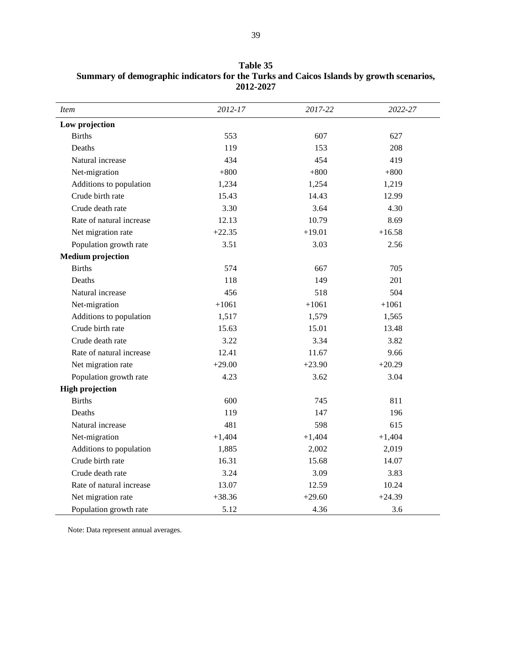| <i>Item</i>              | 2012-17  | 2017-22  | 2022-27  |
|--------------------------|----------|----------|----------|
| Low projection           |          |          |          |
| <b>Births</b>            | 553      | 607      | 627      |
| Deaths                   | 119      | 153      | 208      |
| Natural increase         | 434      | 454      | 419      |
| Net-migration            | $+800$   | $+800$   | $+800$   |
| Additions to population  | 1,234    | 1,254    | 1,219    |
| Crude birth rate         | 15.43    | 14.43    | 12.99    |
| Crude death rate         | 3.30     | 3.64     | 4.30     |
| Rate of natural increase | 12.13    | 10.79    | 8.69     |
| Net migration rate       | $+22.35$ | $+19.01$ | $+16.58$ |
| Population growth rate   | 3.51     | 3.03     | 2.56     |
| <b>Medium</b> projection |          |          |          |
| <b>Births</b>            | 574      | 667      | 705      |
| Deaths                   | 118      | 149      | 201      |
| Natural increase         | 456      | 518      | 504      |
| Net-migration            | $+1061$  | $+1061$  | $+1061$  |
| Additions to population  | 1,517    | 1,579    | 1,565    |
| Crude birth rate         | 15.63    | 15.01    | 13.48    |
| Crude death rate         | 3.22     | 3.34     | 3.82     |
| Rate of natural increase | 12.41    | 11.67    | 9.66     |
| Net migration rate       | $+29.00$ | $+23.90$ | $+20.29$ |
| Population growth rate   | 4.23     | 3.62     | 3.04     |
| <b>High projection</b>   |          |          |          |
| <b>Births</b>            | 600      | 745      | 811      |
| Deaths                   | 119      | 147      | 196      |
| Natural increase         | 481      | 598      | 615      |
| Net-migration            | $+1,404$ | $+1,404$ | $+1,404$ |
| Additions to population  | 1,885    | 2,002    | 2,019    |
| Crude birth rate         | 16.31    | 15.68    | 14.07    |
| Crude death rate         | 3.24     | 3.09     | 3.83     |
| Rate of natural increase | 13.07    | 12.59    | 10.24    |
| Net migration rate       | $+38.36$ | $+29.60$ | $+24.39$ |
| Population growth rate   | 5.12     | 4.36     | 3.6      |

**Table 35 Summary of demographic indicators for the Turks and Caicos Islands by growth scenarios, 2012-2027** 

Note: Data represent annual averages.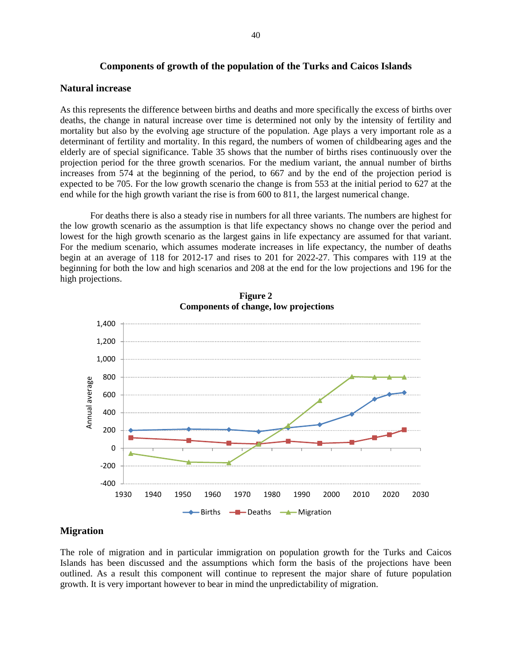#### **Components of growth of the population of the Turks and Caicos Islands**

#### **Natural increase**

As this represents the difference between births and deaths and more specifically the excess of births over deaths, the change in natural increase over time is determined not only by the intensity of fertility and mortality but also by the evolving age structure of the population. Age plays a very important role as a determinant of fertility and mortality. In this regard, the numbers of women of childbearing ages and the elderly are of special significance. Table 35 shows that the number of births rises continuously over the projection period for the three growth scenarios. For the medium variant, the annual number of births increases from 574 at the beginning of the period, to 667 and by the end of the projection period is expected to be 705. For the low growth scenario the change is from 553 at the initial period to 627 at the end while for the high growth variant the rise is from 600 to 811, the largest numerical change.

For deaths there is also a steady rise in numbers for all three variants. The numbers are highest for the low growth scenario as the assumption is that life expectancy shows no change over the period and lowest for the high growth scenario as the largest gains in life expectancy are assumed for that variant. For the medium scenario, which assumes moderate increases in life expectancy, the number of deaths begin at an average of 118 for 2012-17 and rises to 201 for 2022-27. This compares with 119 at the beginning for both the low and high scenarios and 208 at the end for the low projections and 196 for the high projections.





## **Migration**

The role of migration and in particular immigration on population growth for the Turks and Caicos Islands has been discussed and the assumptions which form the basis of the projections have been outlined. As a result this component will continue to represent the major share of future population growth. It is very important however to bear in mind the unpredictability of migration.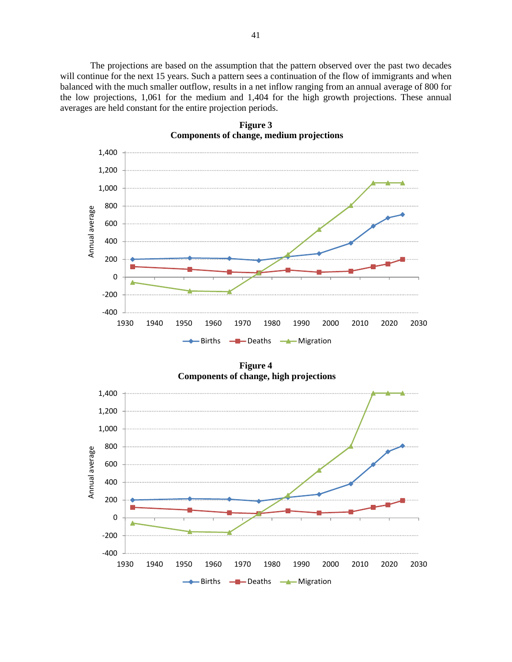The projections are based on the assumption that the pattern observed over the past two decades will continue for the next 15 years. Such a pattern sees a continuation of the flow of immigrants and when balanced with the much smaller outflow, results in a net inflow ranging from an annual average of 800 for the low projections, 1,061 for the medium and 1,404 for the high growth projections. These annual averages are held constant for the entire projection periods.



**Figure 3 Components of change, medium projections**

**Figure 4 Components of change, high projections**

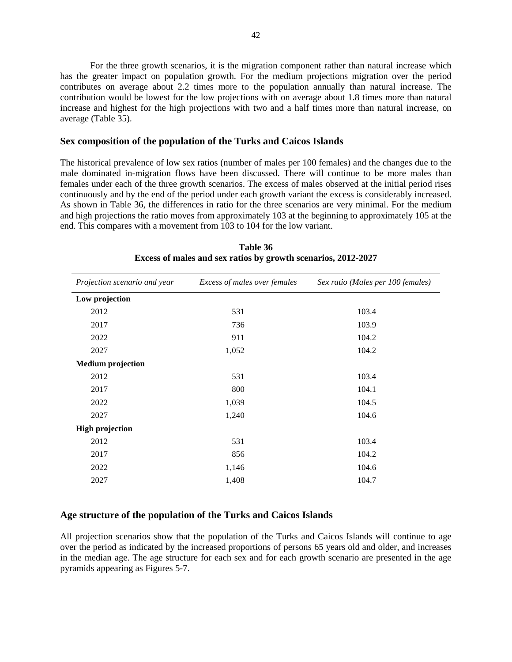For the three growth scenarios, it is the migration component rather than natural increase which has the greater impact on population growth. For the medium projections migration over the period contributes on average about 2.2 times more to the population annually than natural increase. The contribution would be lowest for the low projections with on average about 1.8 times more than natural increase and highest for the high projections with two and a half times more than natural increase, on average (Table 35).

#### **Sex composition of the population of the Turks and Caicos Islands**

The historical prevalence of low sex ratios (number of males per 100 females) and the changes due to the male dominated in-migration flows have been discussed. There will continue to be more males than females under each of the three growth scenarios. The excess of males observed at the initial period rises continuously and by the end of the period under each growth variant the excess is considerably increased. As shown in Table 36, the differences in ratio for the three scenarios are very minimal. For the medium and high projections the ratio moves from approximately 103 at the beginning to approximately 105 at the end. This compares with a movement from 103 to 104 for the low variant.

| Projection scenario and year | Excess of males over females | Sex ratio (Males per 100 females) |
|------------------------------|------------------------------|-----------------------------------|
| Low projection               |                              |                                   |
| 2012                         | 531                          | 103.4                             |
| 2017                         | 736                          | 103.9                             |
| 2022                         | 911                          | 104.2                             |
| 2027                         | 1,052                        | 104.2                             |
| <b>Medium</b> projection     |                              |                                   |
| 2012                         | 531                          | 103.4                             |
| 2017                         | 800                          | 104.1                             |
| 2022                         | 1,039                        | 104.5                             |
| 2027                         | 1,240                        | 104.6                             |
| <b>High projection</b>       |                              |                                   |
| 2012                         | 531                          | 103.4                             |
| 2017                         | 856                          | 104.2                             |
| 2022                         | 1,146                        | 104.6                             |
| 2027                         | 1,408                        | 104.7                             |

**Table 36 Excess of males and sex ratios by growth scenarios, 2012-2027** 

## **Age structure of the population of the Turks and Caicos Islands**

All projection scenarios show that the population of the Turks and Caicos Islands will continue to age over the period as indicated by the increased proportions of persons 65 years old and older, and increases in the median age. The age structure for each sex and for each growth scenario are presented in the age pyramids appearing as Figures 5-7.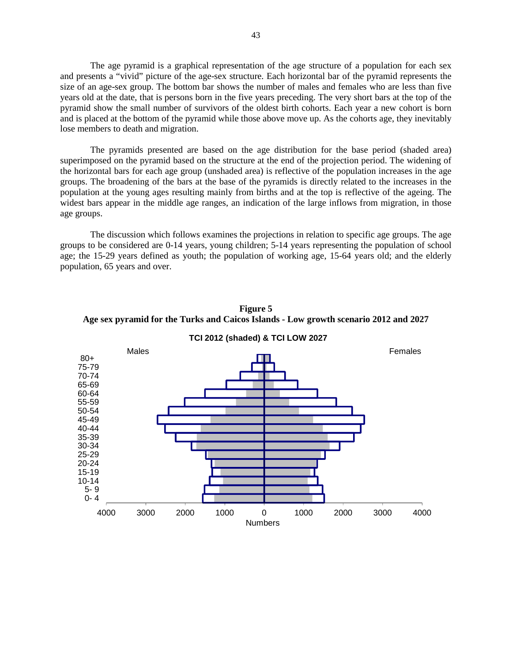The age pyramid is a graphical representation of the age structure of a population for each sex and presents a "vivid" picture of the age-sex structure. Each horizontal bar of the pyramid represents the size of an age-sex group. The bottom bar shows the number of males and females who are less than five years old at the date, that is persons born in the five years preceding. The very short bars at the top of the pyramid show the small number of survivors of the oldest birth cohorts. Each year a new cohort is born and is placed at the bottom of the pyramid while those above move up. As the cohorts age, they inevitably lose members to death and migration.

The pyramids presented are based on the age distribution for the base period (shaded area) superimposed on the pyramid based on the structure at the end of the projection period. The widening of the horizontal bars for each age group (unshaded area) is reflective of the population increases in the age groups. The broadening of the bars at the base of the pyramids is directly related to the increases in the population at the young ages resulting mainly from births and at the top is reflective of the ageing. The widest bars appear in the middle age ranges, an indication of the large inflows from migration, in those age groups.

The discussion which follows examines the projections in relation to specific age groups. The age groups to be considered are 0-14 years, young children; 5-14 years representing the population of school age; the 15-29 years defined as youth; the population of working age, 15-64 years old; and the elderly population, 65 years and over.



**Figure 5 Age sex pyramid for the Turks and Caicos Islands - Low growth scenario 2012 and 2027**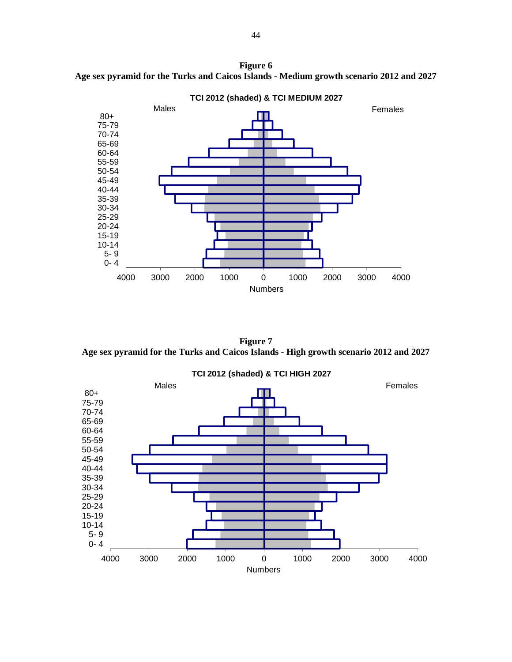**Figure 6 Age sex pyramid for the Turks and Caicos Islands - Medium growth scenario 2012 and 2027** 



**Figure 7 Age sex pyramid for the Turks and Caicos Islands - High growth scenario 2012 and 2027** 

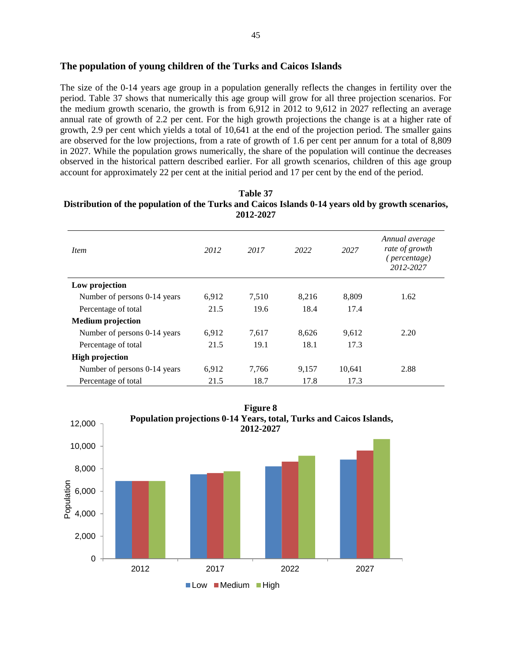The size of the 0-14 years age group in a population generally reflects the changes in fertility over the period. Table 37 shows that numerically this age group will grow for all three projection scenarios. For the medium growth scenario, the growth is from 6,912 in 2012 to 9,612 in 2027 reflecting an average annual rate of growth of 2.2 per cent. For the high growth projections the change is at a higher rate of growth, 2.9 per cent which yields a total of 10,641 at the end of the projection period. The smaller gains are observed for the low projections, from a rate of growth of 1.6 per cent per annum for a total of 8,809 in 2027. While the population grows numerically, the share of the population will continue the decreases observed in the historical pattern described earlier. For all growth scenarios, children of this age group account for approximately 22 per cent at the initial period and 17 per cent by the end of the period.

| 2012-2027                    |       |       |       |        |                                                               |  |
|------------------------------|-------|-------|-------|--------|---------------------------------------------------------------|--|
| <i>Item</i>                  | 2012  | 2017  | 2022  | 2027   | Annual average<br>rate of growth<br>(percentage)<br>2012-2027 |  |
| Low projection               |       |       |       |        |                                                               |  |
| Number of persons 0-14 years | 6,912 | 7,510 | 8,216 | 8,809  | 1.62                                                          |  |
| Percentage of total          | 21.5  | 19.6  | 18.4  | 17.4   |                                                               |  |
| <b>Medium</b> projection     |       |       |       |        |                                                               |  |
| Number of persons 0-14 years | 6,912 | 7,617 | 8,626 | 9,612  | 2.20                                                          |  |
| Percentage of total          | 21.5  | 19.1  | 18.1  | 17.3   |                                                               |  |
| <b>High projection</b>       |       |       |       |        |                                                               |  |
| Number of persons 0-14 years | 6,912 | 7,766 | 9,157 | 10,641 | 2.88                                                          |  |
| Percentage of total          | 21.5  | 18.7  | 17.8  | 17.3   |                                                               |  |



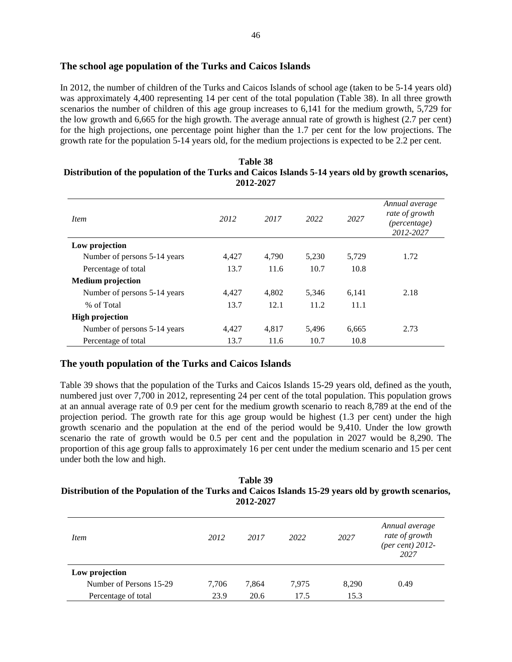# **The school age population of the Turks and Caicos Islands**

In 2012, the number of children of the Turks and Caicos Islands of school age (taken to be 5-14 years old) was approximately 4,400 representing 14 per cent of the total population (Table 38). In all three growth scenarios the number of children of this age group increases to 6,141 for the medium growth, 5,729 for the low growth and 6,665 for the high growth. The average annual rate of growth is highest (2.7 per cent) for the high projections, one percentage point higher than the 1.7 per cent for the low projections. The growth rate for the population 5-14 years old, for the medium projections is expected to be 2.2 per cent.

| <i>Item</i>                  | 2012  | 2017  | 2022  | 2027  | Annual average<br>rate of growth<br>(percentage)<br>2012-2027 |
|------------------------------|-------|-------|-------|-------|---------------------------------------------------------------|
| Low projection               |       |       |       |       |                                                               |
| Number of persons 5-14 years | 4.427 | 4.790 | 5,230 | 5,729 | 1.72                                                          |
| Percentage of total          | 13.7  | 11.6  | 10.7  | 10.8  |                                                               |
| <b>Medium</b> projection     |       |       |       |       |                                                               |
| Number of persons 5-14 years | 4,427 | 4,802 | 5,346 | 6,141 | 2.18                                                          |
| % of Total                   | 13.7  | 12.1  | 11.2  | 11.1  |                                                               |
| <b>High projection</b>       |       |       |       |       |                                                               |
| Number of persons 5-14 years | 4,427 | 4,817 | 5,496 | 6,665 | 2.73                                                          |
| Percentage of total          | 13.7  | 11.6  | 10.7  | 10.8  |                                                               |

## **Table 38 Distribution of the population of the Turks and Caicos Islands 5-14 years old by growth scenarios, 2012-2027**

## **The youth population of the Turks and Caicos Islands**

Table 39 shows that the population of the Turks and Caicos Islands 15-29 years old, defined as the youth, numbered just over 7,700 in 2012, representing 24 per cent of the total population. This population grows at an annual average rate of 0.9 per cent for the medium growth scenario to reach 8,789 at the end of the projection period. The growth rate for this age group would be highest (1.3 per cent) under the high growth scenario and the population at the end of the period would be 9,410. Under the low growth scenario the rate of growth would be 0.5 per cent and the population in 2027 would be 8,290. The proportion of this age group falls to approximately 16 per cent under the medium scenario and 15 per cent under both the low and high.

#### **Table 39 Distribution of the Population of the Turks and Caicos Islands 15-29 years old by growth scenarios, 2012-2027**

| <i>Item</i>             | 2012  | 2017  | 2022  | 2027  | Annual average<br>rate of growth<br>(per cent) $2012$ -<br>2027 |
|-------------------------|-------|-------|-------|-------|-----------------------------------------------------------------|
| Low projection          |       |       |       |       |                                                                 |
| Number of Persons 15-29 | 7,706 | 7,864 | 7,975 | 8,290 | 0.49                                                            |
| Percentage of total     | 23.9  | 20.6  | 17.5  | 15.3  |                                                                 |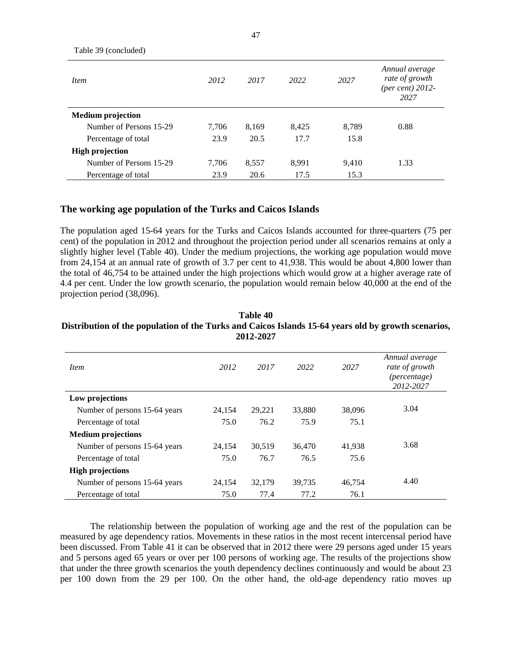| Table 39 (concluded)     |       |       |       |       |                                                              |
|--------------------------|-------|-------|-------|-------|--------------------------------------------------------------|
| <i>Item</i>              | 2012  | 2017  | 2022  | 2027  | Annual average<br>rate of growth<br>(per cent) 2012-<br>2027 |
| <b>Medium projection</b> |       |       |       |       |                                                              |
| Number of Persons 15-29  | 7,706 | 8,169 | 8,425 | 8,789 | 0.88                                                         |
| Percentage of total      | 23.9  | 20.5  | 17.7  | 15.8  |                                                              |
| <b>High projection</b>   |       |       |       |       |                                                              |
| Number of Persons 15-29  | 7,706 | 8,557 | 8.991 | 9,410 | 1.33                                                         |
| Percentage of total      | 23.9  | 20.6  | 17.5  | 15.3  |                                                              |

# **The working age population of the Turks and Caicos Islands**

The population aged 15-64 years for the Turks and Caicos Islands accounted for three-quarters (75 per cent) of the population in 2012 and throughout the projection period under all scenarios remains at only a slightly higher level (Table 40). Under the medium projections, the working age population would move from 24,154 at an annual rate of growth of 3.7 per cent to 41,938. This would be about 4,800 lower than the total of 46,754 to be attained under the high projections which would grow at a higher average rate of 4.4 per cent. Under the low growth scenario, the population would remain below 40,000 at the end of the projection period (38,096).

| <i>Item</i>                   | 2012   | 2017   | 2022   | 2027   | Annual average<br>rate of growth<br><i>(percentage)</i><br>2012-2027 |
|-------------------------------|--------|--------|--------|--------|----------------------------------------------------------------------|
| Low projections               |        |        |        |        |                                                                      |
| Number of persons 15-64 years | 24,154 | 29,221 | 33,880 | 38,096 | 3.04                                                                 |
| Percentage of total           | 75.0   | 76.2   | 75.9   | 75.1   |                                                                      |
| <b>Medium projections</b>     |        |        |        |        |                                                                      |
| Number of persons 15-64 years | 24.154 | 30,519 | 36,470 | 41,938 | 3.68                                                                 |
| Percentage of total           | 75.0   | 76.7   | 76.5   | 75.6   |                                                                      |
| <b>High projections</b>       |        |        |        |        |                                                                      |
| Number of persons 15-64 years | 24,154 | 32,179 | 39,735 | 46,754 | 4.40                                                                 |
| Percentage of total           | 75.0   | 77.4   | 77.2   | 76.1   |                                                                      |

#### **Table 40 Distribution of the population of the Turks and Caicos Islands 15-64 years old by growth scenarios, 2012-2027**

The relationship between the population of working age and the rest of the population can be measured by age dependency ratios. Movements in these ratios in the most recent intercensal period have been discussed. From Table 41 it can be observed that in 2012 there were 29 persons aged under 15 years and 5 persons aged 65 years or over per 100 persons of working age. The results of the projections show that under the three growth scenarios the youth dependency declines continuously and would be about 23 per 100 down from the 29 per 100. On the other hand, the old-age dependency ratio moves up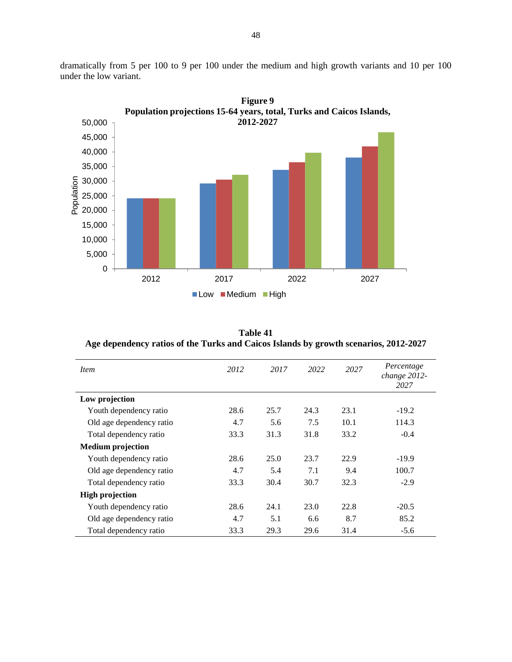

dramatically from 5 per 100 to 9 per 100 under the medium and high growth variants and 10 per 100 under the low variant.

**Table 41 Age dependency ratios of the Turks and Caicos Islands by growth scenarios, 2012-2027** 

| <i>Item</i>              | 2012 | 2017 | 2022 | 2027 | Percentage<br>change 2012-<br>2027 |
|--------------------------|------|------|------|------|------------------------------------|
| Low projection           |      |      |      |      |                                    |
| Youth dependency ratio   | 28.6 | 25.7 | 24.3 | 23.1 | $-19.2$                            |
| Old age dependency ratio | 4.7  | 5.6  | 7.5  | 10.1 | 114.3                              |
| Total dependency ratio   | 33.3 | 31.3 | 31.8 | 33.2 | $-0.4$                             |
| <b>Medium</b> projection |      |      |      |      |                                    |
| Youth dependency ratio   | 28.6 | 25.0 | 23.7 | 22.9 | $-19.9$                            |
| Old age dependency ratio | 4.7  | 5.4  | 7.1  | 9.4  | 100.7                              |
| Total dependency ratio   | 33.3 | 30.4 | 30.7 | 32.3 | $-2.9$                             |
| <b>High projection</b>   |      |      |      |      |                                    |
| Youth dependency ratio   | 28.6 | 24.1 | 23.0 | 22.8 | $-20.5$                            |
| Old age dependency ratio | 4.7  | 5.1  | 6.6  | 8.7  | 85.2                               |
| Total dependency ratio   | 33.3 | 29.3 | 29.6 | 31.4 | $-5.6$                             |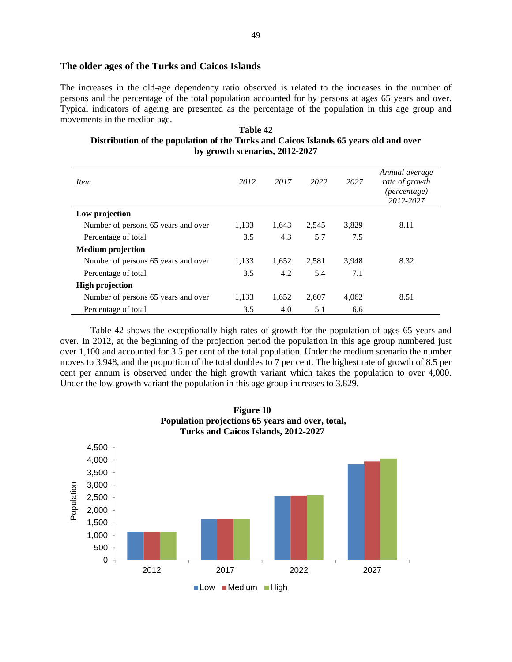#### **The older ages of the Turks and Caicos Islands**

The increases in the old-age dependency ratio observed is related to the increases in the number of persons and the percentage of the total population accounted for by persons at ages 65 years and over. Typical indicators of ageing are presented as the percentage of the population in this age group and movements in the median age.

**Table 42 Distribution of the population of the Turks and Caicos Islands 65 years old and over by growth scenarios, 2012-2027** 

| <i>Item</i>                         | 2012  | 2017  | 2022  | 2027  | Annual average<br>rate of growth<br>(percentage)<br>2012-2027 |
|-------------------------------------|-------|-------|-------|-------|---------------------------------------------------------------|
| Low projection                      |       |       |       |       |                                                               |
| Number of persons 65 years and over | 1,133 | 1,643 | 2,545 | 3,829 | 8.11                                                          |
| Percentage of total                 | 3.5   | 4.3   | 5.7   | 7.5   |                                                               |
| <b>Medium</b> projection            |       |       |       |       |                                                               |
| Number of persons 65 years and over | 1.133 | 1,652 | 2,581 | 3,948 | 8.32                                                          |
| Percentage of total                 | 3.5   | 4.2   | 5.4   | 7.1   |                                                               |
| <b>High projection</b>              |       |       |       |       |                                                               |
| Number of persons 65 years and over | 1,133 | 1,652 | 2,607 | 4,062 | 8.51                                                          |
| Percentage of total                 | 3.5   | 4.0   | 5.1   | 6.6   |                                                               |

Table 42 shows the exceptionally high rates of growth for the population of ages 65 years and over. In 2012, at the beginning of the projection period the population in this age group numbered just over 1,100 and accounted for 3.5 per cent of the total population. Under the medium scenario the number moves to 3,948, and the proportion of the total doubles to 7 per cent. The highest rate of growth of 8.5 per cent per annum is observed under the high growth variant which takes the population to over 4,000. Under the low growth variant the population in this age group increases to 3,829.



**Figure 10 Population projections 65 years and over, total,**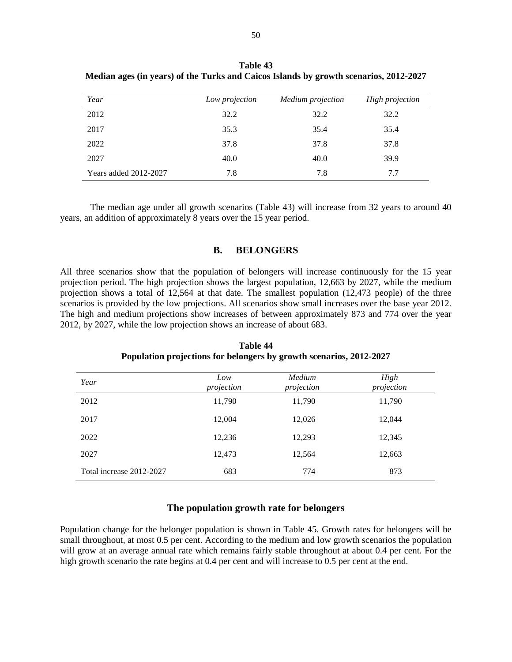| Year                  | Low projection | Medium projection | <b>High projection</b> |
|-----------------------|----------------|-------------------|------------------------|
| 2012                  | 32.2           | 32.2              | 32.2                   |
| 2017                  | 35.3           | 35.4              | 35.4                   |
| 2022                  | 37.8           | 37.8              | 37.8                   |
| 2027                  | 40.0           | 40.0              | 39.9                   |
| Years added 2012-2027 | 7.8            | 7.8               | 7.7                    |

**Table 43 Median ages (in years) of the Turks and Caicos Islands by growth scenarios, 2012-2027** 

The median age under all growth scenarios (Table 43) will increase from 32 years to around 40 years, an addition of approximately 8 years over the 15 year period.

#### **B. BELONGERS**

All three scenarios show that the population of belongers will increase continuously for the 15 year projection period. The high projection shows the largest population, 12,663 by 2027, while the medium projection shows a total of 12,564 at that date. The smallest population (12,473 people) of the three scenarios is provided by the low projections. All scenarios show small increases over the base year 2012. The high and medium projections show increases of between approximately 873 and 774 over the year 2012, by 2027, while the low projection shows an increase of about 683.

| Year                     | Low<br>projection | Medium<br>projection | High<br>projection |
|--------------------------|-------------------|----------------------|--------------------|
| 2012                     | 11,790            | 11,790               | 11,790             |
| 2017                     | 12,004            | 12,026               | 12,044             |
| 2022                     | 12,236            | 12,293               | 12,345             |
| 2027                     | 12,473            | 12,564               | 12,663             |
| Total increase 2012-2027 | 683               | 774                  | 873                |

**Table 44 Population projections for belongers by growth scenarios, 2012-2027** 

## **The population growth rate for belongers**

Population change for the belonger population is shown in Table 45. Growth rates for belongers will be small throughout, at most 0.5 per cent. According to the medium and low growth scenarios the population will grow at an average annual rate which remains fairly stable throughout at about 0.4 per cent. For the high growth scenario the rate begins at 0.4 per cent and will increase to 0.5 per cent at the end.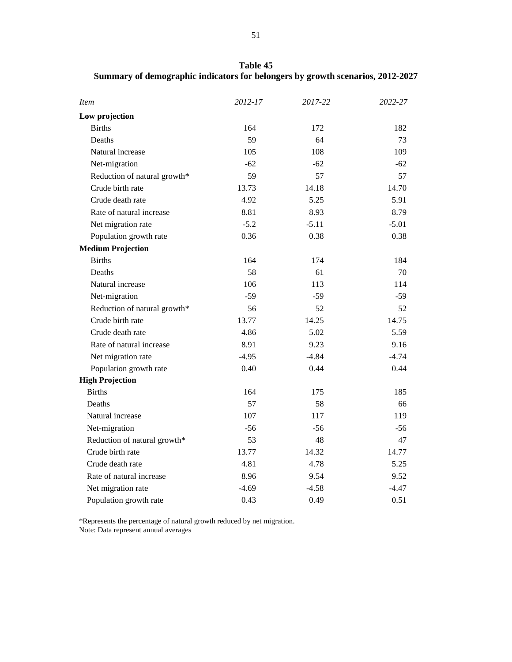| <i>Item</i>                  | 2012-17 | 2017-22 | 2022-27 |
|------------------------------|---------|---------|---------|
| Low projection               |         |         |         |
| <b>Births</b>                | 164     | 172     | 182     |
| Deaths                       | 59      | 64      | 73      |
| Natural increase             | 105     | 108     | 109     |
| Net-migration                | $-62$   | $-62$   | $-62$   |
| Reduction of natural growth* | 59      | 57      | 57      |
| Crude birth rate             | 13.73   | 14.18   | 14.70   |
| Crude death rate             | 4.92    | 5.25    | 5.91    |
| Rate of natural increase     | 8.81    | 8.93    | 8.79    |
| Net migration rate           | $-5.2$  | $-5.11$ | $-5.01$ |
| Population growth rate       | 0.36    | 0.38    | 0.38    |
| <b>Medium Projection</b>     |         |         |         |
| <b>Births</b>                | 164     | 174     | 184     |
| Deaths                       | 58      | 61      | 70      |
| Natural increase             | 106     | 113     | 114     |
| Net-migration                | $-59$   | $-59$   | $-59$   |
| Reduction of natural growth* | 56      | 52      | 52      |
| Crude birth rate             | 13.77   | 14.25   | 14.75   |
| Crude death rate             | 4.86    | 5.02    | 5.59    |
| Rate of natural increase     | 8.91    | 9.23    | 9.16    |
| Net migration rate           | $-4.95$ | $-4.84$ | $-4.74$ |
| Population growth rate       | 0.40    | 0.44    | 0.44    |
| <b>High Projection</b>       |         |         |         |
| <b>Births</b>                | 164     | 175     | 185     |
| Deaths                       | 57      | 58      | 66      |
| Natural increase             | 107     | 117     | 119     |
| Net-migration                | $-56$   | $-56$   | $-56$   |
| Reduction of natural growth* | 53      | 48      | 47      |
| Crude birth rate             | 13.77   | 14.32   | 14.77   |
| Crude death rate             | 4.81    | 4.78    | 5.25    |
| Rate of natural increase     | 8.96    | 9.54    | 9.52    |
| Net migration rate           | $-4.69$ | $-4.58$ | $-4.47$ |
| Population growth rate       | 0.43    | 0.49    | 0.51    |

**Table 45 Summary of demographic indicators for belongers by growth scenarios, 2012-2027** 

\*Represents the percentage of natural growth reduced by net migration. Note: Data represent annual averages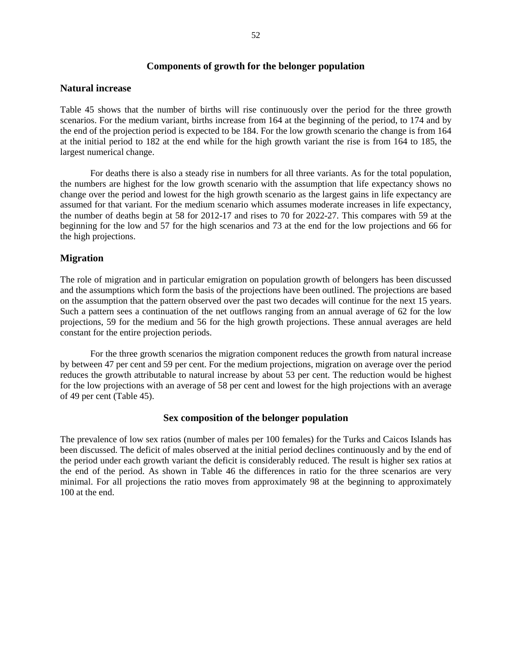## **Components of growth for the belonger population**

#### **Natural increase**

Table 45 shows that the number of births will rise continuously over the period for the three growth scenarios. For the medium variant, births increase from 164 at the beginning of the period, to 174 and by the end of the projection period is expected to be 184. For the low growth scenario the change is from 164 at the initial period to 182 at the end while for the high growth variant the rise is from 164 to 185, the largest numerical change.

For deaths there is also a steady rise in numbers for all three variants. As for the total population, the numbers are highest for the low growth scenario with the assumption that life expectancy shows no change over the period and lowest for the high growth scenario as the largest gains in life expectancy are assumed for that variant. For the medium scenario which assumes moderate increases in life expectancy, the number of deaths begin at 58 for 2012-17 and rises to 70 for 2022-27. This compares with 59 at the beginning for the low and 57 for the high scenarios and 73 at the end for the low projections and 66 for the high projections.

## **Migration**

The role of migration and in particular emigration on population growth of belongers has been discussed and the assumptions which form the basis of the projections have been outlined. The projections are based on the assumption that the pattern observed over the past two decades will continue for the next 15 years. Such a pattern sees a continuation of the net outflows ranging from an annual average of 62 for the low projections, 59 for the medium and 56 for the high growth projections. These annual averages are held constant for the entire projection periods.

For the three growth scenarios the migration component reduces the growth from natural increase by between 47 per cent and 59 per cent. For the medium projections, migration on average over the period reduces the growth attributable to natural increase by about 53 per cent. The reduction would be highest for the low projections with an average of 58 per cent and lowest for the high projections with an average of 49 per cent (Table 45).

## **Sex composition of the belonger population**

The prevalence of low sex ratios (number of males per 100 females) for the Turks and Caicos Islands has been discussed. The deficit of males observed at the initial period declines continuously and by the end of the period under each growth variant the deficit is considerably reduced. The result is higher sex ratios at the end of the period. As shown in Table 46 the differences in ratio for the three scenarios are very minimal. For all projections the ratio moves from approximately 98 at the beginning to approximately 100 at the end.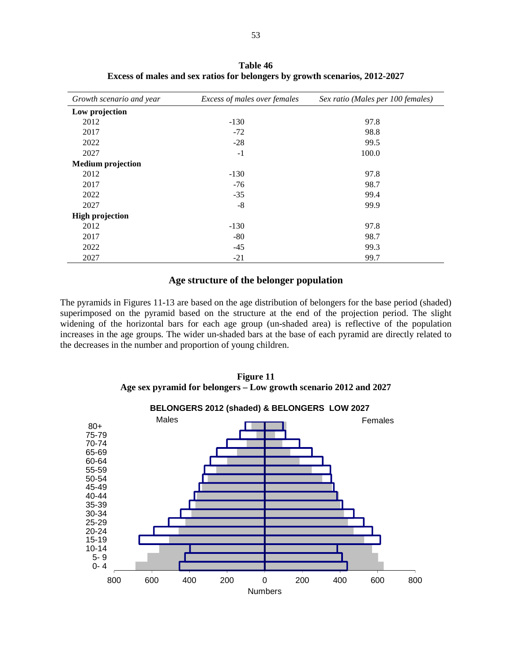| Growth scenario and year | Excess of males over females | Sex ratio (Males per 100 females) |
|--------------------------|------------------------------|-----------------------------------|
| Low projection           |                              |                                   |
| 2012                     | $-130$                       | 97.8                              |
| 2017                     | $-72$                        | 98.8                              |
| 2022                     | $-28$                        | 99.5                              |
| 2027                     | $-1$                         | 100.0                             |
| <b>Medium</b> projection |                              |                                   |
| 2012                     | $-130$                       | 97.8                              |
| 2017                     | $-76$                        | 98.7                              |
| 2022                     | $-35$                        | 99.4                              |
| 2027                     | $-8$                         | 99.9                              |
| <b>High projection</b>   |                              |                                   |
| 2012                     | $-130$                       | 97.8                              |
| 2017                     | $-80$                        | 98.7                              |
| 2022                     | $-45$                        | 99.3                              |
| 2027                     | $-21$                        | 99.7                              |

**Table 46 Excess of males and sex ratios for belongers by growth scenarios, 2012-2027** 

## **Age structure of the belonger population**

The pyramids in Figures 11-13 are based on the age distribution of belongers for the base period (shaded) superimposed on the pyramid based on the structure at the end of the projection period. The slight widening of the horizontal bars for each age group (un-shaded area) is reflective of the population increases in the age groups. The wider un-shaded bars at the base of each pyramid are directly related to the decreases in the number and proportion of young children.

**Figure 11 Age sex pyramid for belongers – Low growth scenario 2012 and 2027** 



53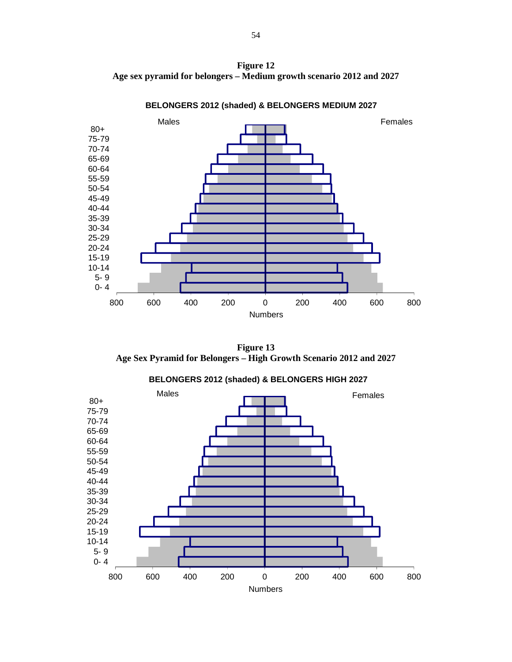**Figure 12 Age sex pyramid for belongers – Medium growth scenario 2012 and 2027** 



**BELONGERS 2012 (shaded) & BELONGERS MEDIUM 2027**

**Figure 13 Age Sex Pyramid for Belongers – High Growth Scenario 2012 and 2027** 



**BELONGERS 2012 (shaded) & BELONGERS HIGH 2027**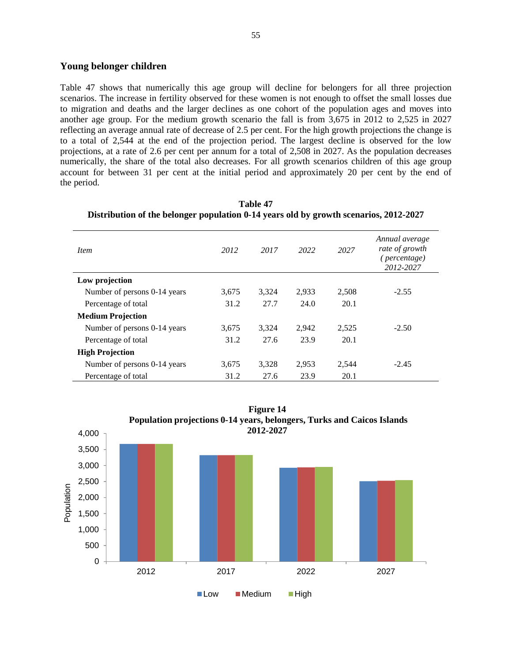## **Young belonger children**

Table 47 shows that numerically this age group will decline for belongers for all three projection scenarios. The increase in fertility observed for these women is not enough to offset the small losses due to migration and deaths and the larger declines as one cohort of the population ages and moves into another age group. For the medium growth scenario the fall is from 3,675 in 2012 to 2,525 in 2027 reflecting an average annual rate of decrease of 2.5 per cent. For the high growth projections the change is to a total of 2,544 at the end of the projection period. The largest decline is observed for the low projections, at a rate of 2.6 per cent per annum for a total of 2,508 in 2027. As the population decreases numerically, the share of the total also decreases. For all growth scenarios children of this age group account for between 31 per cent at the initial period and approximately 20 per cent by the end of the period.

| <i>Item</i>                  | 2012  | 2017  | 2022  | 2027  | Annual average<br>rate of growth<br>( <i>percentage</i> )<br>2012-2027 |
|------------------------------|-------|-------|-------|-------|------------------------------------------------------------------------|
| Low projection               |       |       |       |       |                                                                        |
| Number of persons 0-14 years | 3,675 | 3,324 | 2,933 | 2,508 | $-2.55$                                                                |
| Percentage of total          | 31.2  | 27.7  | 24.0  | 20.1  |                                                                        |
| <b>Medium Projection</b>     |       |       |       |       |                                                                        |
| Number of persons 0-14 years | 3,675 | 3,324 | 2.942 | 2,525 | $-2.50$                                                                |
| Percentage of total          | 31.2  | 27.6  | 23.9  | 20.1  |                                                                        |
| <b>High Projection</b>       |       |       |       |       |                                                                        |
| Number of persons 0-14 years | 3,675 | 3,328 | 2.953 | 2.544 | $-2.45$                                                                |
| Percentage of total          | 31.2  | 27.6  | 23.9  | 20.1  |                                                                        |

**Table 47 Distribution of the belonger population 0-14 years old by growth scenarios, 2012-2027** 

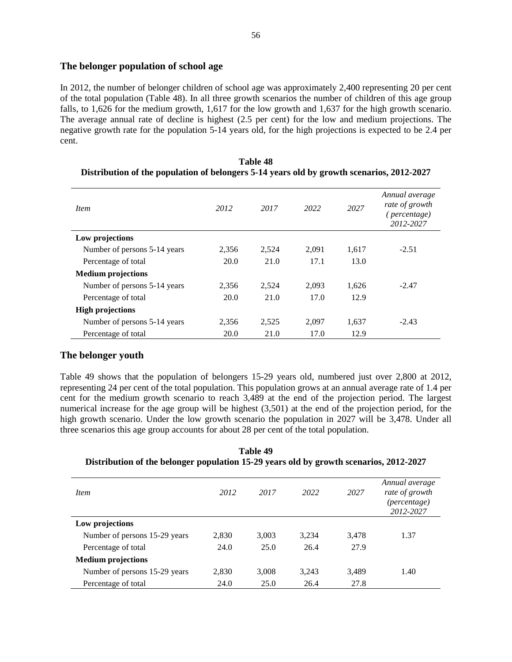### **The belonger population of school age**

In 2012, the number of belonger children of school age was approximately 2,400 representing 20 per cent of the total population (Table 48). In all three growth scenarios the number of children of this age group falls, to 1,626 for the medium growth, 1,617 for the low growth and 1,637 for the high growth scenario. The average annual rate of decline is highest (2.5 per cent) for the low and medium projections. The negative growth rate for the population 5-14 years old, for the high projections is expected to be 2.4 per cent.

| <i>Item</i>                  | 2012  | 2017  | 2022  | 2027  | Annual average<br>rate of growth<br>( <i>percentage</i> )<br>2012-2027 |
|------------------------------|-------|-------|-------|-------|------------------------------------------------------------------------|
| Low projections              |       |       |       |       |                                                                        |
| Number of persons 5-14 years | 2,356 | 2,524 | 2.091 | 1,617 | $-2.51$                                                                |
| Percentage of total          | 20.0  | 21.0  | 17.1  | 13.0  |                                                                        |
| <b>Medium projections</b>    |       |       |       |       |                                                                        |
| Number of persons 5-14 years | 2,356 | 2,524 | 2.093 | 1,626 | $-2.47$                                                                |
| Percentage of total          | 20.0  | 21.0  | 17.0  | 12.9  |                                                                        |
| <b>High projections</b>      |       |       |       |       |                                                                        |
| Number of persons 5-14 years | 2.356 | 2,525 | 2.097 | 1,637 | $-2.43$                                                                |
| Percentage of total          | 20.0  | 21.0  | 17.0  | 12.9  |                                                                        |

| <b>Table 48</b>                                                                           |  |
|-------------------------------------------------------------------------------------------|--|
| Distribution of the population of belongers 5-14 years old by growth scenarios, 2012-2027 |  |

## **The belonger youth**

Table 49 shows that the population of belongers 15-29 years old, numbered just over 2,800 at 2012, representing 24 per cent of the total population. This population grows at an annual average rate of 1.4 per cent for the medium growth scenario to reach 3,489 at the end of the projection period. The largest numerical increase for the age group will be highest (3,501) at the end of the projection period, for the high growth scenario. Under the low growth scenario the population in 2027 will be 3,478. Under all three scenarios this age group accounts for about 28 per cent of the total population.

**Table 49 Distribution of the belonger population 15-29 years old by growth scenarios, 2012-2027** 

| <i>Item</i>                   | 2012  | 2017  | 2022  | 2027  | Annual average<br>rate of growth<br>(percentage)<br>2012-2027 |
|-------------------------------|-------|-------|-------|-------|---------------------------------------------------------------|
| Low projections               |       |       |       |       |                                                               |
| Number of persons 15-29 years | 2,830 | 3,003 | 3,234 | 3,478 | 1.37                                                          |
| Percentage of total           | 24.0  | 25.0  | 26.4  | 27.9  |                                                               |
| <b>Medium projections</b>     |       |       |       |       |                                                               |
| Number of persons 15-29 years | 2,830 | 3,008 | 3,243 | 3,489 | 1.40                                                          |
| Percentage of total           | 24.0  | 25.0  | 26.4  | 27.8  |                                                               |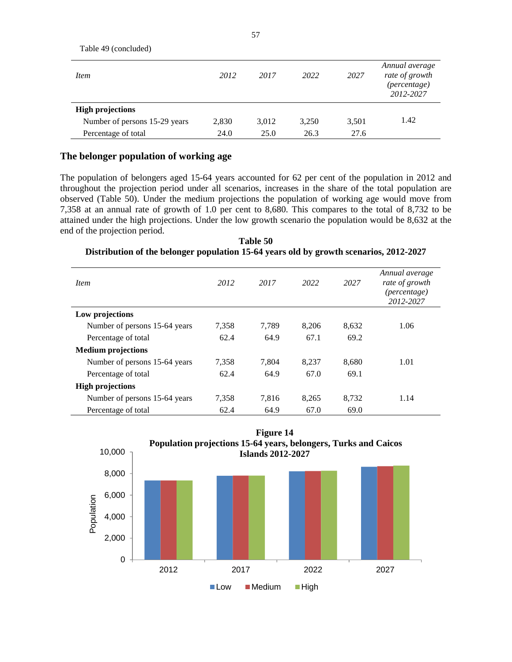| T AUIU +7 (COIIUIUUUU)        |       |       |       |       |                                                               |
|-------------------------------|-------|-------|-------|-------|---------------------------------------------------------------|
| <i>Item</i>                   | 2012  | 2017  | 2022  | 2027  | Annual average<br>rate of growth<br>(percentage)<br>2012-2027 |
| <b>High projections</b>       |       |       |       |       |                                                               |
| Number of persons 15-29 years | 2,830 | 3,012 | 3,250 | 3,501 | 1.42                                                          |
| Percentage of total           | 24.0  | 25.0  | 26.3  | 27.6  |                                                               |

## **The belonger population of working age**

Table 49 (concluded)

The population of belongers aged 15-64 years accounted for 62 per cent of the population in 2012 and throughout the projection period under all scenarios, increases in the share of the total population are observed (Table 50). Under the medium projections the population of working age would move from 7,358 at an annual rate of growth of 1.0 per cent to 8,680. This compares to the total of 8,732 to be attained under the high projections. Under the low growth scenario the population would be 8,632 at the end of the projection period.

**Table 50 Distribution of the belonger population 15-64 years old by growth scenarios, 2012-2027** 

| <i>Item</i>                   | 2012  | 2017  | 2022  | 2027  | Annual average<br>rate of growth<br><i>(percentage)</i><br>2012-2027 |
|-------------------------------|-------|-------|-------|-------|----------------------------------------------------------------------|
| Low projections               |       |       |       |       |                                                                      |
| Number of persons 15-64 years | 7.358 | 7.789 | 8.206 | 8.632 | 1.06                                                                 |
| Percentage of total           | 62.4  | 64.9  | 67.1  | 69.2  |                                                                      |
| <b>Medium projections</b>     |       |       |       |       |                                                                      |
| Number of persons 15-64 years | 7.358 | 7.804 | 8.237 | 8.680 | 1.01                                                                 |
| Percentage of total           | 62.4  | 64.9  | 67.0  | 69.1  |                                                                      |
| <b>High projections</b>       |       |       |       |       |                                                                      |
| Number of persons 15-64 years | 7.358 | 7,816 | 8,265 | 8.732 | 1.14                                                                 |
| Percentage of total           | 62.4  | 64.9  | 67.0  | 69.0  |                                                                      |

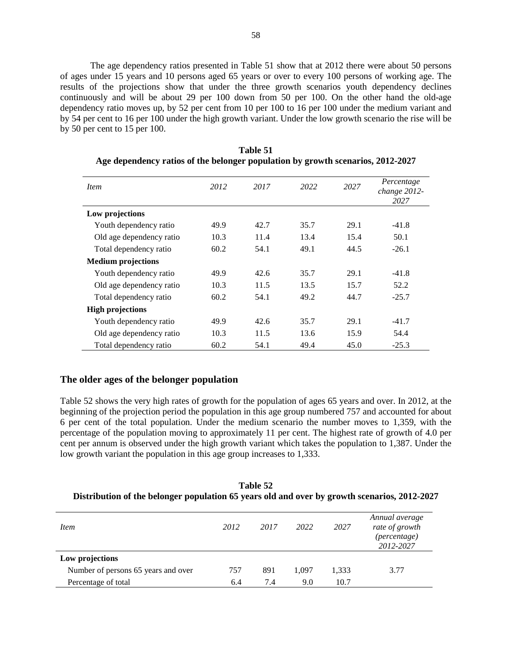The age dependency ratios presented in Table 51 show that at 2012 there were about 50 persons of ages under 15 years and 10 persons aged 65 years or over to every 100 persons of working age. The results of the projections show that under the three growth scenarios youth dependency declines continuously and will be about 29 per 100 down from 50 per 100. On the other hand the old-age dependency ratio moves up, by 52 per cent from 10 per 100 to 16 per 100 under the medium variant and by 54 per cent to 16 per 100 under the high growth variant. Under the low growth scenario the rise will be by 50 per cent to 15 per 100.

| <i>Item</i>               | 2012 | 2017 | 2022 | 2027 | Percentage<br>change 2012-<br>2027 |
|---------------------------|------|------|------|------|------------------------------------|
| Low projections           |      |      |      |      |                                    |
| Youth dependency ratio    | 49.9 | 42.7 | 35.7 | 29.1 | $-41.8$                            |
| Old age dependency ratio  | 10.3 | 11.4 | 13.4 | 15.4 | 50.1                               |
| Total dependency ratio    | 60.2 | 54.1 | 49.1 | 44.5 | $-26.1$                            |
| <b>Medium</b> projections |      |      |      |      |                                    |
| Youth dependency ratio    | 49.9 | 42.6 | 35.7 | 29.1 | $-41.8$                            |
| Old age dependency ratio  | 10.3 | 11.5 | 13.5 | 15.7 | 52.2                               |
| Total dependency ratio    | 60.2 | 54.1 | 49.2 | 44.7 | $-25.7$                            |
| <b>High projections</b>   |      |      |      |      |                                    |
| Youth dependency ratio    | 49.9 | 42.6 | 35.7 | 29.1 | $-41.7$                            |
| Old age dependency ratio  | 10.3 | 11.5 | 13.6 | 15.9 | 54.4                               |
| Total dependency ratio    | 60.2 | 54.1 | 49.4 | 45.0 | $-25.3$                            |

**Table 51 Age dependency ratios of the belonger population by growth scenarios, 2012-2027** 

#### **The older ages of the belonger population**

Table 52 shows the very high rates of growth for the population of ages 65 years and over. In 2012, at the beginning of the projection period the population in this age group numbered 757 and accounted for about 6 per cent of the total population. Under the medium scenario the number moves to 1,359, with the percentage of the population moving to approximately 11 per cent. The highest rate of growth of 4.0 per cent per annum is observed under the high growth variant which takes the population to 1,387. Under the low growth variant the population in this age group increases to 1,333.

**Table 52 Distribution of the belonger population 65 years old and over by growth scenarios, 2012-2027** 

| <i>Item</i>                         | 2012 | 2017 | 2022  | 2027  | Annual average<br>rate of growth<br>(percentage)<br>2012-2027 |
|-------------------------------------|------|------|-------|-------|---------------------------------------------------------------|
| Low projections                     |      |      |       |       |                                                               |
| Number of persons 65 years and over | 757  | 891  | 1.097 | 1,333 | 3.77                                                          |
| Percentage of total                 | 6.4  | 7.4  | 9.0   | 10.7  |                                                               |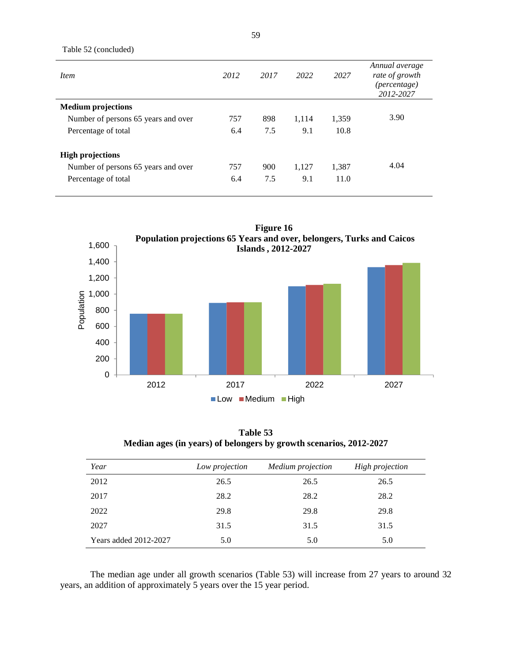| <i>Item</i>                         | 2012 | 2017 | 2022  | 2027  | Annual average<br>rate of growth<br>(percentage)<br>2012-2027 |
|-------------------------------------|------|------|-------|-------|---------------------------------------------------------------|
| <b>Medium projections</b>           |      |      |       |       |                                                               |
| Number of persons 65 years and over | 757  | 898  | 1.114 | 1,359 | 3.90                                                          |
| Percentage of total                 | 6.4  | 7.5  | 9.1   | 10.8  |                                                               |
| <b>High projections</b>             |      |      |       |       |                                                               |
| Number of persons 65 years and over | 757  | 900  | 1,127 | 1,387 | 4.04                                                          |
| Percentage of total                 | 6.4  | 7.5  | 9.1   | 11.0  |                                                               |



**Table 53 Median ages (in years) of belongers by growth scenarios, 2012-2027** 

| Year                  | Low projection | Medium projection | <b>High projection</b> |
|-----------------------|----------------|-------------------|------------------------|
| 2012                  | 26.5           | 26.5              | 26.5                   |
| 2017                  | 28.2           | 28.2              | 28.2                   |
| 2022                  | 29.8           | 29.8              | 29.8                   |
| 2027                  | 31.5           | 31.5              | 31.5                   |
| Years added 2012-2027 | 5.0            | 5.0               | 5.0                    |

The median age under all growth scenarios (Table 53) will increase from 27 years to around 32 years, an addition of approximately 5 years over the 15 year period.

Table 52 (concluded)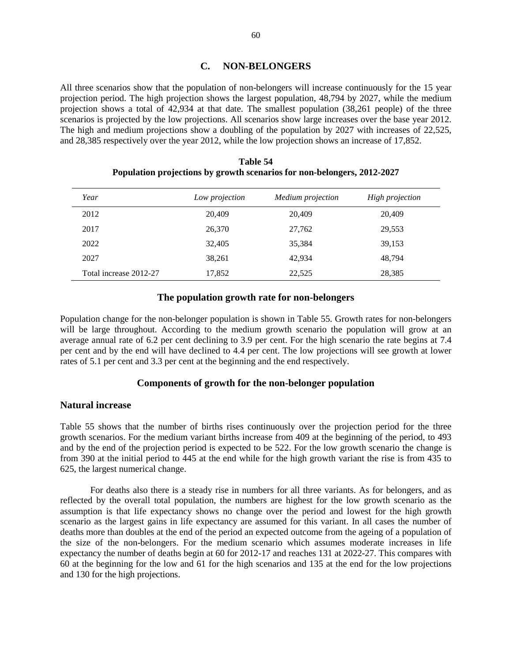# **C. NON-BELONGERS**

All three scenarios show that the population of non-belongers will increase continuously for the 15 year projection period. The high projection shows the largest population, 48,794 by 2027, while the medium projection shows a total of 42,934 at that date. The smallest population (38,261 people) of the three scenarios is projected by the low projections. All scenarios show large increases over the base year 2012. The high and medium projections show a doubling of the population by 2027 with increases of 22,525, and 28,385 respectively over the year 2012, while the low projection shows an increase of 17,852.

| Year                   | Low projection | Medium projection | <b>High projection</b> |
|------------------------|----------------|-------------------|------------------------|
| 2012                   | 20,409         | 20,409            | 20,409                 |
| 2017                   | 26,370         | 27,762            | 29,553                 |
| 2022                   | 32,405         | 35,384            | 39,153                 |
| 2027                   | 38,261         | 42,934            | 48.794                 |
| Total increase 2012-27 | 17,852         | 22,525            | 28,385                 |

## **Table 54 Population projections by growth scenarios for non-belongers, 2012-2027**

#### **The population growth rate for non-belongers**

Population change for the non-belonger population is shown in Table 55. Growth rates for non-belongers will be large throughout. According to the medium growth scenario the population will grow at an average annual rate of 6.2 per cent declining to 3.9 per cent. For the high scenario the rate begins at 7.4 per cent and by the end will have declined to 4.4 per cent. The low projections will see growth at lower rates of 5.1 per cent and 3.3 per cent at the beginning and the end respectively.

#### **Components of growth for the non-belonger population**

#### **Natural increase**

Table 55 shows that the number of births rises continuously over the projection period for the three growth scenarios. For the medium variant births increase from 409 at the beginning of the period, to 493 and by the end of the projection period is expected to be 522. For the low growth scenario the change is from 390 at the initial period to 445 at the end while for the high growth variant the rise is from 435 to 625, the largest numerical change.

For deaths also there is a steady rise in numbers for all three variants. As for belongers, and as reflected by the overall total population, the numbers are highest for the low growth scenario as the assumption is that life expectancy shows no change over the period and lowest for the high growth scenario as the largest gains in life expectancy are assumed for this variant. In all cases the number of deaths more than doubles at the end of the period an expected outcome from the ageing of a population of the size of the non-belongers. For the medium scenario which assumes moderate increases in life expectancy the number of deaths begin at 60 for 2012-17 and reaches 131 at 2022-27. This compares with 60 at the beginning for the low and 61 for the high scenarios and 135 at the end for the low projections and 130 for the high projections.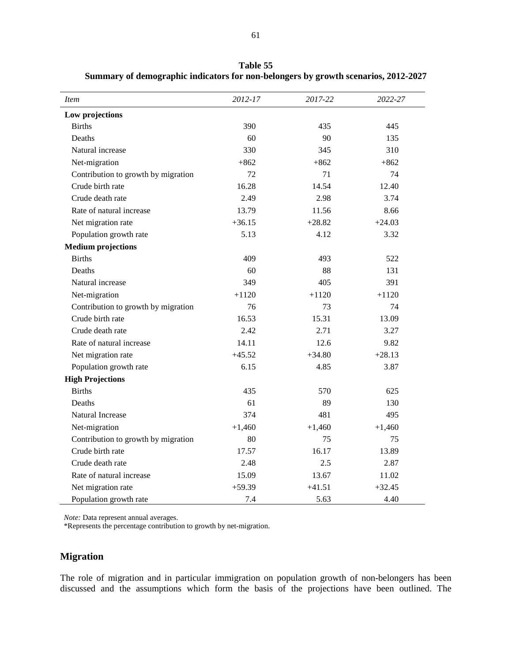| <i>Item</i>                         | 2012-17  | 2017-22  | 2022-27  |
|-------------------------------------|----------|----------|----------|
| Low projections                     |          |          |          |
| <b>Births</b>                       | 390      | 435      | 445      |
| Deaths                              | 60       | 90       | 135      |
| Natural increase                    | 330      | 345      | 310      |
| Net-migration                       | $+862$   | $+862$   | $+862$   |
| Contribution to growth by migration | 72       | 71       | 74       |
| Crude birth rate                    | 16.28    | 14.54    | 12.40    |
| Crude death rate                    | 2.49     | 2.98     | 3.74     |
| Rate of natural increase            | 13.79    | 11.56    | 8.66     |
| Net migration rate                  | $+36.15$ | $+28.82$ | $+24.03$ |
| Population growth rate              | 5.13     | 4.12     | 3.32     |
| <b>Medium projections</b>           |          |          |          |
| <b>Births</b>                       | 409      | 493      | 522      |
| Deaths                              | 60       | 88       | 131      |
| Natural increase                    | 349      | 405      | 391      |
| Net-migration                       | $+1120$  | $+1120$  | $+1120$  |
| Contribution to growth by migration | 76       | 73       | 74       |
| Crude birth rate                    | 16.53    | 15.31    | 13.09    |
| Crude death rate                    | 2.42     | 2.71     | 3.27     |
| Rate of natural increase            | 14.11    | 12.6     | 9.82     |
| Net migration rate                  | $+45.52$ | $+34.80$ | $+28.13$ |
| Population growth rate              | 6.15     | 4.85     | 3.87     |
| <b>High Projections</b>             |          |          |          |
| <b>Births</b>                       | 435      | 570      | 625      |
| Deaths                              | 61       | 89       | 130      |
| Natural Increase                    | 374      | 481      | 495      |
| Net-migration                       | $+1,460$ | $+1,460$ | $+1,460$ |
| Contribution to growth by migration | 80       | 75       | 75       |
| Crude birth rate                    | 17.57    | 16.17    | 13.89    |
| Crude death rate                    | 2.48     | 2.5      | 2.87     |
| Rate of natural increase            | 15.09    | 13.67    | 11.02    |
| Net migration rate                  | $+59.39$ | $+41.51$ | $+32.45$ |
| Population growth rate              | 7.4      | 5.63     | 4.40     |

**Table 55 Summary of demographic indicators for non-belongers by growth scenarios, 2012-2027** 

*Note:* Data represent annual averages.

\*Represents the percentage contribution to growth by net-migration.

# **Migration**

The role of migration and in particular immigration on population growth of non-belongers has been discussed and the assumptions which form the basis of the projections have been outlined. The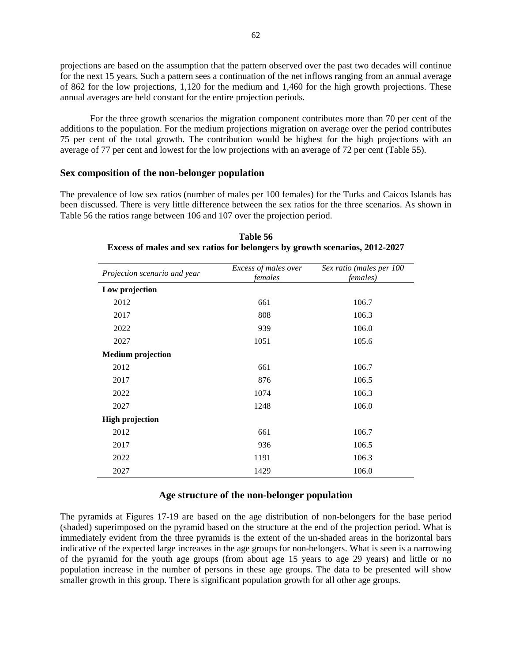projections are based on the assumption that the pattern observed over the past two decades will continue for the next 15 years. Such a pattern sees a continuation of the net inflows ranging from an annual average of 862 for the low projections, 1,120 for the medium and 1,460 for the high growth projections. These annual averages are held constant for the entire projection periods.

For the three growth scenarios the migration component contributes more than 70 per cent of the additions to the population. For the medium projections migration on average over the period contributes 75 per cent of the total growth. The contribution would be highest for the high projections with an average of 77 per cent and lowest for the low projections with an average of 72 per cent (Table 55).

#### **Sex composition of the non-belonger population**

The prevalence of low sex ratios (number of males per 100 females) for the Turks and Caicos Islands has been discussed. There is very little difference between the sex ratios for the three scenarios. As shown in Table 56 the ratios range between 106 and 107 over the projection period.

| Projection scenario and year | Excess of males over<br>females | Sex ratio (males per 100<br><i>females</i> ) |  |  |
|------------------------------|---------------------------------|----------------------------------------------|--|--|
| Low projection               |                                 |                                              |  |  |
| 2012                         | 661                             | 106.7                                        |  |  |
| 2017                         | 808                             | 106.3                                        |  |  |
| 2022                         | 939                             | 106.0                                        |  |  |
| 2027                         | 1051                            | 105.6                                        |  |  |
| <b>Medium projection</b>     |                                 |                                              |  |  |
| 2012                         | 661                             | 106.7                                        |  |  |
| 2017                         | 876                             | 106.5                                        |  |  |
| 2022                         | 1074                            | 106.3                                        |  |  |
| 2027                         | 1248                            | 106.0                                        |  |  |
| <b>High projection</b>       |                                 |                                              |  |  |
| 2012                         | 661                             | 106.7                                        |  |  |
| 2017                         | 936                             | 106.5                                        |  |  |
| 2022                         | 1191                            | 106.3                                        |  |  |
| 2027                         | 1429                            | 106.0                                        |  |  |

**Table 56 Excess of males and sex ratios for belongers by growth scenarios, 2012-2027** 

#### **Age structure of the non-belonger population**

The pyramids at Figures 17-19 are based on the age distribution of non-belongers for the base period (shaded) superimposed on the pyramid based on the structure at the end of the projection period. What is immediately evident from the three pyramids is the extent of the un-shaded areas in the horizontal bars indicative of the expected large increases in the age groups for non-belongers. What is seen is a narrowing of the pyramid for the youth age groups (from about age 15 years to age 29 years) and little or no population increase in the number of persons in these age groups. The data to be presented will show smaller growth in this group. There is significant population growth for all other age groups.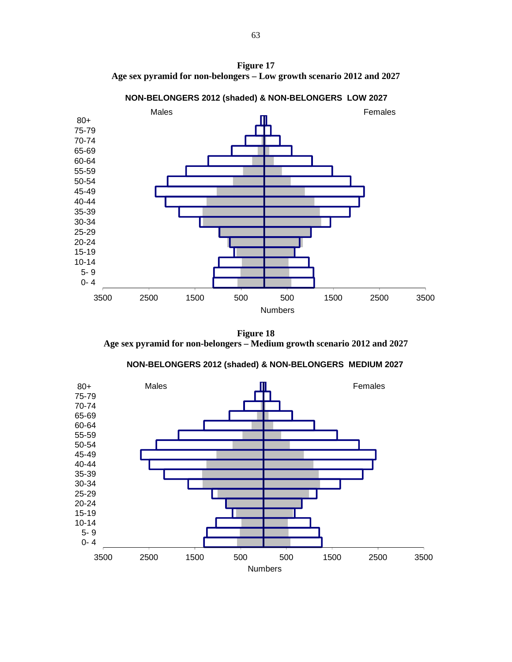**Figure 17 Age sex pyramid for non-belongers – Low growth scenario 2012 and 2027** 



**NON-BELONGERS 2012 (shaded) & NON-BELONGERS LOW 2027**

**Figure 18 Age sex pyramid for non-belongers – Medium growth scenario 2012 and 2027** 

**NON-BELONGERS 2012 (shaded) & NON-BELONGERS MEDIUM 2027**

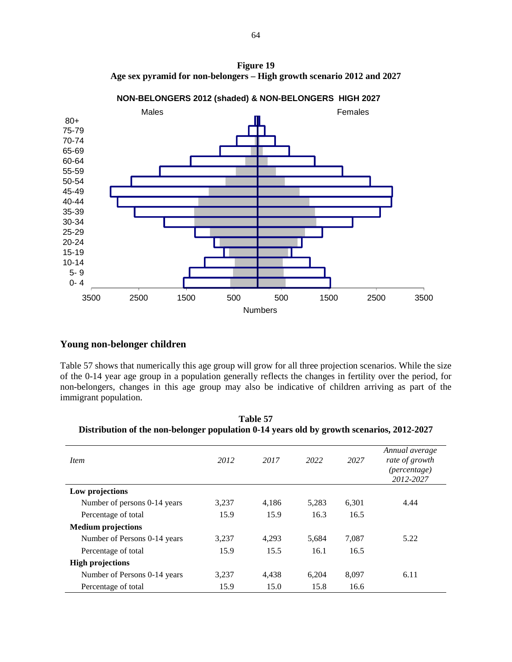



**NON-BELONGERS 2012 (shaded) & NON-BELONGERS HIGH 2027**

# **Young non-belonger children**

Table 57 shows that numerically this age group will grow for all three projection scenarios. While the size of the 0-14 year age group in a population generally reflects the changes in fertility over the period, for non-belongers, changes in this age group may also be indicative of children arriving as part of the immigrant population.

| <i>Item</i>                  | 2012  | 2017  | 2022  | 2027  | Annual average<br>rate of growth<br>(percentage)<br>2012-2027 |
|------------------------------|-------|-------|-------|-------|---------------------------------------------------------------|
| Low projections              |       |       |       |       |                                                               |
| Number of persons 0-14 years | 3,237 | 4,186 | 5,283 | 6.301 | 4.44                                                          |
| Percentage of total          | 15.9  | 15.9  | 16.3  | 16.5  |                                                               |
| <b>Medium</b> projections    |       |       |       |       |                                                               |
| Number of Persons 0-14 years | 3.237 | 4.293 | 5,684 | 7.087 | 5.22                                                          |
| Percentage of total          | 15.9  | 15.5  | 16.1  | 16.5  |                                                               |
| <b>High projections</b>      |       |       |       |       |                                                               |
| Number of Persons 0-14 years | 3.237 | 4,438 | 6.204 | 8.097 | 6.11                                                          |
| Percentage of total          | 15.9  | 15.0  | 15.8  | 16.6  |                                                               |

**Table 57 Distribution of the non-belonger population 0-14 years old by growth scenarios, 2012-2027**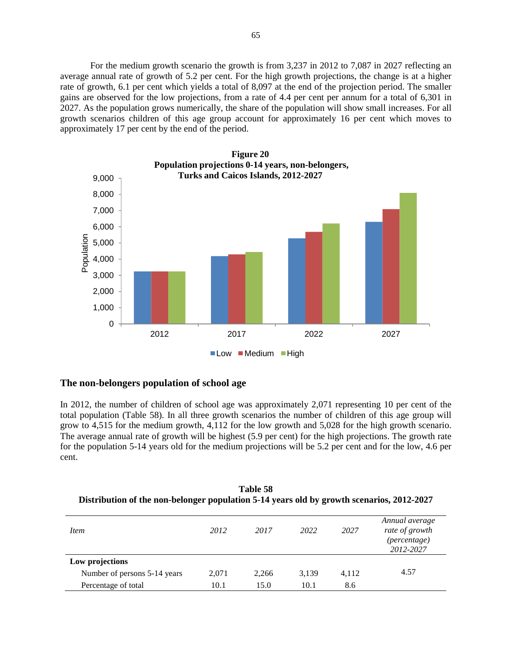For the medium growth scenario the growth is from 3,237 in 2012 to 7,087 in 2027 reflecting an average annual rate of growth of 5.2 per cent. For the high growth projections, the change is at a higher rate of growth, 6.1 per cent which yields a total of 8,097 at the end of the projection period. The smaller gains are observed for the low projections, from a rate of 4.4 per cent per annum for a total of 6,301 in 2027. As the population grows numerically, the share of the population will show small increases. For all growth scenarios children of this age group account for approximately 16 per cent which moves to approximately 17 per cent by the end of the period.



#### **The non-belongers population of school age**

In 2012, the number of children of school age was approximately 2,071 representing 10 per cent of the total population (Table 58). In all three growth scenarios the number of children of this age group will grow to 4,515 for the medium growth, 4,112 for the low growth and 5,028 for the high growth scenario. The average annual rate of growth will be highest (5.9 per cent) for the high projections. The growth rate for the population 5-14 years old for the medium projections will be 5.2 per cent and for the low, 4.6 per cent.

**Table 58 Distribution of the non-belonger population 5-14 years old by growth scenarios, 2012-2027** 

| <i>Item</i>                  | 2012  | 2017  | 2022  | 2027  | Annual average<br>rate of growth<br>(percentage)<br>2012-2027 |
|------------------------------|-------|-------|-------|-------|---------------------------------------------------------------|
| Low projections              |       |       |       |       |                                                               |
| Number of persons 5-14 years | 2,071 | 2,266 | 3,139 | 4,112 | 4.57                                                          |
| Percentage of total          | 10.1  | 15.0  | 10.1  | 8.6   |                                                               |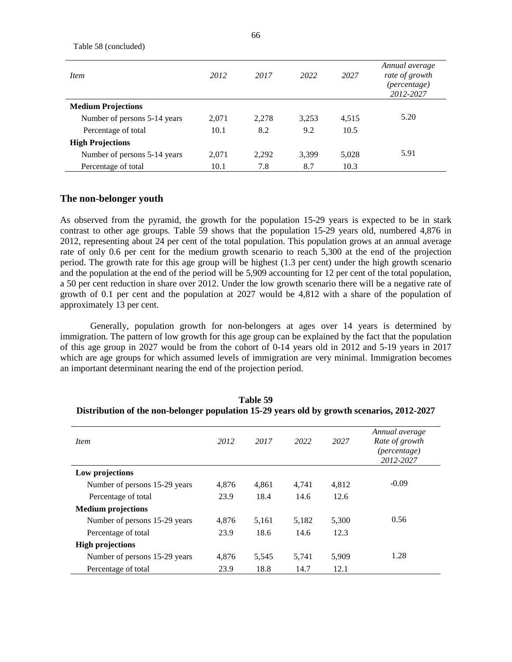| <i>Item</i>                  | 2012  | 2017  | 2022  | 2027  | Annual average<br>rate of growth<br>(percentage)<br>2012-2027 |
|------------------------------|-------|-------|-------|-------|---------------------------------------------------------------|
| <b>Medium Projections</b>    |       |       |       |       |                                                               |
| Number of persons 5-14 years | 2,071 | 2,278 | 3,253 | 4,515 | 5.20                                                          |
| Percentage of total          | 10.1  | 8.2   | 9.2   | 10.5  |                                                               |
| <b>High Projections</b>      |       |       |       |       |                                                               |
| Number of persons 5-14 years | 2,071 | 2,292 | 3,399 | 5,028 | 5.91                                                          |
| Percentage of total          | 10.1  | 7.8   | 8.7   | 10.3  |                                                               |

## **The non-belonger youth**

Table 58 (concluded)

As observed from the pyramid, the growth for the population 15-29 years is expected to be in stark contrast to other age groups. Table 59 shows that the population 15-29 years old, numbered 4,876 in 2012, representing about 24 per cent of the total population. This population grows at an annual average rate of only 0.6 per cent for the medium growth scenario to reach 5,300 at the end of the projection period. The growth rate for this age group will be highest (1.3 per cent) under the high growth scenario and the population at the end of the period will be 5,909 accounting for 12 per cent of the total population, a 50 per cent reduction in share over 2012. Under the low growth scenario there will be a negative rate of growth of 0.1 per cent and the population at 2027 would be 4,812 with a share of the population of approximately 13 per cent.

Generally, population growth for non-belongers at ages over 14 years is determined by immigration. The pattern of low growth for this age group can be explained by the fact that the population of this age group in 2027 would be from the cohort of 0-14 years old in 2012 and 5-19 years in 2017 which are age groups for which assumed levels of immigration are very minimal. Immigration becomes an important determinant nearing the end of the projection period.

| <i>Item</i>                   | 2012  | 2017  | 2022  | 2027  | Annual average<br>Rate of growth<br><i>(percentage)</i><br>2012-2027 |
|-------------------------------|-------|-------|-------|-------|----------------------------------------------------------------------|
| Low projections               |       |       |       |       |                                                                      |
| Number of persons 15-29 years | 4,876 | 4,861 | 4,741 | 4,812 | $-0.09$                                                              |
| Percentage of total           | 23.9  | 18.4  | 14.6  | 12.6  |                                                                      |
| <b>Medium</b> projections     |       |       |       |       |                                                                      |
| Number of persons 15-29 years | 4.876 | 5,161 | 5,182 | 5,300 | 0.56                                                                 |
| Percentage of total           | 23.9  | 18.6  | 14.6  | 12.3  |                                                                      |
| <b>High projections</b>       |       |       |       |       |                                                                      |
| Number of persons 15-29 years | 4,876 | 5,545 | 5,741 | 5,909 | 1.28                                                                 |
| Percentage of total           | 23.9  | 18.8  | 14.7  | 12.1  |                                                                      |

**Table 59 Distribution of the non-belonger population 15-29 years old by growth scenarios, 2012-2027**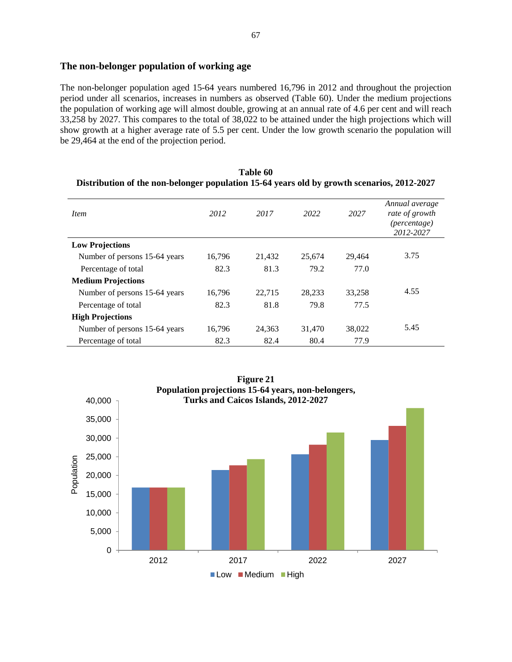#### **The non-belonger population of working age**

The non-belonger population aged 15-64 years numbered 16,796 in 2012 and throughout the projection period under all scenarios, increases in numbers as observed (Table 60). Under the medium projections the population of working age will almost double, growing at an annual rate of 4.6 per cent and will reach 33,258 by 2027. This compares to the total of 38,022 to be attained under the high projections which will show growth at a higher average rate of 5.5 per cent. Under the low growth scenario the population will be 29,464 at the end of the projection period.

| <i>Item</i>                   | 2012   | 2017   | 2022   | 2027   | Annual average<br>rate of growth<br>(percentage)<br>2012-2027 |
|-------------------------------|--------|--------|--------|--------|---------------------------------------------------------------|
| <b>Low Projections</b>        |        |        |        |        |                                                               |
| Number of persons 15-64 years | 16,796 | 21,432 | 25,674 | 29.464 | 3.75                                                          |
| Percentage of total           | 82.3   | 81.3   | 79.2   | 77.0   |                                                               |
| <b>Medium Projections</b>     |        |        |        |        |                                                               |
| Number of persons 15-64 years | 16,796 | 22,715 | 28,233 | 33,258 | 4.55                                                          |
| Percentage of total           | 82.3   | 81.8   | 79.8   | 77.5   |                                                               |
| <b>High Projections</b>       |        |        |        |        |                                                               |
| Number of persons 15-64 years | 16,796 | 24,363 | 31,470 | 38,022 | 5.45                                                          |
| Percentage of total           | 82.3   | 82.4   | 80.4   | 77.9   |                                                               |





67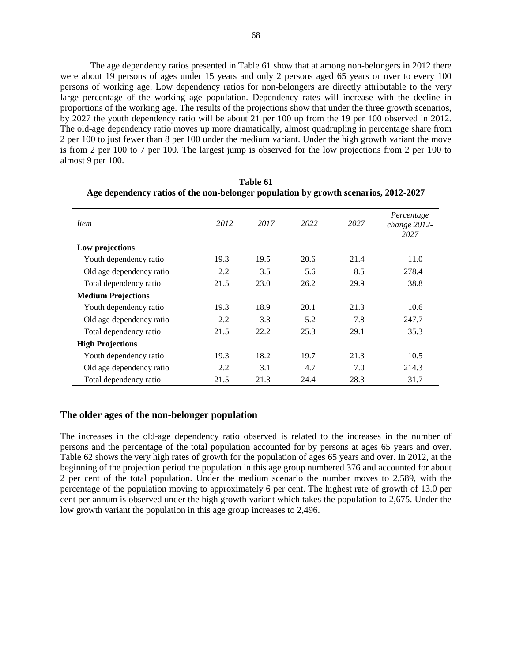The age dependency ratios presented in Table 61 show that at among non-belongers in 2012 there were about 19 persons of ages under 15 years and only 2 persons aged 65 years or over to every 100 persons of working age. Low dependency ratios for non-belongers are directly attributable to the very large percentage of the working age population. Dependency rates will increase with the decline in proportions of the working age. The results of the projections show that under the three growth scenarios, by 2027 the youth dependency ratio will be about 21 per 100 up from the 19 per 100 observed in 2012. The old-age dependency ratio moves up more dramatically, almost quadrupling in percentage share from 2 per 100 to just fewer than 8 per 100 under the medium variant. Under the high growth variant the move is from 2 per 100 to 7 per 100. The largest jump is observed for the low projections from 2 per 100 to almost 9 per 100.

| <i>Item</i>               | 2012 | 2017 | 2022 | 2027 | Percentage<br>change 2012-<br>2027 |
|---------------------------|------|------|------|------|------------------------------------|
| Low projections           |      |      |      |      |                                    |
| Youth dependency ratio    | 19.3 | 19.5 | 20.6 | 21.4 | 11.0                               |
| Old age dependency ratio  | 2.2  | 3.5  | 5.6  | 8.5  | 278.4                              |
| Total dependency ratio    | 21.5 | 23.0 | 26.2 | 29.9 | 38.8                               |
| <b>Medium Projections</b> |      |      |      |      |                                    |
| Youth dependency ratio    | 19.3 | 18.9 | 20.1 | 21.3 | 10.6                               |
| Old age dependency ratio  | 2.2  | 3.3  | 5.2  | 7.8  | 247.7                              |
| Total dependency ratio    | 21.5 | 22.2 | 25.3 | 29.1 | 35.3                               |
| <b>High Projections</b>   |      |      |      |      |                                    |
| Youth dependency ratio    | 19.3 | 18.2 | 19.7 | 21.3 | 10.5                               |
| Old age dependency ratio  | 2.2  | 3.1  | 4.7  | 7.0  | 214.3                              |
| Total dependency ratio    | 21.5 | 21.3 | 24.4 | 28.3 | 31.7                               |

**Table 61 Age dependency ratios of the non-belonger population by growth scenarios, 2012-2027** 

## **The older ages of the non-belonger population**

The increases in the old-age dependency ratio observed is related to the increases in the number of persons and the percentage of the total population accounted for by persons at ages 65 years and over. Table 62 shows the very high rates of growth for the population of ages 65 years and over. In 2012, at the beginning of the projection period the population in this age group numbered 376 and accounted for about 2 per cent of the total population. Under the medium scenario the number moves to 2,589, with the percentage of the population moving to approximately 6 per cent. The highest rate of growth of 13.0 per cent per annum is observed under the high growth variant which takes the population to 2,675. Under the low growth variant the population in this age group increases to 2,496.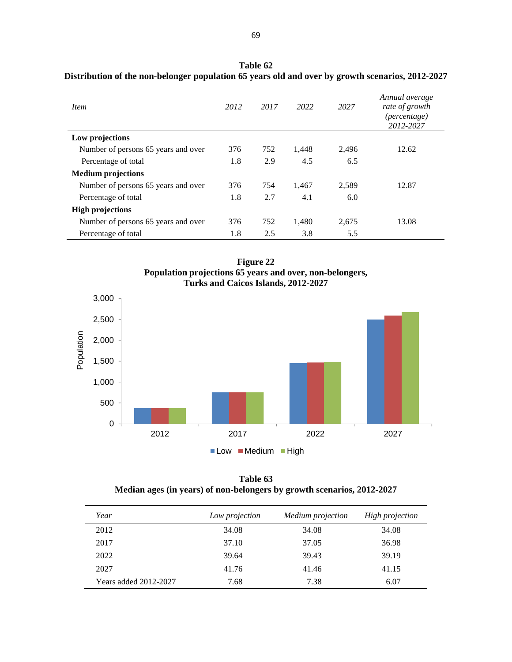| <i>Item</i>                         | 2012 | 2017 | 2022  | 2027  | Annual average<br>rate of growth<br><i>(percentage)</i><br>2012-2027 |
|-------------------------------------|------|------|-------|-------|----------------------------------------------------------------------|
| Low projections                     |      |      |       |       |                                                                      |
| Number of persons 65 years and over | 376  | 752  | 1,448 | 2.496 | 12.62                                                                |
| Percentage of total                 | 1.8  | 2.9  | 4.5   | 6.5   |                                                                      |
| <b>Medium projections</b>           |      |      |       |       |                                                                      |
| Number of persons 65 years and over | 376  | 754  | 1,467 | 2.589 | 12.87                                                                |
| Percentage of total                 | 1.8  | 2.7  | 4.1   | 6.0   |                                                                      |
| <b>High projections</b>             |      |      |       |       |                                                                      |
| Number of persons 65 years and over | 376  | 752  | 1.480 | 2.675 | 13.08                                                                |
| Percentage of total                 | 1.8  | 2.5  | 3.8   | 5.5   |                                                                      |

**Table 62 Distribution of the non-belonger population 65 years old and over by growth scenarios, 2012-2027** 





**Table 63 Median ages (in years) of non-belongers by growth scenarios, 2012-2027** 

| Year                         | Low projection | Medium projection | High projection |
|------------------------------|----------------|-------------------|-----------------|
| 2012                         | 34.08          | 34.08             | 34.08           |
| 2017                         | 37.10          | 37.05             | 36.98           |
| 2022                         | 39.64          | 39.43             | 39.19           |
| 2027                         | 41.76          | 41.46             | 41.15           |
| <b>Years added 2012-2027</b> | 7.68           | 7.38              | 6.07            |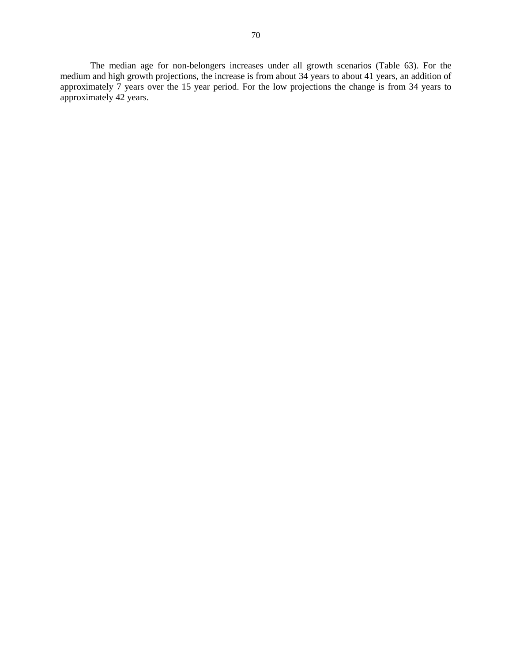The median age for non-belongers increases under all growth scenarios (Table 63). For the medium and high growth projections, the increase is from about 34 years to about 41 years, an addition of approximately 7 years over the 15 year period. For the low projections the change is from 34 years to approximately 42 years.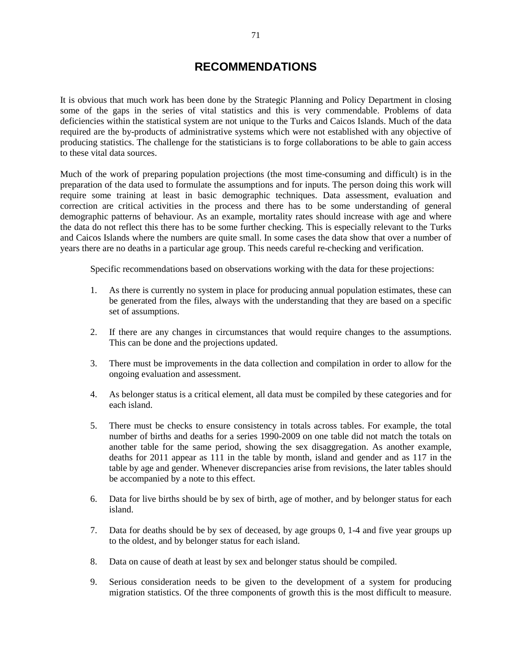# **RECOMMENDATIONS**

It is obvious that much work has been done by the Strategic Planning and Policy Department in closing some of the gaps in the series of vital statistics and this is very commendable. Problems of data deficiencies within the statistical system are not unique to the Turks and Caicos Islands. Much of the data required are the by-products of administrative systems which were not established with any objective of producing statistics. The challenge for the statisticians is to forge collaborations to be able to gain access to these vital data sources.

Much of the work of preparing population projections (the most time-consuming and difficult) is in the preparation of the data used to formulate the assumptions and for inputs. The person doing this work will require some training at least in basic demographic techniques. Data assessment, evaluation and correction are critical activities in the process and there has to be some understanding of general demographic patterns of behaviour. As an example, mortality rates should increase with age and where the data do not reflect this there has to be some further checking. This is especially relevant to the Turks and Caicos Islands where the numbers are quite small. In some cases the data show that over a number of years there are no deaths in a particular age group. This needs careful re-checking and verification.

Specific recommendations based on observations working with the data for these projections:

- 1. As there is currently no system in place for producing annual population estimates, these can be generated from the files, always with the understanding that they are based on a specific set of assumptions.
- 2. If there are any changes in circumstances that would require changes to the assumptions. This can be done and the projections updated.
- 3. There must be improvements in the data collection and compilation in order to allow for the ongoing evaluation and assessment.
- 4. As belonger status is a critical element, all data must be compiled by these categories and for each island.
- 5. There must be checks to ensure consistency in totals across tables. For example, the total number of births and deaths for a series 1990-2009 on one table did not match the totals on another table for the same period, showing the sex disaggregation. As another example, deaths for 2011 appear as 111 in the table by month, island and gender and as 117 in the table by age and gender. Whenever discrepancies arise from revisions, the later tables should be accompanied by a note to this effect.
- 6. Data for live births should be by sex of birth, age of mother, and by belonger status for each island.
- 7. Data for deaths should be by sex of deceased, by age groups 0, 1-4 and five year groups up to the oldest, and by belonger status for each island.
- 8. Data on cause of death at least by sex and belonger status should be compiled.
- 9. Serious consideration needs to be given to the development of a system for producing migration statistics. Of the three components of growth this is the most difficult to measure.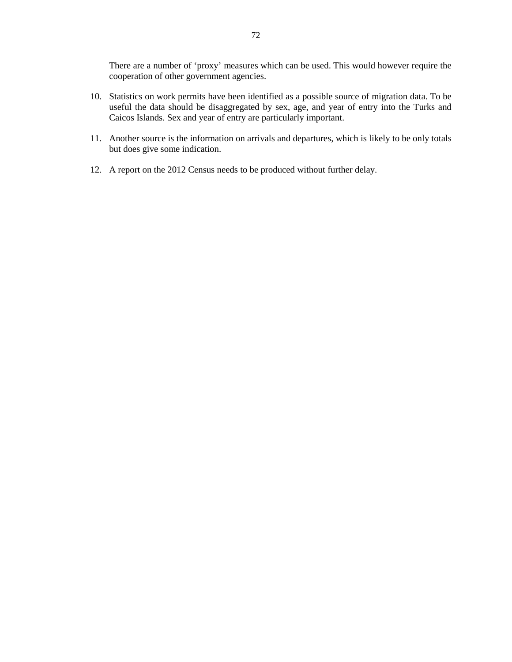There are a number of 'proxy' measures which can be used. This would however require the cooperation of other government agencies.

- 10. Statistics on work permits have been identified as a possible source of migration data. To be useful the data should be disaggregated by sex, age, and year of entry into the Turks and Caicos Islands. Sex and year of entry are particularly important.
- 11. Another source is the information on arrivals and departures, which is likely to be only totals but does give some indication.
- 12. A report on the 2012 Census needs to be produced without further delay.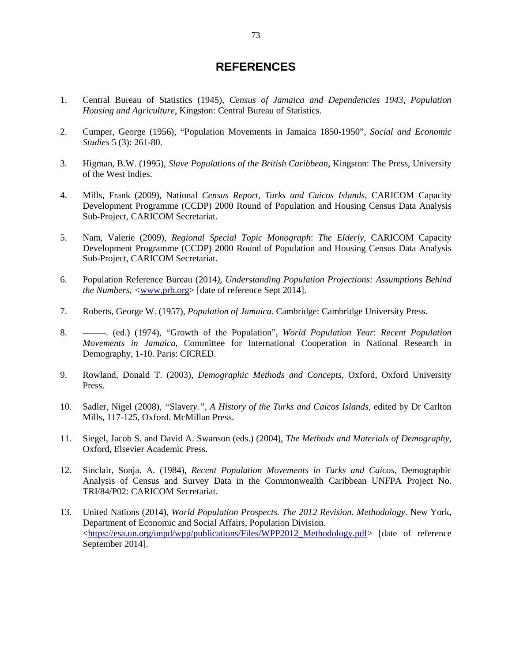# **REFERENCES**

- 1. Central Bureau of Statistics (1945), *Census of Jamaica and Dependencies 1943, Population Housing and Agriculture,* Kingston: Central Bureau of Statistics.
- 2. Cumper, George (1956), "Population Movements in Jamaica 1850-1950", *Social and Economic Studies* 5 (3): 261-80.
- 3. Higman, B.W. (1995), *Slave Populations of the British Caribbean*, Kingston: The Press, University of the West Indies.
- 4. Mills, Frank (2009), National *Census Report, Turks and Caicos Islands*, CARICOM Capacity Development Programme (CCDP) 2000 Round of Population and Housing Census Data Analysis Sub-Project, CARICOM Secretariat.
- 5. Nam, Valerie (2009), *Regional Special Topic Monograph*: *The Elderly,* CARICOM Capacity Development Programme (CCDP) 2000 Round of Population and Housing Census Data Analysis Sub-Project, CARICOM Secretariat.
- 6. Population Reference Bureau (2014*), Understanding Population Projections: Assumptions Behind the Numbers, <*www.prb.org> [date of reference Sept 2014].
- 7. Roberts, George W. (1957), *Population of Jamaica.* Cambridge: Cambridge University Press.
- 8. –––––. (ed.) (1974), "Growth of the Population", *World Population Year*: *Recent Population Movements in Jamaica,* Committee for International Cooperation in National Research in Demography, 1-10. Paris: CICRED.
- 9. Rowland, Donald T. (2003), *Demographic Methods and Concepts*, Oxford, Oxford University Press.
- 10. Sadler, Nigel (2008), *"*Slaver*y.", A History of the Turks and Caicos Islands,* edited by Dr Carlton Mills, 117-125, Oxford. McMillan Press.
- 11. Siegel, Jacob S. and David A. Swanson (eds.) (2004), *The Methods and Materials of Demography*, Oxford, Elsevier Academic Press.
- 12. Sinclair, Sonja. A. (1984), *Recent Population Movements in Turks and Caicos*, Demographic Analysis of Census and Survey Data in the Commonwealth Caribbean UNFPA Project No. TRI/84/P02: CARICOM Secretariat.
- 13. United Nations (2014), *World Population Prospects. The 2012 Revision. Methodology.* New York, Department of Economic and Social Affairs, Population Division. <https://esa.un.org/unpd/wpp/publications/Files/WPP2012\_Methodology.pdf> [date of reference September 2014].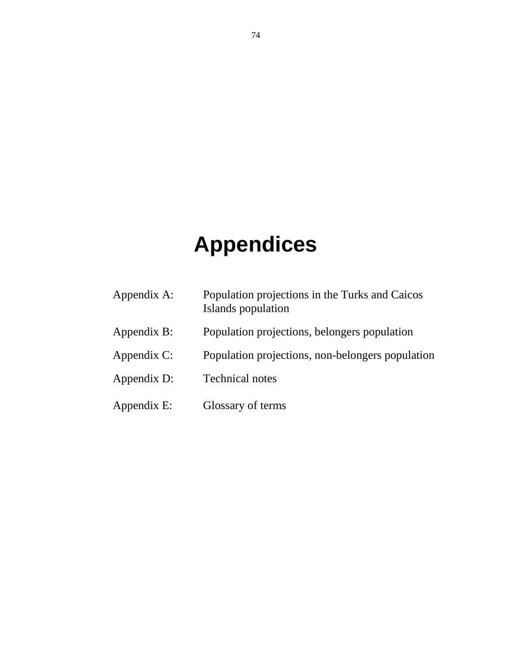# **Appendices**

Appendix A: Population projections in the Turks and Caicos Islands population Appendix B: Population projections, belongers population Appendix C: Population projections, non-belongers population Appendix D: Technical notes Appendix E: Glossary of terms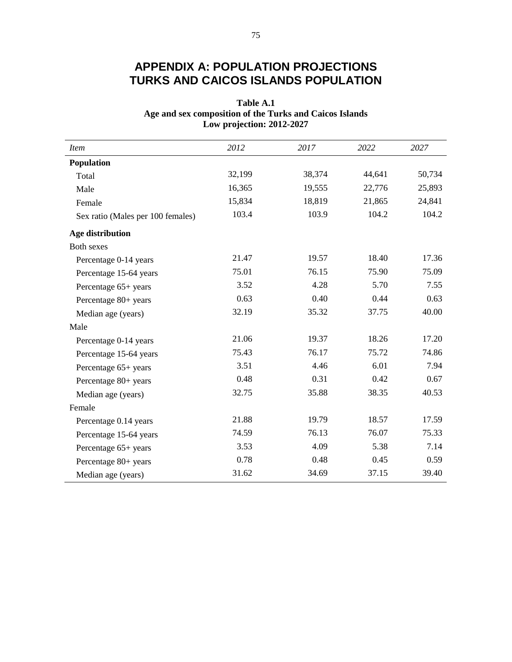# **APPENDIX A: POPULATION PROJECTIONS TURKS AND CAICOS ISLANDS POPULATION**

# **Table A.1 Age and sex composition of the Turks and Caicos Islands Low projection: 2012-2027**

| <i>Item</i>                       | 2012   | 2017   | 2022   | 2027   |
|-----------------------------------|--------|--------|--------|--------|
| Population                        |        |        |        |        |
| Total                             | 32,199 | 38,374 | 44,641 | 50,734 |
| Male                              | 16,365 | 19,555 | 22,776 | 25,893 |
| Female                            | 15,834 | 18,819 | 21,865 | 24,841 |
| Sex ratio (Males per 100 females) | 103.4  | 103.9  | 104.2  | 104.2  |
| Age distribution                  |        |        |        |        |
| Both sexes                        |        |        |        |        |
| Percentage 0-14 years             | 21.47  | 19.57  | 18.40  | 17.36  |
| Percentage 15-64 years            | 75.01  | 76.15  | 75.90  | 75.09  |
| Percentage 65+ years              | 3.52   | 4.28   | 5.70   | 7.55   |
| Percentage 80+ years              | 0.63   | 0.40   | 0.44   | 0.63   |
| Median age (years)                | 32.19  | 35.32  | 37.75  | 40.00  |
| Male                              |        |        |        |        |
| Percentage 0-14 years             | 21.06  | 19.37  | 18.26  | 17.20  |
| Percentage 15-64 years            | 75.43  | 76.17  | 75.72  | 74.86  |
| Percentage 65+ years              | 3.51   | 4.46   | 6.01   | 7.94   |
| Percentage 80+ years              | 0.48   | 0.31   | 0.42   | 0.67   |
| Median age (years)                | 32.75  | 35.88  | 38.35  | 40.53  |
| Female                            |        |        |        |        |
| Percentage 0.14 years             | 21.88  | 19.79  | 18.57  | 17.59  |
| Percentage 15-64 years            | 74.59  | 76.13  | 76.07  | 75.33  |
| Percentage 65+ years              | 3.53   | 4.09   | 5.38   | 7.14   |
| Percentage 80+ years              | 0.78   | 0.48   | 0.45   | 0.59   |
| Median age (years)                | 31.62  | 34.69  | 37.15  | 39.40  |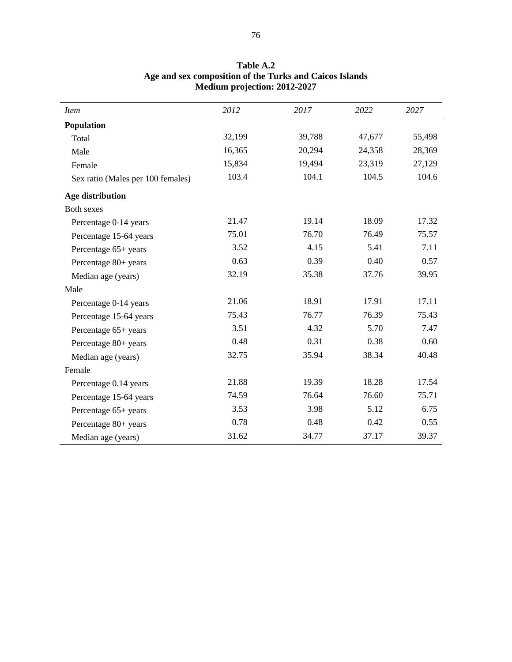| <i>Item</i>                       | 2012   | 2017   | 2022   | 2027   |
|-----------------------------------|--------|--------|--------|--------|
| Population                        |        |        |        |        |
| Total                             | 32,199 | 39,788 | 47,677 | 55,498 |
| Male                              | 16,365 | 20,294 | 24,358 | 28,369 |
| Female                            | 15,834 | 19,494 | 23,319 | 27,129 |
| Sex ratio (Males per 100 females) | 103.4  | 104.1  | 104.5  | 104.6  |
| Age distribution                  |        |        |        |        |
| <b>Both sexes</b>                 |        |        |        |        |
| Percentage 0-14 years             | 21.47  | 19.14  | 18.09  | 17.32  |
| Percentage 15-64 years            | 75.01  | 76.70  | 76.49  | 75.57  |
| Percentage 65+ years              | 3.52   | 4.15   | 5.41   | 7.11   |
| Percentage 80+ years              | 0.63   | 0.39   | 0.40   | 0.57   |
| Median age (years)                | 32.19  | 35.38  | 37.76  | 39.95  |
| Male                              |        |        |        |        |
| Percentage 0-14 years             | 21.06  | 18.91  | 17.91  | 17.11  |
| Percentage 15-64 years            | 75.43  | 76.77  | 76.39  | 75.43  |
| Percentage 65+ years              | 3.51   | 4.32   | 5.70   | 7.47   |
| Percentage 80+ years              | 0.48   | 0.31   | 0.38   | 0.60   |
| Median age (years)                | 32.75  | 35.94  | 38.34  | 40.48  |
| Female                            |        |        |        |        |
| Percentage 0.14 years             | 21.88  | 19.39  | 18.28  | 17.54  |
| Percentage 15-64 years            | 74.59  | 76.64  | 76.60  | 75.71  |
| Percentage 65+ years              | 3.53   | 3.98   | 5.12   | 6.75   |
| Percentage 80+ years              | 0.78   | 0.48   | 0.42   | 0.55   |
| Median age (years)                | 31.62  | 34.77  | 37.17  | 39.37  |

## **Table A.2 Age and sex composition of the Turks and Caicos Islands Medium projection: 2012-2027**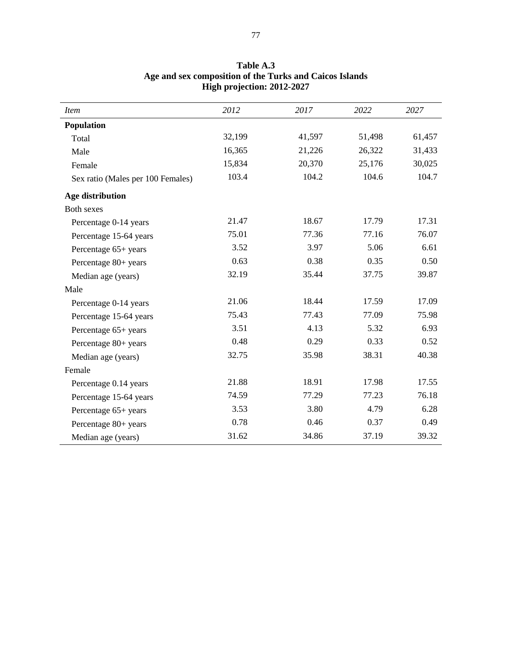| <i>Item</i>                       | 2012   | 2017   | 2022   | 2027   |
|-----------------------------------|--------|--------|--------|--------|
| Population                        |        |        |        |        |
| Total                             | 32,199 | 41,597 | 51,498 | 61,457 |
| Male                              | 16,365 | 21,226 | 26,322 | 31,433 |
| Female                            | 15,834 | 20,370 | 25,176 | 30,025 |
| Sex ratio (Males per 100 Females) | 103.4  | 104.2  | 104.6  | 104.7  |
| Age distribution                  |        |        |        |        |
| <b>Both sexes</b>                 |        |        |        |        |
| Percentage 0-14 years             | 21.47  | 18.67  | 17.79  | 17.31  |
| Percentage 15-64 years            | 75.01  | 77.36  | 77.16  | 76.07  |
| Percentage 65+ years              | 3.52   | 3.97   | 5.06   | 6.61   |
| Percentage 80+ years              | 0.63   | 0.38   | 0.35   | 0.50   |
| Median age (years)                | 32.19  | 35.44  | 37.75  | 39.87  |
| Male                              |        |        |        |        |
| Percentage 0-14 years             | 21.06  | 18.44  | 17.59  | 17.09  |
| Percentage 15-64 years            | 75.43  | 77.43  | 77.09  | 75.98  |
| Percentage 65+ years              | 3.51   | 4.13   | 5.32   | 6.93   |
| Percentage 80+ years              | 0.48   | 0.29   | 0.33   | 0.52   |
| Median age (years)                | 32.75  | 35.98  | 38.31  | 40.38  |
| Female                            |        |        |        |        |
| Percentage 0.14 years             | 21.88  | 18.91  | 17.98  | 17.55  |
| Percentage 15-64 years            | 74.59  | 77.29  | 77.23  | 76.18  |
| Percentage 65+ years              | 3.53   | 3.80   | 4.79   | 6.28   |
| Percentage 80+ years              | 0.78   | 0.46   | 0.37   | 0.49   |
| Median age (years)                | 31.62  | 34.86  | 37.19  | 39.32  |

## **Table A.3 Age and sex composition of the Turks and Caicos Islands High projection: 2012-2027**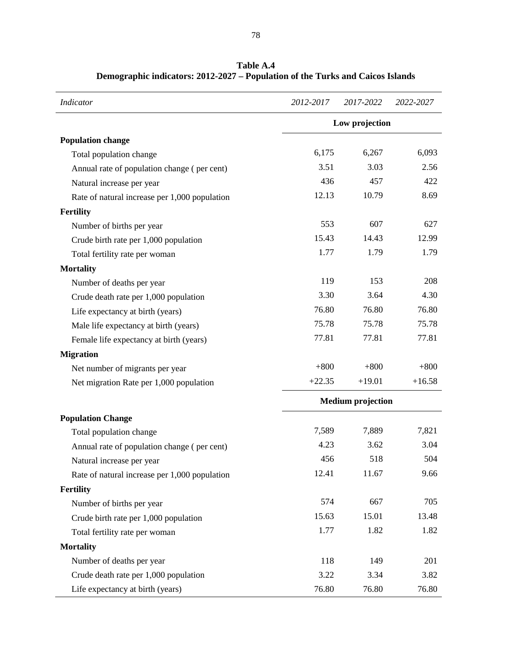| Indicator                                     | 2012-2017 | 2017-2022                | 2022-2027 |
|-----------------------------------------------|-----------|--------------------------|-----------|
|                                               |           | Low projection           |           |
| <b>Population change</b>                      |           |                          |           |
| Total population change                       | 6,175     | 6,267                    | 6,093     |
| Annual rate of population change (per cent)   | 3.51      | 3.03                     | 2.56      |
| Natural increase per year                     | 436       | 457                      | 422       |
| Rate of natural increase per 1,000 population | 12.13     | 10.79                    | 8.69      |
| <b>Fertility</b>                              |           |                          |           |
| Number of births per year                     | 553       | 607                      | 627       |
| Crude birth rate per 1,000 population         | 15.43     | 14.43                    | 12.99     |
| Total fertility rate per woman                | 1.77      | 1.79                     | 1.79      |
| <b>Mortality</b>                              |           |                          |           |
| Number of deaths per year                     | 119       | 153                      | 208       |
| Crude death rate per 1,000 population         | 3.30      | 3.64                     | 4.30      |
| Life expectancy at birth (years)              | 76.80     | 76.80                    | 76.80     |
| Male life expectancy at birth (years)         | 75.78     | 75.78                    | 75.78     |
| Female life expectancy at birth (years)       | 77.81     | 77.81                    | 77.81     |
| <b>Migration</b>                              |           |                          |           |
| Net number of migrants per year               | $+800$    | $+800$                   | $+800$    |
| Net migration Rate per 1,000 population       | $+22.35$  | $+19.01$                 | $+16.58$  |
|                                               |           | <b>Medium</b> projection |           |
| <b>Population Change</b>                      |           |                          |           |
| Total population change                       | 7,589     | 7,889                    | 7,821     |
| Annual rate of population change (per cent)   | 4.23      | 3.62                     | 3.04      |
| Natural increase per year                     | 456       | 518                      | 504       |
| Rate of natural increase per 1,000 population | 12.41     | 11.67                    | 9.66      |
| <b>Fertility</b>                              |           |                          |           |
| Number of births per year                     | 574       | 667                      | 705       |
| Crude birth rate per 1,000 population         | 15.63     | 15.01                    | 13.48     |
| Total fertility rate per woman                | 1.77      | 1.82                     | 1.82      |
| <b>Mortality</b>                              |           |                          |           |
| Number of deaths per year                     | 118       | 149                      | 201       |
| Crude death rate per 1,000 population         | 3.22      | 3.34                     | 3.82      |
| Life expectancy at birth (years)              | 76.80     | 76.80                    | 76.80     |

**Table A.4 Demographic indicators: 2012-2027 – Population of the Turks and Caicos Islands**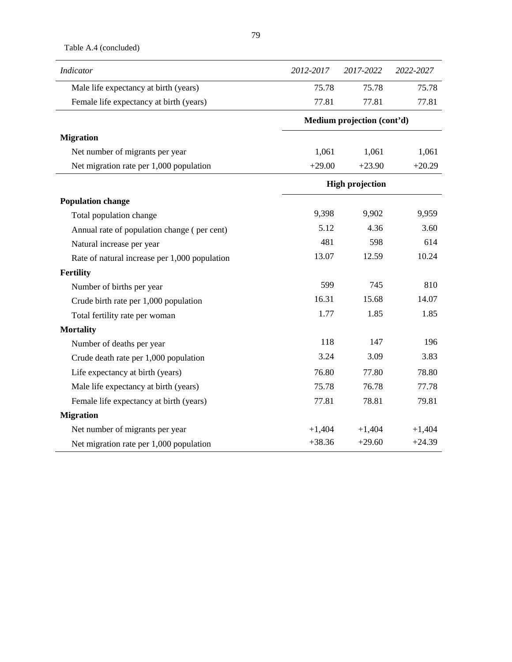Table A.4 (concluded)

| Indicator                                     | 2012-2017 | 2017-2022                  | 2022-2027 |
|-----------------------------------------------|-----------|----------------------------|-----------|
| Male life expectancy at birth (years)         | 75.78     | 75.78                      | 75.78     |
| Female life expectancy at birth (years)       | 77.81     | 77.81                      | 77.81     |
|                                               |           | Medium projection (cont'd) |           |
| <b>Migration</b>                              |           |                            |           |
| Net number of migrants per year               | 1,061     | 1,061                      | 1,061     |
| Net migration rate per 1,000 population       | $+29.00$  | $+23.90$                   | $+20.29$  |
|                                               |           | <b>High projection</b>     |           |
| <b>Population change</b>                      |           |                            |           |
| Total population change                       | 9,398     | 9,902                      | 9,959     |
| Annual rate of population change (per cent)   | 5.12      | 4.36                       | 3.60      |
| Natural increase per year                     | 481       | 598                        | 614       |
| Rate of natural increase per 1,000 population | 13.07     | 12.59                      | 10.24     |
| <b>Fertility</b>                              |           |                            |           |
| Number of births per year                     | 599       | 745                        | 810       |
| Crude birth rate per 1,000 population         | 16.31     | 15.68                      | 14.07     |
| Total fertility rate per woman                | 1.77      | 1.85                       | 1.85      |
| <b>Mortality</b>                              |           |                            |           |
| Number of deaths per year                     | 118       | 147                        | 196       |
| Crude death rate per 1,000 population         | 3.24      | 3.09                       | 3.83      |
| Life expectancy at birth (years)              | 76.80     | 77.80                      | 78.80     |
| Male life expectancy at birth (years)         | 75.78     | 76.78                      | 77.78     |
| Female life expectancy at birth (years)       | 77.81     | 78.81                      | 79.81     |
| <b>Migration</b>                              |           |                            |           |
| Net number of migrants per year               | $+1,404$  | $+1,404$                   | $+1,404$  |
| Net migration rate per 1,000 population       | $+38.36$  | $+29.60$                   | $+24.39$  |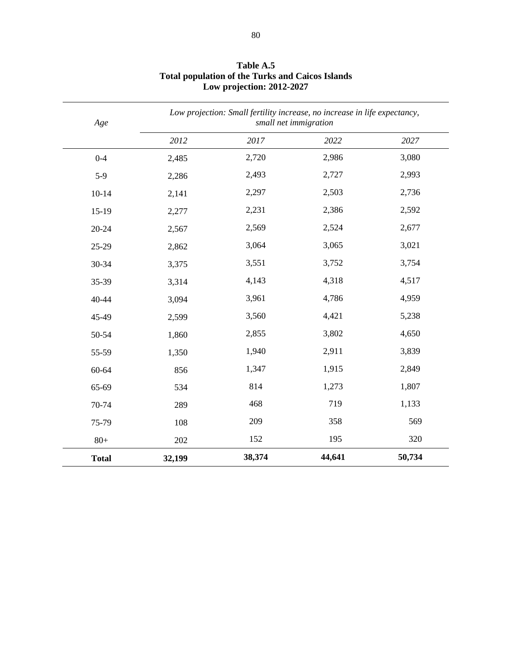| Age          |        | Low projection: Small fertility increase, no increase in life expectancy,<br>small net immigration |        |        |  |
|--------------|--------|----------------------------------------------------------------------------------------------------|--------|--------|--|
|              | 2012   | 2017                                                                                               | 2022   | 2027   |  |
| $0 - 4$      | 2,485  | 2,720                                                                                              | 2,986  | 3,080  |  |
| $5-9$        | 2,286  | 2,493                                                                                              | 2,727  | 2,993  |  |
| $10 - 14$    | 2,141  | 2,297                                                                                              | 2,503  | 2,736  |  |
| $15-19$      | 2,277  | 2,231                                                                                              | 2,386  | 2,592  |  |
| $20 - 24$    | 2,567  | 2,569                                                                                              | 2,524  | 2,677  |  |
| 25-29        | 2,862  | 3,064                                                                                              | 3,065  | 3,021  |  |
| 30-34        | 3,375  | 3,551                                                                                              | 3,752  | 3,754  |  |
| 35-39        | 3,314  | 4,143                                                                                              | 4,318  | 4,517  |  |
| 40-44        | 3,094  | 3,961                                                                                              | 4,786  | 4,959  |  |
| 45-49        | 2,599  | 3,560                                                                                              | 4,421  | 5,238  |  |
| 50-54        | 1,860  | 2,855                                                                                              | 3,802  | 4,650  |  |
| 55-59        | 1,350  | 1,940                                                                                              | 2,911  | 3,839  |  |
| 60-64        | 856    | 1,347                                                                                              | 1,915  | 2,849  |  |
| 65-69        | 534    | 814                                                                                                | 1,273  | 1,807  |  |
| 70-74        | 289    | 468                                                                                                | 719    | 1,133  |  |
| 75-79        | 108    | 209                                                                                                | 358    | 569    |  |
| $80+$        | 202    | 152                                                                                                | 195    | 320    |  |
| <b>Total</b> | 32,199 | 38,374                                                                                             | 44,641 | 50,734 |  |

**Table A.5 Total population of the Turks and Caicos Islands Low projection: 2012-2027**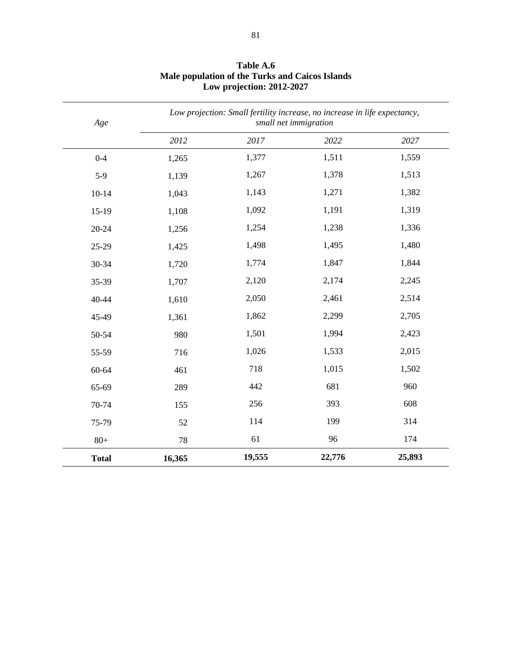| Age          |        | Low projection: Small fertility increase, no increase in life expectancy,<br>small net immigration |        |        |  |
|--------------|--------|----------------------------------------------------------------------------------------------------|--------|--------|--|
|              | 2012   | 2017                                                                                               | 2022   | 2027   |  |
| $0 - 4$      | 1,265  | 1,377                                                                                              | 1,511  | 1,559  |  |
| $5-9$        | 1,139  | 1,267                                                                                              | 1,378  | 1,513  |  |
| $10 - 14$    | 1,043  | 1,143                                                                                              | 1,271  | 1,382  |  |
| $15-19$      | 1,108  | 1,092                                                                                              | 1,191  | 1,319  |  |
| $20 - 24$    | 1,256  | 1,254                                                                                              | 1,238  | 1,336  |  |
| 25-29        | 1,425  | 1,498                                                                                              | 1,495  | 1,480  |  |
| 30-34        | 1,720  | 1,774                                                                                              | 1,847  | 1,844  |  |
| 35-39        | 1,707  | 2,120                                                                                              | 2,174  | 2,245  |  |
| 40-44        | 1,610  | 2,050                                                                                              | 2,461  | 2,514  |  |
| 45-49        | 1,361  | 1,862                                                                                              | 2,299  | 2,705  |  |
| 50-54        | 980    | 1,501                                                                                              | 1,994  | 2,423  |  |
| 55-59        | 716    | 1,026                                                                                              | 1,533  | 2,015  |  |
| 60-64        | 461    | 718                                                                                                | 1,015  | 1,502  |  |
| 65-69        | 289    | 442                                                                                                | 681    | 960    |  |
| 70-74        | 155    | 256                                                                                                | 393    | 608    |  |
| 75-79        | 52     | 114                                                                                                | 199    | 314    |  |
| $80+$        | 78     | 61                                                                                                 | 96     | 174    |  |
| <b>Total</b> | 16,365 | 19,555                                                                                             | 22,776 | 25,893 |  |

**Table A.6 Male population of the Turks and Caicos Islands Low projection: 2012-2027**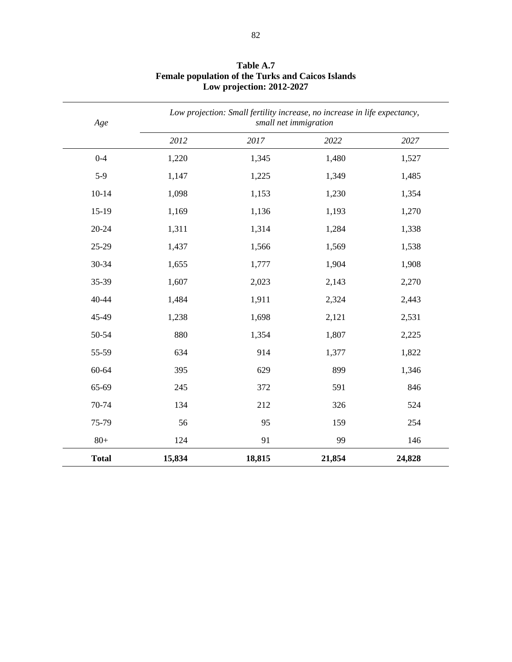| Age          | Low projection: Small fertility increase, no increase in life expectancy,<br>small net immigration |        |        |        |
|--------------|----------------------------------------------------------------------------------------------------|--------|--------|--------|
|              | 2012                                                                                               | 2017   | 2022   | 2027   |
| $0 - 4$      | 1,220                                                                                              | 1,345  | 1,480  | 1,527  |
| $5-9$        | 1,147                                                                                              | 1,225  | 1,349  | 1,485  |
| $10-14$      | 1,098                                                                                              | 1,153  | 1,230  | 1,354  |
| $15-19$      | 1,169                                                                                              | 1,136  | 1,193  | 1,270  |
| $20 - 24$    | 1,311                                                                                              | 1,314  | 1,284  | 1,338  |
| 25-29        | 1,437                                                                                              | 1,566  | 1,569  | 1,538  |
| 30-34        | 1,655                                                                                              | 1,777  | 1,904  | 1,908  |
| 35-39        | 1,607                                                                                              | 2,023  | 2,143  | 2,270  |
| 40-44        | 1,484                                                                                              | 1,911  | 2,324  | 2,443  |
| 45-49        | 1,238                                                                                              | 1,698  | 2,121  | 2,531  |
| 50-54        | 880                                                                                                | 1,354  | 1,807  | 2,225  |
| 55-59        | 634                                                                                                | 914    | 1,377  | 1,822  |
| 60-64        | 395                                                                                                | 629    | 899    | 1,346  |
| 65-69        | 245                                                                                                | 372    | 591    | 846    |
| 70-74        | 134                                                                                                | 212    | 326    | 524    |
| 75-79        | 56                                                                                                 | 95     | 159    | 254    |
| $80+$        | 124                                                                                                | 91     | 99     | 146    |
| <b>Total</b> | 15,834                                                                                             | 18,815 | 21,854 | 24,828 |

**Table A.7 Female population of the Turks and Caicos Islands Low projection: 2012-2027**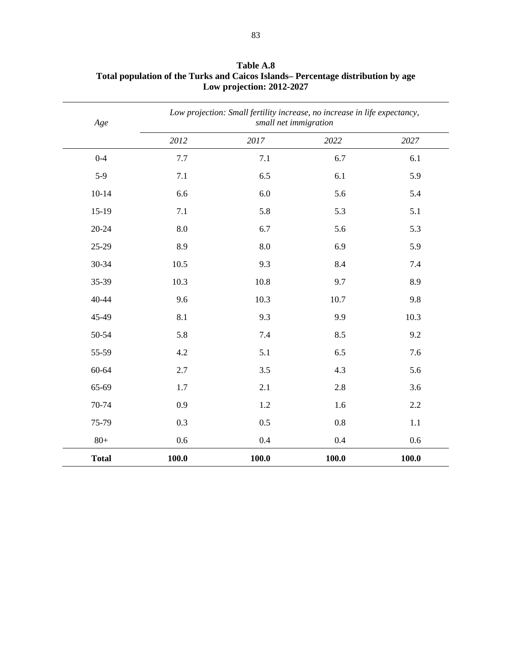| Age          | Low projection: Small fertility increase, no increase in life expectancy,<br>small net immigration |       |       |       |
|--------------|----------------------------------------------------------------------------------------------------|-------|-------|-------|
|              | 2012                                                                                               | 2017  | 2022  | 2027  |
| $0 - 4$      | 7.7                                                                                                | 7.1   | 6.7   | 6.1   |
| $5-9$        | $7.1\,$                                                                                            | 6.5   | 6.1   | 5.9   |
| $10 - 14$    | 6.6                                                                                                | 6.0   | 5.6   | 5.4   |
| $15-19$      | 7.1                                                                                                | 5.8   | 5.3   | 5.1   |
| $20 - 24$    | 8.0                                                                                                | 6.7   | 5.6   | 5.3   |
| 25-29        | 8.9                                                                                                | 8.0   | 6.9   | 5.9   |
| 30-34        | 10.5                                                                                               | 9.3   | 8.4   | 7.4   |
| 35-39        | 10.3                                                                                               | 10.8  | 9.7   | 8.9   |
| 40-44        | 9.6                                                                                                | 10.3  | 10.7  | 9.8   |
| 45-49        | 8.1                                                                                                | 9.3   | 9.9   | 10.3  |
| 50-54        | 5.8                                                                                                | 7.4   | 8.5   | 9.2   |
| 55-59        | 4.2                                                                                                | 5.1   | 6.5   | 7.6   |
| 60-64        | 2.7                                                                                                | 3.5   | 4.3   | 5.6   |
| 65-69        | 1.7                                                                                                | 2.1   | 2.8   | 3.6   |
| 70-74        | 0.9                                                                                                | 1.2   | 1.6   | 2.2   |
| 75-79        | 0.3                                                                                                | 0.5   | 0.8   | 1.1   |
| $80+$        | 0.6                                                                                                | 0.4   | 0.4   | 0.6   |
| <b>Total</b> | 100.0                                                                                              | 100.0 | 100.0 | 100.0 |

**Table A.8 Total population of the Turks and Caicos Islands– Percentage distribution by age Low projection: 2012-2027**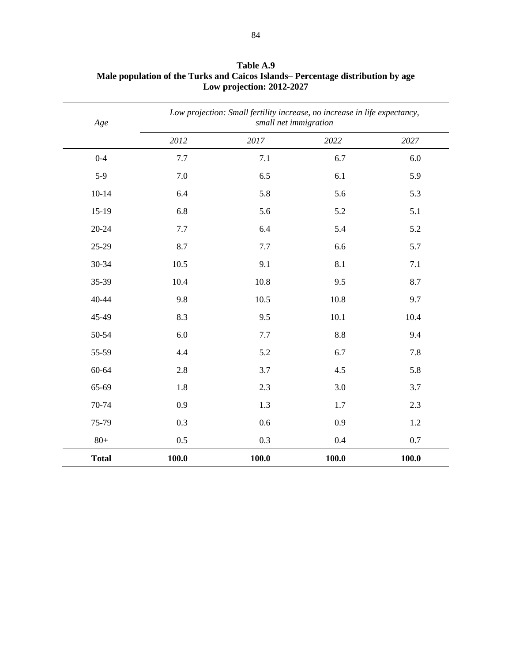| Age          | Low projection: Small fertility increase, no increase in life expectancy,<br>small net immigration |       |       |       |
|--------------|----------------------------------------------------------------------------------------------------|-------|-------|-------|
|              | 2012                                                                                               | 2017  | 2022  | 2027  |
| $0 - 4$      | 7.7                                                                                                | 7.1   | 6.7   | 6.0   |
| $5-9$        | 7.0                                                                                                | 6.5   | 6.1   | 5.9   |
| $10 - 14$    | 6.4                                                                                                | 5.8   | 5.6   | 5.3   |
| $15-19$      | 6.8                                                                                                | 5.6   | 5.2   | 5.1   |
| $20 - 24$    | 7.7                                                                                                | 6.4   | 5.4   | 5.2   |
| 25-29        | 8.7                                                                                                | 7.7   | 6.6   | 5.7   |
| 30-34        | 10.5                                                                                               | 9.1   | 8.1   | 7.1   |
| 35-39        | 10.4                                                                                               | 10.8  | 9.5   | 8.7   |
| 40-44        | 9.8                                                                                                | 10.5  | 10.8  | 9.7   |
| 45-49        | 8.3                                                                                                | 9.5   | 10.1  | 10.4  |
| 50-54        | 6.0                                                                                                | 7.7   | 8.8   | 9.4   |
| 55-59        | 4.4                                                                                                | 5.2   | 6.7   | 7.8   |
| 60-64        | 2.8                                                                                                | 3.7   | 4.5   | 5.8   |
| 65-69        | 1.8                                                                                                | 2.3   | 3.0   | 3.7   |
| 70-74        | 0.9                                                                                                | 1.3   | 1.7   | 2.3   |
| 75-79        | 0.3                                                                                                | 0.6   | 0.9   | 1.2   |
| $80+$        | 0.5                                                                                                | 0.3   | 0.4   | 0.7   |
| <b>Total</b> | 100.0                                                                                              | 100.0 | 100.0 | 100.0 |

**Table A.9 Male population of the Turks and Caicos Islands– Percentage distribution by age Low projection: 2012-2027**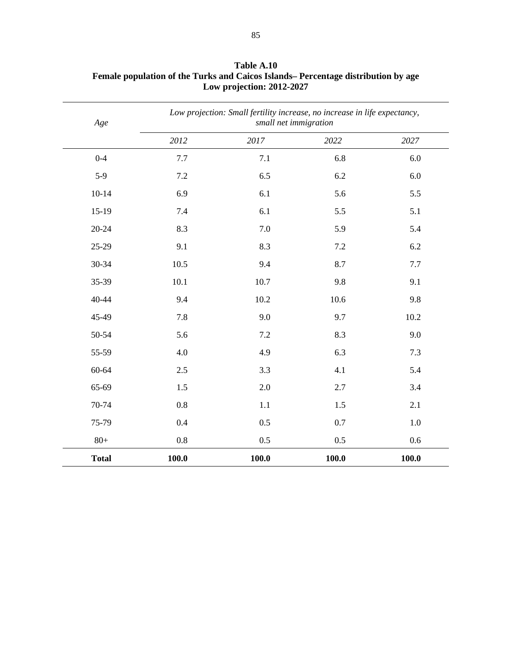| Age          | Low projection: Small fertility increase, no increase in life expectancy,<br>small net immigration |       |         |         |
|--------------|----------------------------------------------------------------------------------------------------|-------|---------|---------|
|              | 2012                                                                                               | 2017  | 2022    | 2027    |
| $0 - 4$      | 7.7                                                                                                | 7.1   | 6.8     | 6.0     |
| $5-9$        | 7.2                                                                                                | 6.5   | 6.2     | 6.0     |
| $10 - 14$    | 6.9                                                                                                | 6.1   | 5.6     | 5.5     |
| $15-19$      | 7.4                                                                                                | 6.1   | 5.5     | 5.1     |
| $20 - 24$    | 8.3                                                                                                | 7.0   | 5.9     | 5.4     |
| 25-29        | 9.1                                                                                                | 8.3   | $7.2\,$ | 6.2     |
| 30-34        | 10.5                                                                                               | 9.4   | 8.7     | 7.7     |
| 35-39        | 10.1                                                                                               | 10.7  | 9.8     | 9.1     |
| 40-44        | 9.4                                                                                                | 10.2  | 10.6    | 9.8     |
| 45-49        | 7.8                                                                                                | 9.0   | 9.7     | 10.2    |
| 50-54        | 5.6                                                                                                | 7.2   | 8.3     | 9.0     |
| 55-59        | 4.0                                                                                                | 4.9   | 6.3     | 7.3     |
| 60-64        | 2.5                                                                                                | 3.3   | 4.1     | 5.4     |
| 65-69        | 1.5                                                                                                | 2.0   | 2.7     | 3.4     |
| 70-74        | 0.8                                                                                                | 1.1   | 1.5     | 2.1     |
| 75-79        | 0.4                                                                                                | 0.5   | 0.7     | $1.0\,$ |
| $80+$        | 0.8                                                                                                | 0.5   | 0.5     | 0.6     |
| <b>Total</b> | 100.0                                                                                              | 100.0 | 100.0   | 100.0   |

**Table A.10 Female population of the Turks and Caicos Islands– Percentage distribution by age Low projection: 2012-2027**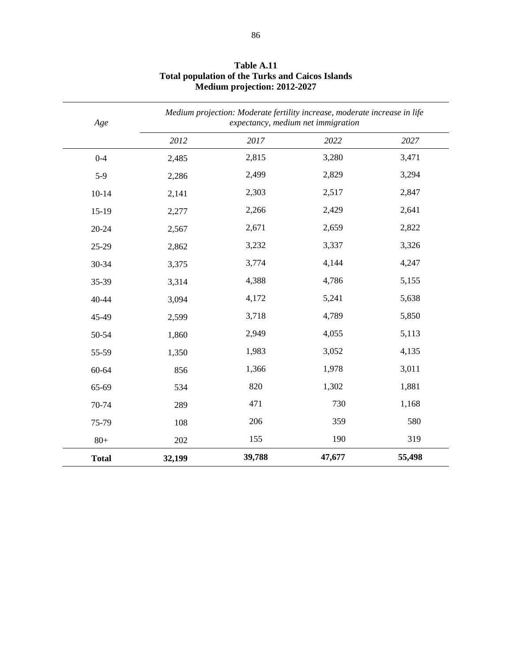| Age          | Medium projection: Moderate fertility increase, moderate increase in life<br>expectancy, medium net immigration |        |        |        |
|--------------|-----------------------------------------------------------------------------------------------------------------|--------|--------|--------|
|              | 2012                                                                                                            | 2017   | 2022   | 2027   |
| $0 - 4$      | 2,485                                                                                                           | 2,815  | 3,280  | 3,471  |
| $5-9$        | 2,286                                                                                                           | 2,499  | 2,829  | 3,294  |
| $10-14$      | 2,141                                                                                                           | 2,303  | 2,517  | 2,847  |
| $15-19$      | 2,277                                                                                                           | 2,266  | 2,429  | 2,641  |
| $20 - 24$    | 2,567                                                                                                           | 2,671  | 2,659  | 2,822  |
| 25-29        | 2,862                                                                                                           | 3,232  | 3,337  | 3,326  |
| 30-34        | 3,375                                                                                                           | 3,774  | 4,144  | 4,247  |
| 35-39        | 3,314                                                                                                           | 4,388  | 4,786  | 5,155  |
| 40-44        | 3,094                                                                                                           | 4,172  | 5,241  | 5,638  |
| 45-49        | 2,599                                                                                                           | 3,718  | 4,789  | 5,850  |
| 50-54        | 1,860                                                                                                           | 2,949  | 4,055  | 5,113  |
| 55-59        | 1,350                                                                                                           | 1,983  | 3,052  | 4,135  |
| 60-64        | 856                                                                                                             | 1,366  | 1,978  | 3,011  |
| 65-69        | 534                                                                                                             | 820    | 1,302  | 1,881  |
| 70-74        | 289                                                                                                             | 471    | 730    | 1,168  |
| 75-79        | 108                                                                                                             | 206    | 359    | 580    |
| $80+$        | 202                                                                                                             | 155    | 190    | 319    |
| <b>Total</b> | 32,199                                                                                                          | 39,788 | 47,677 | 55,498 |

**Table A.11 Total population of the Turks and Caicos Islands Medium projection: 2012-2027**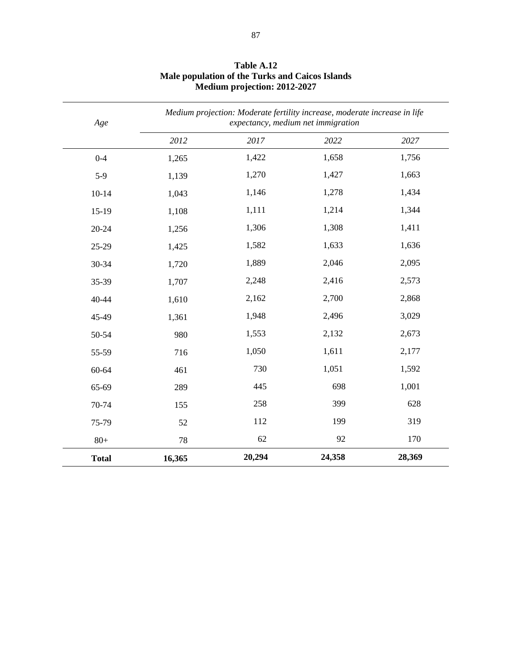| Age          |        | Medium projection: Moderate fertility increase, moderate increase in life<br>expectancy, medium net immigration |        |        |  |
|--------------|--------|-----------------------------------------------------------------------------------------------------------------|--------|--------|--|
|              | 2012   | 2017                                                                                                            | 2022   | 2027   |  |
| $0 - 4$      | 1,265  | 1,422                                                                                                           | 1,658  | 1,756  |  |
| $5-9$        | 1,139  | 1,270                                                                                                           | 1,427  | 1,663  |  |
| $10-14$      | 1,043  | 1,146                                                                                                           | 1,278  | 1,434  |  |
| $15-19$      | 1,108  | 1,111                                                                                                           | 1,214  | 1,344  |  |
| 20-24        | 1,256  | 1,306                                                                                                           | 1,308  | 1,411  |  |
| 25-29        | 1,425  | 1,582                                                                                                           | 1,633  | 1,636  |  |
| 30-34        | 1,720  | 1,889                                                                                                           | 2,046  | 2,095  |  |
| 35-39        | 1,707  | 2,248                                                                                                           | 2,416  | 2,573  |  |
| 40-44        | 1,610  | 2,162                                                                                                           | 2,700  | 2,868  |  |
| 45-49        | 1,361  | 1,948                                                                                                           | 2,496  | 3,029  |  |
| 50-54        | 980    | 1,553                                                                                                           | 2,132  | 2,673  |  |
| 55-59        | 716    | 1,050                                                                                                           | 1,611  | 2,177  |  |
| 60-64        | 461    | 730                                                                                                             | 1,051  | 1,592  |  |
| 65-69        | 289    | 445                                                                                                             | 698    | 1,001  |  |
| 70-74        | 155    | 258                                                                                                             | 399    | 628    |  |
| 75-79        | 52     | 112                                                                                                             | 199    | 319    |  |
| $80+$        | 78     | 62                                                                                                              | 92     | 170    |  |
| <b>Total</b> | 16,365 | 20,294                                                                                                          | 24,358 | 28,369 |  |

**Table A.12 Male population of the Turks and Caicos Islands Medium projection: 2012-2027**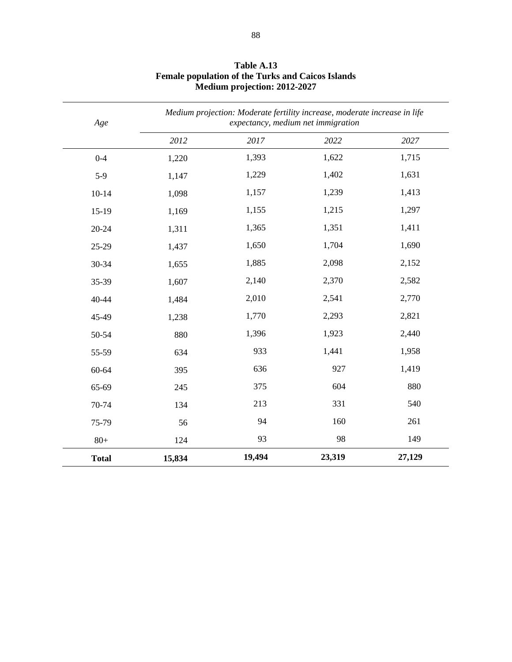| Age          |        | Medium projection: Moderate fertility increase, moderate increase in life<br>expectancy, medium net immigration |        |        |  |
|--------------|--------|-----------------------------------------------------------------------------------------------------------------|--------|--------|--|
|              | 2012   | 2017                                                                                                            | 2022   | 2027   |  |
| $0 - 4$      | 1,220  | 1,393                                                                                                           | 1,622  | 1,715  |  |
| $5-9$        | 1,147  | 1,229                                                                                                           | 1,402  | 1,631  |  |
| $10-14$      | 1,098  | 1,157                                                                                                           | 1,239  | 1,413  |  |
| $15-19$      | 1,169  | 1,155                                                                                                           | 1,215  | 1,297  |  |
| $20 - 24$    | 1,311  | 1,365                                                                                                           | 1,351  | 1,411  |  |
| 25-29        | 1,437  | 1,650                                                                                                           | 1,704  | 1,690  |  |
| 30-34        | 1,655  | 1,885                                                                                                           | 2,098  | 2,152  |  |
| 35-39        | 1,607  | 2,140                                                                                                           | 2,370  | 2,582  |  |
| 40-44        | 1,484  | 2,010                                                                                                           | 2,541  | 2,770  |  |
| 45-49        | 1,238  | 1,770                                                                                                           | 2,293  | 2,821  |  |
| 50-54        | 880    | 1,396                                                                                                           | 1,923  | 2,440  |  |
| 55-59        | 634    | 933                                                                                                             | 1,441  | 1,958  |  |
| 60-64        | 395    | 636                                                                                                             | 927    | 1,419  |  |
| 65-69        | 245    | 375                                                                                                             | 604    | 880    |  |
| 70-74        | 134    | 213                                                                                                             | 331    | 540    |  |
| 75-79        | 56     | 94                                                                                                              | 160    | 261    |  |
| $80+$        | 124    | 93                                                                                                              | 98     | 149    |  |
| <b>Total</b> | 15,834 | 19,494                                                                                                          | 23,319 | 27,129 |  |

**Table A.13 Female population of the Turks and Caicos Islands Medium projection: 2012-2027**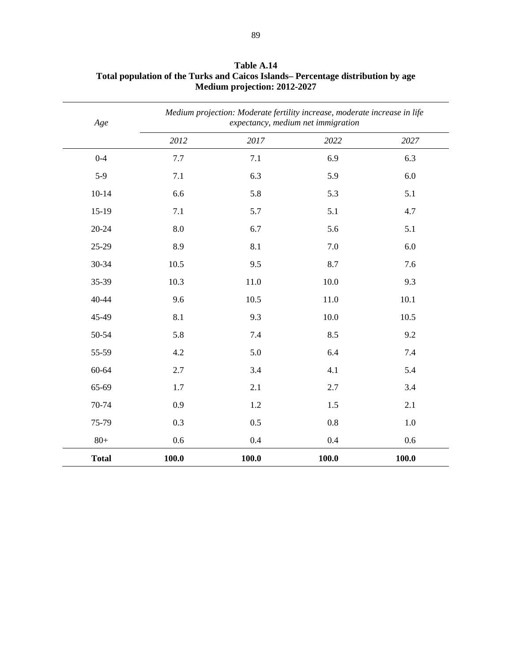| Age          |       | Medium projection: Moderate fertility increase, moderate increase in life<br>expectancy, medium net immigration |       |       |  |
|--------------|-------|-----------------------------------------------------------------------------------------------------------------|-------|-------|--|
|              | 2012  | 2017                                                                                                            | 2022  | 2027  |  |
| $0 - 4$      | 7.7   | 7.1                                                                                                             | 6.9   | 6.3   |  |
| $5-9$        | 7.1   | 6.3                                                                                                             | 5.9   | 6.0   |  |
| $10 - 14$    | 6.6   | 5.8                                                                                                             | 5.3   | 5.1   |  |
| $15-19$      | 7.1   | 5.7                                                                                                             | 5.1   | 4.7   |  |
| $20 - 24$    | 8.0   | 6.7                                                                                                             | 5.6   | 5.1   |  |
| 25-29        | 8.9   | 8.1                                                                                                             | 7.0   | 6.0   |  |
| 30-34        | 10.5  | 9.5                                                                                                             | 8.7   | 7.6   |  |
| 35-39        | 10.3  | 11.0                                                                                                            | 10.0  | 9.3   |  |
| 40-44        | 9.6   | 10.5                                                                                                            | 11.0  | 10.1  |  |
| 45-49        | 8.1   | 9.3                                                                                                             | 10.0  | 10.5  |  |
| 50-54        | 5.8   | 7.4                                                                                                             | 8.5   | 9.2   |  |
| 55-59        | 4.2   | 5.0                                                                                                             | 6.4   | 7.4   |  |
| 60-64        | 2.7   | 3.4                                                                                                             | 4.1   | 5.4   |  |
| 65-69        | 1.7   | 2.1                                                                                                             | 2.7   | 3.4   |  |
| 70-74        | 0.9   | 1.2                                                                                                             | 1.5   | 2.1   |  |
| 75-79        | 0.3   | 0.5                                                                                                             | 0.8   | 1.0   |  |
| $80+$        | 0.6   | 0.4                                                                                                             | 0.4   | 0.6   |  |
| <b>Total</b> | 100.0 | 100.0                                                                                                           | 100.0 | 100.0 |  |

**Table A.14 Total population of the Turks and Caicos Islands– Percentage distribution by age Medium projection: 2012-2027**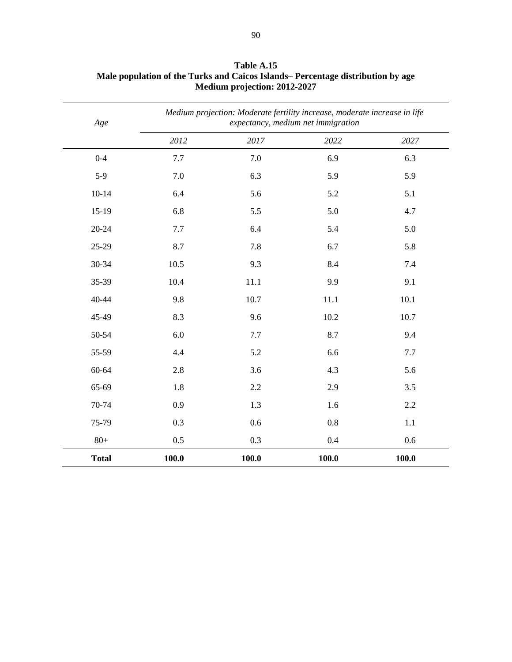| Age          |       | Medium projection: Moderate fertility increase, moderate increase in life<br>expectancy, medium net immigration |       |       |  |  |
|--------------|-------|-----------------------------------------------------------------------------------------------------------------|-------|-------|--|--|
|              | 2012  | 2017                                                                                                            | 2022  | 2027  |  |  |
| $0 - 4$      | 7.7   | 7.0                                                                                                             | 6.9   | 6.3   |  |  |
| $5-9$        | 7.0   | 6.3                                                                                                             | 5.9   | 5.9   |  |  |
| $10 - 14$    | 6.4   | 5.6                                                                                                             | 5.2   | 5.1   |  |  |
| $15-19$      | 6.8   | 5.5                                                                                                             | 5.0   | 4.7   |  |  |
| $20 - 24$    | 7.7   | 6.4                                                                                                             | 5.4   | 5.0   |  |  |
| 25-29        | 8.7   | 7.8                                                                                                             | 6.7   | 5.8   |  |  |
| 30-34        | 10.5  | 9.3                                                                                                             | 8.4   | 7.4   |  |  |
| 35-39        | 10.4  | 11.1                                                                                                            | 9.9   | 9.1   |  |  |
| 40-44        | 9.8   | 10.7                                                                                                            | 11.1  | 10.1  |  |  |
| 45-49        | 8.3   | 9.6                                                                                                             | 10.2  | 10.7  |  |  |
| 50-54        | 6.0   | 7.7                                                                                                             | 8.7   | 9.4   |  |  |
| 55-59        | 4.4   | 5.2                                                                                                             | 6.6   | 7.7   |  |  |
| 60-64        | 2.8   | 3.6                                                                                                             | 4.3   | 5.6   |  |  |
| 65-69        | 1.8   | 2.2                                                                                                             | 2.9   | 3.5   |  |  |
| 70-74        | 0.9   | 1.3                                                                                                             | 1.6   | 2.2   |  |  |
| 75-79        | 0.3   | 0.6                                                                                                             | 0.8   | 1.1   |  |  |
| $80+$        | 0.5   | 0.3                                                                                                             | 0.4   | 0.6   |  |  |
| <b>Total</b> | 100.0 | 100.0                                                                                                           | 100.0 | 100.0 |  |  |

**Table A.15 Male population of the Turks and Caicos Islands– Percentage distribution by age Medium projection: 2012-2027**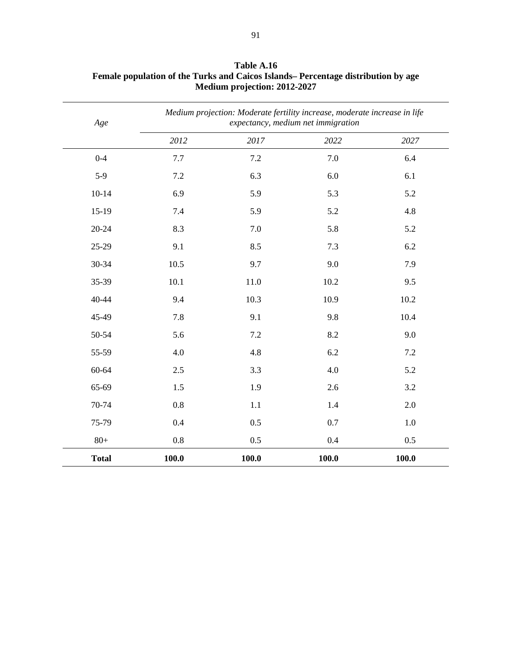| Age          |       | Medium projection: Moderate fertility increase, moderate increase in life<br>expectancy, medium net immigration |       |       |  |  |
|--------------|-------|-----------------------------------------------------------------------------------------------------------------|-------|-------|--|--|
|              | 2012  | 2017                                                                                                            | 2022  | 2027  |  |  |
| $0 - 4$      | 7.7   | 7.2                                                                                                             | 7.0   | 6.4   |  |  |
| $5-9$        | 7.2   | 6.3                                                                                                             | 6.0   | 6.1   |  |  |
| $10 - 14$    | 6.9   | 5.9                                                                                                             | 5.3   | 5.2   |  |  |
| $15-19$      | 7.4   | 5.9                                                                                                             | 5.2   | 4.8   |  |  |
| $20 - 24$    | 8.3   | 7.0                                                                                                             | 5.8   | 5.2   |  |  |
| 25-29        | 9.1   | 8.5                                                                                                             | 7.3   | 6.2   |  |  |
| 30-34        | 10.5  | 9.7                                                                                                             | 9.0   | 7.9   |  |  |
| 35-39        | 10.1  | 11.0                                                                                                            | 10.2  | 9.5   |  |  |
| 40-44        | 9.4   | 10.3                                                                                                            | 10.9  | 10.2  |  |  |
| 45-49        | 7.8   | 9.1                                                                                                             | 9.8   | 10.4  |  |  |
| 50-54        | 5.6   | 7.2                                                                                                             | 8.2   | 9.0   |  |  |
| 55-59        | 4.0   | 4.8                                                                                                             | 6.2   | 7.2   |  |  |
| 60-64        | 2.5   | 3.3                                                                                                             | 4.0   | 5.2   |  |  |
| 65-69        | 1.5   | 1.9                                                                                                             | 2.6   | 3.2   |  |  |
| 70-74        | 0.8   | 1.1                                                                                                             | 1.4   | 2.0   |  |  |
| 75-79        | 0.4   | 0.5                                                                                                             | 0.7   | 1.0   |  |  |
| $80+$        | 0.8   | 0.5                                                                                                             | 0.4   | 0.5   |  |  |
| <b>Total</b> | 100.0 | 100.0                                                                                                           | 100.0 | 100.0 |  |  |

**Table A.16 Female population of the Turks and Caicos Islands– Percentage distribution by age Medium projection: 2012-2027**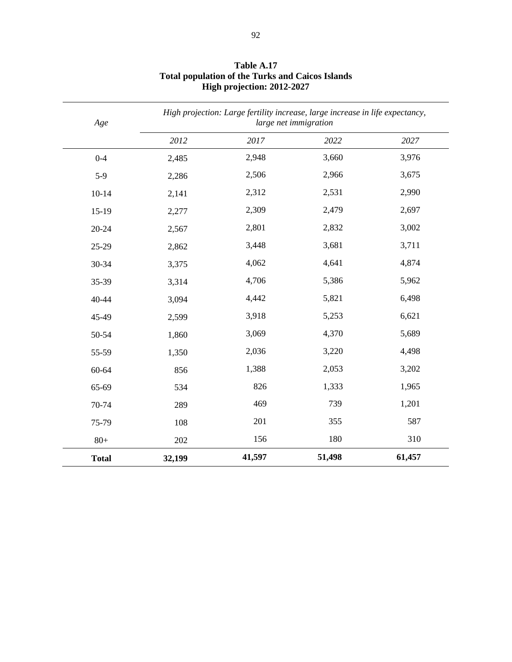| Age          |        | High projection: Large fertility increase, large increase in life expectancy,<br>large net immigration |        |        |  |
|--------------|--------|--------------------------------------------------------------------------------------------------------|--------|--------|--|
|              | 2012   | 2017                                                                                                   | 2022   | 2027   |  |
| $0 - 4$      | 2,485  | 2,948                                                                                                  | 3,660  | 3,976  |  |
| $5-9$        | 2,286  | 2,506                                                                                                  | 2,966  | 3,675  |  |
| $10-14$      | 2,141  | 2,312                                                                                                  | 2,531  | 2,990  |  |
| $15-19$      | 2,277  | 2,309                                                                                                  | 2,479  | 2,697  |  |
| $20 - 24$    | 2,567  | 2,801                                                                                                  | 2,832  | 3,002  |  |
| 25-29        | 2,862  | 3,448                                                                                                  | 3,681  | 3,711  |  |
| 30-34        | 3,375  | 4,062                                                                                                  | 4,641  | 4,874  |  |
| 35-39        | 3,314  | 4,706                                                                                                  | 5,386  | 5,962  |  |
| 40-44        | 3,094  | 4,442                                                                                                  | 5,821  | 6,498  |  |
| 45-49        | 2,599  | 3,918                                                                                                  | 5,253  | 6,621  |  |
| 50-54        | 1,860  | 3,069                                                                                                  | 4,370  | 5,689  |  |
| 55-59        | 1,350  | 2,036                                                                                                  | 3,220  | 4,498  |  |
| 60-64        | 856    | 1,388                                                                                                  | 2,053  | 3,202  |  |
| 65-69        | 534    | 826                                                                                                    | 1,333  | 1,965  |  |
| 70-74        | 289    | 469                                                                                                    | 739    | 1,201  |  |
| 75-79        | 108    | 201                                                                                                    | 355    | 587    |  |
| $80+$        | 202    | 156                                                                                                    | 180    | 310    |  |
| <b>Total</b> | 32,199 | 41,597                                                                                                 | 51,498 | 61,457 |  |

## **Table A.17 Total population of the Turks and Caicos Islands High projection: 2012-2027**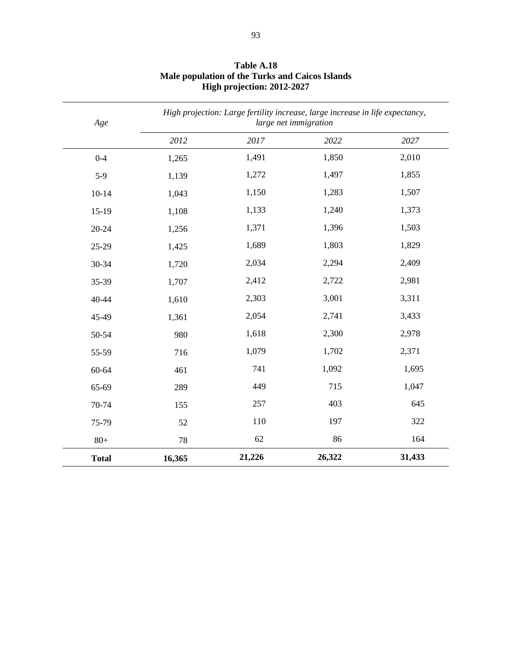| Age          |        | High projection: Large fertility increase, large increase in life expectancy,<br>large net immigration |        |        |  |
|--------------|--------|--------------------------------------------------------------------------------------------------------|--------|--------|--|
|              | 2012   | 2017                                                                                                   | 2022   | 2027   |  |
| $0 - 4$      | 1,265  | 1,491                                                                                                  | 1,850  | 2,010  |  |
| $5-9$        | 1,139  | 1,272                                                                                                  | 1,497  | 1,855  |  |
| $10-14$      | 1,043  | 1,150                                                                                                  | 1,283  | 1,507  |  |
| $15-19$      | 1,108  | 1,133                                                                                                  | 1,240  | 1,373  |  |
| $20 - 24$    | 1,256  | 1,371                                                                                                  | 1,396  | 1,503  |  |
| 25-29        | 1,425  | 1,689                                                                                                  | 1,803  | 1,829  |  |
| 30-34        | 1,720  | 2,034                                                                                                  | 2,294  | 2,409  |  |
| 35-39        | 1,707  | 2,412                                                                                                  | 2,722  | 2,981  |  |
| 40-44        | 1,610  | 2,303                                                                                                  | 3,001  | 3,311  |  |
| 45-49        | 1,361  | 2,054                                                                                                  | 2,741  | 3,433  |  |
| 50-54        | 980    | 1,618                                                                                                  | 2,300  | 2,978  |  |
| 55-59        | 716    | 1,079                                                                                                  | 1,702  | 2,371  |  |
| 60-64        | 461    | 741                                                                                                    | 1,092  | 1,695  |  |
| 65-69        | 289    | 449                                                                                                    | 715    | 1,047  |  |
| 70-74        | 155    | 257                                                                                                    | 403    | 645    |  |
| 75-79        | 52     | 110                                                                                                    | 197    | 322    |  |
| $80+$        | 78     | 62                                                                                                     | 86     | 164    |  |
| <b>Total</b> | 16,365 | 21,226                                                                                                 | 26,322 | 31,433 |  |

## **Table A.18 Male population of the Turks and Caicos Islands High projection: 2012-2027**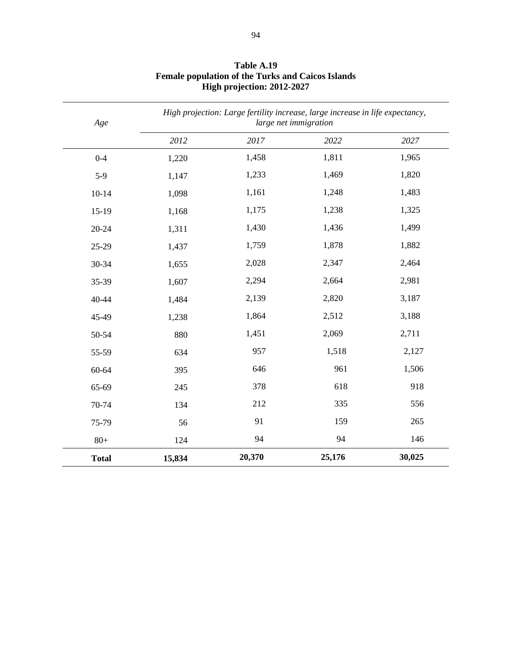| Age          | High projection: Large fertility increase, large increase in life expectancy,<br>large net immigration |        |        |        |
|--------------|--------------------------------------------------------------------------------------------------------|--------|--------|--------|
|              | 2012                                                                                                   | 2017   | 2022   | 2027   |
| $0 - 4$      | 1,220                                                                                                  | 1,458  | 1,811  | 1,965  |
| $5-9$        | 1,147                                                                                                  | 1,233  | 1,469  | 1,820  |
| $10 - 14$    | 1,098                                                                                                  | 1,161  | 1,248  | 1,483  |
| $15-19$      | 1,168                                                                                                  | 1,175  | 1,238  | 1,325  |
| $20 - 24$    | 1,311                                                                                                  | 1,430  | 1,436  | 1,499  |
| 25-29        | 1,437                                                                                                  | 1,759  | 1,878  | 1,882  |
| 30-34        | 1,655                                                                                                  | 2,028  | 2,347  | 2,464  |
| 35-39        | 1,607                                                                                                  | 2,294  | 2,664  | 2,981  |
| 40-44        | 1,484                                                                                                  | 2,139  | 2,820  | 3,187  |
| 45-49        | 1,238                                                                                                  | 1,864  | 2,512  | 3,188  |
| 50-54        | 880                                                                                                    | 1,451  | 2,069  | 2,711  |
| 55-59        | 634                                                                                                    | 957    | 1,518  | 2,127  |
| 60-64        | 395                                                                                                    | 646    | 961    | 1,506  |
| 65-69        | 245                                                                                                    | 378    | 618    | 918    |
| 70-74        | 134                                                                                                    | 212    | 335    | 556    |
| 75-79        | 56                                                                                                     | 91     | 159    | 265    |
| $80+$        | 124                                                                                                    | 94     | 94     | 146    |
| <b>Total</b> | 15,834                                                                                                 | 20,370 | 25,176 | 30,025 |

**Table A.19 Female population of the Turks and Caicos Islands High projection: 2012-2027**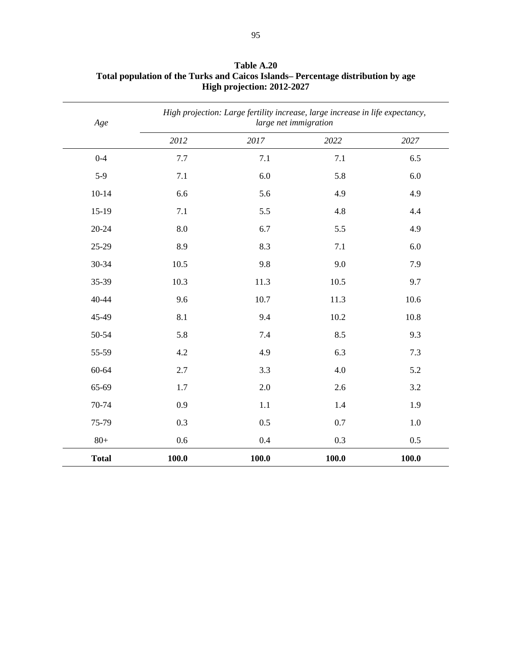| Age          |       | High projection: Large fertility increase, large increase in life expectancy,<br>large net immigration |         |         |  |
|--------------|-------|--------------------------------------------------------------------------------------------------------|---------|---------|--|
|              | 2012  | 2017                                                                                                   | 2022    | 2027    |  |
| $0 - 4$      | 7.7   | 7.1                                                                                                    | 7.1     | 6.5     |  |
| $5-9$        | 7.1   | 6.0                                                                                                    | 5.8     | 6.0     |  |
| $10 - 14$    | 6.6   | 5.6                                                                                                    | 4.9     | 4.9     |  |
| $15-19$      | 7.1   | 5.5                                                                                                    | 4.8     | 4.4     |  |
| $20 - 24$    | 8.0   | 6.7                                                                                                    | 5.5     | 4.9     |  |
| 25-29        | 8.9   | 8.3                                                                                                    | $7.1\,$ | 6.0     |  |
| 30-34        | 10.5  | 9.8                                                                                                    | 9.0     | 7.9     |  |
| 35-39        | 10.3  | 11.3                                                                                                   | 10.5    | 9.7     |  |
| 40-44        | 9.6   | 10.7                                                                                                   | 11.3    | 10.6    |  |
| 45-49        | 8.1   | 9.4                                                                                                    | 10.2    | 10.8    |  |
| 50-54        | 5.8   | 7.4                                                                                                    | 8.5     | 9.3     |  |
| 55-59        | 4.2   | 4.9                                                                                                    | 6.3     | 7.3     |  |
| 60-64        | 2.7   | 3.3                                                                                                    | 4.0     | 5.2     |  |
| 65-69        | 1.7   | 2.0                                                                                                    | 2.6     | 3.2     |  |
| 70-74        | 0.9   | 1.1                                                                                                    | 1.4     | 1.9     |  |
| 75-79        | 0.3   | 0.5                                                                                                    | 0.7     | $1.0\,$ |  |
| $80+$        | 0.6   | 0.4                                                                                                    | 0.3     | 0.5     |  |
| <b>Total</b> | 100.0 | 100.0                                                                                                  | 100.0   | 100.0   |  |

**Table A.20 Total population of the Turks and Caicos Islands– Percentage distribution by age High projection: 2012-2027**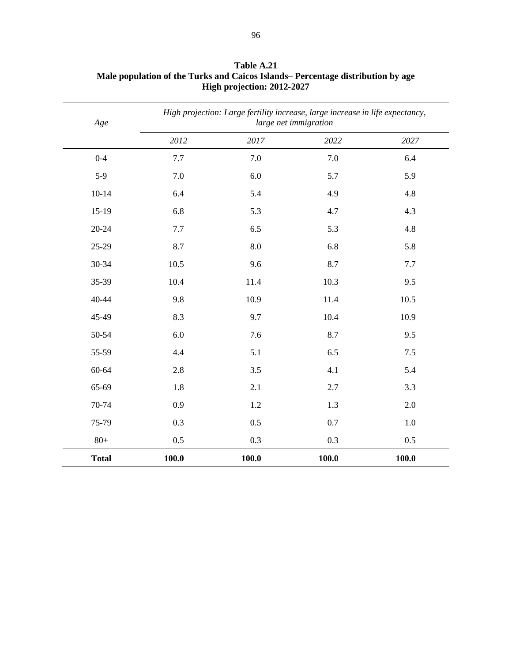| Age          |       | High projection: Large fertility increase, large increase in life expectancy,<br>large net immigration |       |         |  |
|--------------|-------|--------------------------------------------------------------------------------------------------------|-------|---------|--|
|              | 2012  | 2017                                                                                                   | 2022  | 2027    |  |
| $0 - 4$      | 7.7   | 7.0                                                                                                    | 7.0   | 6.4     |  |
| $5-9$        | 7.0   | 6.0                                                                                                    | 5.7   | 5.9     |  |
| $10 - 14$    | 6.4   | 5.4                                                                                                    | 4.9   | 4.8     |  |
| $15-19$      | 6.8   | 5.3                                                                                                    | 4.7   | 4.3     |  |
| $20 - 24$    | 7.7   | 6.5                                                                                                    | 5.3   | 4.8     |  |
| 25-29        | 8.7   | 8.0                                                                                                    | 6.8   | 5.8     |  |
| 30-34        | 10.5  | 9.6                                                                                                    | 8.7   | 7.7     |  |
| 35-39        | 10.4  | 11.4                                                                                                   | 10.3  | 9.5     |  |
| 40-44        | 9.8   | 10.9                                                                                                   | 11.4  | 10.5    |  |
| 45-49        | 8.3   | 9.7                                                                                                    | 10.4  | 10.9    |  |
| 50-54        | 6.0   | 7.6                                                                                                    | 8.7   | 9.5     |  |
| 55-59        | 4.4   | 5.1                                                                                                    | 6.5   | 7.5     |  |
| 60-64        | 2.8   | 3.5                                                                                                    | 4.1   | 5.4     |  |
| 65-69        | 1.8   | 2.1                                                                                                    | 2.7   | 3.3     |  |
| 70-74        | 0.9   | 1.2                                                                                                    | 1.3   | 2.0     |  |
| 75-79        | 0.3   | 0.5                                                                                                    | 0.7   | $1.0\,$ |  |
| $80+$        | 0.5   | 0.3                                                                                                    | 0.3   | 0.5     |  |
| <b>Total</b> | 100.0 | 100.0                                                                                                  | 100.0 | 100.0   |  |

**Table A.21 Male population of the Turks and Caicos Islands– Percentage distribution by age High projection: 2012-2027**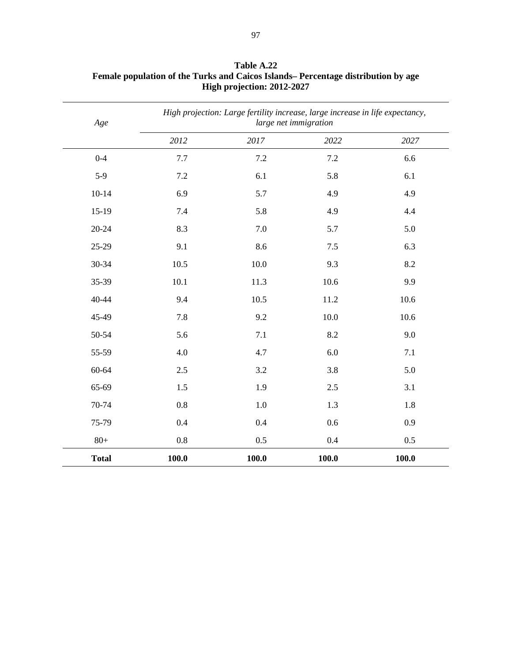| Age          | High projection: Large fertility increase, large increase in life expectancy,<br>large net immigration |       |       |       |
|--------------|--------------------------------------------------------------------------------------------------------|-------|-------|-------|
|              | 2012                                                                                                   | 2017  | 2022  | 2027  |
| $0 - 4$      | 7.7                                                                                                    | 7.2   | 7.2   | 6.6   |
| $5-9$        | 7.2                                                                                                    | 6.1   | 5.8   | 6.1   |
| $10 - 14$    | 6.9                                                                                                    | 5.7   | 4.9   | 4.9   |
| $15-19$      | 7.4                                                                                                    | 5.8   | 4.9   | 4.4   |
| $20 - 24$    | 8.3                                                                                                    | 7.0   | 5.7   | 5.0   |
| 25-29        | 9.1                                                                                                    | 8.6   | $7.5$ | 6.3   |
| 30-34        | 10.5                                                                                                   | 10.0  | 9.3   | 8.2   |
| 35-39        | 10.1                                                                                                   | 11.3  | 10.6  | 9.9   |
| 40-44        | 9.4                                                                                                    | 10.5  | 11.2  | 10.6  |
| 45-49        | 7.8                                                                                                    | 9.2   | 10.0  | 10.6  |
| 50-54        | 5.6                                                                                                    | 7.1   | 8.2   | 9.0   |
| 55-59        | 4.0                                                                                                    | 4.7   | 6.0   | 7.1   |
| 60-64        | 2.5                                                                                                    | 3.2   | 3.8   | 5.0   |
| 65-69        | 1.5                                                                                                    | 1.9   | 2.5   | 3.1   |
| 70-74        | 0.8                                                                                                    | 1.0   | 1.3   | 1.8   |
| 75-79        | 0.4                                                                                                    | 0.4   | 0.6   | 0.9   |
| $80+$        | 0.8                                                                                                    | 0.5   | 0.4   | 0.5   |
| <b>Total</b> | $\boldsymbol{100.0}$                                                                                   | 100.0 | 100.0 | 100.0 |

**Table A.22 Female population of the Turks and Caicos Islands– Percentage distribution by age High projection: 2012-2027**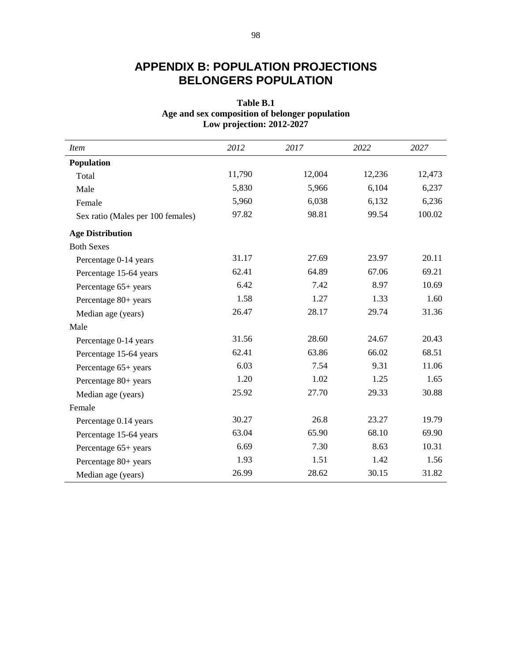# **APPENDIX B: POPULATION PROJECTIONS BELONGERS POPULATION**

# **Table B.1 Age and sex composition of belonger population Low projection: 2012-2027**

| <i>Item</i>                       | 2012   | 2017   | 2022   | 2027   |
|-----------------------------------|--------|--------|--------|--------|
| Population                        |        |        |        |        |
| Total                             | 11,790 | 12,004 | 12,236 | 12,473 |
| Male                              | 5,830  | 5,966  | 6,104  | 6,237  |
| Female                            | 5,960  | 6,038  | 6,132  | 6,236  |
| Sex ratio (Males per 100 females) | 97.82  | 98.81  | 99.54  | 100.02 |
| <b>Age Distribution</b>           |        |        |        |        |
| <b>Both Sexes</b>                 |        |        |        |        |
| Percentage 0-14 years             | 31.17  | 27.69  | 23.97  | 20.11  |
| Percentage 15-64 years            | 62.41  | 64.89  | 67.06  | 69.21  |
| Percentage 65+ years              | 6.42   | 7.42   | 8.97   | 10.69  |
| Percentage 80+ years              | 1.58   | 1.27   | 1.33   | 1.60   |
| Median age (years)                | 26.47  | 28.17  | 29.74  | 31.36  |
| Male                              |        |        |        |        |
| Percentage 0-14 years             | 31.56  | 28.60  | 24.67  | 20.43  |
| Percentage 15-64 years            | 62.41  | 63.86  | 66.02  | 68.51  |
| Percentage 65+ years              | 6.03   | 7.54   | 9.31   | 11.06  |
| Percentage 80+ years              | 1.20   | 1.02   | 1.25   | 1.65   |
| Median age (years)                | 25.92  | 27.70  | 29.33  | 30.88  |
| Female                            |        |        |        |        |
| Percentage 0.14 years             | 30.27  | 26.8   | 23.27  | 19.79  |
| Percentage 15-64 years            | 63.04  | 65.90  | 68.10  | 69.90  |
| Percentage 65+ years              | 6.69   | 7.30   | 8.63   | 10.31  |
| Percentage 80+ years              | 1.93   | 1.51   | 1.42   | 1.56   |
| Median age (years)                | 26.99  | 28.62  | 30.15  | 31.82  |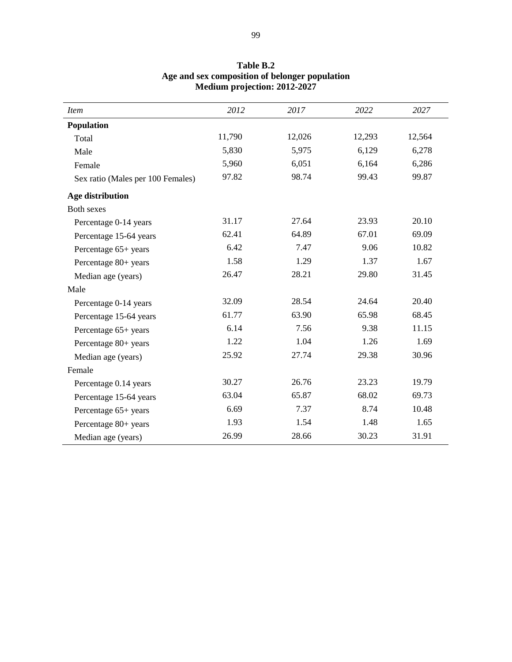| <b>Item</b>                       | 2012   | 2017   | 2022   | 2027   |
|-----------------------------------|--------|--------|--------|--------|
| Population                        |        |        |        |        |
| Total                             | 11,790 | 12,026 | 12,293 | 12,564 |
| Male                              | 5,830  | 5,975  | 6,129  | 6,278  |
| Female                            | 5,960  | 6,051  | 6,164  | 6,286  |
| Sex ratio (Males per 100 Females) | 97.82  | 98.74  | 99.43  | 99.87  |
| Age distribution                  |        |        |        |        |
| <b>Both sexes</b>                 |        |        |        |        |
| Percentage 0-14 years             | 31.17  | 27.64  | 23.93  | 20.10  |
| Percentage 15-64 years            | 62.41  | 64.89  | 67.01  | 69.09  |
| Percentage 65+ years              | 6.42   | 7.47   | 9.06   | 10.82  |
| Percentage 80+ years              | 1.58   | 1.29   | 1.37   | 1.67   |
| Median age (years)                | 26.47  | 28.21  | 29.80  | 31.45  |
| Male                              |        |        |        |        |
| Percentage 0-14 years             | 32.09  | 28.54  | 24.64  | 20.40  |
| Percentage 15-64 years            | 61.77  | 63.90  | 65.98  | 68.45  |
| Percentage 65+ years              | 6.14   | 7.56   | 9.38   | 11.15  |
| Percentage 80+ years              | 1.22   | 1.04   | 1.26   | 1.69   |
| Median age (years)                | 25.92  | 27.74  | 29.38  | 30.96  |
| Female                            |        |        |        |        |
| Percentage 0.14 years             | 30.27  | 26.76  | 23.23  | 19.79  |
| Percentage 15-64 years            | 63.04  | 65.87  | 68.02  | 69.73  |
| Percentage 65+ years              | 6.69   | 7.37   | 8.74   | 10.48  |
| Percentage 80+ years              | 1.93   | 1.54   | 1.48   | 1.65   |
| Median age (years)                | 26.99  | 28.66  | 30.23  | 31.91  |

# **Table B.2 Age and sex composition of belonger population Medium projection: 2012-2027**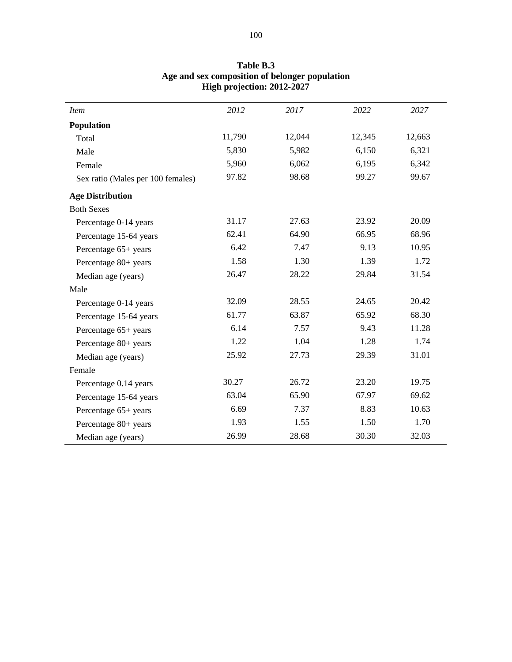| <b>Item</b>                       | 2012   | 2017   | 2022   | 2027   |
|-----------------------------------|--------|--------|--------|--------|
| Population                        |        |        |        |        |
| Total                             | 11,790 | 12,044 | 12,345 | 12,663 |
| Male                              | 5,830  | 5,982  | 6,150  | 6,321  |
| Female                            | 5,960  | 6,062  | 6,195  | 6,342  |
| Sex ratio (Males per 100 females) | 97.82  | 98.68  | 99.27  | 99.67  |
| <b>Age Distribution</b>           |        |        |        |        |
| <b>Both Sexes</b>                 |        |        |        |        |
| Percentage 0-14 years             | 31.17  | 27.63  | 23.92  | 20.09  |
| Percentage 15-64 years            | 62.41  | 64.90  | 66.95  | 68.96  |
| Percentage 65+ years              | 6.42   | 7.47   | 9.13   | 10.95  |
| Percentage 80+ years              | 1.58   | 1.30   | 1.39   | 1.72   |
| Median age (years)                | 26.47  | 28.22  | 29.84  | 31.54  |
| Male                              |        |        |        |        |
| Percentage 0-14 years             | 32.09  | 28.55  | 24.65  | 20.42  |
| Percentage 15-64 years            | 61.77  | 63.87  | 65.92  | 68.30  |
| Percentage 65+ years              | 6.14   | 7.57   | 9.43   | 11.28  |
| Percentage 80+ years              | 1.22   | 1.04   | 1.28   | 1.74   |
| Median age (years)                | 25.92  | 27.73  | 29.39  | 31.01  |
| Female                            |        |        |        |        |
| Percentage 0.14 years             | 30.27  | 26.72  | 23.20  | 19.75  |
| Percentage 15-64 years            | 63.04  | 65.90  | 67.97  | 69.62  |
| Percentage 65+ years              | 6.69   | 7.37   | 8.83   | 10.63  |
| Percentage 80+ years              | 1.93   | 1.55   | 1.50   | 1.70   |
| Median age (years)                | 26.99  | 28.68  | 30.30  | 32.03  |

# **Table B.3 Age and sex composition of belonger population High projection: 2012-2027**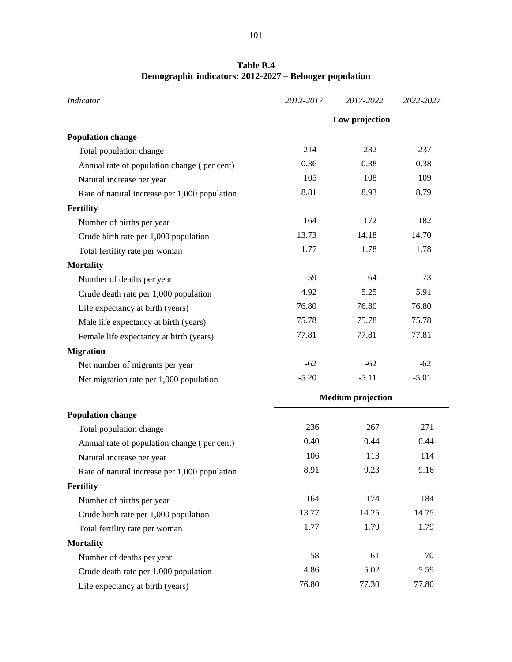| <b>Indicator</b>                              | 2012-2017                | 2017-2022 | 2022-2027 |
|-----------------------------------------------|--------------------------|-----------|-----------|
|                                               | Low projection           |           |           |
| <b>Population change</b>                      |                          |           |           |
| Total population change                       | 214                      | 232       | 237       |
| Annual rate of population change (per cent)   | 0.36                     | 0.38      | 0.38      |
| Natural increase per year                     | 105                      | 108       | 109       |
| Rate of natural increase per 1,000 population | 8.81                     | 8.93      | 8.79      |
| Fertility                                     |                          |           |           |
| Number of births per year                     | 164                      | 172       | 182       |
| Crude birth rate per 1,000 population         | 13.73                    | 14.18     | 14.70     |
| Total fertility rate per woman                | 1.77                     | 1.78      | 1.78      |
| <b>Mortality</b>                              |                          |           |           |
| Number of deaths per year                     | 59                       | 64        | 73        |
| Crude death rate per 1,000 population         | 4.92                     | 5.25      | 5.91      |
| Life expectancy at birth (years)              | 76.80                    | 76.80     | 76.80     |
| Male life expectancy at birth (years)         | 75.78                    | 75.78     | 75.78     |
| Female life expectancy at birth (years)       | 77.81                    | 77.81     | 77.81     |
| <b>Migration</b>                              |                          |           |           |
| Net number of migrants per year               | $-62$                    | $-62$     | $-62$     |
| Net migration rate per 1,000 population       | $-5.20$                  | $-5.11$   | $-5.01$   |
|                                               | <b>Medium</b> projection |           |           |
| <b>Population change</b>                      |                          |           |           |
| Total population change                       | 236                      | 267       | 271       |
| Annual rate of population change (per cent)   | 0.40                     | 0.44      | 0.44      |
| Natural increase per year                     | 106                      | 113       | 114       |
| Rate of natural increase per 1,000 population | 8.91                     | 9.23      | 9.16      |
| <b>Fertility</b>                              |                          |           |           |
| Number of births per year                     | 164                      | 174       | 184       |
| Crude birth rate per 1,000 population         | 13.77                    | 14.25     | 14.75     |
| Total fertility rate per woman                | 1.77                     | 1.79      | 1.79      |
| <b>Mortality</b>                              |                          |           |           |
| Number of deaths per year                     | 58                       | 61        | 70        |
| Crude death rate per 1,000 population         | 4.86                     | 5.02      | 5.59      |
| Life expectancy at birth (years)              | 76.80                    | 77.30     | 77.80     |

**Table B.4 Demographic indicators: 2012-2027 – Belonger population**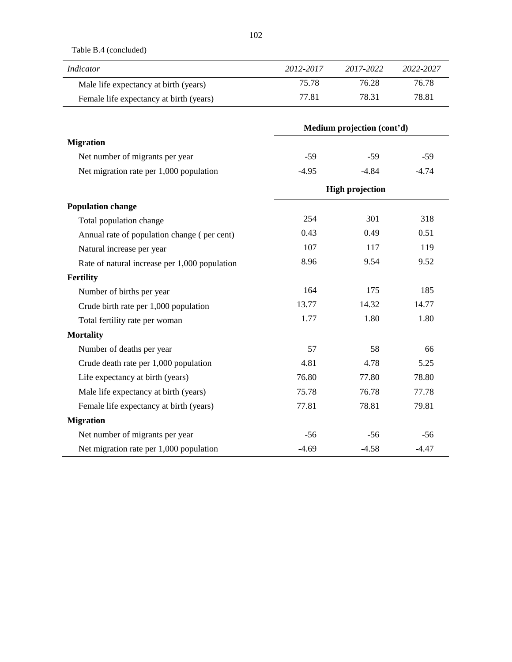Table B.4 (concluded)

| Indicator                               | 2012-2017 | 2017-2022 | 2022-2027 |
|-----------------------------------------|-----------|-----------|-----------|
| Male life expectancy at birth (years)   | 75.78     | 76.28     | 76.78     |
| Female life expectancy at birth (years) | 77.81     | 78.31     | 78.81     |

|                                               | Medium projection (cont'd) |                        |         |
|-----------------------------------------------|----------------------------|------------------------|---------|
| <b>Migration</b>                              |                            |                        |         |
| Net number of migrants per year               | $-59$                      | $-59$                  | $-59$   |
| Net migration rate per 1,000 population       | $-4.95$                    | $-4.84$                | $-4.74$ |
|                                               |                            | <b>High projection</b> |         |
| <b>Population change</b>                      |                            |                        |         |
| Total population change                       | 254                        | 301                    | 318     |
| Annual rate of population change (per cent)   | 0.43                       | 0.49                   | 0.51    |
| Natural increase per year                     | 107                        | 117                    | 119     |
| Rate of natural increase per 1,000 population | 8.96                       | 9.54                   | 9.52    |
| <b>Fertility</b>                              |                            |                        |         |
| Number of births per year                     | 164                        | 175                    | 185     |
| Crude birth rate per 1,000 population         | 13.77                      | 14.32                  | 14.77   |
| Total fertility rate per woman                | 1.77                       | 1.80                   | 1.80    |
| <b>Mortality</b>                              |                            |                        |         |
| Number of deaths per year                     | 57                         | 58                     | 66      |
| Crude death rate per 1,000 population         | 4.81                       | 4.78                   | 5.25    |
| Life expectancy at birth (years)              | 76.80                      | 77.80                  | 78.80   |
| Male life expectancy at birth (years)         | 75.78                      | 76.78                  | 77.78   |
| Female life expectancy at birth (years)       | 77.81                      | 78.81                  | 79.81   |
| <b>Migration</b>                              |                            |                        |         |
| Net number of migrants per year               | $-56$                      | $-56$                  | $-56$   |
| Net migration rate per 1,000 population       | $-4.69$                    | $-4.58$                | $-4.47$ |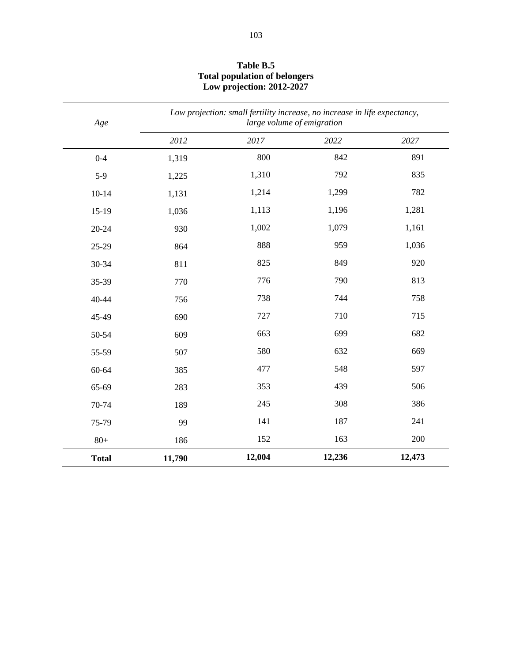| Age          |        | Low projection: small fertility increase, no increase in life expectancy,<br>large volume of emigration |        |        |
|--------------|--------|---------------------------------------------------------------------------------------------------------|--------|--------|
|              | 2012   | 2017                                                                                                    | 2022   | 2027   |
| $0 - 4$      | 1,319  | 800                                                                                                     | 842    | 891    |
| $5-9$        | 1,225  | 1,310                                                                                                   | 792    | 835    |
| $10 - 14$    | 1,131  | 1,214                                                                                                   | 1,299  | 782    |
| $15-19$      | 1,036  | 1,113                                                                                                   | 1,196  | 1,281  |
| 20-24        | 930    | 1,002                                                                                                   | 1,079  | 1,161  |
| 25-29        | 864    | 888                                                                                                     | 959    | 1,036  |
| 30-34        | 811    | 825                                                                                                     | 849    | 920    |
| 35-39        | 770    | 776                                                                                                     | 790    | 813    |
| 40-44        | 756    | 738                                                                                                     | 744    | 758    |
| 45-49        | 690    | 727                                                                                                     | 710    | 715    |
| 50-54        | 609    | 663                                                                                                     | 699    | 682    |
| 55-59        | 507    | 580                                                                                                     | 632    | 669    |
| 60-64        | 385    | 477                                                                                                     | 548    | 597    |
| 65-69        | 283    | 353                                                                                                     | 439    | 506    |
| 70-74        | 189    | 245                                                                                                     | 308    | 386    |
| 75-79        | 99     | 141                                                                                                     | 187    | 241    |
| $80 +$       | 186    | 152                                                                                                     | 163    | 200    |
| <b>Total</b> | 11,790 | 12,004                                                                                                  | 12,236 | 12,473 |

## **Table B.5 Total population of belongers Low projection: 2012-2027**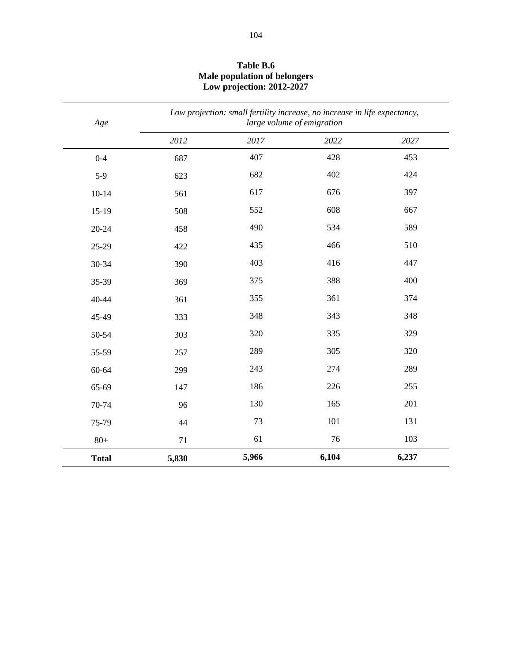| Age          |       |       | Low projection: small fertility increase, no increase in life expectancy,<br>large volume of emigration |       |
|--------------|-------|-------|---------------------------------------------------------------------------------------------------------|-------|
|              | 2012  | 2017  | 2022                                                                                                    | 2027  |
| $0 - 4$      | 687   | 407   | 428                                                                                                     | 453   |
| $5-9$        | 623   | 682   | 402                                                                                                     | 424   |
| $10 - 14$    | 561   | 617   | 676                                                                                                     | 397   |
| $15-19$      | 508   | 552   | 608                                                                                                     | 667   |
| $20 - 24$    | 458   | 490   | 534                                                                                                     | 589   |
| 25-29        | 422   | 435   | 466                                                                                                     | 510   |
| 30-34        | 390   | 403   | 416                                                                                                     | 447   |
| 35-39        | 369   | 375   | 388                                                                                                     | 400   |
| 40-44        | 361   | 355   | 361                                                                                                     | 374   |
| 45-49        | 333   | 348   | 343                                                                                                     | 348   |
| 50-54        | 303   | 320   | 335                                                                                                     | 329   |
| 55-59        | 257   | 289   | 305                                                                                                     | 320   |
| 60-64        | 299   | 243   | 274                                                                                                     | 289   |
| 65-69        | 147   | 186   | 226                                                                                                     | 255   |
| 70-74        | 96    | 130   | 165                                                                                                     | 201   |
| 75-79        | 44    | 73    | 101                                                                                                     | 131   |
| $80+$        | 71    | 61    | 76                                                                                                      | 103   |
| <b>Total</b> | 5,830 | 5,966 | 6,104                                                                                                   | 6,237 |

## **Table B.6 Male population of belongers Low projection: 2012-2027**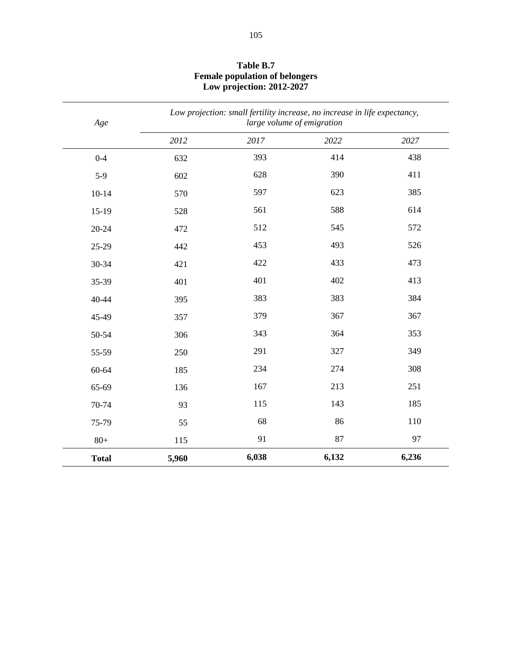| Age          |       | Low projection: small fertility increase, no increase in life expectancy,<br>large volume of emigration |       |       |
|--------------|-------|---------------------------------------------------------------------------------------------------------|-------|-------|
|              | 2012  | 2017                                                                                                    | 2022  | 2027  |
| $0 - 4$      | 632   | 393                                                                                                     | 414   | 438   |
| $5-9$        | 602   | 628                                                                                                     | 390   | 411   |
| $10 - 14$    | 570   | 597                                                                                                     | 623   | 385   |
| $15-19$      | 528   | 561                                                                                                     | 588   | 614   |
| $20 - 24$    | 472   | 512                                                                                                     | 545   | 572   |
| 25-29        | 442   | 453                                                                                                     | 493   | 526   |
| 30-34        | 421   | 422                                                                                                     | 433   | 473   |
| 35-39        | 401   | 401                                                                                                     | 402   | 413   |
| 40-44        | 395   | 383                                                                                                     | 383   | 384   |
| 45-49        | 357   | 379                                                                                                     | 367   | 367   |
| 50-54        | 306   | 343                                                                                                     | 364   | 353   |
| 55-59        | 250   | 291                                                                                                     | 327   | 349   |
| 60-64        | 185   | 234                                                                                                     | 274   | 308   |
| 65-69        | 136   | 167                                                                                                     | 213   | 251   |
| 70-74        | 93    | 115                                                                                                     | 143   | 185   |
| 75-79        | 55    | 68                                                                                                      | 86    | 110   |
| $80+$        | 115   | 91                                                                                                      | 87    | 97    |
| <b>Total</b> | 5,960 | 6,038                                                                                                   | 6,132 | 6,236 |

# **Table B.7 Female population of belongers Low projection: 2012-2027**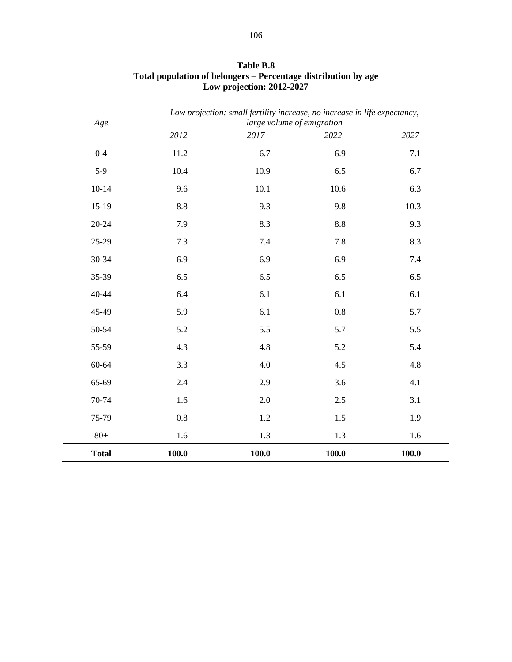| Age          |       | Low projection: small fertility increase, no increase in life expectancy,<br>large volume of emigration |       |       |
|--------------|-------|---------------------------------------------------------------------------------------------------------|-------|-------|
|              | 2012  | 2017                                                                                                    | 2022  | 2027  |
| $0 - 4$      | 11.2  | 6.7                                                                                                     | 6.9   | 7.1   |
| $5-9$        | 10.4  | 10.9                                                                                                    | 6.5   | 6.7   |
| $10 - 14$    | 9.6   | 10.1                                                                                                    | 10.6  | 6.3   |
| $15-19$      | 8.8   | 9.3                                                                                                     | 9.8   | 10.3  |
| $20 - 24$    | 7.9   | 8.3                                                                                                     | 8.8   | 9.3   |
| 25-29        | 7.3   | 7.4                                                                                                     | 7.8   | 8.3   |
| 30-34        | 6.9   | 6.9                                                                                                     | 6.9   | 7.4   |
| 35-39        | 6.5   | 6.5                                                                                                     | 6.5   | 6.5   |
| 40-44        | 6.4   | 6.1                                                                                                     | 6.1   | 6.1   |
| 45-49        | 5.9   | 6.1                                                                                                     | 0.8   | 5.7   |
| 50-54        | 5.2   | 5.5                                                                                                     | 5.7   | 5.5   |
| 55-59        | 4.3   | 4.8                                                                                                     | 5.2   | 5.4   |
| 60-64        | 3.3   | 4.0                                                                                                     | 4.5   | 4.8   |
| 65-69        | 2.4   | 2.9                                                                                                     | 3.6   | 4.1   |
| 70-74        | 1.6   | 2.0                                                                                                     | 2.5   | 3.1   |
| 75-79        | 0.8   | 1.2                                                                                                     | 1.5   | 1.9   |
| $80+$        | 1.6   | 1.3                                                                                                     | 1.3   | 1.6   |
| <b>Total</b> | 100.0 | 100.0                                                                                                   | 100.0 | 100.0 |

**Table B.8 Total population of belongers – Percentage distribution by age Low projection: 2012-2027**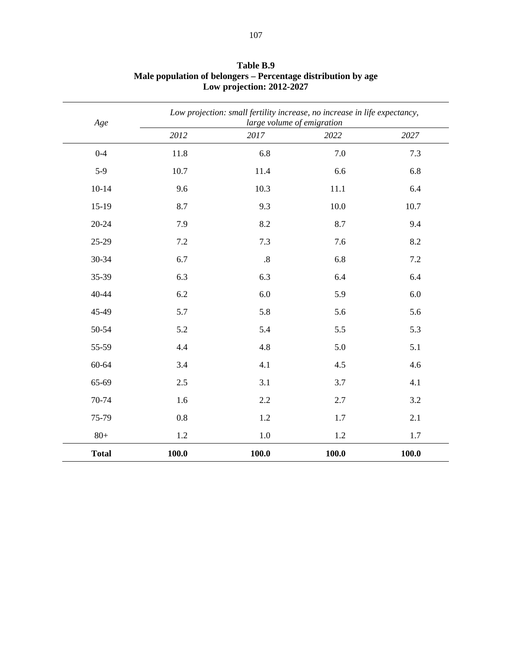| Age          |       | Low projection: small fertility increase, no increase in life expectancy,<br>large volume of emigration |       |       |
|--------------|-------|---------------------------------------------------------------------------------------------------------|-------|-------|
|              | 2012  | 2017                                                                                                    | 2022  | 2027  |
| $0 - 4$      | 11.8  | 6.8                                                                                                     | 7.0   | 7.3   |
| $5-9$        | 10.7  | 11.4                                                                                                    | 6.6   | 6.8   |
| $10 - 14$    | 9.6   | 10.3                                                                                                    | 11.1  | 6.4   |
| $15-19$      | 8.7   | 9.3                                                                                                     | 10.0  | 10.7  |
| $20 - 24$    | 7.9   | 8.2                                                                                                     | 8.7   | 9.4   |
| 25-29        | 7.2   | 7.3                                                                                                     | 7.6   | 8.2   |
| 30-34        | 6.7   | .8                                                                                                      | 6.8   | 7.2   |
| 35-39        | 6.3   | 6.3                                                                                                     | 6.4   | 6.4   |
| 40-44        | 6.2   | 6.0                                                                                                     | 5.9   | 6.0   |
| 45-49        | 5.7   | 5.8                                                                                                     | 5.6   | 5.6   |
| 50-54        | 5.2   | 5.4                                                                                                     | 5.5   | 5.3   |
| 55-59        | 4.4   | 4.8                                                                                                     | 5.0   | 5.1   |
| 60-64        | 3.4   | 4.1                                                                                                     | 4.5   | 4.6   |
| 65-69        | 2.5   | 3.1                                                                                                     | 3.7   | 4.1   |
| 70-74        | 1.6   | 2.2                                                                                                     | 2.7   | 3.2   |
| 75-79        | 0.8   | 1.2                                                                                                     | 1.7   | 2.1   |
| $80+$        | 1.2   | $1.0\,$                                                                                                 | 1.2   | 1.7   |
| <b>Total</b> | 100.0 | 100.0                                                                                                   | 100.0 | 100.0 |

**Table B.9 Male population of belongers – Percentage distribution by age Low projection: 2012-2027**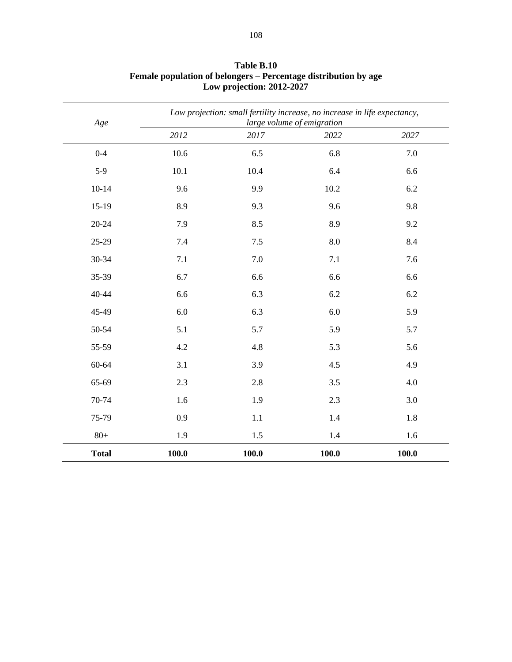| Age          |       | Low projection: small fertility increase, no increase in life expectancy,<br>large volume of emigration |       |       |  |
|--------------|-------|---------------------------------------------------------------------------------------------------------|-------|-------|--|
|              | 2012  | 2017                                                                                                    | 2022  | 2027  |  |
| $0 - 4$      | 10.6  | 6.5                                                                                                     | 6.8   | 7.0   |  |
| $5-9$        | 10.1  | 10.4                                                                                                    | 6.4   | 6.6   |  |
| $10 - 14$    | 9.6   | 9.9                                                                                                     | 10.2  | 6.2   |  |
| $15-19$      | 8.9   | 9.3                                                                                                     | 9.6   | 9.8   |  |
| $20 - 24$    | 7.9   | 8.5                                                                                                     | 8.9   | 9.2   |  |
| 25-29        | 7.4   | $7.5$                                                                                                   | 8.0   | 8.4   |  |
| 30-34        | 7.1   | 7.0                                                                                                     | 7.1   | 7.6   |  |
| 35-39        | 6.7   | 6.6                                                                                                     | 6.6   | 6.6   |  |
| 40-44        | 6.6   | 6.3                                                                                                     | 6.2   | 6.2   |  |
| 45-49        | 6.0   | 6.3                                                                                                     | 6.0   | 5.9   |  |
| 50-54        | 5.1   | 5.7                                                                                                     | 5.9   | 5.7   |  |
| 55-59        | 4.2   | 4.8                                                                                                     | 5.3   | 5.6   |  |
| 60-64        | 3.1   | 3.9                                                                                                     | 4.5   | 4.9   |  |
| 65-69        | 2.3   | 2.8                                                                                                     | 3.5   | 4.0   |  |
| 70-74        | 1.6   | 1.9                                                                                                     | 2.3   | 3.0   |  |
| 75-79        | 0.9   | $1.1\,$                                                                                                 | 1.4   | 1.8   |  |
| $80+$        | 1.9   | 1.5                                                                                                     | 1.4   | 1.6   |  |
| <b>Total</b> | 100.0 | 100.0                                                                                                   | 100.0 | 100.0 |  |

**Table B.10 Female population of belongers – Percentage distribution by age Low projection: 2012-2027**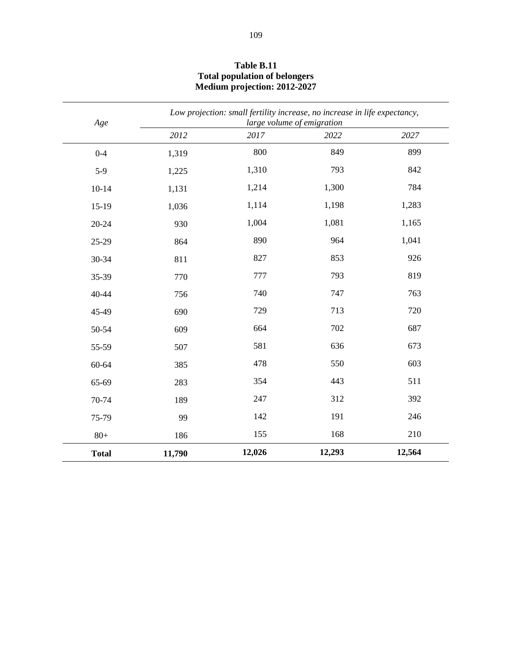| Age          |        | Low projection: small fertility increase, no increase in life expectancy, | large volume of emigration |        |
|--------------|--------|---------------------------------------------------------------------------|----------------------------|--------|
|              | 2012   | 2017                                                                      | 2022                       | 2027   |
| $0 - 4$      | 1,319  | 800                                                                       | 849                        | 899    |
| $5-9$        | 1,225  | 1,310                                                                     | 793                        | 842    |
| $10 - 14$    | 1,131  | 1,214                                                                     | 1,300                      | 784    |
| $15-19$      | 1,036  | 1,114                                                                     | 1,198                      | 1,283  |
| $20 - 24$    | 930    | 1,004                                                                     | 1,081                      | 1,165  |
| 25-29        | 864    | 890                                                                       | 964                        | 1,041  |
| 30-34        | 811    | 827                                                                       | 853                        | 926    |
| 35-39        | 770    | 777                                                                       | 793                        | 819    |
| 40-44        | 756    | 740                                                                       | 747                        | 763    |
| 45-49        | 690    | 729                                                                       | 713                        | 720    |
| 50-54        | 609    | 664                                                                       | 702                        | 687    |
| 55-59        | 507    | 581                                                                       | 636                        | 673    |
| 60-64        | 385    | 478                                                                       | 550                        | 603    |
| 65-69        | 283    | 354                                                                       | 443                        | 511    |
| 70-74        | 189    | 247                                                                       | 312                        | 392    |
| 75-79        | 99     | 142                                                                       | 191                        | 246    |
| $80+$        | 186    | 155                                                                       | 168                        | 210    |
| <b>Total</b> | 11,790 | 12,026                                                                    | 12,293                     | 12,564 |

#### **Table B.11 Total population of belongers Medium projection: 2012-2027**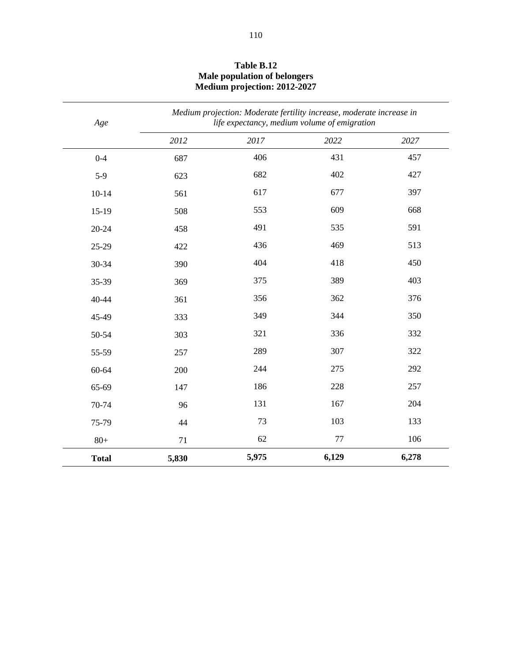| Age          | Medium projection: Moderate fertility increase, moderate increase in<br>life expectancy, medium volume of emigration |       |         |       |  |
|--------------|----------------------------------------------------------------------------------------------------------------------|-------|---------|-------|--|
|              | 2012                                                                                                                 | 2017  | 2022    | 2027  |  |
| $0 - 4$      | 687                                                                                                                  | 406   | 431     | 457   |  |
| $5-9$        | 623                                                                                                                  | 682   | 402     | 427   |  |
| $10 - 14$    | 561                                                                                                                  | 617   | 677     | 397   |  |
| $15-19$      | 508                                                                                                                  | 553   | 609     | 668   |  |
| $20 - 24$    | 458                                                                                                                  | 491   | 535     | 591   |  |
| 25-29        | 422                                                                                                                  | 436   | 469     | 513   |  |
| 30-34        | 390                                                                                                                  | 404   | 418     | 450   |  |
| 35-39        | 369                                                                                                                  | 375   | 389     | 403   |  |
| 40-44        | 361                                                                                                                  | 356   | 362     | 376   |  |
| 45-49        | 333                                                                                                                  | 349   | 344     | 350   |  |
| 50-54        | 303                                                                                                                  | 321   | 336     | 332   |  |
| 55-59        | 257                                                                                                                  | 289   | 307     | 322   |  |
| 60-64        | 200                                                                                                                  | 244   | 275     | 292   |  |
| 65-69        | 147                                                                                                                  | 186   | 228     | 257   |  |
| 70-74        | 96                                                                                                                   | 131   | 167     | 204   |  |
| 75-79        | 44                                                                                                                   | 73    | 103     | 133   |  |
| $80+$        | 71                                                                                                                   | 62    | $77 \,$ | 106   |  |
| <b>Total</b> | 5,830                                                                                                                | 5,975 | 6,129   | 6,278 |  |

#### **Table B.12 Male population of belongers Medium projection: 2012-2027**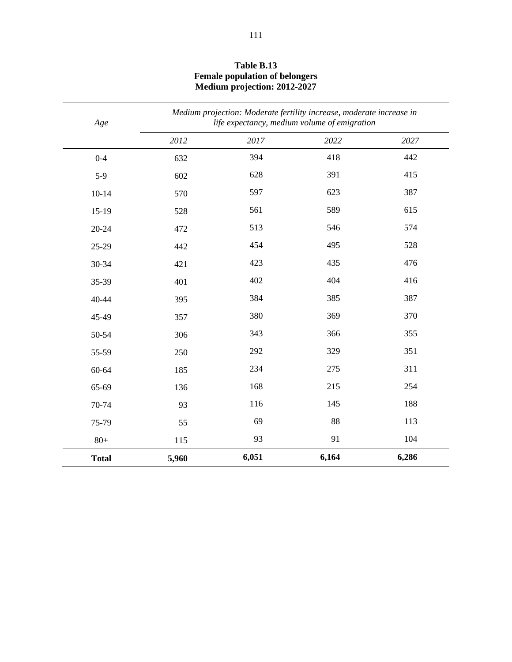| Age          | Medium projection: Moderate fertility increase, moderate increase in<br>life expectancy, medium volume of emigration |       |       |       |
|--------------|----------------------------------------------------------------------------------------------------------------------|-------|-------|-------|
|              | 2012                                                                                                                 | 2017  | 2022  | 2027  |
| $0 - 4$      | 632                                                                                                                  | 394   | 418   | 442   |
| $5-9$        | 602                                                                                                                  | 628   | 391   | 415   |
| $10 - 14$    | 570                                                                                                                  | 597   | 623   | 387   |
| $15-19$      | 528                                                                                                                  | 561   | 589   | 615   |
| $20 - 24$    | 472                                                                                                                  | 513   | 546   | 574   |
| 25-29        | 442                                                                                                                  | 454   | 495   | 528   |
| 30-34        | 421                                                                                                                  | 423   | 435   | 476   |
| 35-39        | 401                                                                                                                  | 402   | 404   | 416   |
| 40-44        | 395                                                                                                                  | 384   | 385   | 387   |
| 45-49        | 357                                                                                                                  | 380   | 369   | 370   |
| 50-54        | 306                                                                                                                  | 343   | 366   | 355   |
| 55-59        | 250                                                                                                                  | 292   | 329   | 351   |
| 60-64        | 185                                                                                                                  | 234   | 275   | 311   |
| 65-69        | 136                                                                                                                  | 168   | 215   | 254   |
| 70-74        | 93                                                                                                                   | 116   | 145   | 188   |
| 75-79        | 55                                                                                                                   | 69    | 88    | 113   |
| $80+$        | 115                                                                                                                  | 93    | 91    | 104   |
| <b>Total</b> | 5,960                                                                                                                | 6,051 | 6,164 | 6,286 |

#### **Table B.13 Female population of belongers Medium projection: 2012-2027**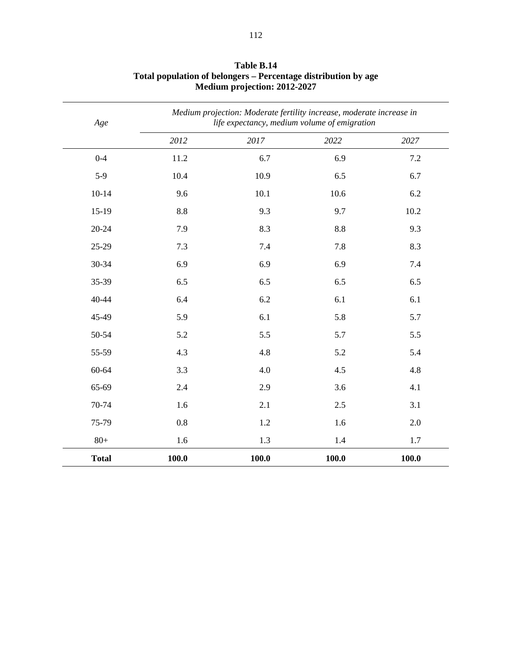| Age          |       | Medium projection: Moderate fertility increase, moderate increase in<br>life expectancy, medium volume of emigration |       |         |  |
|--------------|-------|----------------------------------------------------------------------------------------------------------------------|-------|---------|--|
|              | 2012  | 2017                                                                                                                 | 2022  | 2027    |  |
| $0 - 4$      | 11.2  | 6.7                                                                                                                  | 6.9   | $7.2\,$ |  |
| $5-9$        | 10.4  | 10.9                                                                                                                 | 6.5   | 6.7     |  |
| $10 - 14$    | 9.6   | 10.1                                                                                                                 | 10.6  | 6.2     |  |
| $15-19$      | 8.8   | 9.3                                                                                                                  | 9.7   | 10.2    |  |
| $20 - 24$    | 7.9   | 8.3                                                                                                                  | 8.8   | 9.3     |  |
| 25-29        | 7.3   | 7.4                                                                                                                  | 7.8   | 8.3     |  |
| 30-34        | 6.9   | 6.9                                                                                                                  | 6.9   | 7.4     |  |
| 35-39        | 6.5   | 6.5                                                                                                                  | 6.5   | 6.5     |  |
| $40 - 44$    | 6.4   | 6.2                                                                                                                  | 6.1   | 6.1     |  |
| 45-49        | 5.9   | 6.1                                                                                                                  | 5.8   | 5.7     |  |
| 50-54        | 5.2   | 5.5                                                                                                                  | 5.7   | 5.5     |  |
| 55-59        | 4.3   | 4.8                                                                                                                  | 5.2   | 5.4     |  |
| 60-64        | 3.3   | 4.0                                                                                                                  | 4.5   | 4.8     |  |
| 65-69        | 2.4   | 2.9                                                                                                                  | 3.6   | 4.1     |  |
| 70-74        | 1.6   | 2.1                                                                                                                  | 2.5   | 3.1     |  |
| 75-79        | 0.8   | 1.2                                                                                                                  | 1.6   | 2.0     |  |
| $80+$        | 1.6   | 1.3                                                                                                                  | 1.4   | 1.7     |  |
| <b>Total</b> | 100.0 | 100.0                                                                                                                | 100.0 | 100.0   |  |

## **Table B.14 Total population of belongers – Percentage distribution by age Medium projection: 2012-2027**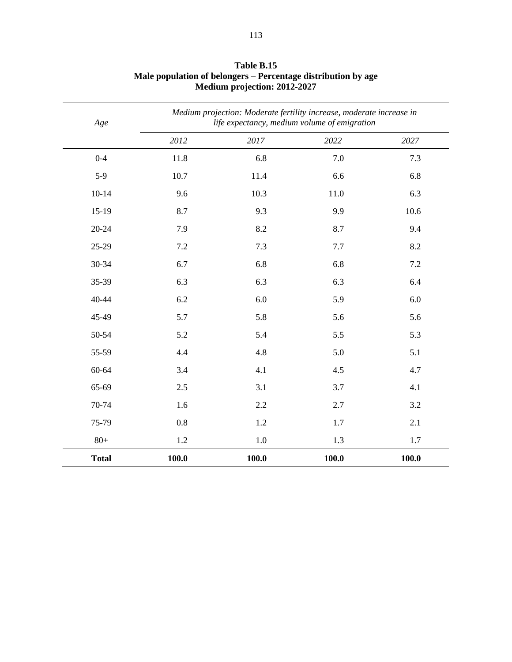| Age          |       | Medium projection: Moderate fertility increase, moderate increase in<br>life expectancy, medium volume of emigration |       |       |  |  |
|--------------|-------|----------------------------------------------------------------------------------------------------------------------|-------|-------|--|--|
|              | 2012  | 2017                                                                                                                 | 2022  | 2027  |  |  |
| $0 - 4$      | 11.8  | 6.8                                                                                                                  | 7.0   | 7.3   |  |  |
| $5-9$        | 10.7  | 11.4                                                                                                                 | 6.6   | 6.8   |  |  |
| $10-14$      | 9.6   | 10.3                                                                                                                 | 11.0  | 6.3   |  |  |
| $15-19$      | 8.7   | 9.3                                                                                                                  | 9.9   | 10.6  |  |  |
| $20 - 24$    | 7.9   | 8.2                                                                                                                  | 8.7   | 9.4   |  |  |
| 25-29        | 7.2   | 7.3                                                                                                                  | 7.7   | 8.2   |  |  |
| 30-34        | 6.7   | 6.8                                                                                                                  | 6.8   | 7.2   |  |  |
| 35-39        | 6.3   | 6.3                                                                                                                  | 6.3   | 6.4   |  |  |
| 40-44        | 6.2   | 6.0                                                                                                                  | 5.9   | 6.0   |  |  |
| 45-49        | 5.7   | 5.8                                                                                                                  | 5.6   | 5.6   |  |  |
| 50-54        | 5.2   | 5.4                                                                                                                  | 5.5   | 5.3   |  |  |
| 55-59        | 4.4   | 4.8                                                                                                                  | 5.0   | 5.1   |  |  |
| 60-64        | 3.4   | 4.1                                                                                                                  | 4.5   | 4.7   |  |  |
| 65-69        | 2.5   | 3.1                                                                                                                  | 3.7   | 4.1   |  |  |
| 70-74        | 1.6   | 2.2                                                                                                                  | 2.7   | 3.2   |  |  |
| 75-79        | 0.8   | 1.2                                                                                                                  | 1.7   | 2.1   |  |  |
| $80+$        | 1.2   | 1.0                                                                                                                  | 1.3   | 1.7   |  |  |
| <b>Total</b> | 100.0 | 100.0                                                                                                                | 100.0 | 100.0 |  |  |

#### **Table B.15 Male population of belongers – Percentage distribution by age Medium projection: 2012-2027**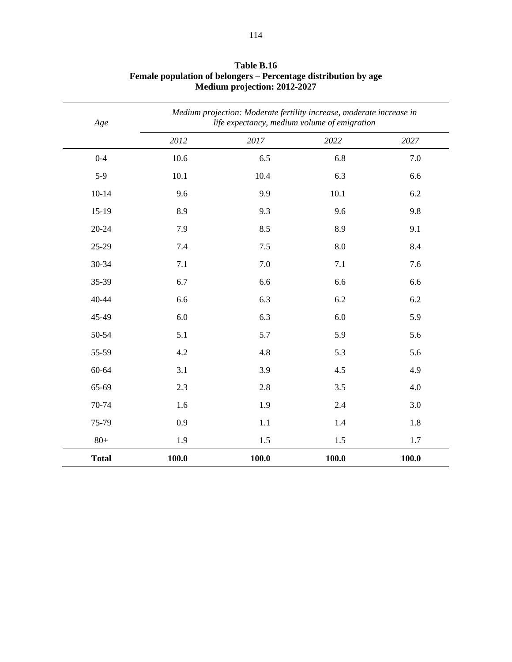| Age          |       | Medium projection: Moderate fertility increase, moderate increase in<br>life expectancy, medium volume of emigration |       |       |  |
|--------------|-------|----------------------------------------------------------------------------------------------------------------------|-------|-------|--|
|              | 2012  | 2017                                                                                                                 | 2022  | 2027  |  |
| $0 - 4$      | 10.6  | 6.5                                                                                                                  | 6.8   | 7.0   |  |
| $5-9$        | 10.1  | 10.4                                                                                                                 | 6.3   | 6.6   |  |
| $10-14$      | 9.6   | 9.9                                                                                                                  | 10.1  | 6.2   |  |
| $15-19$      | 8.9   | 9.3                                                                                                                  | 9.6   | 9.8   |  |
| $20 - 24$    | 7.9   | 8.5                                                                                                                  | 8.9   | 9.1   |  |
| 25-29        | 7.4   | $7.5\,$                                                                                                              | 8.0   | 8.4   |  |
| 30-34        | 7.1   | 7.0                                                                                                                  | 7.1   | 7.6   |  |
| 35-39        | 6.7   | 6.6                                                                                                                  | 6.6   | 6.6   |  |
| 40-44        | 6.6   | 6.3                                                                                                                  | 6.2   | 6.2   |  |
| 45-49        | 6.0   | 6.3                                                                                                                  | 6.0   | 5.9   |  |
| 50-54        | 5.1   | 5.7                                                                                                                  | 5.9   | 5.6   |  |
| 55-59        | 4.2   | 4.8                                                                                                                  | 5.3   | 5.6   |  |
| 60-64        | 3.1   | 3.9                                                                                                                  | 4.5   | 4.9   |  |
| 65-69        | 2.3   | 2.8                                                                                                                  | 3.5   | 4.0   |  |
| 70-74        | 1.6   | 1.9                                                                                                                  | 2.4   | 3.0   |  |
| 75-79        | 0.9   | 1.1                                                                                                                  | 1.4   | 1.8   |  |
| $80+$        | 1.9   | 1.5                                                                                                                  | 1.5   | 1.7   |  |
| <b>Total</b> | 100.0 | 100.0                                                                                                                | 100.0 | 100.0 |  |

#### **Table B.16 Female population of belongers – Percentage distribution by age Medium projection: 2012-2027**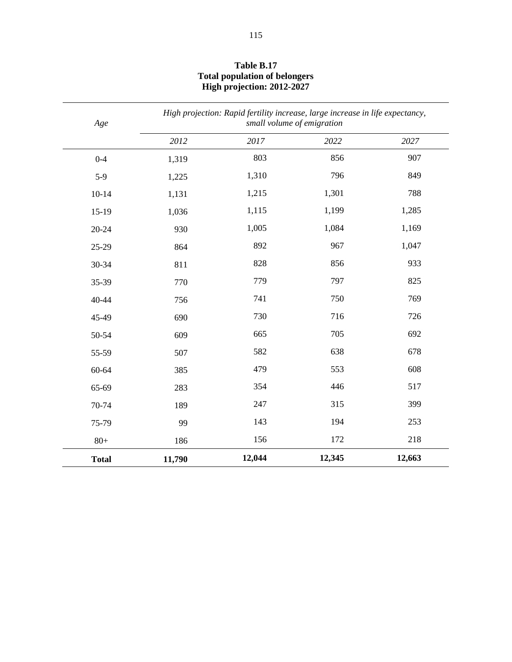| Age          | High projection: Rapid fertility increase, large increase in life expectancy,<br>small volume of emigration |        |        |        |  |
|--------------|-------------------------------------------------------------------------------------------------------------|--------|--------|--------|--|
|              | 2012                                                                                                        | 2017   | 2022   | 2027   |  |
| $0 - 4$      | 1,319                                                                                                       | 803    | 856    | 907    |  |
| $5-9$        | 1,225                                                                                                       | 1,310  | 796    | 849    |  |
| $10 - 14$    | 1,131                                                                                                       | 1,215  | 1,301  | 788    |  |
| $15-19$      | 1,036                                                                                                       | 1,115  | 1,199  | 1,285  |  |
| $20 - 24$    | 930                                                                                                         | 1,005  | 1,084  | 1,169  |  |
| 25-29        | 864                                                                                                         | 892    | 967    | 1,047  |  |
| 30-34        | 811                                                                                                         | 828    | 856    | 933    |  |
| 35-39        | 770                                                                                                         | 779    | 797    | 825    |  |
| $40 - 44$    | 756                                                                                                         | 741    | 750    | 769    |  |
| 45-49        | 690                                                                                                         | 730    | 716    | 726    |  |
| 50-54        | 609                                                                                                         | 665    | 705    | 692    |  |
| 55-59        | 507                                                                                                         | 582    | 638    | 678    |  |
| 60-64        | 385                                                                                                         | 479    | 553    | 608    |  |
| 65-69        | 283                                                                                                         | 354    | 446    | 517    |  |
| 70-74        | 189                                                                                                         | 247    | 315    | 399    |  |
| 75-79        | 99                                                                                                          | 143    | 194    | 253    |  |
| $80+$        | 186                                                                                                         | 156    | 172    | 218    |  |
| <b>Total</b> | 11,790                                                                                                      | 12,044 | 12,345 | 12,663 |  |

#### **Table B.17 Total population of belongers High projection: 2012-2027**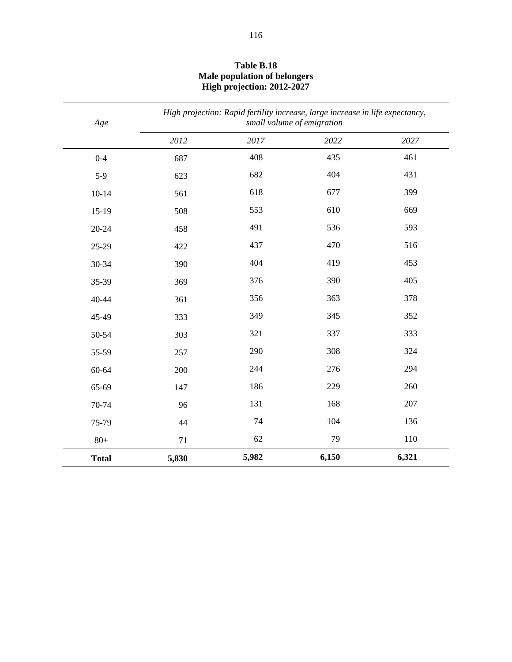| Age          | High projection: Rapid fertility increase, large increase in life expectancy,<br>small volume of emigration |       |       |       |
|--------------|-------------------------------------------------------------------------------------------------------------|-------|-------|-------|
|              | 2012                                                                                                        | 2017  | 2022  | 2027  |
| $0 - 4$      | 687                                                                                                         | 408   | 435   | 461   |
| $5-9$        | 623                                                                                                         | 682   | 404   | 431   |
| $10 - 14$    | 561                                                                                                         | 618   | 677   | 399   |
| $15-19$      | 508                                                                                                         | 553   | 610   | 669   |
| $20 - 24$    | 458                                                                                                         | 491   | 536   | 593   |
| 25-29        | 422                                                                                                         | 437   | 470   | 516   |
| 30-34        | 390                                                                                                         | 404   | 419   | 453   |
| 35-39        | 369                                                                                                         | 376   | 390   | 405   |
| 40-44        | 361                                                                                                         | 356   | 363   | 378   |
| 45-49        | 333                                                                                                         | 349   | 345   | 352   |
| 50-54        | 303                                                                                                         | 321   | 337   | 333   |
| 55-59        | 257                                                                                                         | 290   | 308   | 324   |
| 60-64        | 200                                                                                                         | 244   | 276   | 294   |
| 65-69        | 147                                                                                                         | 186   | 229   | 260   |
| 70-74        | 96                                                                                                          | 131   | 168   | 207   |
| 75-79        | 44                                                                                                          | 74    | 104   | 136   |
| $80+$        | 71                                                                                                          | 62    | 79    | 110   |
| <b>Total</b> | 5,830                                                                                                       | 5,982 | 6,150 | 6,321 |

#### **Table B.18 Male population of belongers High projection: 2012-2027**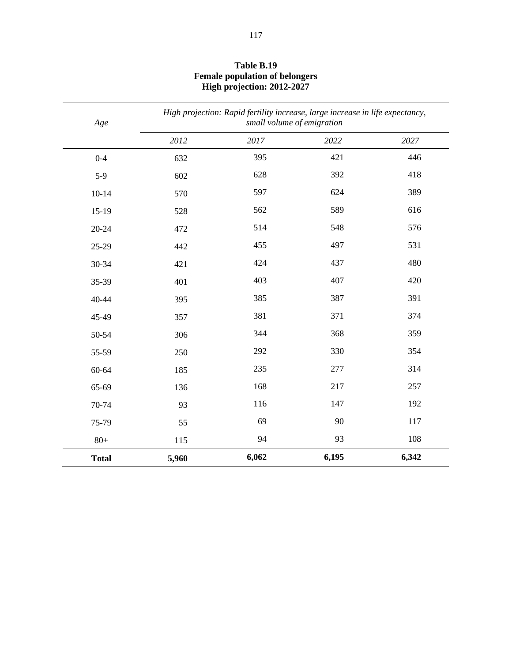| Age          | High projection: Rapid fertility increase, large increase in life expectancy,<br>small volume of emigration |       |       |       |
|--------------|-------------------------------------------------------------------------------------------------------------|-------|-------|-------|
|              | 2012                                                                                                        | 2017  | 2022  | 2027  |
| $0 - 4$      | 632                                                                                                         | 395   | 421   | 446   |
| $5-9$        | 602                                                                                                         | 628   | 392   | 418   |
| $10 - 14$    | 570                                                                                                         | 597   | 624   | 389   |
| $15-19$      | 528                                                                                                         | 562   | 589   | 616   |
| 20-24        | 472                                                                                                         | 514   | 548   | 576   |
| 25-29        | 442                                                                                                         | 455   | 497   | 531   |
| 30-34        | 421                                                                                                         | 424   | 437   | 480   |
| 35-39        | 401                                                                                                         | 403   | 407   | 420   |
| 40-44        | 395                                                                                                         | 385   | 387   | 391   |
| 45-49        | 357                                                                                                         | 381   | 371   | 374   |
| 50-54        | 306                                                                                                         | 344   | 368   | 359   |
| 55-59        | 250                                                                                                         | 292   | 330   | 354   |
| 60-64        | 185                                                                                                         | 235   | 277   | 314   |
| 65-69        | 136                                                                                                         | 168   | 217   | 257   |
| 70-74        | 93                                                                                                          | 116   | 147   | 192   |
| 75-79        | 55                                                                                                          | 69    | 90    | 117   |
| $80+$        | 115                                                                                                         | 94    | 93    | 108   |
| <b>Total</b> | 5,960                                                                                                       | 6,062 | 6,195 | 6,342 |

#### **Table B.19 Female population of belongers High projection: 2012-2027**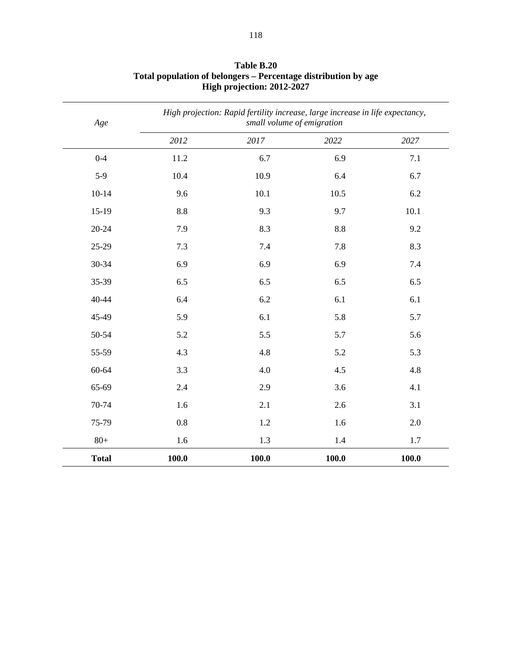| Age          |         | High projection: Rapid fertility increase, large increase in life expectancy,<br>small volume of emigration |       |       |  |
|--------------|---------|-------------------------------------------------------------------------------------------------------------|-------|-------|--|
|              | 2012    | 2017                                                                                                        | 2022  | 2027  |  |
| $0 - 4$      | 11.2    | 6.7                                                                                                         | 6.9   | 7.1   |  |
| $5-9$        | 10.4    | 10.9                                                                                                        | 6.4   | 6.7   |  |
| $10 - 14$    | 9.6     | 10.1                                                                                                        | 10.5  | 6.2   |  |
| $15-19$      | 8.8     | 9.3                                                                                                         | 9.7   | 10.1  |  |
| $20 - 24$    | 7.9     | 8.3                                                                                                         | 8.8   | 9.2   |  |
| 25-29        | 7.3     | 7.4                                                                                                         | 7.8   | 8.3   |  |
| 30-34        | 6.9     | 6.9                                                                                                         | 6.9   | 7.4   |  |
| 35-39        | 6.5     | 6.5                                                                                                         | 6.5   | 6.5   |  |
| 40-44        | 6.4     | 6.2                                                                                                         | 6.1   | 6.1   |  |
| 45-49        | 5.9     | 6.1                                                                                                         | 5.8   | 5.7   |  |
| 50-54        | 5.2     | 5.5                                                                                                         | 5.7   | 5.6   |  |
| 55-59        | 4.3     | 4.8                                                                                                         | 5.2   | 5.3   |  |
| 60-64        | 3.3     | 4.0                                                                                                         | 4.5   | 4.8   |  |
| 65-69        | 2.4     | 2.9                                                                                                         | 3.6   | 4.1   |  |
| 70-74        | 1.6     | 2.1                                                                                                         | 2.6   | 3.1   |  |
| 75-79        | $0.8\,$ | 1.2                                                                                                         | 1.6   | 2.0   |  |
| $80+$        | 1.6     | 1.3                                                                                                         | 1.4   | 1.7   |  |
| <b>Total</b> | 100.0   | 100.0                                                                                                       | 100.0 | 100.0 |  |

#### **Table B.20 Total population of belongers – Percentage distribution by age High projection: 2012-2027**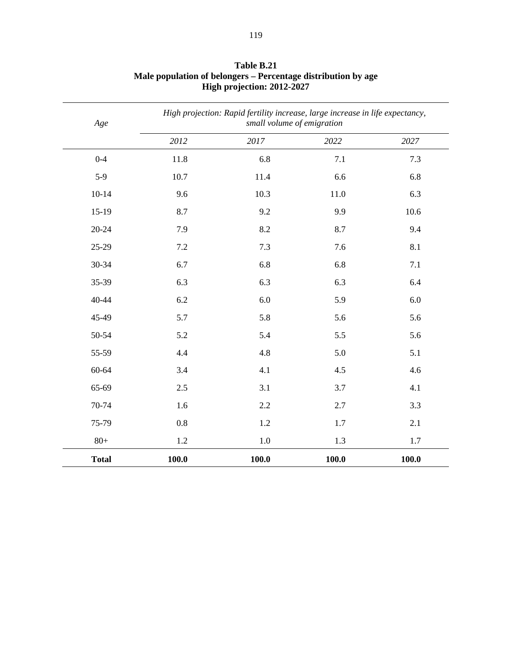| Age          |         | High projection: Rapid fertility increase, large increase in life expectancy,<br>small volume of emigration |       |       |
|--------------|---------|-------------------------------------------------------------------------------------------------------------|-------|-------|
|              | 2012    | 2017                                                                                                        | 2022  | 2027  |
| $0 - 4$      | 11.8    | 6.8                                                                                                         | 7.1   | 7.3   |
| $5-9$        | 10.7    | 11.4                                                                                                        | 6.6   | 6.8   |
| $10 - 14$    | 9.6     | 10.3                                                                                                        | 11.0  | 6.3   |
| $15-19$      | 8.7     | 9.2                                                                                                         | 9.9   | 10.6  |
| $20 - 24$    | 7.9     | 8.2                                                                                                         | 8.7   | 9.4   |
| 25-29        | $7.2\,$ | 7.3                                                                                                         | 7.6   | 8.1   |
| 30-34        | 6.7     | 6.8                                                                                                         | 6.8   | 7.1   |
| 35-39        | 6.3     | 6.3                                                                                                         | 6.3   | 6.4   |
| 40-44        | 6.2     | 6.0                                                                                                         | 5.9   | 6.0   |
| 45-49        | 5.7     | 5.8                                                                                                         | 5.6   | 5.6   |
| 50-54        | 5.2     | 5.4                                                                                                         | 5.5   | 5.6   |
| 55-59        | 4.4     | 4.8                                                                                                         | 5.0   | 5.1   |
| 60-64        | 3.4     | 4.1                                                                                                         | 4.5   | 4.6   |
| 65-69        | 2.5     | 3.1                                                                                                         | 3.7   | 4.1   |
| 70-74        | 1.6     | 2.2                                                                                                         | 2.7   | 3.3   |
| 75-79        | 0.8     | 1.2                                                                                                         | 1.7   | 2.1   |
| $80+$        | 1.2     | 1.0                                                                                                         | 1.3   | 1.7   |
| <b>Total</b> | 100.0   | 100.0                                                                                                       | 100.0 | 100.0 |

#### **Table B.21 Male population of belongers – Percentage distribution by age High projection: 2012-2027**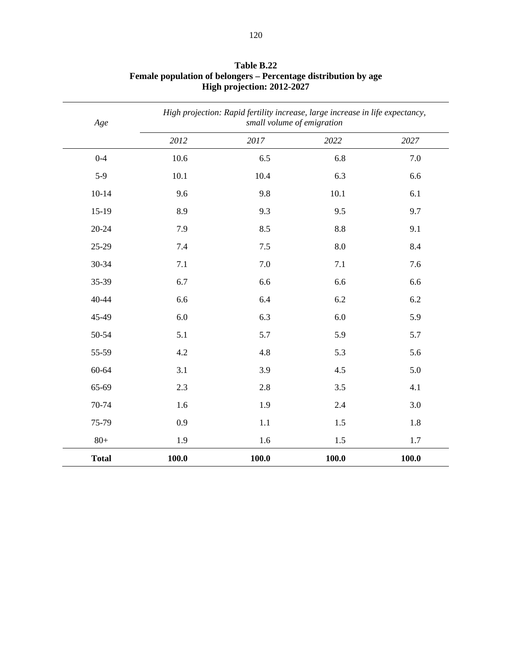| Age          | High projection: Rapid fertility increase, large increase in life expectancy,<br>small volume of emigration |         |       |       |  |
|--------------|-------------------------------------------------------------------------------------------------------------|---------|-------|-------|--|
|              | 2012                                                                                                        | 2017    | 2022  | 2027  |  |
| $0 - 4$      | 10.6                                                                                                        | 6.5     | 6.8   | 7.0   |  |
| $5-9$        | 10.1                                                                                                        | 10.4    | 6.3   | 6.6   |  |
| $10 - 14$    | 9.6                                                                                                         | 9.8     | 10.1  | 6.1   |  |
| $15-19$      | 8.9                                                                                                         | 9.3     | 9.5   | 9.7   |  |
| $20 - 24$    | 7.9                                                                                                         | 8.5     | 8.8   | 9.1   |  |
| 25-29        | 7.4                                                                                                         | $7.5$   | 8.0   | 8.4   |  |
| 30-34        | 7.1                                                                                                         | 7.0     | 7.1   | 7.6   |  |
| 35-39        | 6.7                                                                                                         | 6.6     | 6.6   | 6.6   |  |
| 40-44        | 6.6                                                                                                         | 6.4     | 6.2   | 6.2   |  |
| 45-49        | 6.0                                                                                                         | 6.3     | 6.0   | 5.9   |  |
| 50-54        | 5.1                                                                                                         | 5.7     | 5.9   | 5.7   |  |
| 55-59        | 4.2                                                                                                         | 4.8     | 5.3   | 5.6   |  |
| 60-64        | 3.1                                                                                                         | 3.9     | 4.5   | 5.0   |  |
| 65-69        | 2.3                                                                                                         | 2.8     | 3.5   | 4.1   |  |
| 70-74        | 1.6                                                                                                         | 1.9     | 2.4   | 3.0   |  |
| 75-79        | 0.9                                                                                                         | $1.1\,$ | 1.5   | 1.8   |  |
| $80+$        | 1.9                                                                                                         | 1.6     | 1.5   | 1.7   |  |
| <b>Total</b> | 100.0                                                                                                       | 100.0   | 100.0 | 100.0 |  |

#### **Table B.22 Female population of belongers – Percentage distribution by age High projection: 2012-2027**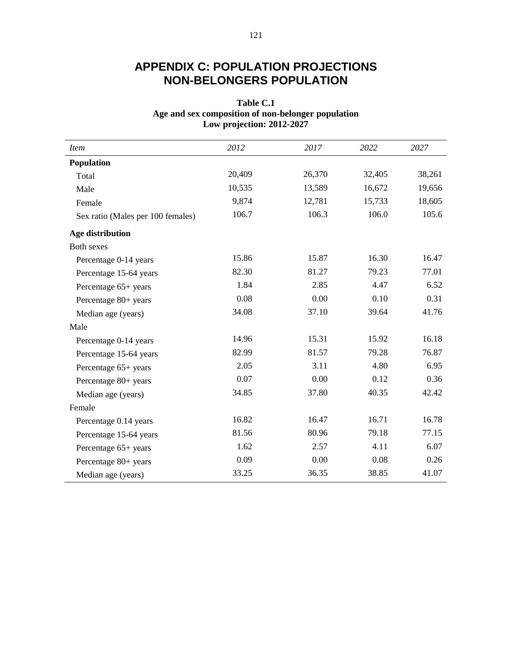# **APPENDIX C: POPULATION PROJECTIONS NON-BELONGERS POPULATION**

### **Table C.1 Age and sex composition of non-belonger population Low projection: 2012-2027**

| <i>Item</i>                       | 2012   | 2017   | 2022   | 2027   |
|-----------------------------------|--------|--------|--------|--------|
| Population                        |        |        |        |        |
| Total                             | 20,409 | 26,370 | 32,405 | 38,261 |
| Male                              | 10,535 | 13,589 | 16,672 | 19,656 |
| Female                            | 9,874  | 12,781 | 15,733 | 18,605 |
| Sex ratio (Males per 100 females) | 106.7  | 106.3  | 106.0  | 105.6  |
| Age distribution                  |        |        |        |        |
| Both sexes                        |        |        |        |        |
| Percentage 0-14 years             | 15.86  | 15.87  | 16.30  | 16.47  |
| Percentage 15-64 years            | 82.30  | 81.27  | 79.23  | 77.01  |
| Percentage 65+ years              | 1.84   | 2.85   | 4.47   | 6.52   |
| Percentage 80+ years              | 0.08   | 0.00   | 0.10   | 0.31   |
| Median age (years)                | 34.08  | 37.10  | 39.64  | 41.76  |
| Male                              |        |        |        |        |
| Percentage 0-14 years             | 14.96  | 15.31  | 15.92  | 16.18  |
| Percentage 15-64 years            | 82.99  | 81.57  | 79.28  | 76.87  |
| Percentage 65+ years              | 2.05   | 3.11   | 4.80   | 6.95   |
| Percentage 80+ years              | 0.07   | 0.00   | 0.12   | 0.36   |
| Median age (years)                | 34.85  | 37.80  | 40.35  | 42.42  |
| Female                            |        |        |        |        |
| Percentage 0.14 years             | 16.82  | 16.47  | 16.71  | 16.78  |
| Percentage 15-64 years            | 81.56  | 80.96  | 79.18  | 77.15  |
| Percentage 65+ years              | 1.62   | 2.57   | 4.11   | 6.07   |
| Percentage 80+ years              | 0.09   | 0.00   | 0.08   | 0.26   |
| Median age (years)                | 33.25  | 36.35  | 38.85  | 41.07  |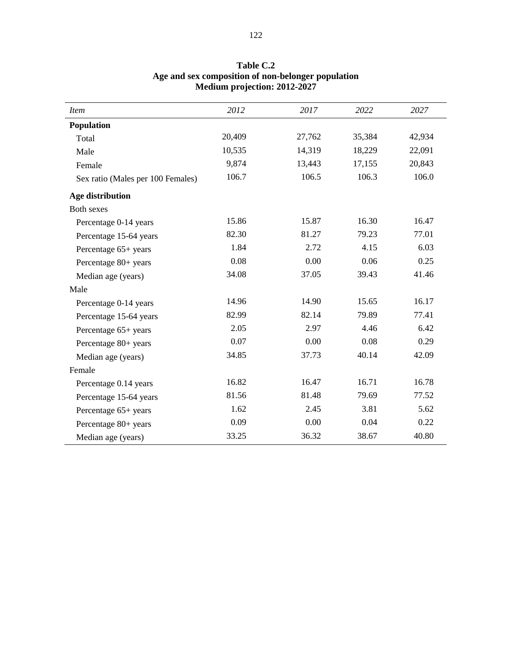| <b>Item</b>                       | 2012   | 2017   | 2022   | 2027   |
|-----------------------------------|--------|--------|--------|--------|
| Population                        |        |        |        |        |
| Total                             | 20,409 | 27,762 | 35,384 | 42,934 |
| Male                              | 10,535 | 14,319 | 18,229 | 22,091 |
| Female                            | 9,874  | 13,443 | 17,155 | 20,843 |
| Sex ratio (Males per 100 Females) | 106.7  | 106.5  | 106.3  | 106.0  |
| Age distribution                  |        |        |        |        |
| <b>Both sexes</b>                 |        |        |        |        |
| Percentage 0-14 years             | 15.86  | 15.87  | 16.30  | 16.47  |
| Percentage 15-64 years            | 82.30  | 81.27  | 79.23  | 77.01  |
| Percentage 65+ years              | 1.84   | 2.72   | 4.15   | 6.03   |
| Percentage 80+ years              | 0.08   | 0.00   | 0.06   | 0.25   |
| Median age (years)                | 34.08  | 37.05  | 39.43  | 41.46  |
| Male                              |        |        |        |        |
| Percentage 0-14 years             | 14.96  | 14.90  | 15.65  | 16.17  |
| Percentage 15-64 years            | 82.99  | 82.14  | 79.89  | 77.41  |
| Percentage 65+ years              | 2.05   | 2.97   | 4.46   | 6.42   |
| Percentage 80+ years              | 0.07   | 0.00   | 0.08   | 0.29   |
| Median age (years)                | 34.85  | 37.73  | 40.14  | 42.09  |
| Female                            |        |        |        |        |
| Percentage 0.14 years             | 16.82  | 16.47  | 16.71  | 16.78  |
| Percentage 15-64 years            | 81.56  | 81.48  | 79.69  | 77.52  |
| Percentage 65+ years              | 1.62   | 2.45   | 3.81   | 5.62   |
| Percentage 80+ years              | 0.09   | 0.00   | 0.04   | 0.22   |
| Median age (years)                | 33.25  | 36.32  | 38.67  | 40.80  |

#### **Table C.2 Age and sex composition of non-belonger population Medium projection: 2012-2027**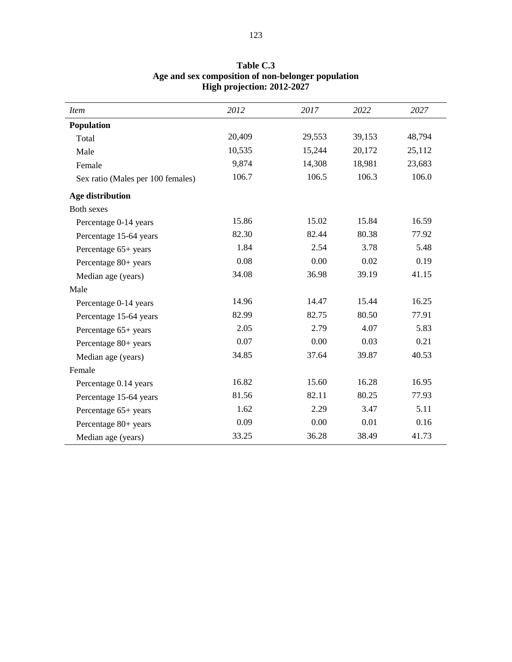| <b>Item</b>                       | 2012   | 2017   | 2022   | 2027   |
|-----------------------------------|--------|--------|--------|--------|
| Population                        |        |        |        |        |
| Total                             | 20,409 | 29,553 | 39,153 | 48,794 |
| Male                              | 10,535 | 15,244 | 20,172 | 25,112 |
| Female                            | 9,874  | 14,308 | 18,981 | 23,683 |
| Sex ratio (Males per 100 females) | 106.7  | 106.5  | 106.3  | 106.0  |
| Age distribution                  |        |        |        |        |
| <b>Both sexes</b>                 |        |        |        |        |
| Percentage 0-14 years             | 15.86  | 15.02  | 15.84  | 16.59  |
| Percentage 15-64 years            | 82.30  | 82.44  | 80.38  | 77.92  |
| Percentage 65+ years              | 1.84   | 2.54   | 3.78   | 5.48   |
| Percentage 80+ years              | 0.08   | 0.00   | 0.02   | 0.19   |
| Median age (years)                | 34.08  | 36.98  | 39.19  | 41.15  |
| Male                              |        |        |        |        |
| Percentage 0-14 years             | 14.96  | 14.47  | 15.44  | 16.25  |
| Percentage 15-64 years            | 82.99  | 82.75  | 80.50  | 77.91  |
| Percentage 65+ years              | 2.05   | 2.79   | 4.07   | 5.83   |
| Percentage 80+ years              | 0.07   | 0.00   | 0.03   | 0.21   |
| Median age (years)                | 34.85  | 37.64  | 39.87  | 40.53  |
| Female                            |        |        |        |        |
| Percentage 0.14 years             | 16.82  | 15.60  | 16.28  | 16.95  |
| Percentage 15-64 years            | 81.56  | 82.11  | 80.25  | 77.93  |
| Percentage 65+ years              | 1.62   | 2.29   | 3.47   | 5.11   |
| Percentage 80+ years              | 0.09   | 0.00   | 0.01   | 0.16   |
| Median age (years)                | 33.25  | 36.28  | 38.49  | 41.73  |

#### **Table C.3 Age and sex composition of non-belonger population High projection: 2012-2027**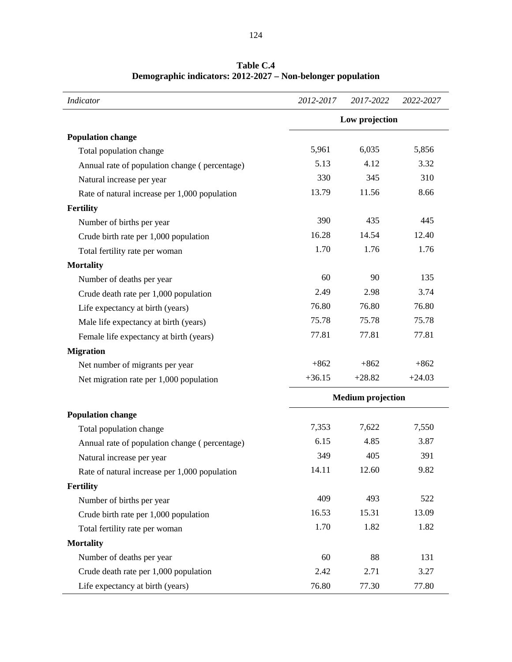| <b>Indicator</b>                              | 2012-2017 | 2017-2022                | 2022-2027 |
|-----------------------------------------------|-----------|--------------------------|-----------|
|                                               |           | Low projection           |           |
| <b>Population change</b>                      |           |                          |           |
| Total population change                       | 5,961     | 6,035                    | 5,856     |
| Annual rate of population change (percentage) | 5.13      | 4.12                     | 3.32      |
| Natural increase per year                     | 330       | 345                      | 310       |
| Rate of natural increase per 1,000 population | 13.79     | 11.56                    | 8.66      |
| <b>Fertility</b>                              |           |                          |           |
| Number of births per year                     | 390       | 435                      | 445       |
| Crude birth rate per 1,000 population         | 16.28     | 14.54                    | 12.40     |
| Total fertility rate per woman                | 1.70      | 1.76                     | 1.76      |
| <b>Mortality</b>                              |           |                          |           |
| Number of deaths per year                     | 60        | 90                       | 135       |
| Crude death rate per 1,000 population         | 2.49      | 2.98                     | 3.74      |
| Life expectancy at birth (years)              | 76.80     | 76.80                    | 76.80     |
| Male life expectancy at birth (years)         | 75.78     | 75.78                    | 75.78     |
| Female life expectancy at birth (years)       | 77.81     | 77.81                    | 77.81     |
| <b>Migration</b>                              |           |                          |           |
| Net number of migrants per year               | $+862$    | $+862$                   | $+862$    |
| Net migration rate per 1,000 population       | $+36.15$  | $+28.82$                 | $+24.03$  |
|                                               |           | <b>Medium</b> projection |           |
| <b>Population change</b>                      |           |                          |           |
| Total population change                       | 7,353     | 7,622                    | 7,550     |
| Annual rate of population change (percentage) | 6.15      | 4.85                     | 3.87      |
| Natural increase per year                     | 349       | 405                      | 391       |
| Rate of natural increase per 1,000 population | 14.11     | 12.60                    | 9.82      |
| Fertility                                     |           |                          |           |
| Number of births per year                     | 409       | 493                      | 522       |
| Crude birth rate per 1,000 population         | 16.53     | 15.31                    | 13.09     |
| Total fertility rate per woman                | 1.70      | 1.82                     | 1.82      |
| <b>Mortality</b>                              |           |                          |           |
| Number of deaths per year                     | 60        | 88                       | 131       |
| Crude death rate per 1,000 population         | 2.42      | 2.71                     | 3.27      |
| Life expectancy at birth (years)              | 76.80     | 77.30                    | 77.80     |

**Table C.4 Demographic indicators: 2012-2027 – Non-belonger population**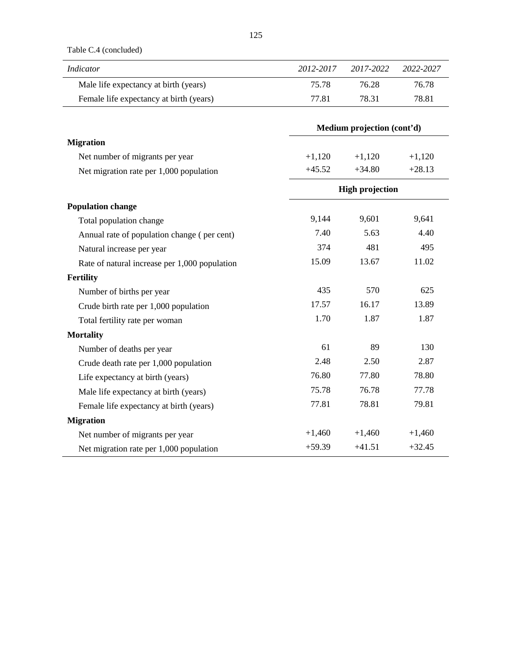Table C.4 (concluded)

| Indicator                               | 2012-2017 | 2017-2022 | 2022-2027 |
|-----------------------------------------|-----------|-----------|-----------|
| Male life expectancy at birth (years)   | 75.78     | 76.28     | 76.78     |
| Female life expectancy at birth (years) | 77.81     | 78.31     | 78.81     |

|                                               | Medium projection (cont'd) |                        |          |
|-----------------------------------------------|----------------------------|------------------------|----------|
| <b>Migration</b>                              |                            |                        |          |
| Net number of migrants per year               | $+1,120$                   | $+1,120$               | $+1,120$ |
| Net migration rate per 1,000 population       | $+45.52$                   | $+34.80$               | $+28.13$ |
|                                               |                            | <b>High projection</b> |          |
| <b>Population change</b>                      |                            |                        |          |
| Total population change                       | 9,144                      | 9,601                  | 9,641    |
| Annual rate of population change (per cent)   | 7.40                       | 5.63                   | 4.40     |
| Natural increase per year                     | 374                        | 481                    | 495      |
| Rate of natural increase per 1,000 population | 15.09                      | 13.67                  | 11.02    |
| <b>Fertility</b>                              |                            |                        |          |
| Number of births per year                     | 435                        | 570                    | 625      |
| Crude birth rate per 1,000 population         | 17.57                      | 16.17                  | 13.89    |
| Total fertility rate per woman                | 1.70                       | 1.87                   | 1.87     |
| <b>Mortality</b>                              |                            |                        |          |
| Number of deaths per year                     | 61                         | 89                     | 130      |
| Crude death rate per 1,000 population         | 2.48                       | 2.50                   | 2.87     |
| Life expectancy at birth (years)              | 76.80                      | 77.80                  | 78.80    |
| Male life expectancy at birth (years)         | 75.78                      | 76.78                  | 77.78    |
| Female life expectancy at birth (years)       | 77.81                      | 78.81                  | 79.81    |
| <b>Migration</b>                              |                            |                        |          |
| Net number of migrants per year               | $+1,460$                   | $+1,460$               | $+1,460$ |
| Net migration rate per 1,000 population       | $+59.39$                   | $+41.51$               | $+32.45$ |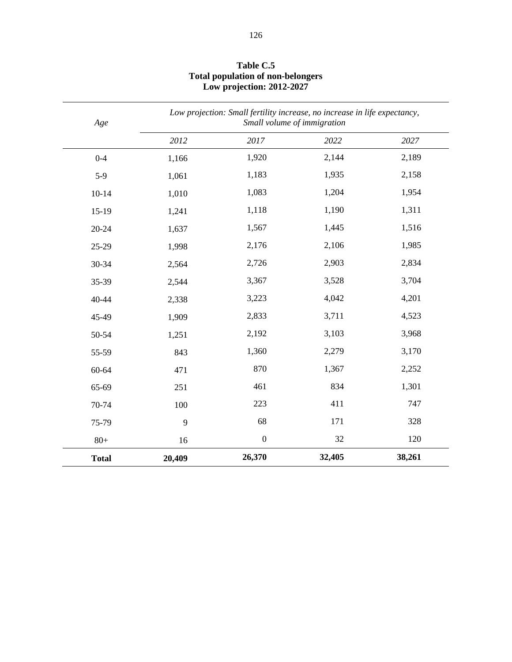| Age          | Low projection: Small fertility increase, no increase in life expectancy,<br>Small volume of immigration |                  |        |        |
|--------------|----------------------------------------------------------------------------------------------------------|------------------|--------|--------|
|              | 2012                                                                                                     | 2017             | 2022   | 2027   |
| $0 - 4$      | 1,166                                                                                                    | 1,920            | 2,144  | 2,189  |
| $5-9$        | 1,061                                                                                                    | 1,183            | 1,935  | 2,158  |
| $10 - 14$    | 1,010                                                                                                    | 1,083            | 1,204  | 1,954  |
| $15-19$      | 1,241                                                                                                    | 1,118            | 1,190  | 1,311  |
| 20-24        | 1,637                                                                                                    | 1,567            | 1,445  | 1,516  |
| 25-29        | 1,998                                                                                                    | 2,176            | 2,106  | 1,985  |
| 30-34        | 2,564                                                                                                    | 2,726            | 2,903  | 2,834  |
| 35-39        | 2,544                                                                                                    | 3,367            | 3,528  | 3,704  |
| 40-44        | 2,338                                                                                                    | 3,223            | 4,042  | 4,201  |
| 45-49        | 1,909                                                                                                    | 2,833            | 3,711  | 4,523  |
| 50-54        | 1,251                                                                                                    | 2,192            | 3,103  | 3,968  |
| 55-59        | 843                                                                                                      | 1,360            | 2,279  | 3,170  |
| 60-64        | 471                                                                                                      | 870              | 1,367  | 2,252  |
| 65-69        | 251                                                                                                      | 461              | 834    | 1,301  |
| 70-74        | 100                                                                                                      | 223              | 411    | 747    |
| 75-79        | 9                                                                                                        | 68               | 171    | 328    |
| $80+$        | 16                                                                                                       | $\boldsymbol{0}$ | 32     | 120    |
| <b>Total</b> | 20,409                                                                                                   | 26,370           | 32,405 | 38,261 |

#### **Table C.5 Total population of non-belongers Low projection: 2012-2027**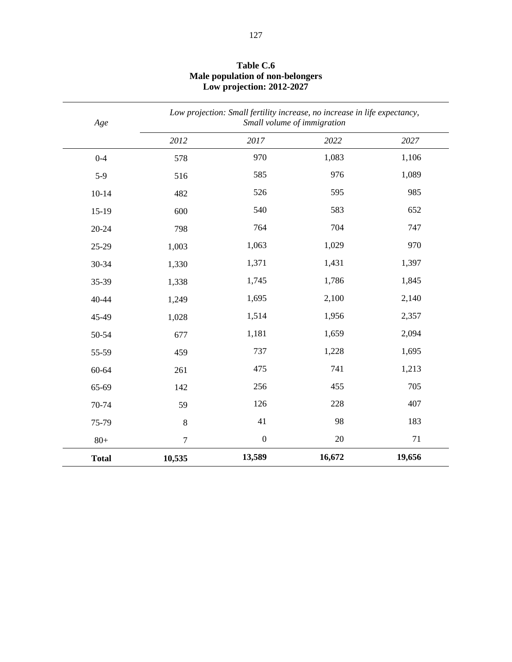| Age          |         | Low projection: Small fertility increase, no increase in life expectancy, | Small volume of immigration |        |
|--------------|---------|---------------------------------------------------------------------------|-----------------------------|--------|
|              | 2012    | 2017                                                                      | 2022                        | 2027   |
| $0 - 4$      | 578     | 970                                                                       | 1,083                       | 1,106  |
| $5-9$        | 516     | 585                                                                       | 976                         | 1,089  |
| $10 - 14$    | 482     | 526                                                                       | 595                         | 985    |
| $15-19$      | 600     | 540                                                                       | 583                         | 652    |
| 20-24        | 798     | 764                                                                       | 704                         | 747    |
| 25-29        | 1,003   | 1,063                                                                     | 1,029                       | 970    |
| 30-34        | 1,330   | 1,371                                                                     | 1,431                       | 1,397  |
| 35-39        | 1,338   | 1,745                                                                     | 1,786                       | 1,845  |
| 40-44        | 1,249   | 1,695                                                                     | 2,100                       | 2,140  |
| 45-49        | 1,028   | 1,514                                                                     | 1,956                       | 2,357  |
| 50-54        | 677     | 1,181                                                                     | 1,659                       | 2,094  |
| 55-59        | 459     | 737                                                                       | 1,228                       | 1,695  |
| 60-64        | 261     | 475                                                                       | 741                         | 1,213  |
| 65-69        | 142     | 256                                                                       | 455                         | 705    |
| 70-74        | 59      | 126                                                                       | 228                         | 407    |
| 75-79        | $\bf 8$ | 41                                                                        | 98                          | 183    |
| $80+$        | $\tau$  | $\boldsymbol{0}$                                                          | 20                          | 71     |
| <b>Total</b> | 10,535  | 13,589                                                                    | 16,672                      | 19,656 |

#### **Table C.6 Male population of non-belongers Low projection: 2012-2027**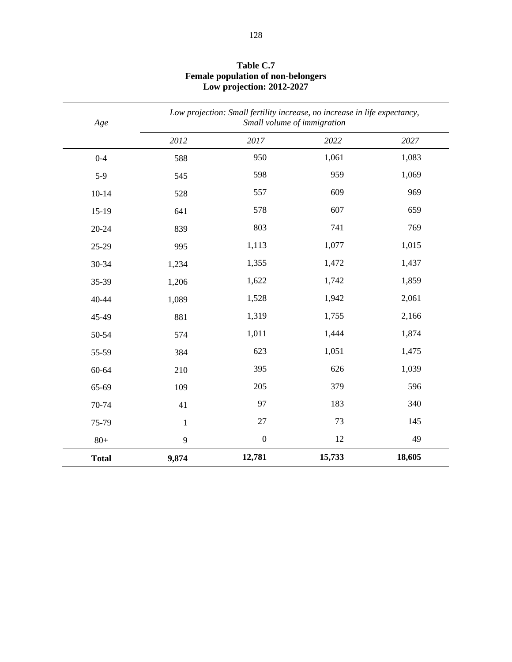| Age          | Low projection: Small fertility increase, no increase in life expectancy,<br>Small volume of immigration |                  |        |        |
|--------------|----------------------------------------------------------------------------------------------------------|------------------|--------|--------|
|              | 2012                                                                                                     | 2017             | 2022   | 2027   |
| $0 - 4$      | 588                                                                                                      | 950              | 1,061  | 1,083  |
| $5-9$        | 545                                                                                                      | 598              | 959    | 1,069  |
| $10 - 14$    | 528                                                                                                      | 557              | 609    | 969    |
| $15-19$      | 641                                                                                                      | 578              | 607    | 659    |
| $20 - 24$    | 839                                                                                                      | 803              | 741    | 769    |
| 25-29        | 995                                                                                                      | 1,113            | 1,077  | 1,015  |
| 30-34        | 1,234                                                                                                    | 1,355            | 1,472  | 1,437  |
| 35-39        | 1,206                                                                                                    | 1,622            | 1,742  | 1,859  |
| 40-44        | 1,089                                                                                                    | 1,528            | 1,942  | 2,061  |
| 45-49        | 881                                                                                                      | 1,319            | 1,755  | 2,166  |
| 50-54        | 574                                                                                                      | 1,011            | 1,444  | 1,874  |
| 55-59        | 384                                                                                                      | 623              | 1,051  | 1,475  |
| 60-64        | 210                                                                                                      | 395              | 626    | 1,039  |
| 65-69        | 109                                                                                                      | 205              | 379    | 596    |
| 70-74        | 41                                                                                                       | 97               | 183    | 340    |
| 75-79        | $\mathbf 1$                                                                                              | $27\,$           | 73     | 145    |
| $80+$        | 9                                                                                                        | $\boldsymbol{0}$ | 12     | 49     |
| <b>Total</b> | 9,874                                                                                                    | 12,781           | 15,733 | 18,605 |

#### **Table C.7 Female population of non-belongers Low projection: 2012-2027**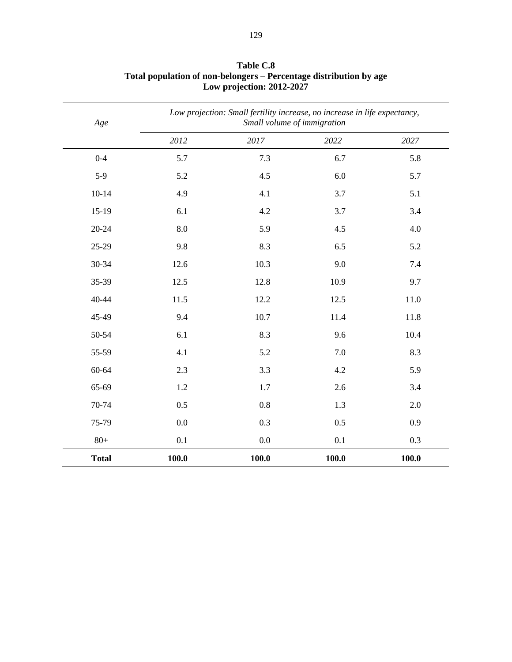| Age          |       | Low projection: Small fertility increase, no increase in life expectancy,<br>Small volume of immigration |       |       |
|--------------|-------|----------------------------------------------------------------------------------------------------------|-------|-------|
|              | 2012  | 2017                                                                                                     | 2022  | 2027  |
| $0 - 4$      | 5.7   | 7.3                                                                                                      | 6.7   | 5.8   |
| $5-9$        | 5.2   | 4.5                                                                                                      | 6.0   | 5.7   |
| $10 - 14$    | 4.9   | 4.1                                                                                                      | 3.7   | 5.1   |
| $15-19$      | 6.1   | 4.2                                                                                                      | 3.7   | 3.4   |
| $20 - 24$    | 8.0   | 5.9                                                                                                      | 4.5   | 4.0   |
| 25-29        | 9.8   | 8.3                                                                                                      | 6.5   | 5.2   |
| 30-34        | 12.6  | 10.3                                                                                                     | 9.0   | 7.4   |
| 35-39        | 12.5  | 12.8                                                                                                     | 10.9  | 9.7   |
| 40-44        | 11.5  | 12.2                                                                                                     | 12.5  | 11.0  |
| 45-49        | 9.4   | 10.7                                                                                                     | 11.4  | 11.8  |
| 50-54        | 6.1   | 8.3                                                                                                      | 9.6   | 10.4  |
| 55-59        | 4.1   | 5.2                                                                                                      | 7.0   | 8.3   |
| 60-64        | 2.3   | 3.3                                                                                                      | 4.2   | 5.9   |
| 65-69        | 1.2   | 1.7                                                                                                      | 2.6   | 3.4   |
| 70-74        | 0.5   | 0.8                                                                                                      | 1.3   | 2.0   |
| 75-79        | 0.0   | 0.3                                                                                                      | 0.5   | 0.9   |
| $80+$        | 0.1   | $0.0\,$                                                                                                  | 0.1   | 0.3   |
| <b>Total</b> | 100.0 | 100.0                                                                                                    | 100.0 | 100.0 |

**Table C.8 Total population of non-belongers – Percentage distribution by age Low projection: 2012-2027**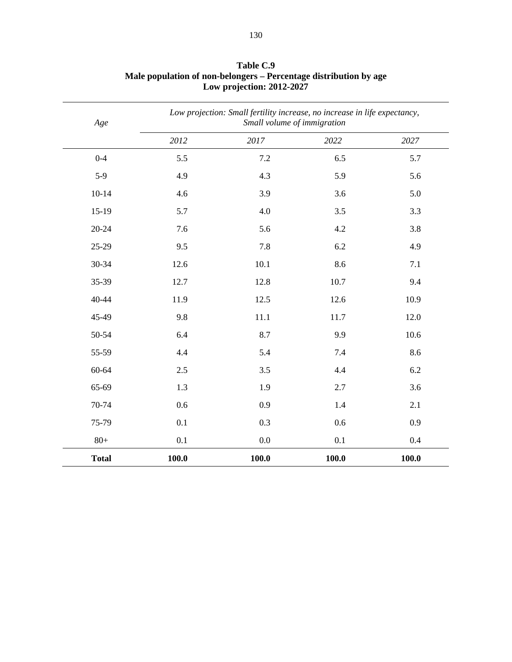| Age          |       | Low projection: Small fertility increase, no increase in life expectancy,<br>Small volume of immigration |       |       |
|--------------|-------|----------------------------------------------------------------------------------------------------------|-------|-------|
|              | 2012  | 2017                                                                                                     | 2022  | 2027  |
| $0 - 4$      | 5.5   | 7.2                                                                                                      | 6.5   | 5.7   |
| $5-9$        | 4.9   | 4.3                                                                                                      | 5.9   | 5.6   |
| $10 - 14$    | 4.6   | 3.9                                                                                                      | 3.6   | 5.0   |
| $15-19$      | 5.7   | 4.0                                                                                                      | 3.5   | 3.3   |
| $20 - 24$    | 7.6   | 5.6                                                                                                      | 4.2   | 3.8   |
| 25-29        | 9.5   | 7.8                                                                                                      | 6.2   | 4.9   |
| 30-34        | 12.6  | 10.1                                                                                                     | 8.6   | 7.1   |
| 35-39        | 12.7  | 12.8                                                                                                     | 10.7  | 9.4   |
| 40-44        | 11.9  | 12.5                                                                                                     | 12.6  | 10.9  |
| 45-49        | 9.8   | 11.1                                                                                                     | 11.7  | 12.0  |
| 50-54        | 6.4   | 8.7                                                                                                      | 9.9   | 10.6  |
| 55-59        | 4.4   | 5.4                                                                                                      | 7.4   | 8.6   |
| 60-64        | 2.5   | 3.5                                                                                                      | 4.4   | 6.2   |
| 65-69        | 1.3   | 1.9                                                                                                      | 2.7   | 3.6   |
| 70-74        | 0.6   | 0.9                                                                                                      | 1.4   | 2.1   |
| 75-79        | 0.1   | 0.3                                                                                                      | 0.6   | 0.9   |
| $80+$        | 0.1   | 0.0                                                                                                      | 0.1   | 0.4   |
| <b>Total</b> | 100.0 | 100.0                                                                                                    | 100.0 | 100.0 |

## **Table C.9 Male population of non-belongers – Percentage distribution by age Low projection: 2012-2027**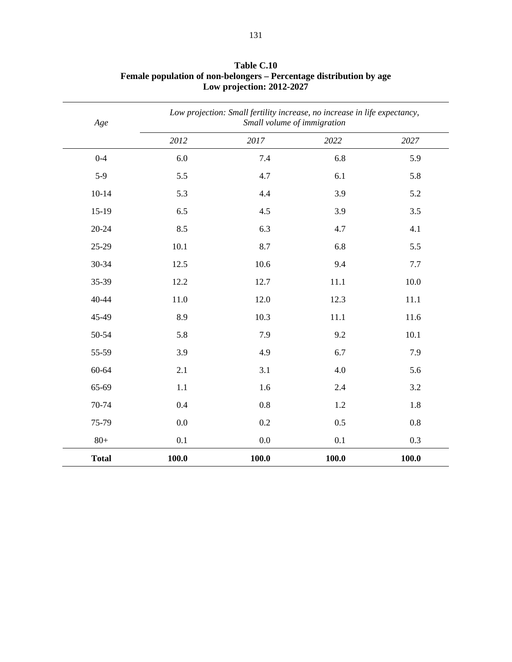| Age          |       | Low projection: Small fertility increase, no increase in life expectancy,<br>Small volume of immigration |       |       |  |
|--------------|-------|----------------------------------------------------------------------------------------------------------|-------|-------|--|
|              | 2012  | 2017                                                                                                     | 2022  | 2027  |  |
| $0 - 4$      | 6.0   | 7.4                                                                                                      | 6.8   | 5.9   |  |
| $5-9$        | 5.5   | 4.7                                                                                                      | 6.1   | 5.8   |  |
| $10 - 14$    | 5.3   | 4.4                                                                                                      | 3.9   | 5.2   |  |
| $15-19$      | 6.5   | 4.5                                                                                                      | 3.9   | 3.5   |  |
| $20 - 24$    | 8.5   | 6.3                                                                                                      | 4.7   | 4.1   |  |
| 25-29        | 10.1  | 8.7                                                                                                      | 6.8   | 5.5   |  |
| 30-34        | 12.5  | 10.6                                                                                                     | 9.4   | 7.7   |  |
| 35-39        | 12.2  | 12.7                                                                                                     | 11.1  | 10.0  |  |
| 40-44        | 11.0  | 12.0                                                                                                     | 12.3  | 11.1  |  |
| 45-49        | 8.9   | 10.3                                                                                                     | 11.1  | 11.6  |  |
| 50-54        | 5.8   | 7.9                                                                                                      | 9.2   | 10.1  |  |
| 55-59        | 3.9   | 4.9                                                                                                      | 6.7   | 7.9   |  |
| 60-64        | 2.1   | 3.1                                                                                                      | 4.0   | 5.6   |  |
| 65-69        | 1.1   | 1.6                                                                                                      | 2.4   | 3.2   |  |
| 70-74        | 0.4   | 0.8                                                                                                      | 1.2   | 1.8   |  |
| 75-79        | 0.0   | 0.2                                                                                                      | 0.5   | 0.8   |  |
| $80+$        | 0.1   | 0.0                                                                                                      | 0.1   | 0.3   |  |
| <b>Total</b> | 100.0 | 100.0                                                                                                    | 100.0 | 100.0 |  |

#### **Table C.10 Female population of non-belongers – Percentage distribution by age Low projection: 2012-2027**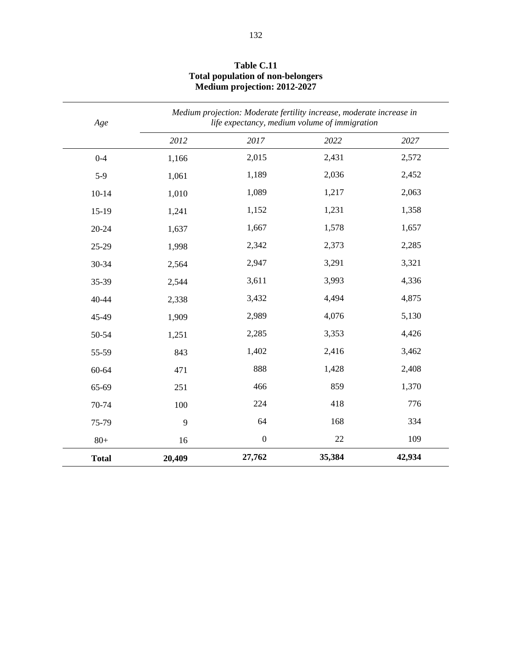| Age          |        | Medium projection: Moderate fertility increase, moderate increase in<br>life expectancy, medium volume of immigration |        |        |
|--------------|--------|-----------------------------------------------------------------------------------------------------------------------|--------|--------|
|              | 2012   | 2017                                                                                                                  | 2022   | 2027   |
| $0 - 4$      | 1,166  | 2,015                                                                                                                 | 2,431  | 2,572  |
| $5-9$        | 1,061  | 1,189                                                                                                                 | 2,036  | 2,452  |
| $10 - 14$    | 1,010  | 1,089                                                                                                                 | 1,217  | 2,063  |
| $15-19$      | 1,241  | 1,152                                                                                                                 | 1,231  | 1,358  |
| 20-24        | 1,637  | 1,667                                                                                                                 | 1,578  | 1,657  |
| 25-29        | 1,998  | 2,342                                                                                                                 | 2,373  | 2,285  |
| 30-34        | 2,564  | 2,947                                                                                                                 | 3,291  | 3,321  |
| 35-39        | 2,544  | 3,611                                                                                                                 | 3,993  | 4,336  |
| 40-44        | 2,338  | 3,432                                                                                                                 | 4,494  | 4,875  |
| 45-49        | 1,909  | 2,989                                                                                                                 | 4,076  | 5,130  |
| 50-54        | 1,251  | 2,285                                                                                                                 | 3,353  | 4,426  |
| 55-59        | 843    | 1,402                                                                                                                 | 2,416  | 3,462  |
| 60-64        | 471    | 888                                                                                                                   | 1,428  | 2,408  |
| 65-69        | 251    | 466                                                                                                                   | 859    | 1,370  |
| 70-74        | 100    | 224                                                                                                                   | 418    | 776    |
| 75-79        | 9      | 64                                                                                                                    | 168    | 334    |
| $80+$        | 16     | $\boldsymbol{0}$                                                                                                      | 22     | 109    |
| <b>Total</b> | 20,409 | 27,762                                                                                                                | 35,384 | 42,934 |

#### **Table C.11 Total population of non-belongers Medium projection: 2012-2027**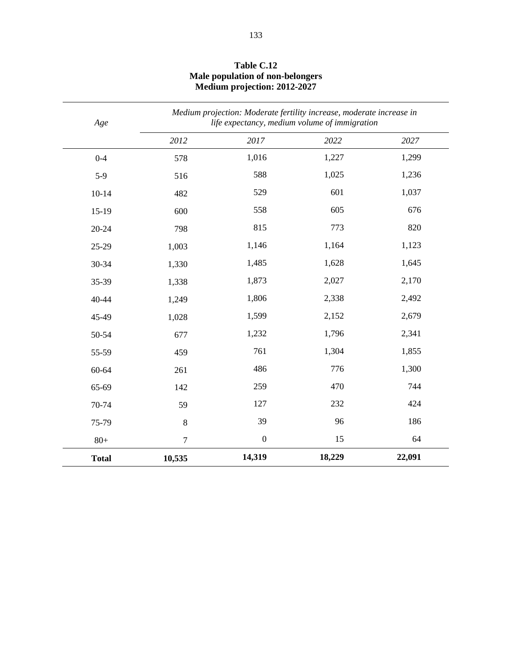| Age          | Medium projection: Moderate fertility increase, moderate increase in<br>life expectancy, medium volume of immigration |                  |        |        |
|--------------|-----------------------------------------------------------------------------------------------------------------------|------------------|--------|--------|
|              | 2012                                                                                                                  | 2017             | 2022   | 2027   |
| $0 - 4$      | 578                                                                                                                   | 1,016            | 1,227  | 1,299  |
| $5-9$        | 516                                                                                                                   | 588              | 1,025  | 1,236  |
| $10 - 14$    | 482                                                                                                                   | 529              | 601    | 1,037  |
| $15-19$      | 600                                                                                                                   | 558              | 605    | 676    |
| $20 - 24$    | 798                                                                                                                   | 815              | 773    | 820    |
| 25-29        | 1,003                                                                                                                 | 1,146            | 1,164  | 1,123  |
| 30-34        | 1,330                                                                                                                 | 1,485            | 1,628  | 1,645  |
| 35-39        | 1,338                                                                                                                 | 1,873            | 2,027  | 2,170  |
| 40-44        | 1,249                                                                                                                 | 1,806            | 2,338  | 2,492  |
| 45-49        | 1,028                                                                                                                 | 1,599            | 2,152  | 2,679  |
| 50-54        | 677                                                                                                                   | 1,232            | 1,796  | 2,341  |
| 55-59        | 459                                                                                                                   | 761              | 1,304  | 1,855  |
| 60-64        | 261                                                                                                                   | 486              | 776    | 1,300  |
| 65-69        | 142                                                                                                                   | 259              | 470    | 744    |
| 70-74        | 59                                                                                                                    | 127              | 232    | 424    |
| 75-79        | $\bf 8$                                                                                                               | 39               | 96     | 186    |
| $80+$        | $\tau$                                                                                                                | $\boldsymbol{0}$ | 15     | 64     |
| <b>Total</b> | 10,535                                                                                                                | 14,319           | 18,229 | 22,091 |

## **Table C.12 Male population of non-belongers Medium projection: 2012-2027**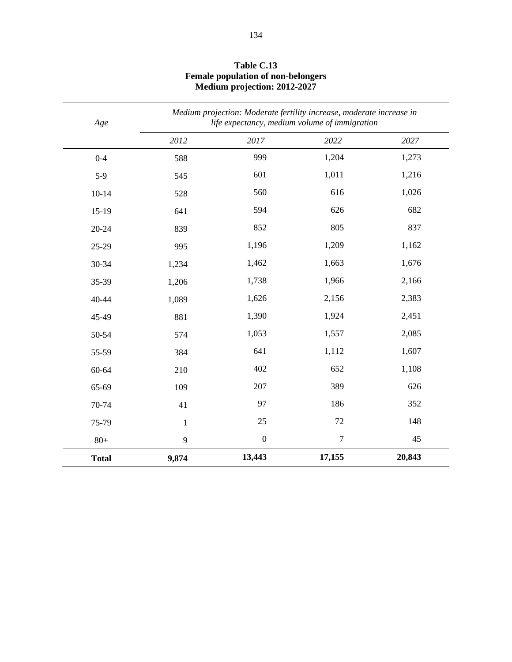| Age          | Medium projection: Moderate fertility increase, moderate increase in<br>life expectancy, medium volume of immigration |                  |                |        |
|--------------|-----------------------------------------------------------------------------------------------------------------------|------------------|----------------|--------|
|              | 2012                                                                                                                  | 2017             | 2022           | 2027   |
| $0 - 4$      | 588                                                                                                                   | 999              | 1,204          | 1,273  |
| $5-9$        | 545                                                                                                                   | 601              | 1,011          | 1,216  |
| $10 - 14$    | 528                                                                                                                   | 560              | 616            | 1,026  |
| $15-19$      | 641                                                                                                                   | 594              | 626            | 682    |
| 20-24        | 839                                                                                                                   | 852              | 805            | 837    |
| 25-29        | 995                                                                                                                   | 1,196            | 1,209          | 1,162  |
| 30-34        | 1,234                                                                                                                 | 1,462            | 1,663          | 1,676  |
| 35-39        | 1,206                                                                                                                 | 1,738            | 1,966          | 2,166  |
| 40-44        | 1,089                                                                                                                 | 1,626            | 2,156          | 2,383  |
| 45-49        | 881                                                                                                                   | 1,390            | 1,924          | 2,451  |
| 50-54        | 574                                                                                                                   | 1,053            | 1,557          | 2,085  |
| 55-59        | 384                                                                                                                   | 641              | 1,112          | 1,607  |
| 60-64        | 210                                                                                                                   | 402              | 652            | 1,108  |
| 65-69        | 109                                                                                                                   | 207              | 389            | 626    |
| 70-74        | 41                                                                                                                    | 97               | 186            | 352    |
| 75-79        | $\mathbf{1}$                                                                                                          | 25               | 72             | 148    |
| $80+$        | 9                                                                                                                     | $\boldsymbol{0}$ | $\overline{7}$ | 45     |
| <b>Total</b> | 9,874                                                                                                                 | 13,443           | 17,155         | 20,843 |

#### **Table C.13 Female population of non-belongers Medium projection: 2012-2027**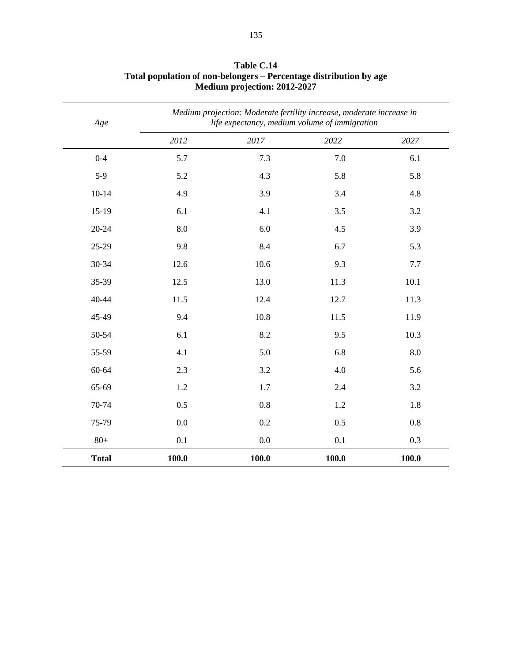| Age          |       | Medium projection: Moderate fertility increase, moderate increase in<br>life expectancy, medium volume of immigration |       |       |  |
|--------------|-------|-----------------------------------------------------------------------------------------------------------------------|-------|-------|--|
|              | 2012  | 2017                                                                                                                  | 2022  | 2027  |  |
| $0 - 4$      | 5.7   | 7.3                                                                                                                   | 7.0   | 6.1   |  |
| $5-9$        | 5.2   | 4.3                                                                                                                   | 5.8   | 5.8   |  |
| $10 - 14$    | 4.9   | 3.9                                                                                                                   | 3.4   | 4.8   |  |
| $15-19$      | 6.1   | 4.1                                                                                                                   | 3.5   | 3.2   |  |
| 20-24        | 8.0   | 6.0                                                                                                                   | 4.5   | 3.9   |  |
| 25-29        | 9.8   | 8.4                                                                                                                   | 6.7   | 5.3   |  |
| 30-34        | 12.6  | 10.6                                                                                                                  | 9.3   | 7.7   |  |
| 35-39        | 12.5  | 13.0                                                                                                                  | 11.3  | 10.1  |  |
| 40-44        | 11.5  | 12.4                                                                                                                  | 12.7  | 11.3  |  |
| 45-49        | 9.4   | 10.8                                                                                                                  | 11.5  | 11.9  |  |
| 50-54        | 6.1   | 8.2                                                                                                                   | 9.5   | 10.3  |  |
| 55-59        | 4.1   | 5.0                                                                                                                   | 6.8   | 8.0   |  |
| 60-64        | 2.3   | 3.2                                                                                                                   | 4.0   | 5.6   |  |
| 65-69        | 1.2   | 1.7                                                                                                                   | 2.4   | 3.2   |  |
| 70-74        | 0.5   | 0.8                                                                                                                   | 1.2   | 1.8   |  |
| 75-79        | 0.0   | 0.2                                                                                                                   | 0.5   | 0.8   |  |
| $80+$        | 0.1   | 0.0                                                                                                                   | 0.1   | 0.3   |  |
| <b>Total</b> | 100.0 | 100.0                                                                                                                 | 100.0 | 100.0 |  |

#### **Table C.14 Total population of non-belongers – Percentage distribution by age Medium projection: 2012-2027**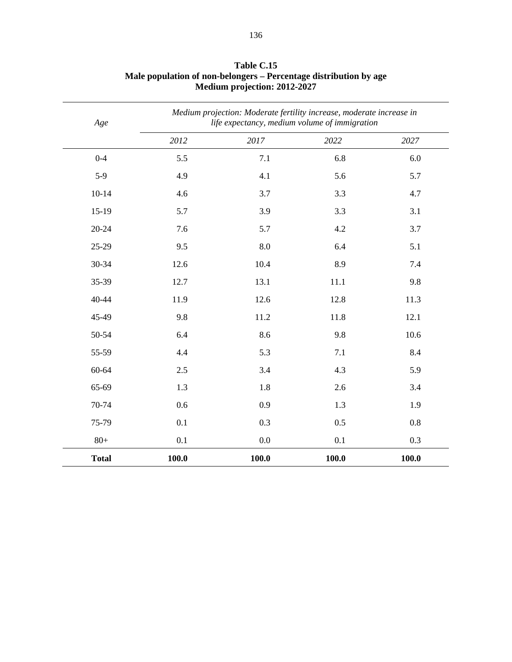| Age          |       | Medium projection: Moderate fertility increase, moderate increase in<br>life expectancy, medium volume of immigration |       |       |  |
|--------------|-------|-----------------------------------------------------------------------------------------------------------------------|-------|-------|--|
|              | 2012  | 2017                                                                                                                  | 2022  | 2027  |  |
| $0 - 4$      | 5.5   | 7.1                                                                                                                   | 6.8   | 6.0   |  |
| $5-9$        | 4.9   | 4.1                                                                                                                   | 5.6   | 5.7   |  |
| $10 - 14$    | 4.6   | 3.7                                                                                                                   | 3.3   | 4.7   |  |
| $15-19$      | 5.7   | 3.9                                                                                                                   | 3.3   | 3.1   |  |
| $20 - 24$    | 7.6   | 5.7                                                                                                                   | 4.2   | 3.7   |  |
| 25-29        | 9.5   | 8.0                                                                                                                   | 6.4   | 5.1   |  |
| 30-34        | 12.6  | 10.4                                                                                                                  | 8.9   | 7.4   |  |
| 35-39        | 12.7  | 13.1                                                                                                                  | 11.1  | 9.8   |  |
| 40-44        | 11.9  | 12.6                                                                                                                  | 12.8  | 11.3  |  |
| 45-49        | 9.8   | 11.2                                                                                                                  | 11.8  | 12.1  |  |
| 50-54        | 6.4   | 8.6                                                                                                                   | 9.8   | 10.6  |  |
| 55-59        | 4.4   | 5.3                                                                                                                   | 7.1   | 8.4   |  |
| 60-64        | 2.5   | 3.4                                                                                                                   | 4.3   | 5.9   |  |
| 65-69        | 1.3   | 1.8                                                                                                                   | 2.6   | 3.4   |  |
| 70-74        | 0.6   | 0.9                                                                                                                   | 1.3   | 1.9   |  |
| 75-79        | 0.1   | 0.3                                                                                                                   | 0.5   | 0.8   |  |
| $80+$        | 0.1   | $0.0\,$                                                                                                               | 0.1   | 0.3   |  |
| <b>Total</b> | 100.0 | 100.0                                                                                                                 | 100.0 | 100.0 |  |

#### **Table C.15 Male population of non-belongers – Percentage distribution by age Medium projection: 2012-2027**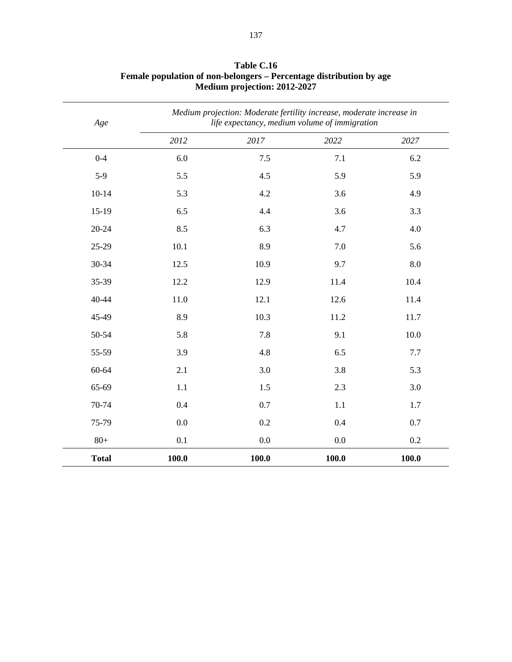| Age          |       | Medium projection: Moderate fertility increase, moderate increase in<br>life expectancy, medium volume of immigration |          |       |
|--------------|-------|-----------------------------------------------------------------------------------------------------------------------|----------|-------|
|              | 2012  | 2017                                                                                                                  | $2022\,$ | 2027  |
| $0 - 4$      | 6.0   | 7.5                                                                                                                   | 7.1      | 6.2   |
| $5-9$        | 5.5   | 4.5                                                                                                                   | 5.9      | 5.9   |
| $10 - 14$    | 5.3   | 4.2                                                                                                                   | 3.6      | 4.9   |
| $15-19$      | 6.5   | 4.4                                                                                                                   | 3.6      | 3.3   |
| $20 - 24$    | 8.5   | 6.3                                                                                                                   | 4.7      | 4.0   |
| 25-29        | 10.1  | 8.9                                                                                                                   | 7.0      | 5.6   |
| 30-34        | 12.5  | 10.9                                                                                                                  | 9.7      | 8.0   |
| 35-39        | 12.2  | 12.9                                                                                                                  | 11.4     | 10.4  |
| 40-44        | 11.0  | 12.1                                                                                                                  | 12.6     | 11.4  |
| 45-49        | 8.9   | 10.3                                                                                                                  | 11.2     | 11.7  |
| 50-54        | 5.8   | 7.8                                                                                                                   | 9.1      | 10.0  |
| 55-59        | 3.9   | 4.8                                                                                                                   | 6.5      | 7.7   |
| 60-64        | 2.1   | 3.0                                                                                                                   | 3.8      | 5.3   |
| 65-69        | 1.1   | 1.5                                                                                                                   | 2.3      | 3.0   |
| 70-74        | 0.4   | 0.7                                                                                                                   | 1.1      | 1.7   |
| 75-79        | 0.0   | 0.2                                                                                                                   | 0.4      | 0.7   |
| $80+$        | 0.1   | $0.0\,$                                                                                                               | 0.0      | 0.2   |
| <b>Total</b> | 100.0 | 100.0                                                                                                                 | 100.0    | 100.0 |

#### **Table C.16 Female population of non-belongers – Percentage distribution by age Medium projection: 2012-2027**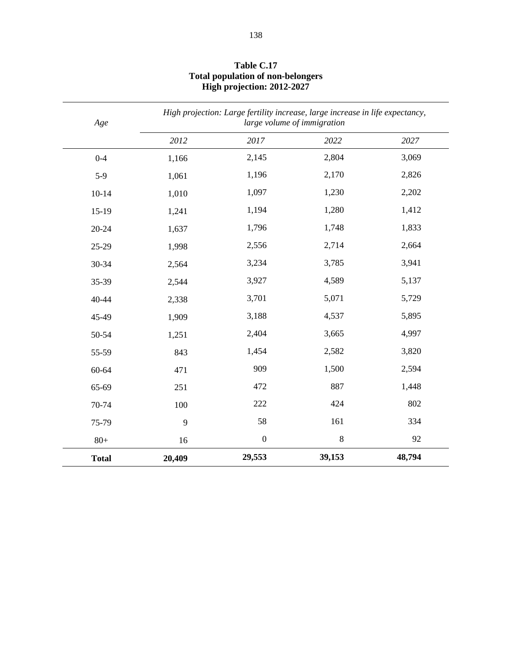| Age          | High projection: Large fertility increase, large increase in life expectancy,<br>large volume of immigration |                  |         |        |  |
|--------------|--------------------------------------------------------------------------------------------------------------|------------------|---------|--------|--|
|              | 2012                                                                                                         | 2017             | 2022    | 2027   |  |
| $0 - 4$      | 1,166                                                                                                        | 2,145            | 2,804   | 3,069  |  |
| $5-9$        | 1,061                                                                                                        | 1,196            | 2,170   | 2,826  |  |
| $10 - 14$    | 1,010                                                                                                        | 1,097            | 1,230   | 2,202  |  |
| $15-19$      | 1,241                                                                                                        | 1,194            | 1,280   | 1,412  |  |
| 20-24        | 1,637                                                                                                        | 1,796            | 1,748   | 1,833  |  |
| 25-29        | 1,998                                                                                                        | 2,556            | 2,714   | 2,664  |  |
| 30-34        | 2,564                                                                                                        | 3,234            | 3,785   | 3,941  |  |
| 35-39        | 2,544                                                                                                        | 3,927            | 4,589   | 5,137  |  |
| 40-44        | 2,338                                                                                                        | 3,701            | 5,071   | 5,729  |  |
| 45-49        | 1,909                                                                                                        | 3,188            | 4,537   | 5,895  |  |
| 50-54        | 1,251                                                                                                        | 2,404            | 3,665   | 4,997  |  |
| 55-59        | 843                                                                                                          | 1,454            | 2,582   | 3,820  |  |
| 60-64        | 471                                                                                                          | 909              | 1,500   | 2,594  |  |
| 65-69        | 251                                                                                                          | 472              | 887     | 1,448  |  |
| 70-74        | 100                                                                                                          | 222              | 424     | 802    |  |
| 75-79        | 9                                                                                                            | 58               | 161     | 334    |  |
| $80+$        | 16                                                                                                           | $\boldsymbol{0}$ | $\,8\,$ | 92     |  |
| <b>Total</b> | 20,409                                                                                                       | 29,553           | 39,153  | 48,794 |  |

#### **Table C.17 Total population of non-belongers High projection: 2012-2027**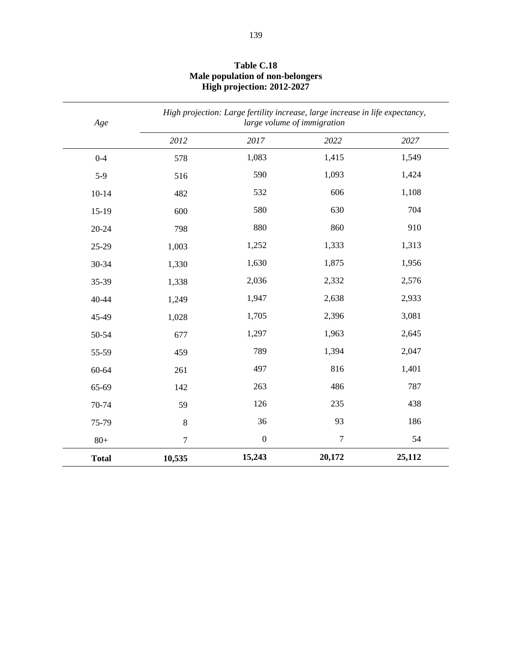| Age          | High projection: Large fertility increase, large increase in life expectancy,<br>large volume of immigration |                  |                |        |
|--------------|--------------------------------------------------------------------------------------------------------------|------------------|----------------|--------|
|              | 2012                                                                                                         | 2017             | 2022           | 2027   |
| $0 - 4$      | 578                                                                                                          | 1,083            | 1,415          | 1,549  |
| $5-9$        | 516                                                                                                          | 590              | 1,093          | 1,424  |
| $10 - 14$    | 482                                                                                                          | 532              | 606            | 1,108  |
| $15-19$      | 600                                                                                                          | 580              | 630            | 704    |
| 20-24        | 798                                                                                                          | 880              | 860            | 910    |
| 25-29        | 1,003                                                                                                        | 1,252            | 1,333          | 1,313  |
| 30-34        | 1,330                                                                                                        | 1,630            | 1,875          | 1,956  |
| 35-39        | 1,338                                                                                                        | 2,036            | 2,332          | 2,576  |
| 40-44        | 1,249                                                                                                        | 1,947            | 2,638          | 2,933  |
| 45-49        | 1,028                                                                                                        | 1,705            | 2,396          | 3,081  |
| 50-54        | 677                                                                                                          | 1,297            | 1,963          | 2,645  |
| 55-59        | 459                                                                                                          | 789              | 1,394          | 2,047  |
| 60-64        | 261                                                                                                          | 497              | 816            | 1,401  |
| 65-69        | 142                                                                                                          | 263              | 486            | 787    |
| 70-74        | 59                                                                                                           | 126              | 235            | 438    |
| 75-79        | $\bf 8$                                                                                                      | 36               | 93             | 186    |
| $80+$        | $\tau$                                                                                                       | $\boldsymbol{0}$ | $\overline{7}$ | 54     |
| <b>Total</b> | 10,535                                                                                                       | 15,243           | 20,172         | 25,112 |

#### **Table C.18 Male population of non-belongers High projection: 2012-2027**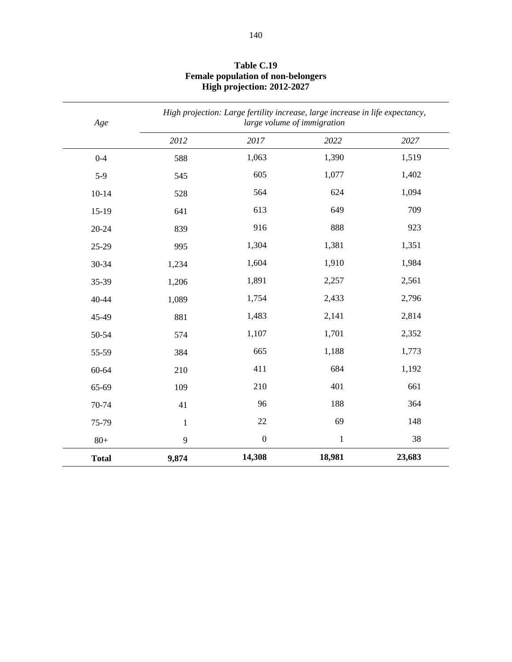| Age          | High projection: Large fertility increase, large increase in life expectancy,<br>large volume of immigration |                  |              |        |
|--------------|--------------------------------------------------------------------------------------------------------------|------------------|--------------|--------|
|              | 2012                                                                                                         | 2017             | 2022         | 2027   |
| $0 - 4$      | 588                                                                                                          | 1,063            | 1,390        | 1,519  |
| $5-9$        | 545                                                                                                          | 605              | 1,077        | 1,402  |
| $10 - 14$    | 528                                                                                                          | 564              | 624          | 1,094  |
| $15-19$      | 641                                                                                                          | 613              | 649          | 709    |
| $20 - 24$    | 839                                                                                                          | 916              | 888          | 923    |
| 25-29        | 995                                                                                                          | 1,304            | 1,381        | 1,351  |
| 30-34        | 1,234                                                                                                        | 1,604            | 1,910        | 1,984  |
| 35-39        | 1,206                                                                                                        | 1,891            | 2,257        | 2,561  |
| 40-44        | 1,089                                                                                                        | 1,754            | 2,433        | 2,796  |
| 45-49        | 881                                                                                                          | 1,483            | 2,141        | 2,814  |
| 50-54        | 574                                                                                                          | 1,107            | 1,701        | 2,352  |
| 55-59        | 384                                                                                                          | 665              | 1,188        | 1,773  |
| 60-64        | 210                                                                                                          | 411              | 684          | 1,192  |
| 65-69        | 109                                                                                                          | 210              | 401          | 661    |
| 70-74        | 41                                                                                                           | 96               | 188          | 364    |
| 75-79        | $\mathbf 1$                                                                                                  | 22               | 69           | 148    |
| $80+$        | $\mathbf{9}$                                                                                                 | $\boldsymbol{0}$ | $\mathbf{1}$ | 38     |
| <b>Total</b> | 9,874                                                                                                        | 14,308           | 18,981       | 23,683 |

#### **Table C.19 Female population of non-belongers High projection: 2012-2027**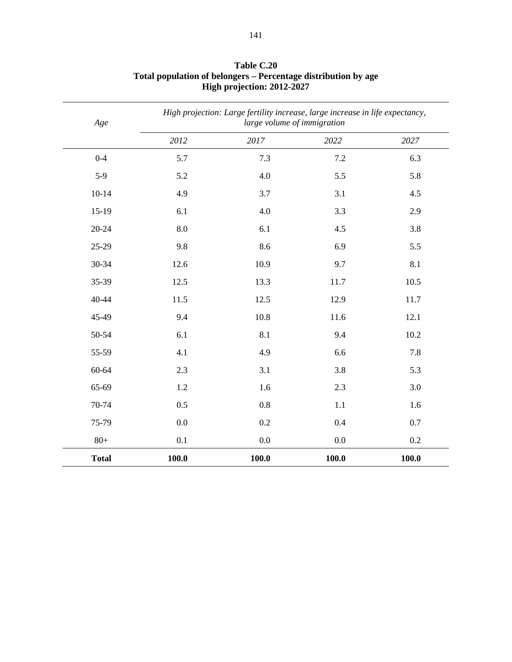| Age          | High projection: Large fertility increase, large increase in life expectancy,<br>large volume of immigration |         |         |       |
|--------------|--------------------------------------------------------------------------------------------------------------|---------|---------|-------|
|              | 2012                                                                                                         | 2017    | 2022    | 2027  |
| $0 - 4$      | 5.7                                                                                                          | 7.3     | $7.2\,$ | 6.3   |
| $5-9$        | 5.2                                                                                                          | 4.0     | 5.5     | 5.8   |
| $10 - 14$    | 4.9                                                                                                          | 3.7     | 3.1     | 4.5   |
| $15-19$      | 6.1                                                                                                          | 4.0     | 3.3     | 2.9   |
| $20 - 24$    | 8.0                                                                                                          | 6.1     | 4.5     | 3.8   |
| 25-29        | 9.8                                                                                                          | 8.6     | 6.9     | 5.5   |
| 30-34        | 12.6                                                                                                         | 10.9    | 9.7     | 8.1   |
| 35-39        | 12.5                                                                                                         | 13.3    | 11.7    | 10.5  |
| 40-44        | 11.5                                                                                                         | 12.5    | 12.9    | 11.7  |
| 45-49        | 9.4                                                                                                          | 10.8    | 11.6    | 12.1  |
| 50-54        | 6.1                                                                                                          | 8.1     | 9.4     | 10.2  |
| 55-59        | 4.1                                                                                                          | 4.9     | 6.6     | 7.8   |
| 60-64        | 2.3                                                                                                          | 3.1     | 3.8     | 5.3   |
| 65-69        | 1.2                                                                                                          | 1.6     | 2.3     | 3.0   |
| 70-74        | 0.5                                                                                                          | 0.8     | 1.1     | 1.6   |
| 75-79        | 0.0                                                                                                          | 0.2     | 0.4     | 0.7   |
| $80+$        | 0.1                                                                                                          | $0.0\,$ | $0.0\,$ | 0.2   |
| <b>Total</b> | 100.0                                                                                                        | 100.0   | 100.0   | 100.0 |

#### **Table C.20 Total population of belongers – Percentage distribution by age High projection: 2012-2027**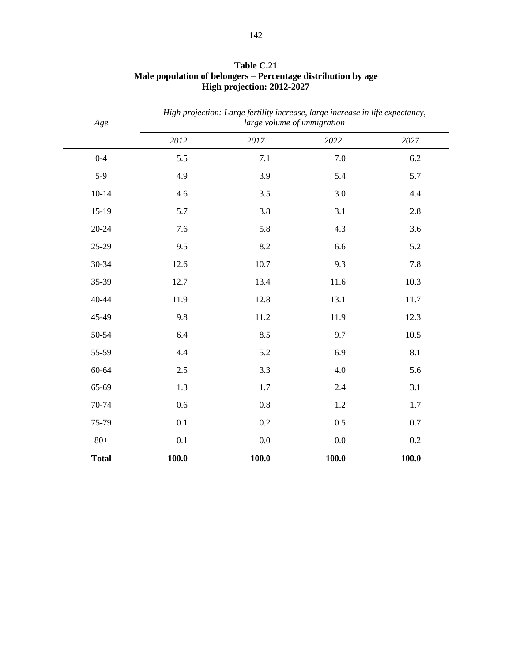| Age          |       | High projection: Large fertility increase, large increase in life expectancy,<br>large volume of immigration |         |       |  |
|--------------|-------|--------------------------------------------------------------------------------------------------------------|---------|-------|--|
|              | 2012  | 2017                                                                                                         | 2022    | 2027  |  |
| $0 - 4$      | 5.5   | 7.1                                                                                                          | 7.0     | 6.2   |  |
| $5-9$        | 4.9   | 3.9                                                                                                          | 5.4     | 5.7   |  |
| $10-14$      | 4.6   | 3.5                                                                                                          | 3.0     | 4.4   |  |
| $15-19$      | 5.7   | 3.8                                                                                                          | 3.1     | 2.8   |  |
| $20 - 24$    | 7.6   | 5.8                                                                                                          | 4.3     | 3.6   |  |
| 25-29        | 9.5   | 8.2                                                                                                          | 6.6     | 5.2   |  |
| 30-34        | 12.6  | 10.7                                                                                                         | 9.3     | 7.8   |  |
| 35-39        | 12.7  | 13.4                                                                                                         | 11.6    | 10.3  |  |
| 40-44        | 11.9  | 12.8                                                                                                         | 13.1    | 11.7  |  |
| 45-49        | 9.8   | 11.2                                                                                                         | 11.9    | 12.3  |  |
| 50-54        | 6.4   | 8.5                                                                                                          | 9.7     | 10.5  |  |
| 55-59        | 4.4   | 5.2                                                                                                          | 6.9     | 8.1   |  |
| 60-64        | 2.5   | 3.3                                                                                                          | 4.0     | 5.6   |  |
| 65-69        | 1.3   | 1.7                                                                                                          | 2.4     | 3.1   |  |
| 70-74        | 0.6   | 0.8                                                                                                          | 1.2     | 1.7   |  |
| 75-79        | 0.1   | 0.2                                                                                                          | 0.5     | 0.7   |  |
| $80+$        | 0.1   | $0.0\,$                                                                                                      | $0.0\,$ | 0.2   |  |
| <b>Total</b> | 100.0 | 100.0                                                                                                        | 100.0   | 100.0 |  |

#### **Table C.21 Male population of belongers – Percentage distribution by age High projection: 2012-2027**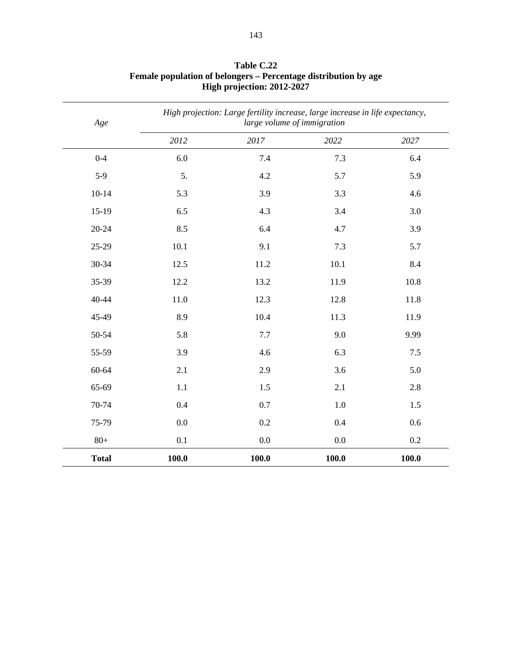| Age          | High projection: Large fertility increase, large increase in life expectancy,<br>large volume of immigration |         |         |       |
|--------------|--------------------------------------------------------------------------------------------------------------|---------|---------|-------|
|              | 2012                                                                                                         | 2017    | 2022    | 2027  |
| $0 - 4$      | 6.0                                                                                                          | 7.4     | 7.3     | 6.4   |
| $5-9$        | 5.                                                                                                           | 4.2     | 5.7     | 5.9   |
| $10 - 14$    | 5.3                                                                                                          | 3.9     | 3.3     | 4.6   |
| $15-19$      | 6.5                                                                                                          | 4.3     | 3.4     | 3.0   |
| $20 - 24$    | 8.5                                                                                                          | 6.4     | 4.7     | 3.9   |
| 25-29        | 10.1                                                                                                         | 9.1     | 7.3     | 5.7   |
| 30-34        | 12.5                                                                                                         | 11.2    | 10.1    | 8.4   |
| 35-39        | 12.2                                                                                                         | 13.2    | 11.9    | 10.8  |
| 40-44        | 11.0                                                                                                         | 12.3    | 12.8    | 11.8  |
| 45-49        | 8.9                                                                                                          | 10.4    | 11.3    | 11.9  |
| 50-54        | 5.8                                                                                                          | $7.7\,$ | 9.0     | 9.99  |
| 55-59        | 3.9                                                                                                          | 4.6     | 6.3     | 7.5   |
| 60-64        | 2.1                                                                                                          | 2.9     | 3.6     | 5.0   |
| 65-69        | 1.1                                                                                                          | 1.5     | 2.1     | 2.8   |
| 70-74        | 0.4                                                                                                          | 0.7     | $1.0\,$ | 1.5   |
| 75-79        | 0.0                                                                                                          | 0.2     | 0.4     | 0.6   |
| $80+$        | 0.1                                                                                                          | $0.0\,$ | $0.0\,$ | 0.2   |
| <b>Total</b> | 100.0                                                                                                        | 100.0   | 100.0   | 100.0 |

#### **Table C.22 Female population of belongers – Percentage distribution by age High projection: 2012-2027**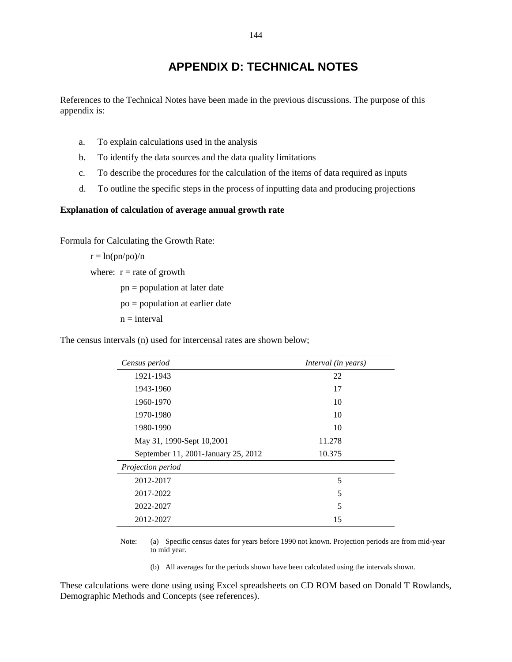# **APPENDIX D: TECHNICAL NOTES**

References to the Technical Notes have been made in the previous discussions. The purpose of this appendix is:

- a. To explain calculations used in the analysis
- b. To identify the data sources and the data quality limitations
- c. To describe the procedures for the calculation of the items of data required as inputs
- d. To outline the specific steps in the process of inputting data and producing projections

#### **Explanation of calculation of average annual growth rate**

Formula for Calculating the Growth Rate:

 $r = ln(pn/po)/n$ where:  $r =$  rate of growth pn = population at later date po = population at earlier date  $n = interval$ 

The census intervals (n) used for intercensal rates are shown below;

| Census period                       | Interval (in years) |
|-------------------------------------|---------------------|
| 1921-1943                           | 22                  |
| 1943-1960                           | 17                  |
| 1960-1970                           | 10                  |
| 1970-1980                           | 10                  |
| 1980-1990                           | 10                  |
| May 31, 1990-Sept 10,2001           | 11.278              |
| September 11, 2001-January 25, 2012 | 10.375              |
| Projection period                   |                     |
| 2012-2017                           | 5                   |
| 2017-2022                           | 5                   |
| 2022-2027                           | 5                   |
| 2012-2027                           | 15                  |

Note: (a) Specific census dates for years before 1990 not known. Projection periods are from mid-year to mid year.

(b) All averages for the periods shown have been calculated using the intervals shown.

These calculations were done using using Excel spreadsheets on CD ROM based on Donald T Rowlands, Demographic Methods and Concepts (see references).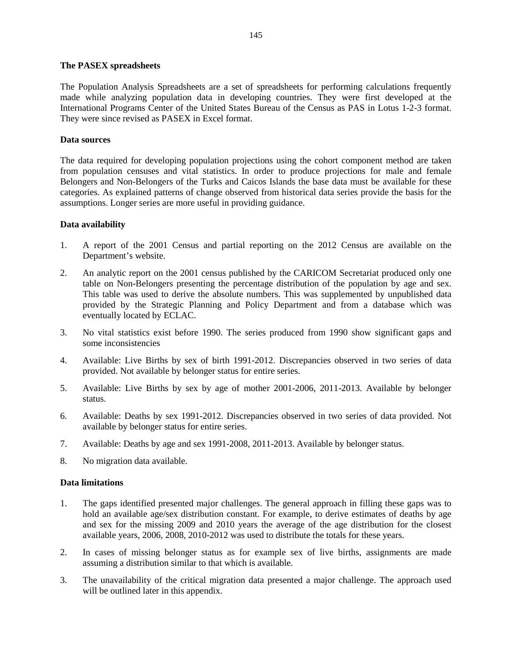#### **The PASEX spreadsheets**

The Population Analysis Spreadsheets are a set of spreadsheets for performing calculations frequently made while analyzing population data in developing countries. They were first developed at the International Programs Center of the United States Bureau of the Census as PAS in Lotus 1-2-3 format. They were since revised as PASEX in Excel format.

### **Data sources**

The data required for developing population projections using the cohort component method are taken from population censuses and vital statistics. In order to produce projections for male and female Belongers and Non-Belongers of the Turks and Caicos Islands the base data must be available for these categories. As explained patterns of change observed from historical data series provide the basis for the assumptions. Longer series are more useful in providing guidance.

### **Data availability**

- 1. A report of the 2001 Census and partial reporting on the 2012 Census are available on the Department's website.
- 2. An analytic report on the 2001 census published by the CARICOM Secretariat produced only one table on Non-Belongers presenting the percentage distribution of the population by age and sex. This table was used to derive the absolute numbers. This was supplemented by unpublished data provided by the Strategic Planning and Policy Department and from a database which was eventually located by ECLAC.
- 3. No vital statistics exist before 1990. The series produced from 1990 show significant gaps and some inconsistencies
- 4. Available: Live Births by sex of birth 1991-2012. Discrepancies observed in two series of data provided. Not available by belonger status for entire series.
- 5. Available: Live Births by sex by age of mother 2001-2006, 2011-2013. Available by belonger status.
- 6. Available: Deaths by sex 1991-2012. Discrepancies observed in two series of data provided. Not available by belonger status for entire series.
- 7. Available: Deaths by age and sex 1991-2008, 2011-2013. Available by belonger status.
- 8. No migration data available.

#### **Data limitations**

- 1. The gaps identified presented major challenges. The general approach in filling these gaps was to hold an available age/sex distribution constant. For example, to derive estimates of deaths by age and sex for the missing 2009 and 2010 years the average of the age distribution for the closest available years, 2006, 2008, 2010-2012 was used to distribute the totals for these years.
- 2. In cases of missing belonger status as for example sex of live births, assignments are made assuming a distribution similar to that which is available.
- 3. The unavailability of the critical migration data presented a major challenge. The approach used will be outlined later in this appendix.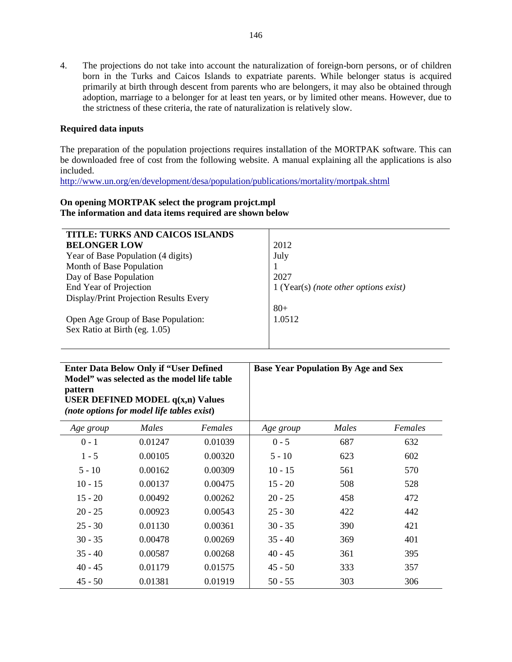4. The projections do not take into account the naturalization of foreign-born persons, or of children born in the Turks and Caicos Islands to expatriate parents. While belonger status is acquired primarily at birth through descent from parents who are belongers, it may also be obtained through adoption, marriage to a belonger for at least ten years, or by limited other means. However, due to the strictness of these criteria, the rate of naturalization is relatively slow.

### **Required data inputs**

The preparation of the population projections requires installation of the MORTPAK software. This can be downloaded free of cost from the following website. A manual explaining all the applications is also included.

http://www.un.org/en/development/desa/population/publications/mortality/mortpak.shtml

### **On opening MORTPAK select the program projct.mpl The information and data items required are shown below**

| TITLE: TURKS AND CAICOS ISLANDS        |                                         |
|----------------------------------------|-----------------------------------------|
| <b>BELONGER LOW</b>                    | 2012                                    |
| Year of Base Population (4 digits)     | July                                    |
| Month of Base Population               |                                         |
| Day of Base Population                 | 2027                                    |
| End Year of Projection                 | $1$ (Year(s) (note other options exist) |
| Display/Print Projection Results Every |                                         |
|                                        | $80 +$                                  |
| Open Age Group of Base Population:     | 1.0512                                  |
| Sex Ratio at Birth (eg. 1.05)          |                                         |
|                                        |                                         |

| <b>Enter Data Below Only if "User Defined"</b><br>Model" was selected as the model life table<br><b>pattern</b><br>USER DEFINED MODEL $q(x,n)$ Values<br>(note options for model life tables exist) |       | <b>Base Year Population By Age and Sex</b> |           |       |         |
|-----------------------------------------------------------------------------------------------------------------------------------------------------------------------------------------------------|-------|--------------------------------------------|-----------|-------|---------|
| Age group                                                                                                                                                                                           | Males | Females                                    | Age group | Males | Females |
|                                                                                                                                                                                                     |       |                                            |           |       |         |

| Age group | Males   | Females | Age group | Males | Females |
|-----------|---------|---------|-----------|-------|---------|
| $0 - 1$   | 0.01247 | 0.01039 | $0 - 5$   | 687   | 632     |
| $1 - 5$   | 0.00105 | 0.00320 | $5 - 10$  | 623   | 602     |
| $5 - 10$  | 0.00162 | 0.00309 | $10 - 15$ | 561   | 570     |
| $10 - 15$ | 0.00137 | 0.00475 | $15 - 20$ | 508   | 528     |
| $15 - 20$ | 0.00492 | 0.00262 | $20 - 25$ | 458   | 472     |
| $20 - 25$ | 0.00923 | 0.00543 | $25 - 30$ | 422   | 442     |
| $25 - 30$ | 0.01130 | 0.00361 | $30 - 35$ | 390   | 421     |
| $30 - 35$ | 0.00478 | 0.00269 | $35 - 40$ | 369   | 401     |
| $35 - 40$ | 0.00587 | 0.00268 | $40 - 45$ | 361   | 395     |
| $40 - 45$ | 0.01179 | 0.01575 | $45 - 50$ | 333   | 357     |
| $45 - 50$ | 0.01381 | 0.01919 | $50 - 55$ | 303   | 306     |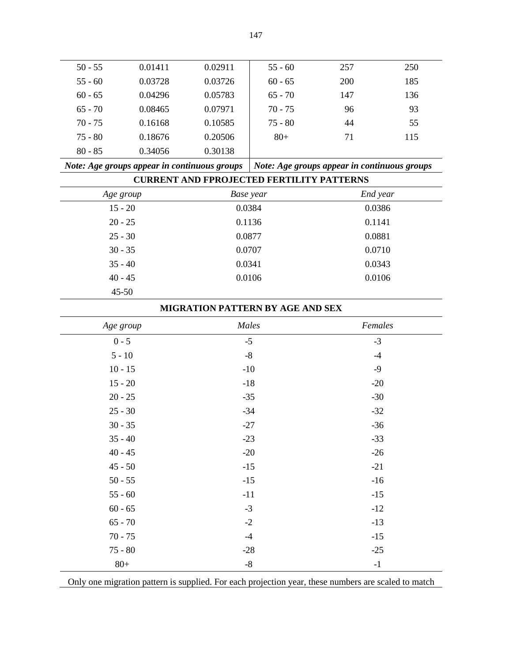| $50 - 55$ | 0.01411 | 0.02911 | $55 - 60$ | 257 | 250 |
|-----------|---------|---------|-----------|-----|-----|
| $55 - 60$ | 0.03728 | 0.03726 | $60 - 65$ | 200 | 185 |
| $60 - 65$ | 0.04296 | 0.05783 | $65 - 70$ | 147 | 136 |
| $65 - 70$ | 0.08465 | 0.07971 | $70 - 75$ | 96  | 93  |
| $70 - 75$ | 0.16168 | 0.10585 | $75 - 80$ | 44  | 55  |
| $75 - 80$ | 0.18676 | 0.20506 | $80+$     | 71  | 115 |
| $80 - 85$ | 0.34056 | 0.30138 |           |     |     |
|           |         |         |           |     |     |

| Note: Age groups appear in continuous groups   Note: Age groups appear in continuous groups |  |  |
|---------------------------------------------------------------------------------------------|--|--|
| <b>CURRENT AND FPROJECTED FERTILITY PATTERNS</b>                                            |  |  |

| Age group | Base year | End year |
|-----------|-----------|----------|
| $15 - 20$ | 0.0384    | 0.0386   |
| $20 - 25$ | 0.1136    | 0.1141   |
| $25 - 30$ | 0.0877    | 0.0881   |
| $30 - 35$ | 0.0707    | 0.0710   |
| $35 - 40$ | 0.0341    | 0.0343   |
| $40 - 45$ | 0.0106    | 0.0106   |
| $45 - 50$ |           |          |

| MIGRATION PATTERN BY AGE AND SEX |
|----------------------------------|
|                                  |

| Age group | Males       | Females |
|-----------|-------------|---------|
| $0 - 5$   | $-5$        | $-3$    |
| $5 - 10$  | $\text{-}8$ | $-4$    |
| $10 - 15$ | $-10$       | $-9$    |
| $15 - 20$ | $-18$       | $-20$   |
| $20 - 25$ | $-35$       | $-30$   |
| $25 - 30$ | $-34$       | $-32$   |
| $30 - 35$ | $-27$       | $-36$   |
| $35 - 40$ | $-23$       | $-33$   |
| $40 - 45$ | $-20$       | $-26$   |
| $45 - 50$ | $-15$       | $-21$   |
| $50 - 55$ | $-15$       | $-16$   |
| $55 - 60$ | $-11$       | $-15$   |
| $60 - 65$ | $-3$        | $-12$   |
| $65 - 70$ | $-2$        | $-13$   |
| $70 - 75$ | $-4$        | $-15$   |
| $75 - 80$ | $-28$       | $-25$   |
| $80+$     | $\text{-}8$ | $-1$    |

Only one migration pattern is supplied. For each projection year, these numbers are scaled to match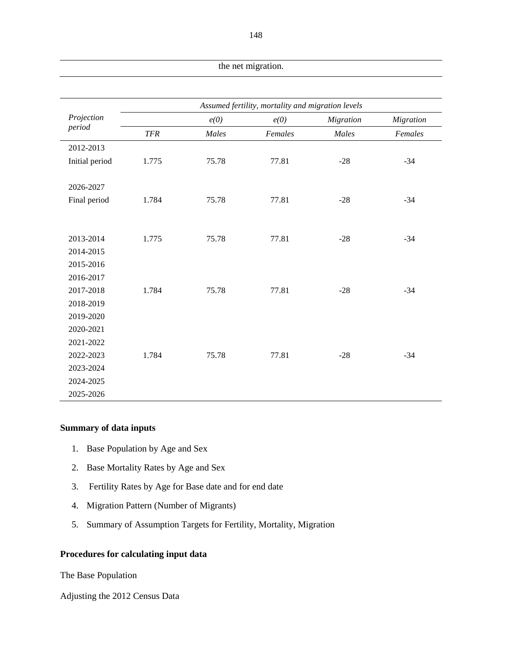| the net migration. |            |       |                                                   |           |           |
|--------------------|------------|-------|---------------------------------------------------|-----------|-----------|
|                    |            |       |                                                   |           |           |
|                    |            |       | Assumed fertility, mortality and migration levels |           |           |
| Projection         |            | e(0)  | e(0)                                              | Migration | Migration |
| period             | <b>TFR</b> | Males | Females                                           | Males     | Females   |
| 2012-2013          |            |       |                                                   |           |           |
| Initial period     | 1.775      | 75.78 | 77.81                                             | $-28$     | $-34$     |
|                    |            |       |                                                   |           |           |
| 2026-2027          |            |       |                                                   |           |           |
| Final period       | 1.784      | 75.78 | 77.81                                             | $-28$     | $-34$     |
|                    |            |       |                                                   |           |           |
|                    |            |       |                                                   |           |           |
| 2013-2014          | 1.775      | 75.78 | 77.81                                             | $-28$     | $-34$     |
| 2014-2015          |            |       |                                                   |           |           |
| 2015-2016          |            |       |                                                   |           |           |
| 2016-2017          |            |       |                                                   |           |           |
| 2017-2018          | 1.784      | 75.78 | 77.81                                             | $-28$     | $-34$     |
| 2018-2019          |            |       |                                                   |           |           |
| 2019-2020          |            |       |                                                   |           |           |
| 2020-2021          |            |       |                                                   |           |           |
| 2021-2022          |            |       |                                                   |           |           |
| 2022-2023          | 1.784      | 75.78 | 77.81                                             | $-28$     | $-34$     |
| 2023-2024          |            |       |                                                   |           |           |
| 2024-2025          |            |       |                                                   |           |           |
| 2025-2026          |            |       |                                                   |           |           |

### **Summary of data inputs**

- 1. Base Population by Age and Sex
- 2. Base Mortality Rates by Age and Sex
- 3. Fertility Rates by Age for Base date and for end date
- 4. Migration Pattern (Number of Migrants)
- 5. Summary of Assumption Targets for Fertility, Mortality, Migration

### **Procedures for calculating input data**

The Base Population

Adjusting the 2012 Census Data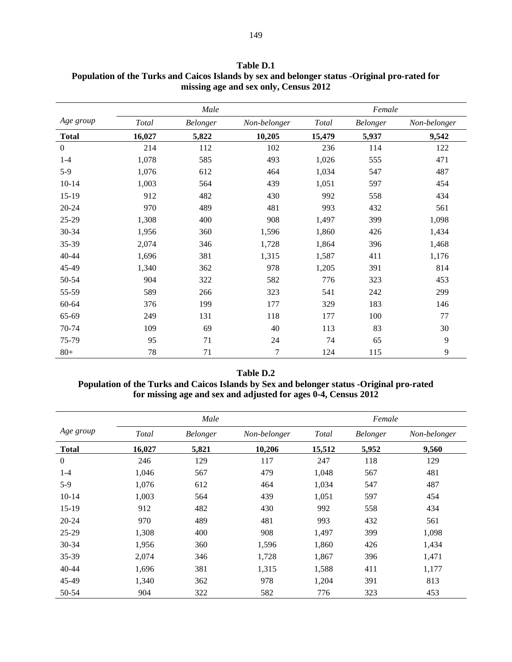|                  | Male   |          |              |              | Female   |              |
|------------------|--------|----------|--------------|--------------|----------|--------------|
| Age group        | Total  | Belonger | Non-belonger | <b>Total</b> | Belonger | Non-belonger |
| <b>Total</b>     | 16,027 | 5,822    | 10,205       | 15,479       | 5,937    | 9,542        |
| $\boldsymbol{0}$ | 214    | 112      | 102          | 236          | 114      | 122          |
| $1 - 4$          | 1,078  | 585      | 493          | 1,026        | 555      | 471          |
| $5-9$            | 1,076  | 612      | 464          | 1,034        | 547      | 487          |
| $10 - 14$        | 1,003  | 564      | 439          | 1,051        | 597      | 454          |
| 15-19            | 912    | 482      | 430          | 992          | 558      | 434          |
| $20 - 24$        | 970    | 489      | 481          | 993          | 432      | 561          |
| 25-29            | 1,308  | 400      | 908          | 1,497        | 399      | 1,098        |
| 30-34            | 1,956  | 360      | 1,596        | 1,860        | 426      | 1,434        |
| 35-39            | 2,074  | 346      | 1,728        | 1,864        | 396      | 1,468        |
| 40-44            | 1,696  | 381      | 1,315        | 1,587        | 411      | 1,176        |
| 45-49            | 1,340  | 362      | 978          | 1,205        | 391      | 814          |
| 50-54            | 904    | 322      | 582          | 776          | 323      | 453          |
| 55-59            | 589    | 266      | 323          | 541          | 242      | 299          |
| 60-64            | 376    | 199      | 177          | 329          | 183      | 146          |
| 65-69            | 249    | 131      | 118          | 177          | 100      | 77           |
| 70-74            | 109    | 69       | 40           | 113          | 83       | 30           |
| 75-79            | 95     | 71       | 24           | 74           | 65       | 9            |
| $80+$            | 78     | 71       | 7            | 124          | 115      | 9            |

**Table D.1 Population of the Turks and Caicos Islands by sex and belonger status -Original pro-rated for missing age and sex only, Census 2012** 

### **Table D.2 Population of the Turks and Caicos Islands by Sex and belonger status -Original pro-rated for missing age and sex and adjusted for ages 0-4, Census 2012**

|                |        | Male            |              |              | Female          |              |
|----------------|--------|-----------------|--------------|--------------|-----------------|--------------|
| Age group      | Total  | <b>Belonger</b> | Non-belonger | <b>Total</b> | <b>Belonger</b> | Non-belonger |
| <b>Total</b>   | 16,027 | 5,821           | 10,206       | 15,512       | 5,952           | 9,560        |
| $\overline{0}$ | 246    | 129             | 117          | 247          | 118             | 129          |
| $1 - 4$        | 1,046  | 567             | 479          | 1,048        | 567             | 481          |
| $5-9$          | 1,076  | 612             | 464          | 1,034        | 547             | 487          |
| $10-14$        | 1,003  | 564             | 439          | 1,051        | 597             | 454          |
| 15-19          | 912    | 482             | 430          | 992          | 558             | 434          |
| $20 - 24$      | 970    | 489             | 481          | 993          | 432             | 561          |
| 25-29          | 1,308  | 400             | 908          | 1,497        | 399             | 1,098        |
| 30-34          | 1,956  | 360             | 1,596        | 1,860        | 426             | 1,434        |
| 35-39          | 2,074  | 346             | 1,728        | 1,867        | 396             | 1,471        |
| 40-44          | 1,696  | 381             | 1,315        | 1,588        | 411             | 1,177        |
| 45-49          | 1,340  | 362             | 978          | 1,204        | 391             | 813          |
| 50-54          | 904    | 322             | 582          | 776          | 323             | 453          |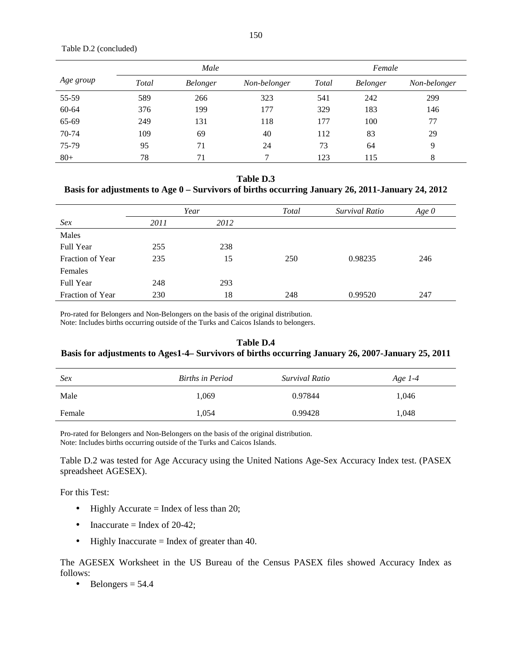Table D.2 (concluded)

|           |       | Male            |              |              | Female          |              |
|-----------|-------|-----------------|--------------|--------------|-----------------|--------------|
| Age group | Total | <b>Belonger</b> | Non-belonger | <b>Total</b> | <b>Belonger</b> | Non-belonger |
| 55-59     | 589   | 266             | 323          | 541          | 242             | 299          |
| 60-64     | 376   | 199             | 177          | 329          | 183             | 146          |
| 65-69     | 249   | 131             | 118          | 177          | 100             | 77           |
| 70-74     | 109   | 69              | 40           | 112          | 83              | 29           |
| 75-79     | 95    | 71              | 24           | 73           | 64              | 9            |
| $80+$     | 78    | 71              | 7            | 123          | 115             | 8            |

#### **Table D.3**

### **Basis for adjustments to Age 0 – Survivors of births occurring January 26, 2011-January 24, 2012**

|                  | Year |      | Total | Survival Ratio | Age $\theta$ |
|------------------|------|------|-------|----------------|--------------|
| Sex              | 2011 | 2012 |       |                |              |
| Males            |      |      |       |                |              |
| Full Year        | 255  | 238  |       |                |              |
| Fraction of Year | 235  | 15   | 250   | 0.98235        | 246          |
| Females          |      |      |       |                |              |
| Full Year        | 248  | 293  |       |                |              |
| Fraction of Year | 230  | 18   | 248   | 0.99520        | 247          |

Pro-rated for Belongers and Non-Belongers on the basis of the original distribution.

Note: Includes births occurring outside of the Turks and Caicos Islands to belongers.

### **Table D.4 Basis for adjustments to Ages1-4– Survivors of births occurring January 26, 2007-January 25, 2011**

| <b>Sex</b> | Births in Period | Survival Ratio | Age 1-4 |
|------------|------------------|----------------|---------|
| Male       | l.069            | 0.97844        | 1,046   |
| Female     | 1.054            | 0.99428        | 1,048   |

Pro-rated for Belongers and Non-Belongers on the basis of the original distribution. Note: Includes births occurring outside of the Turks and Caicos Islands.

Table D.2 was tested for Age Accuracy using the United Nations Age-Sex Accuracy Index test. (PASEX spreadsheet AGESEX).

For this Test:

- Highly Accurate = Index of less than 20;
- Inaccurate = Index of 20-42;
- Highly Inaccurate = Index of greater than 40.

The AGESEX Worksheet in the US Bureau of the Census PASEX files showed Accuracy Index as follows:

• Belongers  $= 54.4$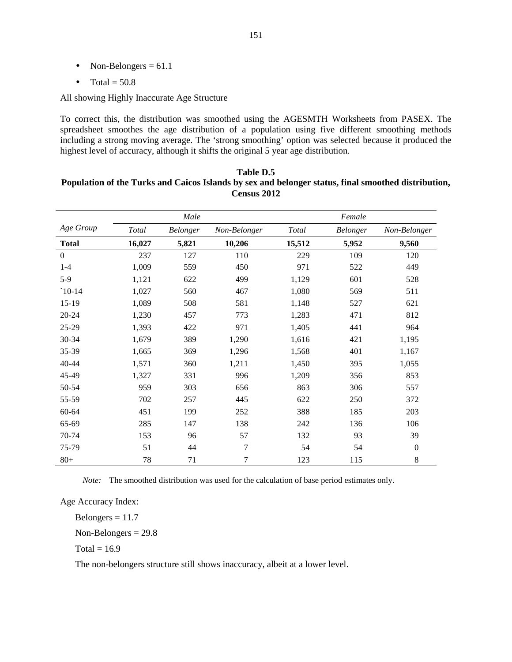- Non-Belongers  $= 61.1$
- Total  $= 50.8$

All showing Highly Inaccurate Age Structure

To correct this, the distribution was smoothed using the AGESMTH Worksheets from PASEX. The spreadsheet smoothes the age distribution of a population using five different smoothing methods including a strong moving average. The 'strong smoothing' option was selected because it produced the highest level of accuracy, although it shifts the original 5 year age distribution.

| Table D.5                                                                                           |
|-----------------------------------------------------------------------------------------------------|
| Population of the Turks and Caicos Islands by sex and belonger status, final smoothed distribution, |
| Census 2012                                                                                         |

|                  |              | Male     |                |        | Female   |                  |
|------------------|--------------|----------|----------------|--------|----------|------------------|
| Age Group        | <b>Total</b> | Belonger | Non-Belonger   | Total  | Belonger | Non-Belonger     |
| <b>Total</b>     | 16,027       | 5,821    | 10,206         | 15,512 | 5,952    | 9,560            |
| $\boldsymbol{0}$ | 237          | 127      | 110            | 229    | 109      | 120              |
| $1-4$            | 1,009        | 559      | 450            | 971    | 522      | 449              |
| $5-9$            | 1,121        | 622      | 499            | 1,129  | 601      | 528              |
| $`10-14$         | 1,027        | 560      | 467            | 1,080  | 569      | 511              |
| $15-19$          | 1,089        | 508      | 581            | 1,148  | 527      | 621              |
| $20 - 24$        | 1,230        | 457      | 773            | 1,283  | 471      | 812              |
| 25-29            | 1,393        | 422      | 971            | 1,405  | 441      | 964              |
| 30-34            | 1,679        | 389      | 1,290          | 1,616  | 421      | 1,195            |
| 35-39            | 1,665        | 369      | 1,296          | 1,568  | 401      | 1,167            |
| 40-44            | 1,571        | 360      | 1,211          | 1,450  | 395      | 1,055            |
| 45-49            | 1,327        | 331      | 996            | 1,209  | 356      | 853              |
| 50-54            | 959          | 303      | 656            | 863    | 306      | 557              |
| 55-59            | 702          | 257      | 445            | 622    | 250      | 372              |
| 60-64            | 451          | 199      | 252            | 388    | 185      | 203              |
| 65-69            | 285          | 147      | 138            | 242    | 136      | 106              |
| 70-74            | 153          | 96       | 57             | 132    | 93       | 39               |
| 75-79            | 51           | 44       | $\overline{7}$ | 54     | 54       | $\boldsymbol{0}$ |
| $80+$            | 78           | 71       | 7              | 123    | 115      | 8                |

 *Note:* The smoothed distribution was used for the calculation of base period estimates only.

Age Accuracy Index:

Belongers  $= 11.7$ 

Non-Belongers = 29.8

 $Total = 16.9$ 

The non-belongers structure still shows inaccuracy, albeit at a lower level.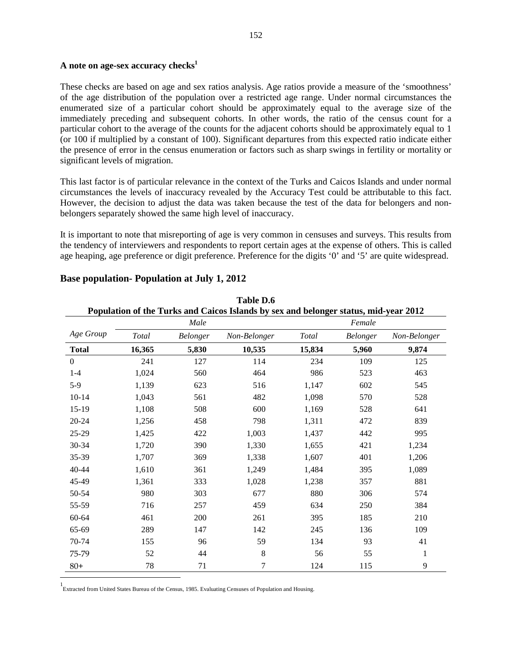### **A note on age-sex accuracy checks<sup>1</sup>**

These checks are based on age and sex ratios analysis. Age ratios provide a measure of the 'smoothness' of the age distribution of the population over a restricted age range. Under normal circumstances the enumerated size of a particular cohort should be approximately equal to the average size of the immediately preceding and subsequent cohorts. In other words, the ratio of the census count for a particular cohort to the average of the counts for the adjacent cohorts should be approximately equal to 1 (or 100 if multiplied by a constant of 100). Significant departures from this expected ratio indicate either the presence of error in the census enumeration or factors such as sharp swings in fertility or mortality or significant levels of migration.

This last factor is of particular relevance in the context of the Turks and Caicos Islands and under normal circumstances the levels of inaccuracy revealed by the Accuracy Test could be attributable to this fact. However, the decision to adjust the data was taken because the test of the data for belongers and nonbelongers separately showed the same high level of inaccuracy.

It is important to note that misreporting of age is very common in censuses and surveys. This results from the tendency of interviewers and respondents to report certain ages at the expense of others. This is called age heaping, age preference or digit preference. Preference for the digits '0' and '5' are quite widespread.

| Table D.6<br>Population of the Turks and Caicos Islands by sex and belonger status, mid-year 2012 |        |          |              |              |          |              |
|---------------------------------------------------------------------------------------------------|--------|----------|--------------|--------------|----------|--------------|
|                                                                                                   |        | Male     |              |              | Female   |              |
| Age Group                                                                                         | Total  | Belonger | Non-Belonger | <b>Total</b> | Belonger | Non-Belonger |
| <b>Total</b>                                                                                      | 16,365 | 5,830    | 10,535       | 15,834       | 5,960    | 9,874        |
| $\boldsymbol{0}$                                                                                  | 241    | 127      | 114          | 234          | 109      | 125          |
| $1 - 4$                                                                                           | 1,024  | 560      | 464          | 986          | 523      | 463          |
| $5-9$                                                                                             | 1,139  | 623      | 516          | 1,147        | 602      | 545          |
| $10 - 14$                                                                                         | 1,043  | 561      | 482          | 1,098        | 570      | 528          |
| $15-19$                                                                                           | 1,108  | 508      | 600          | 1,169        | 528      | 641          |
| $20 - 24$                                                                                         | 1,256  | 458      | 798          | 1,311        | 472      | 839          |
| 25-29                                                                                             | 1,425  | 422      | 1,003        | 1,437        | 442      | 995          |
| 30-34                                                                                             | 1,720  | 390      | 1,330        | 1,655        | 421      | 1,234        |
| 35-39                                                                                             | 1,707  | 369      | 1,338        | 1,607        | 401      | 1,206        |
| 40-44                                                                                             | 1,610  | 361      | 1,249        | 1,484        | 395      | 1,089        |
| 45-49                                                                                             | 1,361  | 333      | 1,028        | 1,238        | 357      | 881          |
| 50-54                                                                                             | 980    | 303      | 677          | 880          | 306      | 574          |
| 55-59                                                                                             | 716    | 257      | 459          | 634          | 250      | 384          |
| $60 - 64$                                                                                         | 461    | 200      | 261          | 395          | 185      | 210          |
| 65-69                                                                                             | 289    | 147      | 142          | 245          | 136      | 109          |
| 70-74                                                                                             | 155    | 96       | 59           | 134          | 93       | 41           |
| 75-79                                                                                             | 52     | 44       | 8            | 56           | 55       | $\mathbf{1}$ |
| $80+$                                                                                             | 78     | 71       | 7            | 124          | 115      | 9            |

### **Base population- Population at July 1, 2012**

1 Extracted from United States Bureau of the Census, 1985. Evaluating Censuses of Population and Housing.

1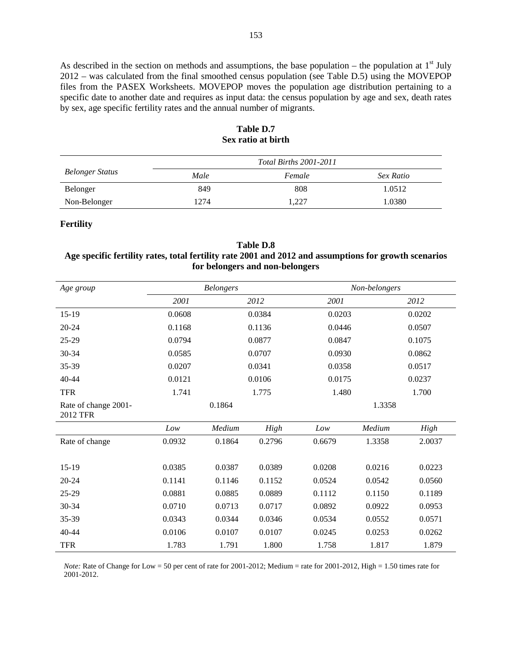As described in the section on methods and assumptions, the base population – the population at  $1<sup>st</sup>$  July 2012 – was calculated from the final smoothed census population (see Table D.5) using the MOVEPOP files from the PASEX Worksheets. MOVEPOP moves the population age distribution pertaining to a specific date to another date and requires as input data: the census population by age and sex, death rates by sex, age specific fertility rates and the annual number of migrants.

|                        |      | <i>Total Births 2001-2011</i> |           |
|------------------------|------|-------------------------------|-----------|
| <b>Belonger Status</b> | Male | Female                        | Sex Ratio |
| <b>Belonger</b>        | 849  | 808                           | 1.0512    |
| Non-Belonger           | 1274 | 1.227                         | 1.0380    |

### **Table D.7 Sex ratio at birth**

### **Fertility**

### **Table D.8 Age specific fertility rates, total fertility rate 2001 and 2012 and assumptions for growth scenarios for belongers and non-belongers**

| Age group                               |        | <b>Belongers</b> |        |        | Non-belongers |        |  |
|-----------------------------------------|--------|------------------|--------|--------|---------------|--------|--|
|                                         | 2001   |                  | 2012   | 2001   |               | 2012   |  |
| $15-19$                                 | 0.0608 |                  | 0.0384 | 0.0203 |               | 0.0202 |  |
| $20 - 24$                               | 0.1168 |                  | 0.1136 | 0.0446 |               | 0.0507 |  |
| 25-29                                   | 0.0794 |                  | 0.0877 | 0.0847 |               | 0.1075 |  |
| 30-34                                   | 0.0585 |                  | 0.0707 | 0.0930 |               | 0.0862 |  |
| 35-39                                   | 0.0207 |                  | 0.0341 | 0.0358 |               | 0.0517 |  |
| $40 - 44$                               | 0.0121 |                  | 0.0106 | 0.0175 |               | 0.0237 |  |
| <b>TFR</b>                              | 1.741  |                  | 1.775  | 1.480  |               | 1.700  |  |
| Rate of change 2001-<br><b>2012 TFR</b> |        | 0.1864           |        |        | 1.3358        |        |  |
|                                         | Low    | Medium           | High   | Low    | Medium        | High   |  |
| Rate of change                          | 0.0932 | 0.1864           | 0.2796 | 0.6679 | 1.3358        | 2.0037 |  |
|                                         |        |                  |        |        |               |        |  |
| $15-19$                                 | 0.0385 | 0.0387           | 0.0389 | 0.0208 | 0.0216        | 0.0223 |  |
| $20 - 24$                               | 0.1141 | 0.1146           | 0.1152 | 0.0524 | 0.0542        | 0.0560 |  |
| 25-29                                   | 0.0881 | 0.0885           | 0.0889 | 0.1112 | 0.1150        | 0.1189 |  |
| 30-34                                   | 0.0710 | 0.0713           | 0.0717 | 0.0892 | 0.0922        | 0.0953 |  |
| 35-39                                   | 0.0343 | 0.0344           | 0.0346 | 0.0534 | 0.0552        | 0.0571 |  |
| $40 - 44$                               | 0.0106 | 0.0107           | 0.0107 | 0.0245 | 0.0253        | 0.0262 |  |
| <b>TFR</b>                              | 1.783  | 1.791            | 1.800  | 1.758  | 1.817         | 1.879  |  |

*Note:* Rate of Change for Low = 50 per cent of rate for 2001-2012; Medium = rate for 2001-2012, High = 1.50 times rate for 2001-2012.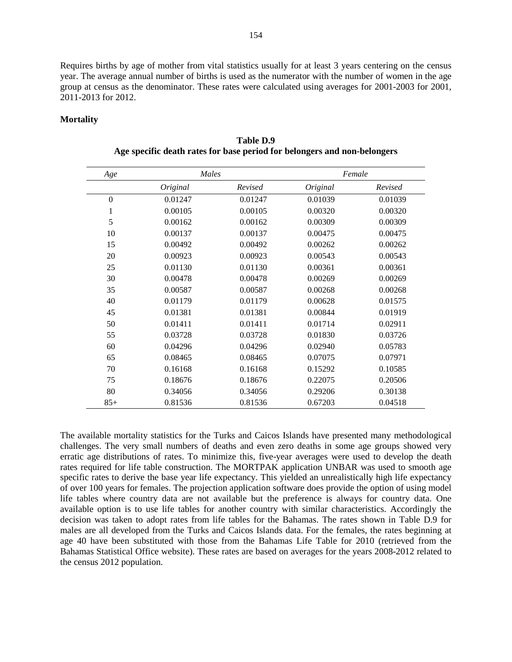Requires births by age of mother from vital statistics usually for at least 3 years centering on the census year. The average annual number of births is used as the numerator with the number of women in the age group at census as the denominator. These rates were calculated using averages for 2001-2003 for 2001, 2011-2013 for 2012.

### **Mortality**

| Age              | Males    |         |          | Female  |
|------------------|----------|---------|----------|---------|
|                  | Original | Revised | Original | Revised |
| $\boldsymbol{0}$ | 0.01247  | 0.01247 | 0.01039  | 0.01039 |
| 1                | 0.00105  | 0.00105 | 0.00320  | 0.00320 |
| 5                | 0.00162  | 0.00162 | 0.00309  | 0.00309 |
| 10               | 0.00137  | 0.00137 | 0.00475  | 0.00475 |
| 15               | 0.00492  | 0.00492 | 0.00262  | 0.00262 |
| 20               | 0.00923  | 0.00923 | 0.00543  | 0.00543 |
| 25               | 0.01130  | 0.01130 | 0.00361  | 0.00361 |
| 30               | 0.00478  | 0.00478 | 0.00269  | 0.00269 |
| 35               | 0.00587  | 0.00587 | 0.00268  | 0.00268 |
| 40               | 0.01179  | 0.01179 | 0.00628  | 0.01575 |
| 45               | 0.01381  | 0.01381 | 0.00844  | 0.01919 |
| 50               | 0.01411  | 0.01411 | 0.01714  | 0.02911 |
| 55               | 0.03728  | 0.03728 | 0.01830  | 0.03726 |
| 60               | 0.04296  | 0.04296 | 0.02940  | 0.05783 |
| 65               | 0.08465  | 0.08465 | 0.07075  | 0.07971 |
| 70               | 0.16168  | 0.16168 | 0.15292  | 0.10585 |
| 75               | 0.18676  | 0.18676 | 0.22075  | 0.20506 |
| 80               | 0.34056  | 0.34056 | 0.29206  | 0.30138 |
| $85+$            | 0.81536  | 0.81536 | 0.67203  | 0.04518 |

**Table D.9 Age specific death rates for base period for belongers and non-belongers** 

The available mortality statistics for the Turks and Caicos Islands have presented many methodological challenges. The very small numbers of deaths and even zero deaths in some age groups showed very erratic age distributions of rates. To minimize this, five-year averages were used to develop the death rates required for life table construction. The MORTPAK application UNBAR was used to smooth age specific rates to derive the base year life expectancy. This yielded an unrealistically high life expectancy of over 100 years for females. The projection application software does provide the option of using model life tables where country data are not available but the preference is always for country data. One available option is to use life tables for another country with similar characteristics. Accordingly the decision was taken to adopt rates from life tables for the Bahamas. The rates shown in Table D.9 for males are all developed from the Turks and Caicos Islands data. For the females, the rates beginning at age 40 have been substituted with those from the Bahamas Life Table for 2010 (retrieved from the Bahamas Statistical Office website). These rates are based on averages for the years 2008-2012 related to the census 2012 population.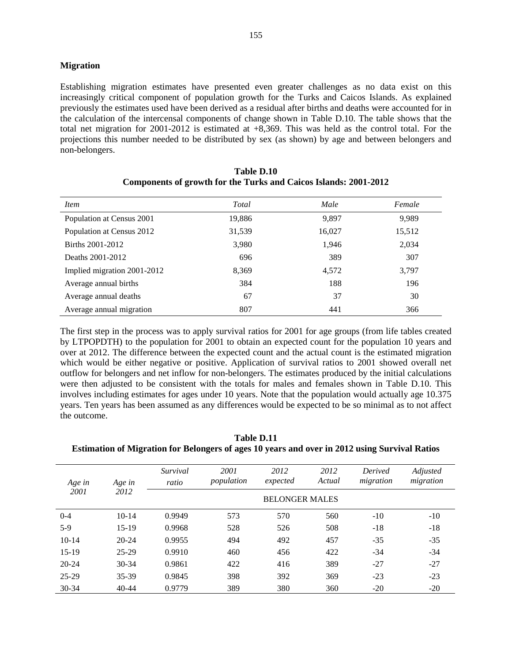#### **Migration**

Establishing migration estimates have presented even greater challenges as no data exist on this increasingly critical component of population growth for the Turks and Caicos Islands. As explained previously the estimates used have been derived as a residual after births and deaths were accounted for in the calculation of the intercensal components of change shown in Table D.10. The table shows that the total net migration for 2001-2012 is estimated at +8,369. This was held as the control total. For the projections this number needed to be distributed by sex (as shown) by age and between belongers and non-belongers.

| <i>Item</i>                 | Total  | Male   | Female |
|-----------------------------|--------|--------|--------|
| Population at Census 2001   | 19,886 | 9.897  | 9,989  |
| Population at Census 2012   | 31,539 | 16,027 | 15,512 |
| Births 2001-2012            | 3,980  | 1,946  | 2,034  |
| Deaths 2001-2012            | 696    | 389    | 307    |
| Implied migration 2001-2012 | 8,369  | 4,572  | 3,797  |
| Average annual births       | 384    | 188    | 196    |
| Average annual deaths       | 67     | 37     | 30     |
| Average annual migration    | 807    | 441    | 366    |

| Table D.10                                                       |
|------------------------------------------------------------------|
| Components of growth for the Turks and Caicos Islands: 2001-2012 |

The first step in the process was to apply survival ratios for 2001 for age groups (from life tables created by LTPOPDTH) to the population for 2001 to obtain an expected count for the population 10 years and over at 2012. The difference between the expected count and the actual count is the estimated migration which would be either negative or positive. Application of survival ratios to 2001 showed overall net outflow for belongers and net inflow for non-belongers. The estimates produced by the initial calculations were then adjusted to be consistent with the totals for males and females shown in Table D.10. This involves including estimates for ages under 10 years. Note that the population would actually age 10.375 years. Ten years has been assumed as any differences would be expected to be so minimal as to not affect the outcome.

**Table D.11 Estimation of Migration for Belongers of ages 10 years and over in 2012 using Survival Ratios** 

| Age in<br>2001 | Age in<br>2012 | Survival<br>ratio     | 2001<br>population | 2012<br>expected | 2012<br>Actual | <b>Derived</b><br>migration | Adjusted<br>migration |
|----------------|----------------|-----------------------|--------------------|------------------|----------------|-----------------------------|-----------------------|
|                |                | <b>BELONGER MALES</b> |                    |                  |                |                             |                       |
| $0 - 4$        | $10 - 14$      | 0.9949                | 573                | 570              | 560            | $-10$                       | $-10$                 |
| $5-9$          | $15-19$        | 0.9968                | 528                | 526              | 508            | $-18$                       | $-18$                 |
| $10-14$        | $20 - 24$      | 0.9955                | 494                | 492              | 457            | $-35$                       | $-35$                 |
| $15-19$        | $25 - 29$      | 0.9910                | 460                | 456              | 422            | $-34$                       | -34                   |
| $20 - 24$      | $30 - 34$      | 0.9861                | 422                | 416              | 389            | $-27$                       | $-27$                 |
| 25-29          | 35-39          | 0.9845                | 398                | 392              | 369            | $-23$                       | $-23$                 |
| 30-34          | $40 - 44$      | 0.9779                | 389                | 380              | 360            | $-20$                       | $-20$                 |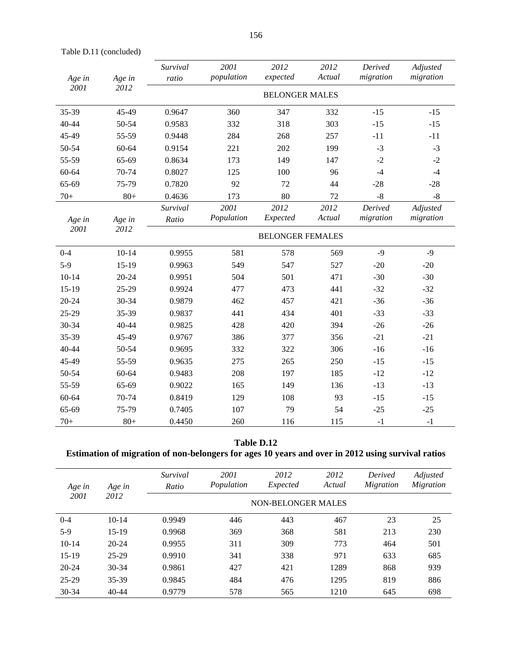Table D.11 (concluded)

| Age in         | Age in<br>2012 | Survival<br>ratio       | 2001<br>population | 2012<br>expected | 2012<br>Actual | Derived<br>migration | Adjusted<br>migration |  |
|----------------|----------------|-------------------------|--------------------|------------------|----------------|----------------------|-----------------------|--|
| 2001           |                | <b>BELONGER MALES</b>   |                    |                  |                |                      |                       |  |
| 35-39          | 45-49          | 0.9647                  | 360                | 347              | 332            | $-15$                | $-15$                 |  |
| 40-44          | 50-54          | 0.9583                  | 332                | 318              | 303            | $-15$                | $-15$                 |  |
| 45-49          | 55-59          | 0.9448                  | 284                | 268              | 257            | $-11$                | $-11$                 |  |
| 50-54          | 60-64          | 0.9154                  | 221                | 202              | 199            | $-3$                 | $-3$                  |  |
| 55-59          | 65-69          | 0.8634                  | 173                | 149              | 147            | $-2$                 | $-2$                  |  |
| 60-64          | 70-74          | 0.8027                  | 125                | 100              | 96             | $-4$                 | $-4$                  |  |
| 65-69          | 75-79          | 0.7820                  | 92                 | 72               | 44             | $-28$                | $-28$                 |  |
| $70+$          | $80+$          | 0.4636                  | 173                | 80               | 72             | $-8$                 | $-8$                  |  |
| Age in<br>2001 | Age in<br>2012 | Survival<br>Ratio       | 2001<br>Population | 2012<br>Expected | 2012<br>Actual | Derived<br>migration | Adjusted<br>migration |  |
|                |                | <b>BELONGER FEMALES</b> |                    |                  |                |                      |                       |  |
| $0 - 4$        | $10 - 14$      | 0.9955                  | 581                | 578              | 569            | $-9$                 | $-9$                  |  |
| $5-9$          | $15-19$        | 0.9963                  | 549                | 547              | 527            | $-20$                | $-20$                 |  |
| $10 - 14$      | $20 - 24$      | 0.9951                  | 504                | 501              | 471            | $-30$                | $-30$                 |  |
| 15-19          | 25-29          | 0.9924                  | 477                | 473              | 441            | $-32$                | $-32$                 |  |
| $20 - 24$      | 30-34          | 0.9879                  | 462                | 457              | 421            | $-36$                | $-36$                 |  |
| 25-29          | 35-39          | 0.9837                  | 441                | 434              | 401            | $-33$                | $-33$                 |  |
| 30-34          | 40-44          | 0.9825                  | 428                | 420              | 394            | $-26$                | $-26$                 |  |
| 35-39          | 45-49          | 0.9767                  | 386                | 377              | 356            | $-21$                | $-21$                 |  |
| 40-44          | 50-54          | 0.9695                  | 332                | 322              | 306            | $-16$                | $-16$                 |  |
| 45-49          | 55-59          | 0.9635                  | 275                | 265              | 250            | $-15$                | $-15$                 |  |
| 50-54          | 60-64          | 0.9483                  | 208                | 197              | 185            | $-12$                | $-12$                 |  |
| 55-59          | 65-69          | 0.9022                  | 165                | 149              | 136            | $-13$                | $-13$                 |  |
| 60-64          | 70-74          | 0.8419                  | 129                | 108              | 93             | $-15$                | $-15$                 |  |
| 65-69          | 75-79          | 0.7405                  | 107                | 79               | 54             | $-25$                | $-25$                 |  |
| $70+$          | $80+$          | 0.4450                  | 260                | 116              | 115            | $-1$                 | $-1$                  |  |

### **Table D.12**

## **Estimation of migration of non-belongers for ages 10 years and over in 2012 using survival ratios**

| Age in<br>2001 | Age in<br>2012 | Survival<br>Ratio         | 2001<br>Population | 2012<br>Expected | 2012<br>Actual | Derived<br>Migration | Adjusted<br><i>Migration</i> |
|----------------|----------------|---------------------------|--------------------|------------------|----------------|----------------------|------------------------------|
|                |                | <b>NON-BELONGER MALES</b> |                    |                  |                |                      |                              |
| $0 - 4$        | $10 - 14$      | 0.9949                    | 446                | 443              | 467            | 23                   | 25                           |
| $5-9$          | $15-19$        | 0.9968                    | 369                | 368              | 581            | 213                  | 230                          |
| $10 - 14$      | $20 - 24$      | 0.9955                    | 311                | 309              | 773            | 464                  | 501                          |
| $15-19$        | $25-29$        | 0.9910                    | 341                | 338              | 971            | 633                  | 685                          |
| $20 - 24$      | $30 - 34$      | 0.9861                    | 427                | 421              | 1289           | 868                  | 939                          |
| 25-29          | 35-39          | 0.9845                    | 484                | 476              | 1295           | 819                  | 886                          |
| 30-34          | $40 - 44$      | 0.9779                    | 578                | 565              | 1210           | 645                  | 698                          |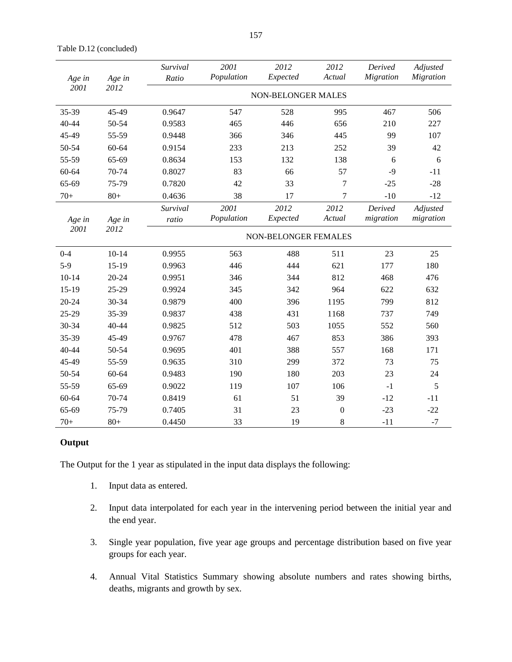| Age in<br>2001 | Age in<br>2012 | Survival<br>Ratio         | 2001<br>Population | 2012<br>Expected | 2012<br>Actual | Derived<br><b>Migration</b> | Adjusted<br><b>Migration</b> |  |
|----------------|----------------|---------------------------|--------------------|------------------|----------------|-----------------------------|------------------------------|--|
|                |                | <b>NON-BELONGER MALES</b> |                    |                  |                |                             |                              |  |
| 35-39          | 45-49          | 0.9647                    | 547                | 528              | 995            | 467                         | 506                          |  |
| 40-44          | 50-54          | 0.9583                    | 465                | 446              | 656            | 210                         | 227                          |  |
| 45-49          | 55-59          | 0.9448                    | 366                | 346              | 445            | 99                          | 107                          |  |
| 50-54          | 60-64          | 0.9154                    | 233                | 213              | 252            | 39                          | 42                           |  |
| 55-59          | 65-69          | 0.8634                    | 153                | 132              | 138            | 6                           | 6                            |  |
| 60-64          | 70-74          | 0.8027                    | 83                 | 66               | 57             | $-9$                        | $-11$                        |  |
| 65-69          | 75-79          | 0.7820                    | 42                 | 33               | 7              | $-25$                       | $-28$                        |  |
| $70+$          | $80+$          | 0.4636                    | 38                 | 17               | 7              | $-10$                       | $-12$                        |  |
| Age in         | Age in         | Survival<br>ratio         | 2001<br>Population | 2012<br>Expected | 2012<br>Actual | Derived<br>migration        | Adjusted<br>migration        |  |
| 2001           | 2012           | NON-BELONGER FEMALES      |                    |                  |                |                             |                              |  |
| $0 - 4$        | $10 - 14$      | 0.9955                    | 563                | 488              | 511            | 23                          | 25                           |  |
| $5-9$          | $15-19$        | 0.9963                    | 446                | 444              | 621            | 177                         | 180                          |  |
| $10 - 14$      | 20-24          | 0.9951                    | 346                | 344              | 812            | 468                         | 476                          |  |
| 15-19          | 25-29          | 0.9924                    | 345                | 342              | 964            | 622                         | 632                          |  |
| 20-24          | 30-34          | 0.9879                    | 400                | 396              | 1195           | 799                         | 812                          |  |
| 25-29          | 35-39          | 0.9837                    | 438                | 431              | 1168           | 737                         | 749                          |  |
| 30-34          | 40-44          | 0.9825                    | 512                | 503              | 1055           | 552                         | 560                          |  |
| 35-39          | 45-49          | 0.9767                    | 478                | 467              | 853            | 386                         | 393                          |  |
| 40-44          | 50-54          | 0.9695                    | 401                | 388              | 557            | 168                         | 171                          |  |
| 45-49          | 55-59          | 0.9635                    | 310                | 299              | 372            | 73                          | 75                           |  |
| 50-54          | 60-64          | 0.9483                    | 190                | 180              | 203            | 23                          | 24                           |  |
| 55-59          | 65-69          | 0.9022                    | 119                | 107              | 106            | $-1$                        | 5                            |  |
| 60-64          | 70-74          | 0.8419                    | 61                 | 51               | 39             | $-12$                       | $-11$                        |  |
|                |                |                           |                    |                  |                |                             |                              |  |

65-69 75-79 0.7405 31 23 0 -23 -22 70+ 80+ 0.4450 33 19 8 -11 -7

#### Table D.12 (concluded)

#### **Output**

The Output for the 1 year as stipulated in the input data displays the following:

- 1. Input data as entered.
- 2. Input data interpolated for each year in the intervening period between the initial year and the end year.
- 3. Single year population, five year age groups and percentage distribution based on five year groups for each year.
- 4. Annual Vital Statistics Summary showing absolute numbers and rates showing births, deaths, migrants and growth by sex.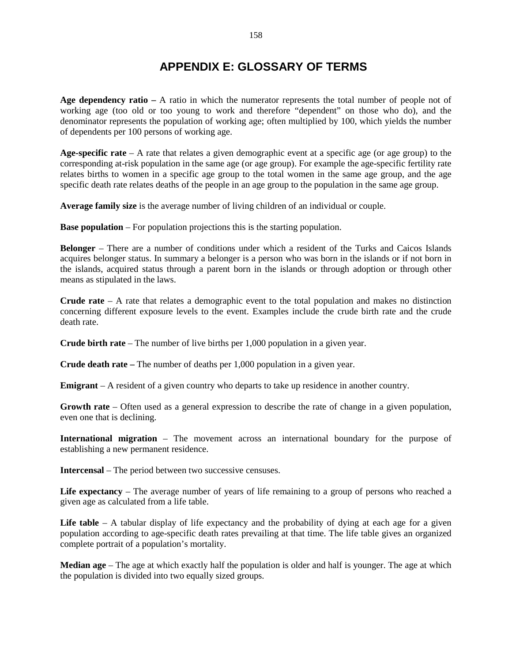# **APPENDIX E: GLOSSARY OF TERMS**

**Age dependency ratio –** A ratio in which the numerator represents the total number of people not of working age (too old or too young to work and therefore "dependent" on those who do), and the denominator represents the population of working age; often multiplied by 100, which yields the number of dependents per 100 persons of working age.

**Age-specific rate** – A rate that relates a given demographic event at a specific age (or age group) to the corresponding at-risk population in the same age (or age group). For example the age-specific fertility rate relates births to women in a specific age group to the total women in the same age group, and the age specific death rate relates deaths of the people in an age group to the population in the same age group.

**Average family size** is the average number of living children of an individual or couple.

**Base population** – For population projections this is the starting population.

**Belonger** – There are a number of conditions under which a resident of the Turks and Caicos Islands acquires belonger status. In summary a belonger is a person who was born in the islands or if not born in the islands, acquired status through a parent born in the islands or through adoption or through other means as stipulated in the laws.

**Crude rate** – A rate that relates a demographic event to the total population and makes no distinction concerning different exposure levels to the event. Examples include the crude birth rate and the crude death rate.

**Crude birth rate** – The number of live births per 1,000 population in a given year.

**Crude death rate –** The number of deaths per 1,000 population in a given year.

**Emigrant** – A resident of a given country who departs to take up residence in another country.

**Growth rate** – Often used as a general expression to describe the rate of change in a given population, even one that is declining.

**International migration** – The movement across an international boundary for the purpose of establishing a new permanent residence.

**Intercensal** – The period between two successive censuses.

**Life expectancy** – The average number of years of life remaining to a group of persons who reached a given age as calculated from a life table.

Life table – A tabular display of life expectancy and the probability of dying at each age for a given population according to age-specific death rates prevailing at that time. The life table gives an organized complete portrait of a population's mortality.

**Median age** – The age at which exactly half the population is older and half is younger. The age at which the population is divided into two equally sized groups.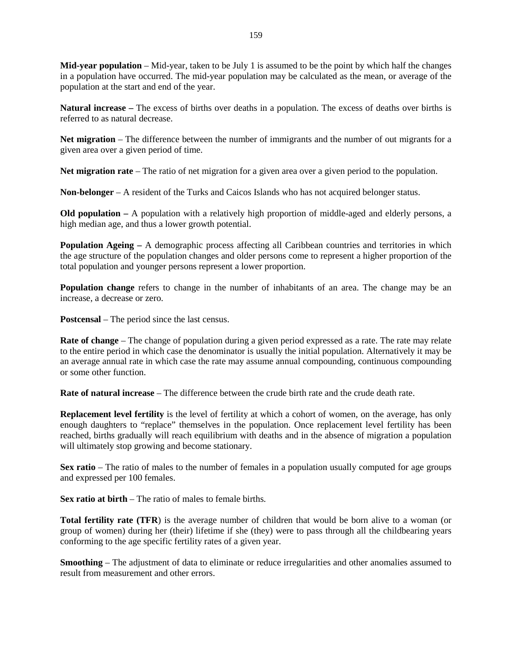**Mid-year population** – Mid-year, taken to be July 1 is assumed to be the point by which half the changes in a population have occurred. The mid-year population may be calculated as the mean, or average of the population at the start and end of the year.

**Natural increase –** The excess of births over deaths in a population. The excess of deaths over births is referred to as natural decrease.

**Net migration** – The difference between the number of immigrants and the number of out migrants for a given area over a given period of time.

**Net migration rate** – The ratio of net migration for a given area over a given period to the population.

**Non-belonger** – A resident of the Turks and Caicos Islands who has not acquired belonger status.

**Old population –** A population with a relatively high proportion of middle-aged and elderly persons, a high median age, and thus a lower growth potential.

**Population Ageing – A demographic process affecting all Caribbean countries and territories in which** the age structure of the population changes and older persons come to represent a higher proportion of the total population and younger persons represent a lower proportion.

**Population change** refers to change in the number of inhabitants of an area. The change may be an increase, a decrease or zero.

**Postcensal** – The period since the last census.

**Rate of change** – The change of population during a given period expressed as a rate. The rate may relate to the entire period in which case the denominator is usually the initial population. Alternatively it may be an average annual rate in which case the rate may assume annual compounding, continuous compounding or some other function.

**Rate of natural increase** – The difference between the crude birth rate and the crude death rate.

**Replacement level fertility** is the level of fertility at which a cohort of women, on the average, has only enough daughters to "replace" themselves in the population. Once replacement level fertility has been reached, births gradually will reach equilibrium with deaths and in the absence of migration a population will ultimately stop growing and become stationary.

**Sex ratio** – The ratio of males to the number of females in a population usually computed for age groups and expressed per 100 females.

**Sex ratio at birth** – The ratio of males to female births.

**Total fertility rate (TFR**) is the average number of children that would be born alive to a woman (or group of women) during her (their) lifetime if she (they) were to pass through all the childbearing years conforming to the age specific fertility rates of a given year.

**Smoothing** – The adjustment of data to eliminate or reduce irregularities and other anomalies assumed to result from measurement and other errors.